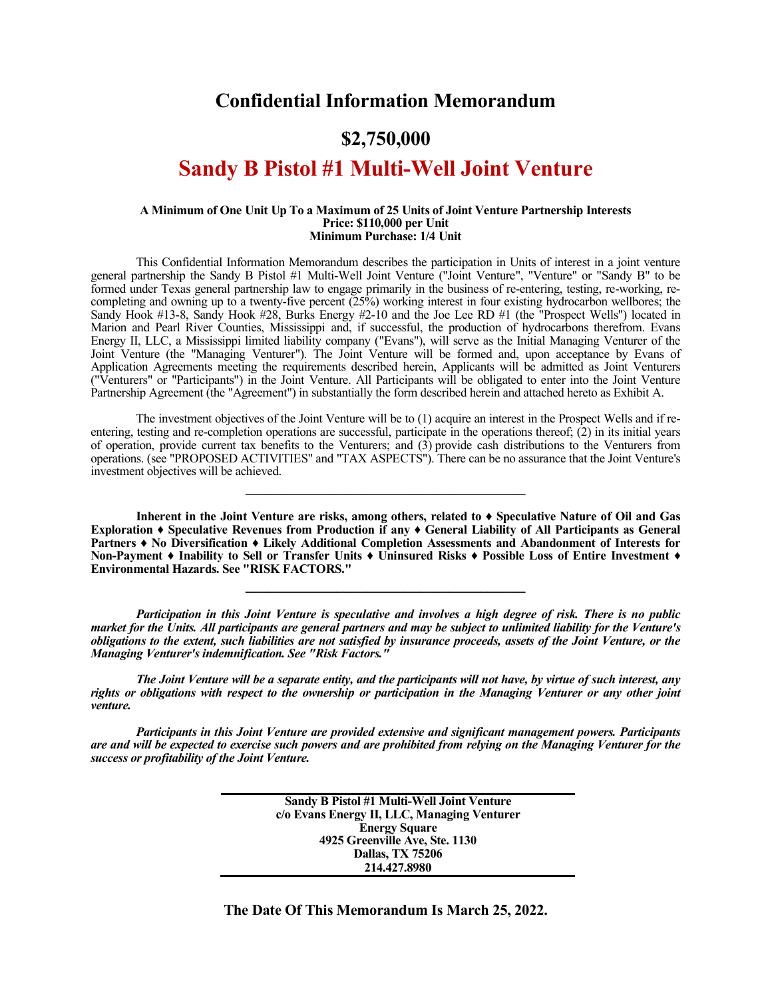# **Confidential Information Memorandum**

## **\$2,750,000**

# **Sandy B Pistol #1 Multi-Well Joint Venture**

#### **A Minimum of One Unit Up To a Maximum of 25 Units of Joint Venture Partnership Interests Price: \$110,000 per Unit Minimum Purchase: 1/4 Unit**

This Confidential Information Memorandum describes the participation in Units of interest in a joint venture general partnership the Sandy B Pistol #1 Multi-Well Joint Venture ("Joint Venture", "Venture" or "Sandy B" to be formed under Texas general partnership law to engage primarily in the business of re-entering, testing, re-working, recompleting and owning up to a twenty-five percent (25%) working interest in four existing hydrocarbon wellbores; the Sandy Hook #13-8, Sandy Hook #28, Burks Energy #2-10 and the Joe Lee RD #1 (the "Prospect Wells") located in Marion and Pearl River Counties, Mississippi and, if successful, the production of hydrocarbons therefrom. Evans Energy II, LLC, a Mississippi limited liability company ("Evans"), will serve as the Initial Managing Venturer of the Joint Venture (the "Managing Venturer"). The Joint Venture will be formed and, upon acceptance by Evans of Application Agreements meeting the requirements described herein, Applicants will be admitted as Joint Venturers ("Venturers" or "Participants") in the Joint Venture. All Participants will be obligated to enter into the Joint Venture Partnership Agreement (the "Agreement") in substantially the form described herein and attached hereto as Exhibit A.

The investment objectives of the Joint Venture will be to (1) acquire an interest in the Prospect Wells and if reentering, testing and re-completion operations are successful, participate in the operations thereof; (2) in its initial years of operation, provide current tax benefits to the Venturers; and (3) provide cash distributions to the Venturers from operations. (see "PROPOSED ACTIVITIES" and "TAX ASPECTS"). There can be no assurance that the Joint Venture's investment objectives will be achieved.

**Inherent in the Joint Venture are risks, among others, related to ♦ Speculative Nature of Oil and Gas Exploration ♦ Speculative Revenues from Production if any ♦ General Liability of All Participants as General Partners ♦ No Diversification ♦ Likely Additional Completion Assessments and Abandonment of Interests for Non-Payment ♦ Inability to Sell or Transfer Units ♦ Uninsured Risks ♦ Possible Loss of Entire Investment ♦ Environmental Hazards. See "RISK FACTORS."**

**\_\_\_\_\_\_\_\_\_\_\_\_\_\_\_\_\_\_\_\_\_\_\_\_\_\_\_\_\_\_\_\_\_\_\_\_\_**

*Participation in this Joint Venture is speculative and involves a high degree of risk. There is no public market for the Units. All participants are general partners and may be subject to unlimited liability for the Venture's obligations to the extent, such liabilities are not satisfied by insurance proceeds, assets of the Joint Venture, or the Managing Venturer's indemnification. See "Risk Factors."*

*The Joint Venture will be a separate entity, and the participants will not have, by virtue of such interest, any rights or obligations with respect to the ownership or participation in the Managing Venturer or any other joint venture.*

*Participants in this Joint Venture are provided extensive and significant management powers. Participants are and will be expected to exercise such powers and are prohibited from relying on the Managing Venturer for the success or profitability of the Joint Venture.*

> **Sandy B Pistol #1 Multi-Well Joint Venture c/o Evans Energy II, LLC, Managing Venturer Energy Square 4925 Greenville Ave, Ste. 1130 Dallas, TX 75206 214.427.8980**

## **The Date Of This Memorandum Is March 25, 2022.**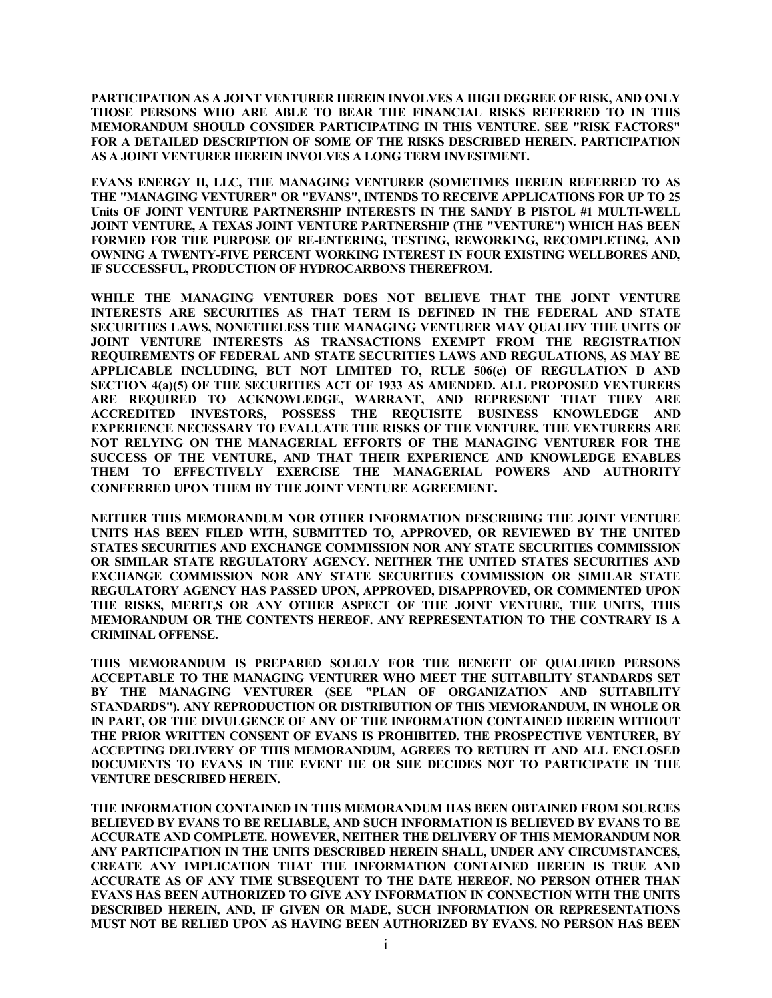**PARTICIPATION AS A JOINT VENTURER HEREIN INVOLVES A HIGH DEGREE OF RISK, AND ONLY THOSE PERSONS WHO ARE ABLE TO BEAR THE FINANCIAL RISKS REFERRED TO IN THIS MEMORANDUM SHOULD CONSIDER PARTICIPATING IN THIS VENTURE. SEE "RISK FACTORS" FOR A DETAILED DESCRIPTION OF SOME OF THE RISKS DESCRIBED HEREIN. PARTICIPATION AS A JOINT VENTURER HEREIN INVOLVES A LONG TERM INVESTMENT.**

**EVANS ENERGY II, LLC, THE MANAGING VENTURER (SOMETIMES HEREIN REFERRED TO AS THE "MANAGING VENTURER" OR "EVANS", INTENDS TO RECEIVE APPLICATIONS FOR UP TO 25 Units OF JOINT VENTURE PARTNERSHIP INTERESTS IN THE SANDY B PISTOL #1 MULTI-WELL JOINT VENTURE, A TEXAS JOINT VENTURE PARTNERSHIP (THE "VENTURE") WHICH HAS BEEN FORMED FOR THE PURPOSE OF RE-ENTERING, TESTING, REWORKING, RECOMPLETING, AND OWNING A TWENTY-FIVE PERCENT WORKING INTEREST IN FOUR EXISTING WELLBORES AND, IF SUCCESSFUL, PRODUCTION OF HYDROCARBONS THEREFROM.**

**WHILE THE MANAGING VENTURER DOES NOT BELIEVE THAT THE JOINT VENTURE INTERESTS ARE SECURITIES AS THAT TERM IS DEFINED IN THE FEDERAL AND STATE SECURITIES LAWS, NONETHELESS THE MANAGING VENTURER MAY QUALIFY THE UNITS OF JOINT VENTURE INTERESTS AS TRANSACTIONS EXEMPT FROM THE REGISTRATION REQUIREMENTS OF FEDERAL AND STATE SECURITIES LAWS AND REGULATIONS, AS MAY BE APPLICABLE INCLUDING, BUT NOT LIMITED TO, RULE 506(c) OF REGULATION D AND SECTION 4(a)(5) OF THE SECURITIES ACT OF 1933 AS AMENDED. ALL PROPOSED VENTURERS ARE REQUIRED TO ACKNOWLEDGE, WARRANT, AND REPRESENT THAT THEY ARE ACCREDITED INVESTORS, POSSESS THE REQUISITE BUSINESS KNOWLEDGE AND EXPERIENCE NECESSARY TO EVALUATE THE RISKS OF THE VENTURE, THE VENTURERS ARE NOT RELYING ON THE MANAGERIAL EFFORTS OF THE MANAGING VENTURER FOR THE SUCCESS OF THE VENTURE, AND THAT THEIR EXPERIENCE AND KNOWLEDGE ENABLES THEM TO EFFECTIVELY EXERCISE THE MANAGERIAL POWERS AND AUTHORITY CONFERRED UPON THEM BY THE JOINT VENTURE AGREEMENT.**

**NEITHER THIS MEMORANDUM NOR OTHER INFORMATION DESCRIBING THE JOINT VENTURE UNITS HAS BEEN FILED WITH, SUBMITTED TO, APPROVED, OR REVIEWED BY THE UNITED STATES SECURITIES AND EXCHANGE COMMISSION NOR ANY STATE SECURITIES COMMISSION OR SIMILAR STATE REGULATORY AGENCY. NEITHER THE UNITED STATES SECURITIES AND EXCHANGE COMMISSION NOR ANY STATE SECURITIES COMMISSION OR SIMILAR STATE REGULATORY AGENCY HAS PASSED UPON, APPROVED, DISAPPROVED, OR COMMENTED UPON THE RISKS, MERIT,S OR ANY OTHER ASPECT OF THE JOINT VENTURE, THE UNITS, THIS MEMORANDUM OR THE CONTENTS HEREOF. ANY REPRESENTATION TO THE CONTRARY IS A CRIMINAL OFFENSE.**

**THIS MEMORANDUM IS PREPARED SOLELY FOR THE BENEFIT OF QUALIFIED PERSONS ACCEPTABLE TO THE MANAGING VENTURER WHO MEET THE SUITABILITY STANDARDS SET BY THE MANAGING VENTURER (SEE "PLAN OF ORGANIZATION AND SUITABILITY STANDARDS"). ANY REPRODUCTION OR DISTRIBUTION OF THIS MEMORANDUM, IN WHOLE OR IN PART, OR THE DIVULGENCE OF ANY OF THE INFORMATION CONTAINED HEREIN WITHOUT THE PRIOR WRITTEN CONSENT OF EVANS IS PROHIBITED. THE PROSPECTIVE VENTURER, BY ACCEPTING DELIVERY OF THIS MEMORANDUM, AGREES TO RETURN IT AND ALL ENCLOSED DOCUMENTS TO EVANS IN THE EVENT HE OR SHE DECIDES NOT TO PARTICIPATE IN THE VENTURE DESCRIBED HEREIN.**

**THE INFORMATION CONTAINED IN THIS MEMORANDUM HAS BEEN OBTAINED FROM SOURCES BELIEVED BY EVANS TO BE RELIABLE, AND SUCH INFORMATION IS BELIEVED BY EVANS TO BE ACCURATE AND COMPLETE. HOWEVER, NEITHER THE DELIVERY OF THIS MEMORANDUM NOR ANY PARTICIPATION IN THE UNITS DESCRIBED HEREIN SHALL, UNDER ANY CIRCUMSTANCES, CREATE ANY IMPLICATION THAT THE INFORMATION CONTAINED HEREIN IS TRUE AND ACCURATE AS OF ANY TIME SUBSEQUENT TO THE DATE HEREOF. NO PERSON OTHER THAN EVANS HAS BEEN AUTHORIZED TO GIVE ANY INFORMATION IN CONNECTION WITH THE UNITS DESCRIBED HEREIN, AND, IF GIVEN OR MADE, SUCH INFORMATION OR REPRESENTATIONS MUST NOT BE RELIED UPON AS HAVING BEEN AUTHORIZED BY EVANS. NO PERSON HAS BEEN**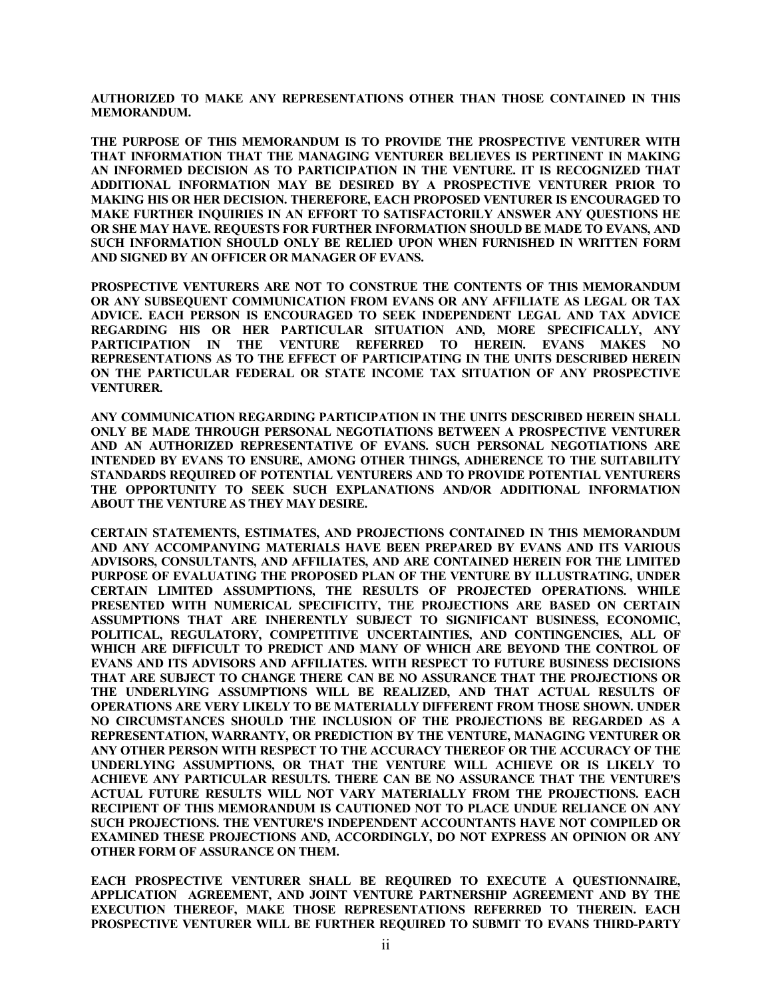**AUTHORIZED TO MAKE ANY REPRESENTATIONS OTHER THAN THOSE CONTAINED IN THIS MEMORANDUM.**

**THE PURPOSE OF THIS MEMORANDUM IS TO PROVIDE THE PROSPECTIVE VENTURER WITH THAT INFORMATION THAT THE MANAGING VENTURER BELIEVES IS PERTINENT IN MAKING AN INFORMED DECISION AS TO PARTICIPATION IN THE VENTURE. IT IS RECOGNIZED THAT ADDITIONAL INFORMATION MAY BE DESIRED BY A PROSPECTIVE VENTURER PRIOR TO MAKING HIS OR HER DECISION. THEREFORE, EACH PROPOSED VENTURER IS ENCOURAGED TO MAKE FURTHER INQUIRIES IN AN EFFORT TO SATISFACTORILY ANSWER ANY QUESTIONS HE OR SHE MAY HAVE. REQUESTS FOR FURTHER INFORMATION SHOULD BE MADE TO EVANS, AND SUCH INFORMATION SHOULD ONLY BE RELIED UPON WHEN FURNISHED IN WRITTEN FORM AND SIGNED BY AN OFFICER OR MANAGER OF EVANS.**

**PROSPECTIVE VENTURERS ARE NOT TO CONSTRUE THE CONTENTS OF THIS MEMORANDUM OR ANY SUBSEQUENT COMMUNICATION FROM EVANS OR ANY AFFILIATE AS LEGAL OR TAX ADVICE. EACH PERSON IS ENCOURAGED TO SEEK INDEPENDENT LEGAL AND TAX ADVICE REGARDING HIS OR HER PARTICULAR SITUATION AND, MORE SPECIFICALLY, ANY PARTICIPATION IN THE VENTURE REFERRED TO HEREIN. EVANS MAKES NO REPRESENTATIONS AS TO THE EFFECT OF PARTICIPATING IN THE UNITS DESCRIBED HEREIN ON THE PARTICULAR FEDERAL OR STATE INCOME TAX SITUATION OF ANY PROSPECTIVE VENTURER.**

**ANY COMMUNICATION REGARDING PARTICIPATION IN THE UNITS DESCRIBED HEREIN SHALL ONLY BE MADE THROUGH PERSONAL NEGOTIATIONS BETWEEN A PROSPECTIVE VENTURER AND AN AUTHORIZED REPRESENTATIVE OF EVANS. SUCH PERSONAL NEGOTIATIONS ARE INTENDED BY EVANS TO ENSURE, AMONG OTHER THINGS, ADHERENCE TO THE SUITABILITY STANDARDS REQUIRED OF POTENTIAL VENTURERS AND TO PROVIDE POTENTIAL VENTURERS THE OPPORTUNITY TO SEEK SUCH EXPLANATIONS AND/OR ADDITIONAL INFORMATION ABOUT THE VENTURE AS THEY MAY DESIRE.**

**CERTAIN STATEMENTS, ESTIMATES, AND PROJECTIONS CONTAINED IN THIS MEMORANDUM AND ANY ACCOMPANYING MATERIALS HAVE BEEN PREPARED BY EVANS AND ITS VARIOUS ADVISORS, CONSULTANTS, AND AFFILIATES, AND ARE CONTAINED HEREIN FOR THE LIMITED PURPOSE OF EVALUATING THE PROPOSED PLAN OF THE VENTURE BY ILLUSTRATING, UNDER CERTAIN LIMITED ASSUMPTIONS, THE RESULTS OF PROJECTED OPERATIONS. WHILE PRESENTED WITH NUMERICAL SPECIFICITY, THE PROJECTIONS ARE BASED ON CERTAIN ASSUMPTIONS THAT ARE INHERENTLY SUBJECT TO SIGNIFICANT BUSINESS, ECONOMIC, POLITICAL, REGULATORY, COMPETITIVE UNCERTAINTIES, AND CONTINGENCIES, ALL OF WHICH ARE DIFFICULT TO PREDICT AND MANY OF WHICH ARE BEYOND THE CONTROL OF EVANS AND ITS ADVISORS AND AFFILIATES. WITH RESPECT TO FUTURE BUSINESS DECISIONS THAT ARE SUBJECT TO CHANGE THERE CAN BE NO ASSURANCE THAT THE PROJECTIONS OR THE UNDERLYING ASSUMPTIONS WILL BE REALIZED, AND THAT ACTUAL RESULTS OF OPERATIONS ARE VERY LIKELY TO BE MATERIALLY DIFFERENT FROM THOSE SHOWN. UNDER NO CIRCUMSTANCES SHOULD THE INCLUSION OF THE PROJECTIONS BE REGARDED AS A REPRESENTATION, WARRANTY, OR PREDICTION BY THE VENTURE, MANAGING VENTURER OR ANY OTHER PERSON WITH RESPECT TO THE ACCURACY THEREOF OR THE ACCURACY OF THE UNDERLYING ASSUMPTIONS, OR THAT THE VENTURE WILL ACHIEVE OR IS LIKELY TO ACHIEVE ANY PARTICULAR RESULTS. THERE CAN BE NO ASSURANCE THAT THE VENTURE'S ACTUAL FUTURE RESULTS WILL NOT VARY MATERIALLY FROM THE PROJECTIONS. EACH RECIPIENT OF THIS MEMORANDUM IS CAUTIONED NOT TO PLACE UNDUE RELIANCE ON ANY SUCH PROJECTIONS. THE VENTURE'S INDEPENDENT ACCOUNTANTS HAVE NOT COMPILED OR EXAMINED THESE PROJECTIONS AND, ACCORDINGLY, DO NOT EXPRESS AN OPINION OR ANY OTHER FORM OF ASSURANCE ON THEM.**

**EACH PROSPECTIVE VENTURER SHALL BE REQUIRED TO EXECUTE A QUESTIONNAIRE, APPLICATION AGREEMENT, AND JOINT VENTURE PARTNERSHIP AGREEMENT AND BY THE EXECUTION THEREOF, MAKE THOSE REPRESENTATIONS REFERRED TO THEREIN. EACH PROSPECTIVE VENTURER WILL BE FURTHER REQUIRED TO SUBMIT TO EVANS THIRD-PARTY**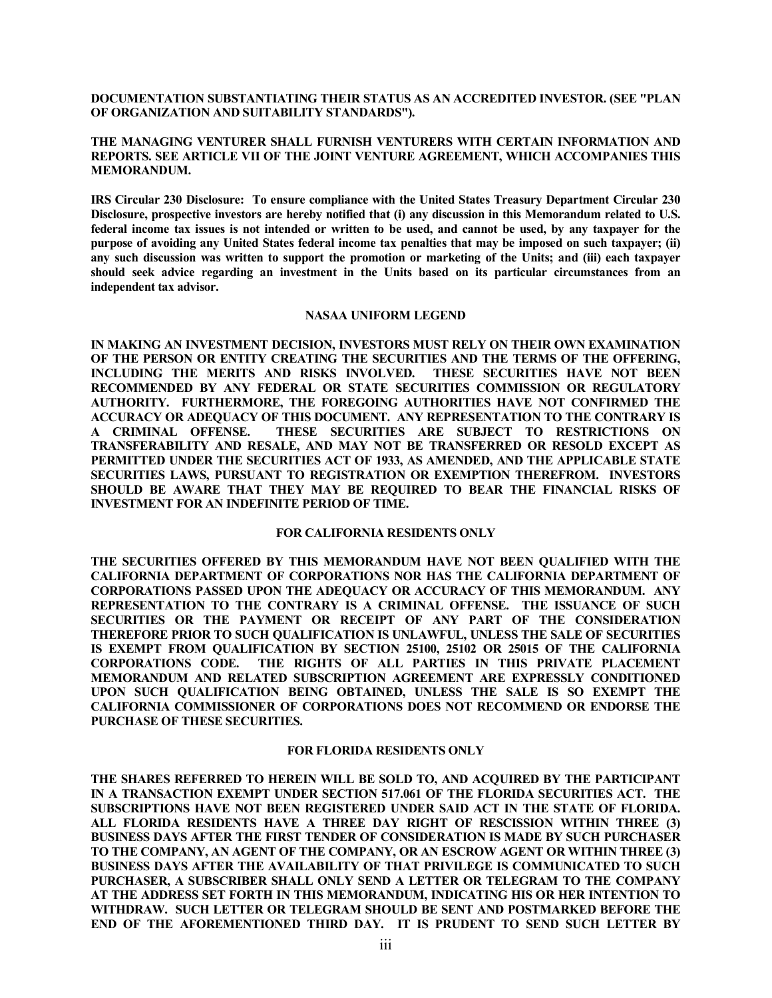#### **DOCUMENTATION SUBSTANTIATING THEIR STATUS AS AN ACCREDITED INVESTOR. (SEE "PLAN OF ORGANIZATION AND SUITABILITY STANDARDS").**

#### **THE MANAGING VENTURER SHALL FURNISH VENTURERS WITH CERTAIN INFORMATION AND REPORTS. SEE ARTICLE VII OF THE JOINT VENTURE AGREEMENT, WHICH ACCOMPANIES THIS MEMORANDUM.**

**IRS Circular 230 Disclosure: To ensure compliance with the United States Treasury Department Circular 230 Disclosure, prospective investors are hereby notified that (i) any discussion in this Memorandum related to U.S. federal income tax issues is not intended or written to be used, and cannot be used, by any taxpayer for the purpose of avoiding any United States federal income tax penalties that may be imposed on such taxpayer; (ii) any such discussion was written to support the promotion or marketing of the Units; and (iii) each taxpayer should seek advice regarding an investment in the Units based on its particular circumstances from an independent tax advisor.**

#### **NASAA UNIFORM LEGEND**

**IN MAKING AN INVESTMENT DECISION, INVESTORS MUST RELY ON THEIR OWN EXAMINATION OF THE PERSON OR ENTITY CREATING THE SECURITIES AND THE TERMS OF THE OFFERING, INCLUDING THE MERITS AND RISKS INVOLVED. THESE SECURITIES HAVE NOT BEEN RECOMMENDED BY ANY FEDERAL OR STATE SECURITIES COMMISSION OR REGULATORY AUTHORITY. FURTHERMORE, THE FOREGOING AUTHORITIES HAVE NOT CONFIRMED THE ACCURACY OR ADEQUACY OF THIS DOCUMENT. ANY REPRESENTATION TO THE CONTRARY IS A CRIMINAL OFFENSE. THESE SECURITIES ARE SUBJECT TO RESTRICTIONS ON TRANSFERABILITY AND RESALE, AND MAY NOT BE TRANSFERRED OR RESOLD EXCEPT AS PERMITTED UNDER THE SECURITIES ACT OF 1933, AS AMENDED, AND THE APPLICABLE STATE SECURITIES LAWS, PURSUANT TO REGISTRATION OR EXEMPTION THEREFROM. INVESTORS SHOULD BE AWARE THAT THEY MAY BE REQUIRED TO BEAR THE FINANCIAL RISKS OF INVESTMENT FOR AN INDEFINITE PERIOD OF TIME.**

#### **FOR CALIFORNIA RESIDENTS ONLY**

**THE SECURITIES OFFERED BY THIS MEMORANDUM HAVE NOT BEEN QUALIFIED WITH THE CALIFORNIA DEPARTMENT OF CORPORATIONS NOR HAS THE CALIFORNIA DEPARTMENT OF CORPORATIONS PASSED UPON THE ADEQUACY OR ACCURACY OF THIS MEMORANDUM. ANY REPRESENTATION TO THE CONTRARY IS A CRIMINAL OFFENSE. THE ISSUANCE OF SUCH SECURITIES OR THE PAYMENT OR RECEIPT OF ANY PART OF THE CONSIDERATION THEREFORE PRIOR TO SUCH QUALIFICATION IS UNLAWFUL, UNLESS THE SALE OF SECURITIES IS EXEMPT FROM QUALIFICATION BY SECTION 25100, 25102 OR 25015 OF THE CALIFORNIA CORPORATIONS CODE. THE RIGHTS OF ALL PARTIES IN THIS PRIVATE PLACEMENT MEMORANDUM AND RELATED SUBSCRIPTION AGREEMENT ARE EXPRESSLY CONDITIONED UPON SUCH QUALIFICATION BEING OBTAINED, UNLESS THE SALE IS SO EXEMPT THE CALIFORNIA COMMISSIONER OF CORPORATIONS DOES NOT RECOMMEND OR ENDORSE THE PURCHASE OF THESE SECURITIES.**

#### **FOR FLORIDA RESIDENTS ONLY**

**THE SHARES REFERRED TO HEREIN WILL BE SOLD TO, AND ACQUIRED BY THE PARTICIPANT IN A TRANSACTION EXEMPT UNDER SECTION 517.061 OF THE FLORIDA SECURITIES ACT. THE SUBSCRIPTIONS HAVE NOT BEEN REGISTERED UNDER SAID ACT IN THE STATE OF FLORIDA. ALL FLORIDA RESIDENTS HAVE A THREE DAY RIGHT OF RESCISSION WITHIN THREE (3) BUSINESS DAYS AFTER THE FIRST TENDER OF CONSIDERATION IS MADE BY SUCH PURCHASER TO THE COMPANY, AN AGENT OF THE COMPANY, OR AN ESCROW AGENT OR WITHIN THREE (3) BUSINESS DAYS AFTER THE AVAILABILITY OF THAT PRIVILEGE IS COMMUNICATED TO SUCH PURCHASER, A SUBSCRIBER SHALL ONLY SEND A LETTER OR TELEGRAM TO THE COMPANY AT THE ADDRESS SET FORTH IN THIS MEMORANDUM, INDICATING HIS OR HER INTENTION TO WITHDRAW. SUCH LETTER OR TELEGRAM SHOULD BE SENT AND POSTMARKED BEFORE THE END OF THE AFOREMENTIONED THIRD DAY. IT IS PRUDENT TO SEND SUCH LETTER BY**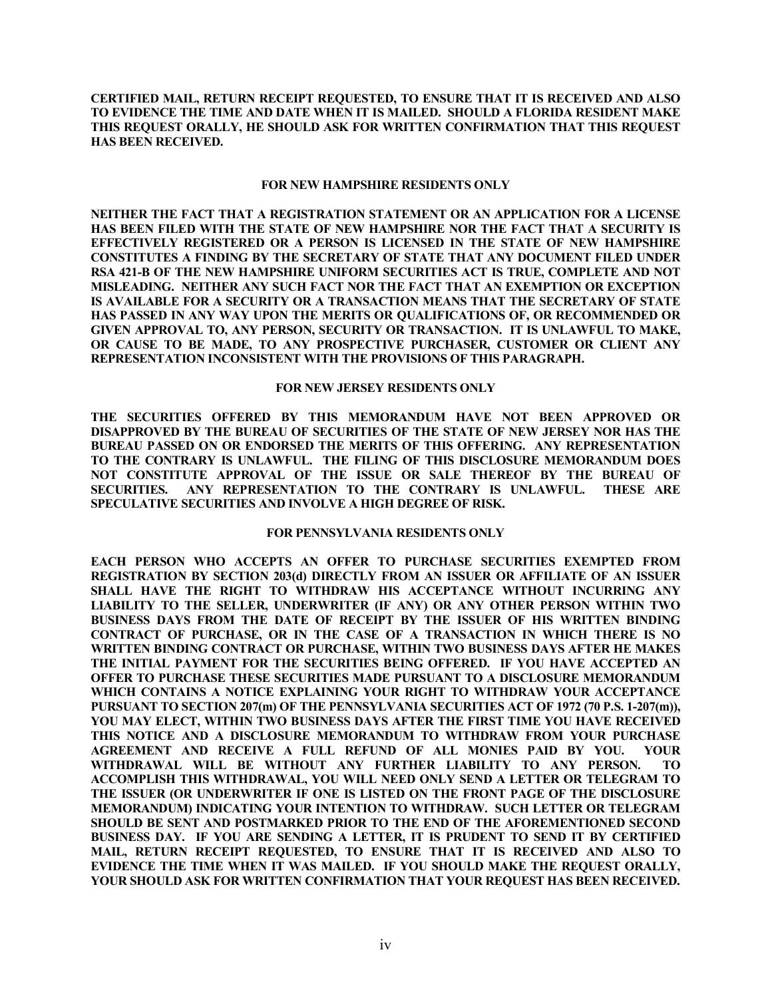**CERTIFIED MAIL, RETURN RECEIPT REQUESTED, TO ENSURE THAT IT IS RECEIVED AND ALSO TO EVIDENCE THE TIME AND DATE WHEN IT IS MAILED. SHOULD A FLORIDA RESIDENT MAKE THIS REQUEST ORALLY, HE SHOULD ASK FOR WRITTEN CONFIRMATION THAT THIS REQUEST HAS BEEN RECEIVED.**

#### **FOR NEW HAMPSHIRE RESIDENTS ONLY**

**NEITHER THE FACT THAT A REGISTRATION STATEMENT OR AN APPLICATION FOR A LICENSE HAS BEEN FILED WITH THE STATE OF NEW HAMPSHIRE NOR THE FACT THAT A SECURITY IS EFFECTIVELY REGISTERED OR A PERSON IS LICENSED IN THE STATE OF NEW HAMPSHIRE CONSTITUTES A FINDING BY THE SECRETARY OF STATE THAT ANY DOCUMENT FILED UNDER RSA 421-B OF THE NEW HAMPSHIRE UNIFORM SECURITIES ACT IS TRUE, COMPLETE AND NOT MISLEADING. NEITHER ANY SUCH FACT NOR THE FACT THAT AN EXEMPTION OR EXCEPTION IS AVAILABLE FOR A SECURITY OR A TRANSACTION MEANS THAT THE SECRETARY OF STATE HAS PASSED IN ANY WAY UPON THE MERITS OR QUALIFICATIONS OF, OR RECOMMENDED OR GIVEN APPROVAL TO, ANY PERSON, SECURITY OR TRANSACTION. IT IS UNLAWFUL TO MAKE, OR CAUSE TO BE MADE, TO ANY PROSPECTIVE PURCHASER, CUSTOMER OR CLIENT ANY REPRESENTATION INCONSISTENT WITH THE PROVISIONS OF THIS PARAGRAPH.**

#### **FOR NEW JERSEY RESIDENTS ONLY**

**THE SECURITIES OFFERED BY THIS MEMORANDUM HAVE NOT BEEN APPROVED OR DISAPPROVED BY THE BUREAU OF SECURITIES OF THE STATE OF NEW JERSEY NOR HAS THE BUREAU PASSED ON OR ENDORSED THE MERITS OF THIS OFFERING. ANY REPRESENTATION TO THE CONTRARY IS UNLAWFUL. THE FILING OF THIS DISCLOSURE MEMORANDUM DOES NOT CONSTITUTE APPROVAL OF THE ISSUE OR SALE THEREOF BY THE BUREAU OF SECURITIES. ANY REPRESENTATION TO THE CONTRARY IS UNLAWFUL. THESE ARE SPECULATIVE SECURITIES AND INVOLVE A HIGH DEGREE OF RISK.**

### **FOR PENNSYLVANIA RESIDENTS ONLY**

**EACH PERSON WHO ACCEPTS AN OFFER TO PURCHASE SECURITIES EXEMPTED FROM REGISTRATION BY SECTION 203(d) DIRECTLY FROM AN ISSUER OR AFFILIATE OF AN ISSUER SHALL HAVE THE RIGHT TO WITHDRAW HIS ACCEPTANCE WITHOUT INCURRING ANY LIABILITY TO THE SELLER, UNDERWRITER (IF ANY) OR ANY OTHER PERSON WITHIN TWO BUSINESS DAYS FROM THE DATE OF RECEIPT BY THE ISSUER OF HIS WRITTEN BINDING CONTRACT OF PURCHASE, OR IN THE CASE OF A TRANSACTION IN WHICH THERE IS NO WRITTEN BINDING CONTRACT OR PURCHASE, WITHIN TWO BUSINESS DAYS AFTER HE MAKES THE INITIAL PAYMENT FOR THE SECURITIES BEING OFFERED. IF YOU HAVE ACCEPTED AN OFFER TO PURCHASE THESE SECURITIES MADE PURSUANT TO A DISCLOSURE MEMORANDUM WHICH CONTAINS A NOTICE EXPLAINING YOUR RIGHT TO WITHDRAW YOUR ACCEPTANCE PURSUANT TO SECTION 207(m) OF THE PENNSYLVANIA SECURITIES ACT OF 1972 (70 P.S. 1-207(m)), YOU MAY ELECT, WITHIN TWO BUSINESS DAYS AFTER THE FIRST TIME YOU HAVE RECEIVED THIS NOTICE AND A DISCLOSURE MEMORANDUM TO WITHDRAW FROM YOUR PURCHASE AGREEMENT AND RECEIVE A FULL REFUND OF ALL MONIES PAID BY YOU. YOUR WITHDRAWAL WILL BE WITHOUT ANY FURTHER LIABILITY TO ANY PERSON. TO ACCOMPLISH THIS WITHDRAWAL, YOU WILL NEED ONLY SEND A LETTER OR TELEGRAM TO THE ISSUER (OR UNDERWRITER IF ONE IS LISTED ON THE FRONT PAGE OF THE DISCLOSURE MEMORANDUM) INDICATING YOUR INTENTION TO WITHDRAW. SUCH LETTER OR TELEGRAM SHOULD BE SENT AND POSTMARKED PRIOR TO THE END OF THE AFOREMENTIONED SECOND BUSINESS DAY. IF YOU ARE SENDING A LETTER, IT IS PRUDENT TO SEND IT BY CERTIFIED MAIL, RETURN RECEIPT REQUESTED, TO ENSURE THAT IT IS RECEIVED AND ALSO TO EVIDENCE THE TIME WHEN IT WAS MAILED. IF YOU SHOULD MAKE THE REQUEST ORALLY, YOUR SHOULD ASK FOR WRITTEN CONFIRMATION THAT YOUR REQUEST HAS BEEN RECEIVED.**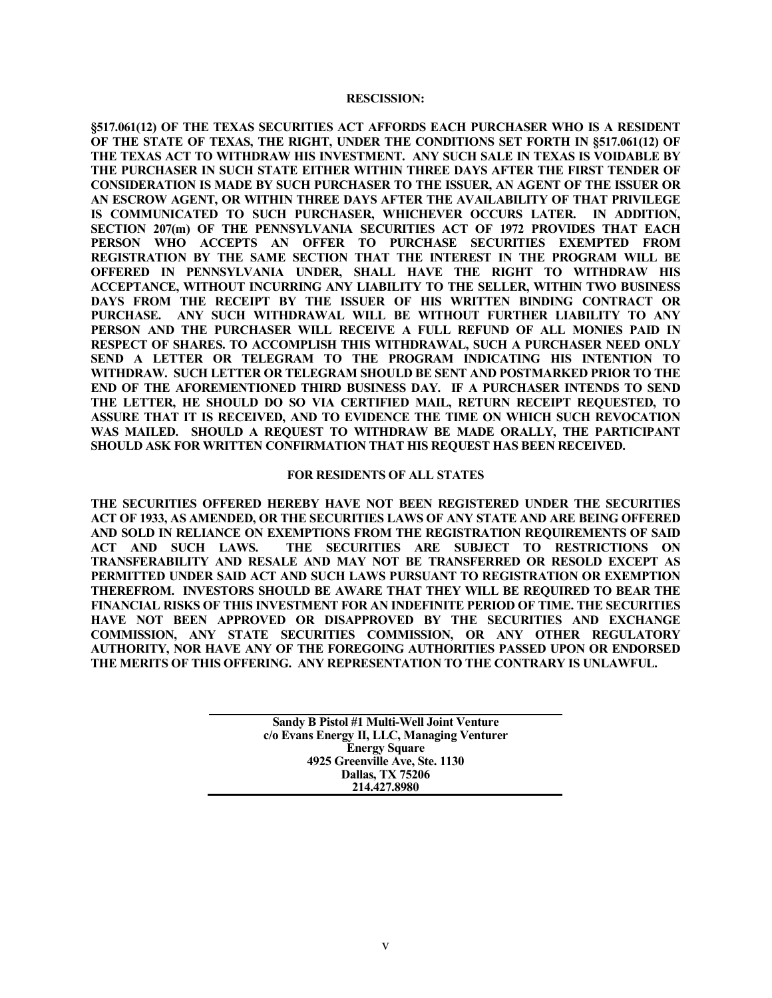#### **RESCISSION:**

**§517.061(12) OF THE TEXAS SECURITIES ACT AFFORDS EACH PURCHASER WHO IS A RESIDENT OF THE STATE OF TEXAS, THE RIGHT, UNDER THE CONDITIONS SET FORTH IN §517.061(12) OF THE TEXAS ACT TO WITHDRAW HIS INVESTMENT. ANY SUCH SALE IN TEXAS IS VOIDABLE BY THE PURCHASER IN SUCH STATE EITHER WITHIN THREE DAYS AFTER THE FIRST TENDER OF CONSIDERATION IS MADE BY SUCH PURCHASER TO THE ISSUER, AN AGENT OF THE ISSUER OR AN ESCROW AGENT, OR WITHIN THREE DAYS AFTER THE AVAILABILITY OF THAT PRIVILEGE IS COMMUNICATED TO SUCH PURCHASER, WHICHEVER OCCURS LATER. IN ADDITION, SECTION 207(m) OF THE PENNSYLVANIA SECURITIES ACT OF 1972 PROVIDES THAT EACH PERSON WHO ACCEPTS AN OFFER TO PURCHASE SECURITIES EXEMPTED FROM REGISTRATION BY THE SAME SECTION THAT THE INTEREST IN THE PROGRAM WILL BE OFFERED IN PENNSYLVANIA UNDER, SHALL HAVE THE RIGHT TO WITHDRAW HIS ACCEPTANCE, WITHOUT INCURRING ANY LIABILITY TO THE SELLER, WITHIN TWO BUSINESS DAYS FROM THE RECEIPT BY THE ISSUER OF HIS WRITTEN BINDING CONTRACT OR PURCHASE. ANY SUCH WITHDRAWAL WILL BE WITHOUT FURTHER LIABILITY TO ANY PERSON AND THE PURCHASER WILL RECEIVE A FULL REFUND OF ALL MONIES PAID IN RESPECT OF SHARES. TO ACCOMPLISH THIS WITHDRAWAL, SUCH A PURCHASER NEED ONLY SEND A LETTER OR TELEGRAM TO THE PROGRAM INDICATING HIS INTENTION TO WITHDRAW. SUCH LETTER OR TELEGRAM SHOULD BE SENT AND POSTMARKED PRIOR TO THE END OF THE AFOREMENTIONED THIRD BUSINESS DAY. IF A PURCHASER INTENDS TO SEND THE LETTER, HE SHOULD DO SO VIA CERTIFIED MAIL, RETURN RECEIPT REQUESTED, TO ASSURE THAT IT IS RECEIVED, AND TO EVIDENCE THE TIME ON WHICH SUCH REVOCATION WAS MAILED. SHOULD A REQUEST TO WITHDRAW BE MADE ORALLY, THE PARTICIPANT SHOULD ASK FOR WRITTEN CONFIRMATION THAT HIS REQUEST HAS BEEN RECEIVED.** 

#### **FOR RESIDENTS OF ALL STATES**

**THE SECURITIES OFFERED HEREBY HAVE NOT BEEN REGISTERED UNDER THE SECURITIES ACT OF 1933, AS AMENDED, OR THE SECURITIES LAWS OF ANY STATE AND ARE BEING OFFERED AND SOLD IN RELIANCE ON EXEMPTIONS FROM THE REGISTRATION REQUIREMENTS OF SAID ACT AND SUCH LAWS. THE SECURITIES ARE SUBJECT TO RESTRICTIONS ON TRANSFERABILITY AND RESALE AND MAY NOT BE TRANSFERRED OR RESOLD EXCEPT AS PERMITTED UNDER SAID ACT AND SUCH LAWS PURSUANT TO REGISTRATION OR EXEMPTION THEREFROM. INVESTORS SHOULD BE AWARE THAT THEY WILL BE REQUIRED TO BEAR THE FINANCIAL RISKS OF THIS INVESTMENT FOR AN INDEFINITE PERIOD OF TIME. THE SECURITIES HAVE NOT BEEN APPROVED OR DISAPPROVED BY THE SECURITIES AND EXCHANGE COMMISSION, ANY STATE SECURITIES COMMISSION, OR ANY OTHER REGULATORY AUTHORITY, NOR HAVE ANY OF THE FOREGOING AUTHORITIES PASSED UPON OR ENDORSED THE MERITS OF THIS OFFERING. ANY REPRESENTATION TO THE CONTRARY IS UNLAWFUL.** 

> **Sandy B Pistol #1 Multi-Well Joint Venture c/o Evans Energy II, LLC, Managing Venturer Energy Square 4925 Greenville Ave, Ste. 1130 Dallas, TX 75206 214.427.8980**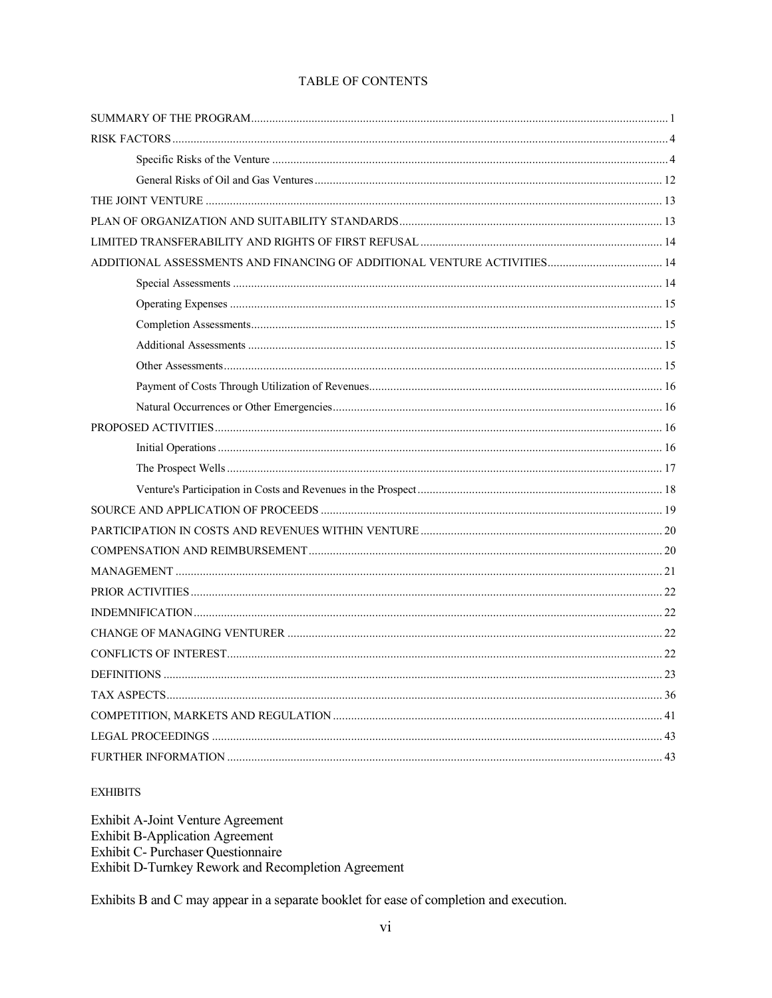## **EXHIBITS**

Exhibit A-Joint Venture Agreement Exhibit B-Application Agreement Exhibit C- Purchaser Questionnaire Exhibit D-Turnkey Rework and Recompletion Agreement

Exhibits B and C may appear in a separate booklet for ease of completion and execution.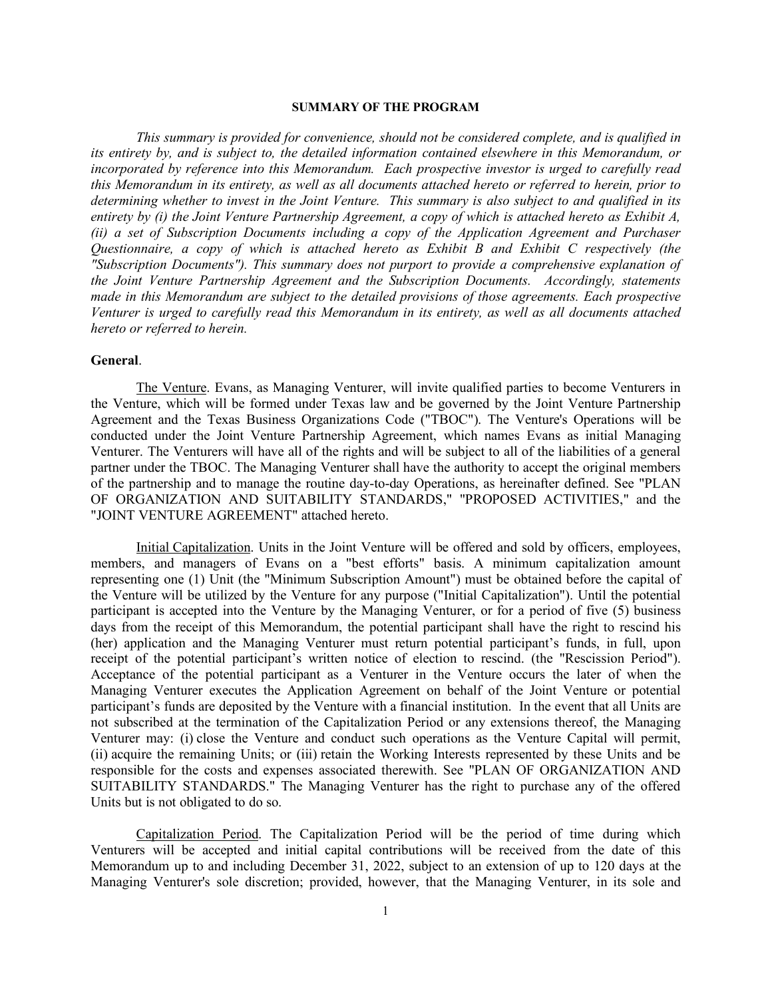#### **SUMMARY OF THE PROGRAM**

*This summary is provided for convenience, should not be considered complete, and is qualified in its entirety by, and is subject to, the detailed information contained elsewhere in this Memorandum, or incorporated by reference into this Memorandum. Each prospective investor is urged to carefully read this Memorandum in its entirety, as well as all documents attached hereto or referred to herein, prior to determining whether to invest in the Joint Venture. This summary is also subject to and qualified in its entirety by (i) the Joint Venture Partnership Agreement, a copy of which is attached hereto as Exhibit A, (ii) a set of Subscription Documents including a copy of the Application Agreement and Purchaser Questionnaire, a copy of which is attached hereto as Exhibit B and Exhibit C respectively (the "Subscription Documents"). This summary does not purport to provide a comprehensive explanation of the Joint Venture Partnership Agreement and the Subscription Documents. Accordingly, statements made in this Memorandum are subject to the detailed provisions of those agreements. Each prospective Venturer is urged to carefully read this Memorandum in its entirety, as well as all documents attached hereto or referred to herein.*

## **General**.

The Venture. Evans, as Managing Venturer, will invite qualified parties to become Venturers in the Venture, which will be formed under Texas law and be governed by the Joint Venture Partnership Agreement and the Texas Business Organizations Code ("TBOC"). The Venture's Operations will be conducted under the Joint Venture Partnership Agreement, which names Evans as initial Managing Venturer. The Venturers will have all of the rights and will be subject to all of the liabilities of a general partner under the TBOC. The Managing Venturer shall have the authority to accept the original members of the partnership and to manage the routine day-to-day Operations, as hereinafter defined. See "PLAN OF ORGANIZATION AND SUITABILITY STANDARDS," "PROPOSED ACTIVITIES," and the "JOINT VENTURE AGREEMENT" attached hereto.

Initial Capitalization. Units in the Joint Venture will be offered and sold by officers, employees, members, and managers of Evans on a "best efforts" basis. A minimum capitalization amount representing one (1) Unit (the "Minimum Subscription Amount") must be obtained before the capital of the Venture will be utilized by the Venture for any purpose ("Initial Capitalization"). Until the potential participant is accepted into the Venture by the Managing Venturer, or for a period of five (5) business days from the receipt of this Memorandum, the potential participant shall have the right to rescind his (her) application and the Managing Venturer must return potential participant's funds, in full, upon receipt of the potential participant's written notice of election to rescind. (the "Rescission Period"). Acceptance of the potential participant as a Venturer in the Venture occurs the later of when the Managing Venturer executes the Application Agreement on behalf of the Joint Venture or potential participant's funds are deposited by the Venture with a financial institution. In the event that all Units are not subscribed at the termination of the Capitalization Period or any extensions thereof, the Managing Venturer may: (i) close the Venture and conduct such operations as the Venture Capital will permit, (ii) acquire the remaining Units; or (iii) retain the Working Interests represented by these Units and be responsible for the costs and expenses associated therewith. See "PLAN OF ORGANIZATION AND SUITABILITY STANDARDS." The Managing Venturer has the right to purchase any of the offered Units but is not obligated to do so.

Capitalization Period. The Capitalization Period will be the period of time during which Venturers will be accepted and initial capital contributions will be received from the date of this Memorandum up to and including December 31, 2022, subject to an extension of up to 120 days at the Managing Venturer's sole discretion; provided, however, that the Managing Venturer, in its sole and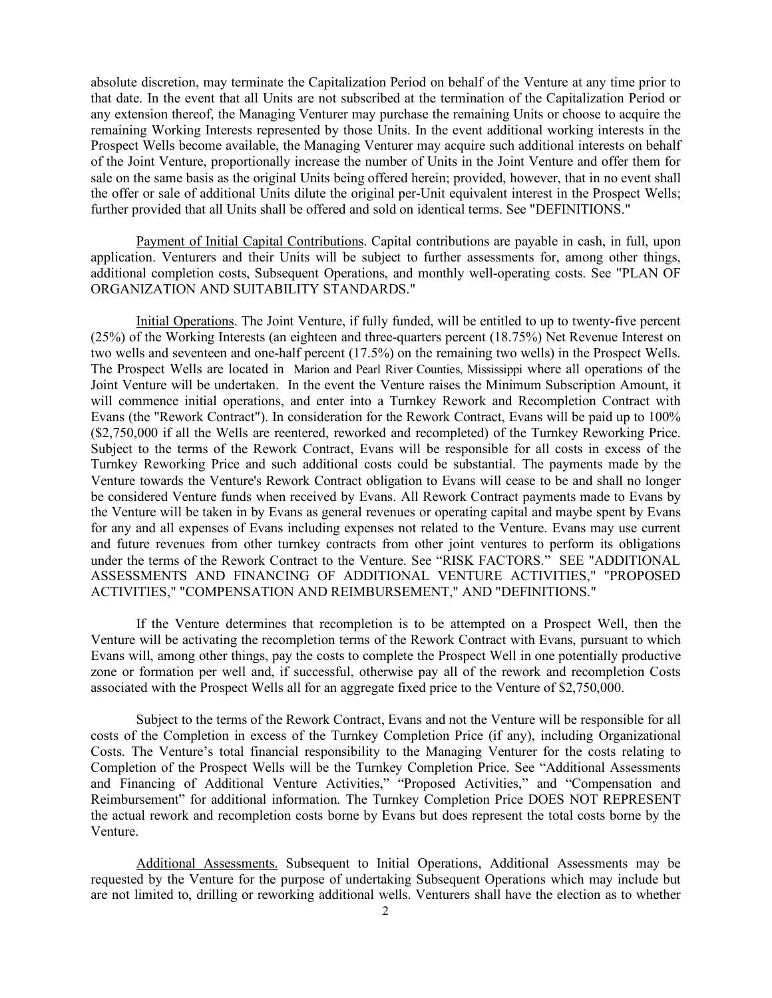absolute discretion, may terminate the Capitalization Period on behalf of the Venture at any time prior to that date. In the event that all Units are not subscribed at the termination of the Capitalization Period or any extension thereof, the Managing Venturer may purchase the remaining Units or choose to acquire the remaining Working Interests represented by those Units. In the event additional working interests in the Prospect Wells become available, the Managing Venturer may acquire such additional interests on behalf of the Joint Venture, proportionally increase the number of Units in the Joint Venture and offer them for sale on the same basis as the original Units being offered herein; provided, however, that in no event shall the offer or sale of additional Units dilute the original per-Unit equivalent interest in the Prospect Wells; further provided that all Units shall be offered and sold on identical terms. See "DEFINITIONS."

Payment of Initial Capital Contributions. Capital contributions are payable in cash, in full, upon application. Venturers and their Units will be subject to further assessments for, among other things, additional completion costs, Subsequent Operations, and monthly well-operating costs. See "PLAN OF ORGANIZATION AND SUITABILITY STANDARDS."

Initial Operations. The Joint Venture, if fully funded, will be entitled to up to twenty-five percent (25%) of the Working Interests (an eighteen and three-quarters percent (18.75%) Net Revenue Interest on two wells and seventeen and one-half percent (17.5%) on the remaining two wells) in the Prospect Wells. The Prospect Wells are located in Marion and Pearl River Counties, Mississippi where all operations of the Joint Venture will be undertaken. In the event the Venture raises the Minimum Subscription Amount, it will commence initial operations, and enter into a Turnkey Rework and Recompletion Contract with Evans (the "Rework Contract"). In consideration for the Rework Contract, Evans will be paid up to 100% (\$2,750,000 if all the Wells are reentered, reworked and recompleted) of the Turnkey Reworking Price. Subject to the terms of the Rework Contract, Evans will be responsible for all costs in excess of the Turnkey Reworking Price and such additional costs could be substantial. The payments made by the Venture towards the Venture's Rework Contract obligation to Evans will cease to be and shall no longer be considered Venture funds when received by Evans. All Rework Contract payments made to Evans by the Venture will be taken in by Evans as general revenues or operating capital and maybe spent by Evans for any and all expenses of Evans including expenses not related to the Venture. Evans may use current and future revenues from other turnkey contracts from other joint ventures to perform its obligations under the terms of the Rework Contract to the Venture. See "RISK FACTORS." SEE "ADDITIONAL ASSESSMENTS AND FINANCING OF ADDITIONAL VENTURE ACTIVITIES," "PROPOSED ACTIVITIES," "COMPENSATION AND REIMBURSEMENT," AND "DEFINITIONS."

If the Venture determines that recompletion is to be attempted on a Prospect Well, then the Venture will be activating the recompletion terms of the Rework Contract with Evans, pursuant to which Evans will, among other things, pay the costs to complete the Prospect Well in one potentially productive zone or formation per well and, if successful, otherwise pay all of the rework and recompletion Costs associated with the Prospect Wells all for an aggregate fixed price to the Venture of \$2,750,000.

Subject to the terms of the Rework Contract, Evans and not the Venture will be responsible for all costs of the Completion in excess of the Turnkey Completion Price (if any), including Organizational Costs. The Venture's total financial responsibility to the Managing Venturer for the costs relating to Completion of the Prospect Wells will be the Turnkey Completion Price. See "Additional Assessments and Financing of Additional Venture Activities," "Proposed Activities," and "Compensation and Reimbursement" for additional information. The Turnkey Completion Price DOES NOT REPRESENT the actual rework and recompletion costs borne by Evans but does represent the total costs borne by the Venture.

Additional Assessments. Subsequent to Initial Operations, Additional Assessments may be requested by the Venture for the purpose of undertaking Subsequent Operations which may include but are not limited to, drilling or reworking additional wells. Venturers shall have the election as to whether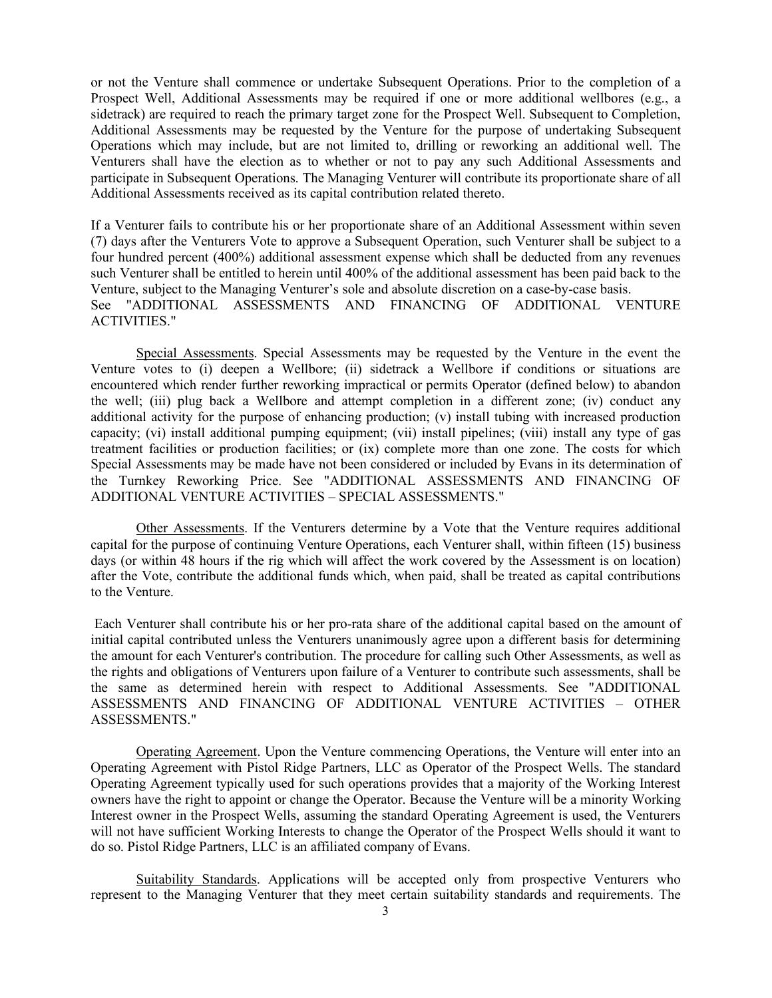or not the Venture shall commence or undertake Subsequent Operations. Prior to the completion of a Prospect Well, Additional Assessments may be required if one or more additional wellbores (e.g., a sidetrack) are required to reach the primary target zone for the Prospect Well. Subsequent to Completion, Additional Assessments may be requested by the Venture for the purpose of undertaking Subsequent Operations which may include, but are not limited to, drilling or reworking an additional well. The Venturers shall have the election as to whether or not to pay any such Additional Assessments and participate in Subsequent Operations. The Managing Venturer will contribute its proportionate share of all Additional Assessments received as its capital contribution related thereto.

If a Venturer fails to contribute his or her proportionate share of an Additional Assessment within seven (7) days after the Venturers Vote to approve a Subsequent Operation, such Venturer shall be subject to a four hundred percent (400%) additional assessment expense which shall be deducted from any revenues such Venturer shall be entitled to herein until 400% of the additional assessment has been paid back to the Venture, subject to the Managing Venturer's sole and absolute discretion on a case-by-case basis. See "ADDITIONAL ASSESSMENTS AND FINANCING OF ADDITIONAL VENTURE ACTIVITIES."

Special Assessments. Special Assessments may be requested by the Venture in the event the Venture votes to (i) deepen a Wellbore; (ii) sidetrack a Wellbore if conditions or situations are encountered which render further reworking impractical or permits Operator (defined below) to abandon the well; (iii) plug back a Wellbore and attempt completion in a different zone; (iv) conduct any additional activity for the purpose of enhancing production; (v) install tubing with increased production capacity; (vi) install additional pumping equipment; (vii) install pipelines; (viii) install any type of gas treatment facilities or production facilities; or (ix) complete more than one zone. The costs for which Special Assessments may be made have not been considered or included by Evans in its determination of the Turnkey Reworking Price. See "ADDITIONAL ASSESSMENTS AND FINANCING OF ADDITIONAL VENTURE ACTIVITIES – SPECIAL ASSESSMENTS."

Other Assessments. If the Venturers determine by a Vote that the Venture requires additional capital for the purpose of continuing Venture Operations, each Venturer shall, within fifteen (15) business days (or within 48 hours if the rig which will affect the work covered by the Assessment is on location) after the Vote, contribute the additional funds which, when paid, shall be treated as capital contributions to the Venture.

Each Venturer shall contribute his or her pro-rata share of the additional capital based on the amount of initial capital contributed unless the Venturers unanimously agree upon a different basis for determining the amount for each Venturer's contribution. The procedure for calling such Other Assessments, as well as the rights and obligations of Venturers upon failure of a Venturer to contribute such assessments, shall be the same as determined herein with respect to Additional Assessments. See "ADDITIONAL ASSESSMENTS AND FINANCING OF ADDITIONAL VENTURE ACTIVITIES – OTHER ASSESSMENTS."

Operating Agreement. Upon the Venture commencing Operations, the Venture will enter into an Operating Agreement with Pistol Ridge Partners, LLC as Operator of the Prospect Wells. The standard Operating Agreement typically used for such operations provides that a majority of the Working Interest owners have the right to appoint or change the Operator. Because the Venture will be a minority Working Interest owner in the Prospect Wells, assuming the standard Operating Agreement is used, the Venturers will not have sufficient Working Interests to change the Operator of the Prospect Wells should it want to do so. Pistol Ridge Partners, LLC is an affiliated company of Evans.

Suitability Standards. Applications will be accepted only from prospective Venturers who represent to the Managing Venturer that they meet certain suitability standards and requirements. The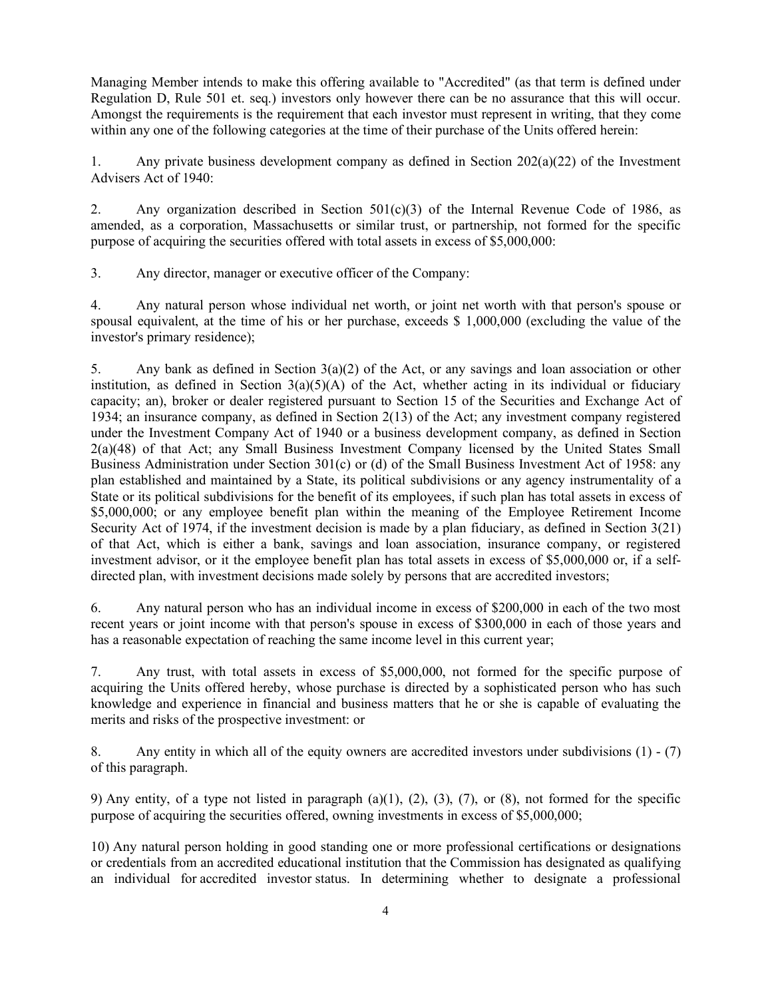Managing Member intends to make this offering available to "Accredited" (as that term is defined under Regulation D, Rule 501 et. seq.) investors only however there can be no assurance that this will occur. Amongst the requirements is the requirement that each investor must represent in writing, that they come within any one of the following categories at the time of their purchase of the Units offered herein:

1. Any private business development company as defined in Section  $202(a)(22)$  of the Investment Advisers Act of 1940:

2. Any organization described in Section  $501(c)(3)$  of the Internal Revenue Code of 1986, as amended, as a corporation, Massachusetts or similar trust, or partnership, not formed for the specific purpose of acquiring the securities offered with total assets in excess of \$5,000,000:

3. Any director, manager or executive officer of the Company:

4. Any natural person whose individual net worth, or joint net worth with that person's spouse or spousal equivalent, at the time of his or her purchase, exceeds \$ 1,000,000 (excluding the value of the investor's primary residence);

5. Any bank as defined in Section 3(a)(2) of the Act, or any savings and loan association or other institution, as defined in Section  $3(a)(5)(A)$  of the Act, whether acting in its individual or fiduciary capacity; an), broker or dealer registered pursuant to Section 15 of the Securities and Exchange Act of 1934; an insurance company, as defined in Section 2(13) of the Act; any investment company registered under the Investment Company Act of 1940 or a business development company, as defined in Section 2(a)(48) of that Act; any Small Business Investment Company licensed by the United States Small Business Administration under Section 301(c) or (d) of the Small Business Investment Act of 1958: any plan established and maintained by a State, its political subdivisions or any agency instrumentality of a State or its political subdivisions for the benefit of its employees, if such plan has total assets in excess of \$5,000,000; or any employee benefit plan within the meaning of the Employee Retirement Income Security Act of 1974, if the investment decision is made by a plan fiduciary, as defined in Section 3(21) of that Act, which is either a bank, savings and loan association, insurance company, or registered investment advisor, or it the employee benefit plan has total assets in excess of \$5,000,000 or, if a selfdirected plan, with investment decisions made solely by persons that are accredited investors;

6. Any natural person who has an individual income in excess of \$200,000 in each of the two most recent years or joint income with that person's spouse in excess of \$300,000 in each of those years and has a reasonable expectation of reaching the same income level in this current year;

7. Any trust, with total assets in excess of \$5,000,000, not formed for the specific purpose of acquiring the Units offered hereby, whose purchase is directed by a sophisticated person who has such knowledge and experience in financial and business matters that he or she is capable of evaluating the merits and risks of the prospective investment: or

8. Any entity in which all of the equity owners are accredited investors under subdivisions (1) - (7) of this paragraph.

9) Any entity, of a type not listed in paragraph (a)(1), (2), (3), (7), or (8), not formed for the specific purpose of acquiring the securities offered, owning investments in excess of \$5,000,000;

10) Any natural person holding in good standing one or more professional certifications or designations or credentials from an accredited educational institution that the Commission has designated as qualifying an individual for accredited investor status. In determining whether to designate a professional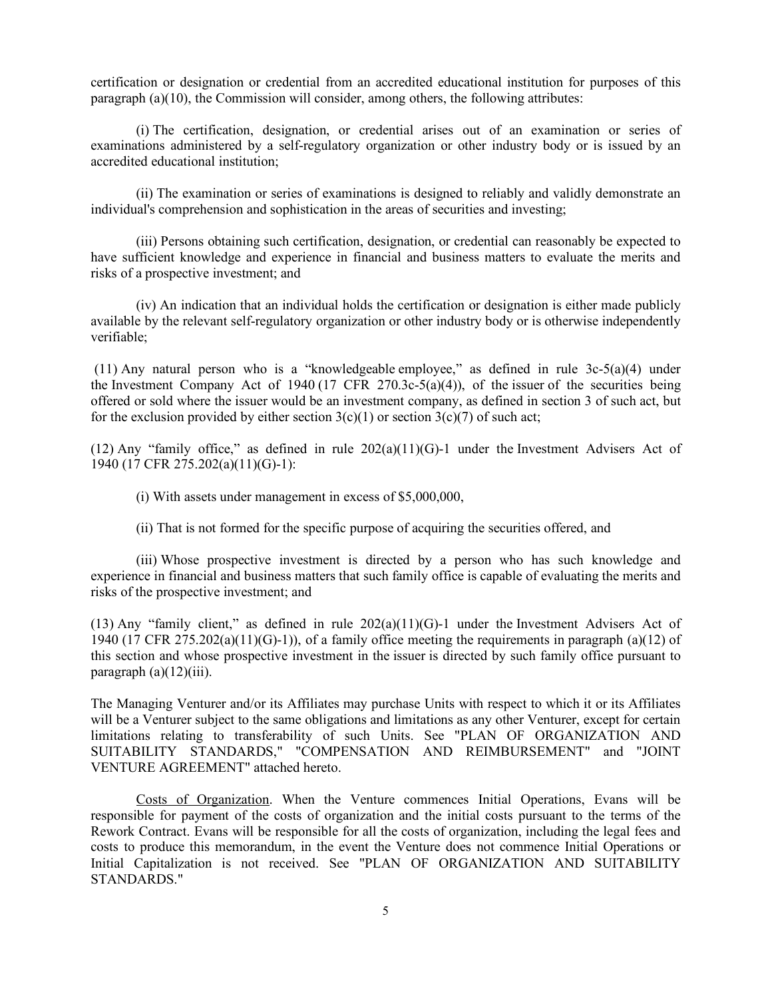certification or designation or credential from an accredited educational institution for purposes of this paragraph (a)(10), the Commission will consider, among others, the following attributes:

(i) The certification, designation, or credential arises out of an examination or series of examinations administered by a self-regulatory organization or other industry body or is issued by an accredited educational institution;

(ii) The examination or series of examinations is designed to reliably and validly demonstrate an individual's comprehension and sophistication in the areas of securities and investing;

(iii) Persons obtaining such certification, designation, or credential can reasonably be expected to have sufficient knowledge and experience in financial and business matters to evaluate the merits and risks of a prospective investment; and

(iv) An indication that an individual holds the certification or designation is either made publicly available by the relevant self-regulatory organization or other industry body or is otherwise independently verifiable;

 (11) Any natural person who is a "knowledgeable employee," as defined in rule 3c-5(a)(4) under the Investment Company Act of 1940 (17 CFR 270.3c-5(a)(4)), of the issuer of the securities being offered or sold where the issuer would be an investment company, as defined in section 3 of such act, but for the exclusion provided by either section  $3(c)(1)$  or section  $3(c)(7)$  of such act;

 $(12)$  Any "family office," as defined in rule  $202(a)(11)(G)-1$  under the Investment Advisers Act of 1940 (17 CFR 275.202(a)(11)(G)-1):

- (i) With assets under management in excess of \$5,000,000,
- (ii) That is not formed for the specific purpose of acquiring the securities offered, and

(iii) Whose prospective investment is directed by a person who has such knowledge and experience in financial and business matters that such family office is capable of evaluating the merits and risks of the prospective investment; and

(13) Any "family client," as defined in rule 202(a)(11)(G)-1 under the Investment Advisers Act of 1940 (17 CFR 275.202(a)(11)(G)-1)), of a family office meeting the requirements in paragraph (a)(12) of this section and whose prospective investment in the issuer is directed by such family office pursuant to paragraph  $(a)(12)(iii)$ .

The Managing Venturer and/or its Affiliates may purchase Units with respect to which it or its Affiliates will be a Venturer subject to the same obligations and limitations as any other Venturer, except for certain limitations relating to transferability of such Units. See "PLAN OF ORGANIZATION AND SUITABILITY STANDARDS," "COMPENSATION AND REIMBURSEMENT" and "JOINT VENTURE AGREEMENT" attached hereto.

Costs of Organization. When the Venture commences Initial Operations, Evans will be responsible for payment of the costs of organization and the initial costs pursuant to the terms of the Rework Contract. Evans will be responsible for all the costs of organization, including the legal fees and costs to produce this memorandum, in the event the Venture does not commence Initial Operations or Initial Capitalization is not received. See "PLAN OF ORGANIZATION AND SUITABILITY STANDARDS."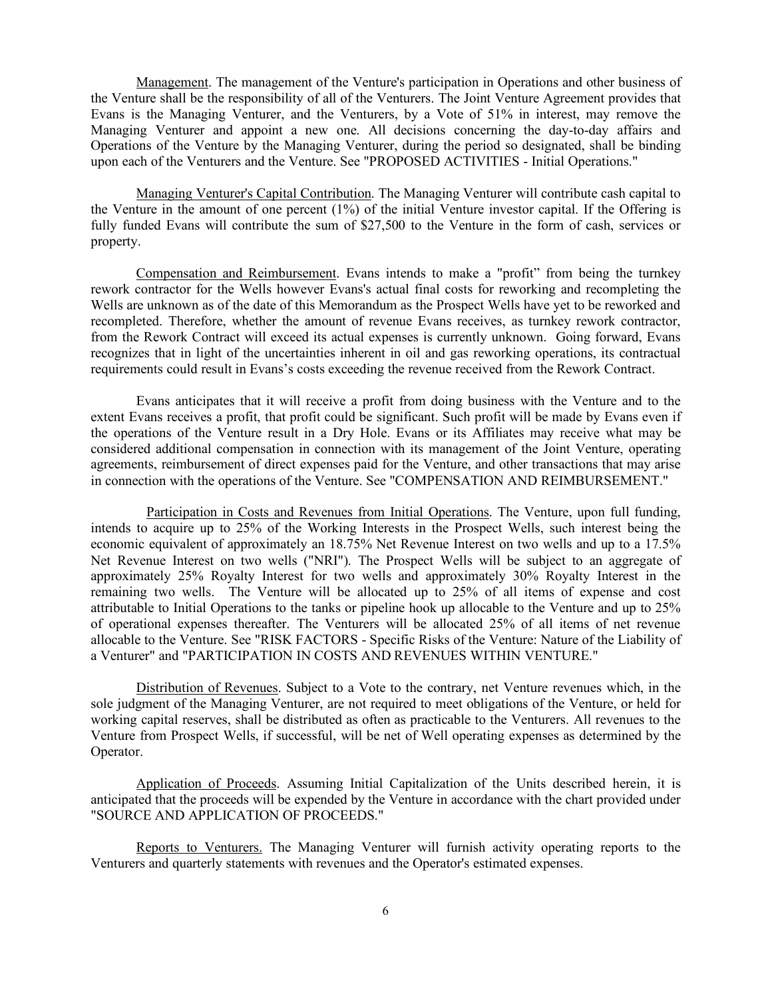Management. The management of the Venture's participation in Operations and other business of the Venture shall be the responsibility of all of the Venturers. The Joint Venture Agreement provides that Evans is the Managing Venturer, and the Venturers, by a Vote of 51% in interest, may remove the Managing Venturer and appoint a new one. All decisions concerning the day-to-day affairs and Operations of the Venture by the Managing Venturer, during the period so designated, shall be binding upon each of the Venturers and the Venture. See "PROPOSED ACTIVITIES - Initial Operations."

Managing Venturer's Capital Contribution. The Managing Venturer will contribute cash capital to the Venture in the amount of one percent (1%) of the initial Venture investor capital. If the Offering is fully funded Evans will contribute the sum of \$27,500 to the Venture in the form of cash, services or property.

Compensation and Reimbursement. Evans intends to make a "profit" from being the turnkey rework contractor for the Wells however Evans's actual final costs for reworking and recompleting the Wells are unknown as of the date of this Memorandum as the Prospect Wells have yet to be reworked and recompleted. Therefore, whether the amount of revenue Evans receives, as turnkey rework contractor, from the Rework Contract will exceed its actual expenses is currently unknown. Going forward, Evans recognizes that in light of the uncertainties inherent in oil and gas reworking operations, its contractual requirements could result in Evans's costs exceeding the revenue received from the Rework Contract.

 Evans anticipates that it will receive a profit from doing business with the Venture and to the extent Evans receives a profit, that profit could be significant. Such profit will be made by Evans even if the operations of the Venture result in a Dry Hole. Evans or its Affiliates may receive what may be considered additional compensation in connection with its management of the Joint Venture, operating agreements, reimbursement of direct expenses paid for the Venture, and other transactions that may arise in connection with the operations of the Venture. See "COMPENSATION AND REIMBURSEMENT."

 Participation in Costs and Revenues from Initial Operations. The Venture, upon full funding, intends to acquire up to 25% of the Working Interests in the Prospect Wells, such interest being the economic equivalent of approximately an 18.75% Net Revenue Interest on two wells and up to a 17.5% Net Revenue Interest on two wells ("NRI"). The Prospect Wells will be subject to an aggregate of approximately 25% Royalty Interest for two wells and approximately 30% Royalty Interest in the remaining two wells. The Venture will be allocated up to 25% of all items of expense and cost attributable to Initial Operations to the tanks or pipeline hook up allocable to the Venture and up to 25% of operational expenses thereafter. The Venturers will be allocated 25% of all items of net revenue allocable to the Venture. See "RISK FACTORS - Specific Risks of the Venture: Nature of the Liability of a Venturer" and "PARTICIPATION IN COSTS AND REVENUES WITHIN VENTURE."

Distribution of Revenues. Subject to a Vote to the contrary, net Venture revenues which, in the sole judgment of the Managing Venturer, are not required to meet obligations of the Venture, or held for working capital reserves, shall be distributed as often as practicable to the Venturers. All revenues to the Venture from Prospect Wells, if successful, will be net of Well operating expenses as determined by the Operator.

Application of Proceeds. Assuming Initial Capitalization of the Units described herein, it is anticipated that the proceeds will be expended by the Venture in accordance with the chart provided under "SOURCE AND APPLICATION OF PROCEEDS."

Reports to Venturers. The Managing Venturer will furnish activity operating reports to the Venturers and quarterly statements with revenues and the Operator's estimated expenses.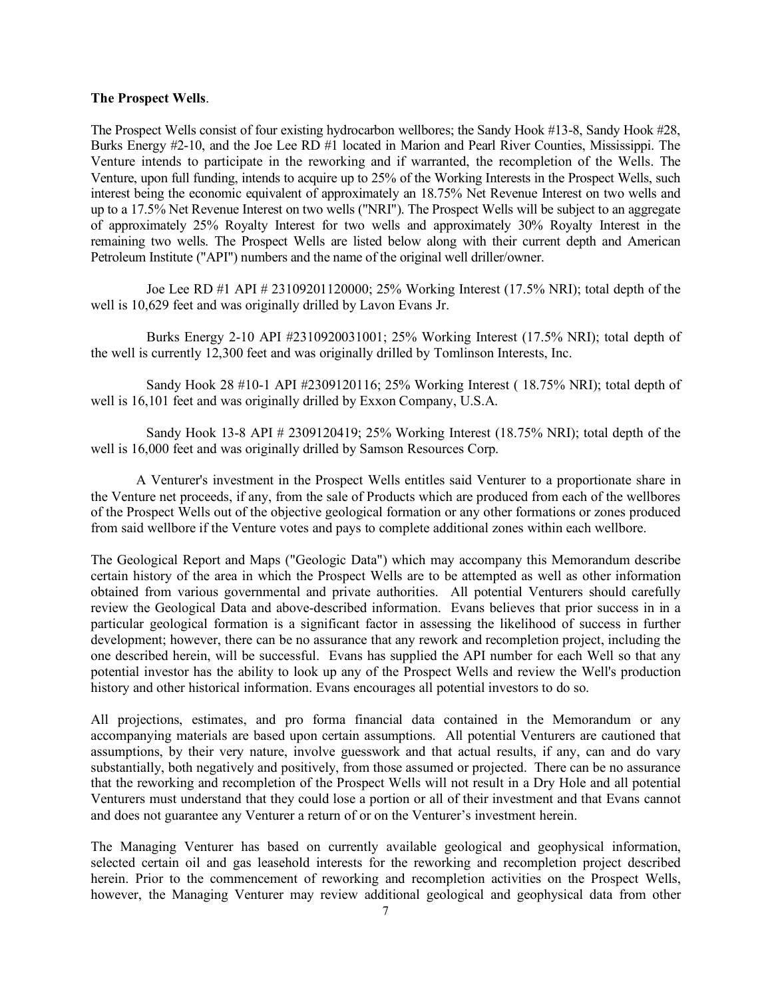### **The Prospect Wells**.

The Prospect Wells consist of four existing hydrocarbon wellbores; the Sandy Hook #13-8, Sandy Hook #28, Burks Energy #2-10, and the Joe Lee RD #1 located in Marion and Pearl River Counties, Mississippi. The Venture intends to participate in the reworking and if warranted, the recompletion of the Wells. The Venture, upon full funding, intends to acquire up to 25% of the Working Interests in the Prospect Wells, such interest being the economic equivalent of approximately an 18.75% Net Revenue Interest on two wells and up to a 17.5% Net Revenue Interest on two wells ("NRI"). The Prospect Wells will be subject to an aggregate of approximately 25% Royalty Interest for two wells and approximately 30% Royalty Interest in the remaining two wells. The Prospect Wells are listed below along with their current depth and American Petroleum Institute ("API") numbers and the name of the original well driller/owner.

 Joe Lee RD #1 API # 23109201120000; 25% Working Interest (17.5% NRI); total depth of the well is 10,629 feet and was originally drilled by Lavon Evans Jr.

 Burks Energy 2-10 API #2310920031001; 25% Working Interest (17.5% NRI); total depth of the well is currently 12,300 feet and was originally drilled by Tomlinson Interests, Inc.

 Sandy Hook 28 #10-1 API #2309120116; 25% Working Interest ( 18.75% NRI); total depth of well is 16,101 feet and was originally drilled by Exxon Company, U.S.A.

 Sandy Hook 13-8 API # 2309120419; 25% Working Interest (18.75% NRI); total depth of the well is 16,000 feet and was originally drilled by Samson Resources Corp.

A Venturer's investment in the Prospect Wells entitles said Venturer to a proportionate share in the Venture net proceeds, if any, from the sale of Products which are produced from each of the wellbores of the Prospect Wells out of the objective geological formation or any other formations or zones produced from said wellbore if the Venture votes and pays to complete additional zones within each wellbore.

The Geological Report and Maps ("Geologic Data") which may accompany this Memorandum describe certain history of the area in which the Prospect Wells are to be attempted as well as other information obtained from various governmental and private authorities. All potential Venturers should carefully review the Geological Data and above-described information. Evans believes that prior success in in a particular geological formation is a significant factor in assessing the likelihood of success in further development; however, there can be no assurance that any rework and recompletion project, including the one described herein, will be successful. Evans has supplied the API number for each Well so that any potential investor has the ability to look up any of the Prospect Wells and review the Well's production history and other historical information. Evans encourages all potential investors to do so.

All projections, estimates, and pro forma financial data contained in the Memorandum or any accompanying materials are based upon certain assumptions. All potential Venturers are cautioned that assumptions, by their very nature, involve guesswork and that actual results, if any, can and do vary substantially, both negatively and positively, from those assumed or projected. There can be no assurance that the reworking and recompletion of the Prospect Wells will not result in a Dry Hole and all potential Venturers must understand that they could lose a portion or all of their investment and that Evans cannot and does not guarantee any Venturer a return of or on the Venturer's investment herein.

The Managing Venturer has based on currently available geological and geophysical information, selected certain oil and gas leasehold interests for the reworking and recompletion project described herein. Prior to the commencement of reworking and recompletion activities on the Prospect Wells, however, the Managing Venturer may review additional geological and geophysical data from other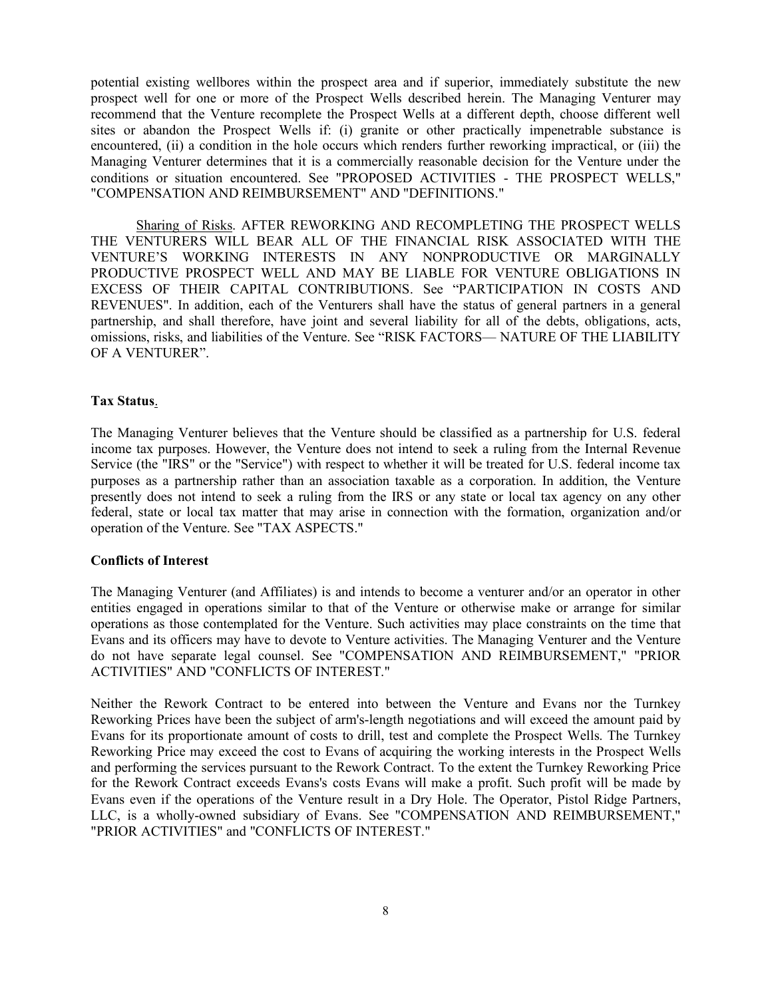potential existing wellbores within the prospect area and if superior, immediately substitute the new prospect well for one or more of the Prospect Wells described herein. The Managing Venturer may recommend that the Venture recomplete the Prospect Wells at a different depth, choose different well sites or abandon the Prospect Wells if: (i) granite or other practically impenetrable substance is encountered, (ii) a condition in the hole occurs which renders further reworking impractical, or (iii) the Managing Venturer determines that it is a commercially reasonable decision for the Venture under the conditions or situation encountered. See "PROPOSED ACTIVITIES - THE PROSPECT WELLS," "COMPENSATION AND REIMBURSEMENT" AND "DEFINITIONS."

Sharing of Risks. AFTER REWORKING AND RECOMPLETING THE PROSPECT WELLS THE VENTURERS WILL BEAR ALL OF THE FINANCIAL RISK ASSOCIATED WITH THE VENTURE'S WORKING INTERESTS IN ANY NONPRODUCTIVE OR MARGINALLY PRODUCTIVE PROSPECT WELL AND MAY BE LIABLE FOR VENTURE OBLIGATIONS IN EXCESS OF THEIR CAPITAL CONTRIBUTIONS. See "PARTICIPATION IN COSTS AND REVENUES". In addition, each of the Venturers shall have the status of general partners in a general partnership, and shall therefore, have joint and several liability for all of the debts, obligations, acts, omissions, risks, and liabilities of the Venture. See "RISK FACTORS— NATURE OF THE LIABILITY OF A VENTURER".

## **Tax Status**.

The Managing Venturer believes that the Venture should be classified as a partnership for U.S. federal income tax purposes. However, the Venture does not intend to seek a ruling from the Internal Revenue Service (the "IRS" or the "Service") with respect to whether it will be treated for U.S. federal income tax purposes as a partnership rather than an association taxable as a corporation. In addition, the Venture presently does not intend to seek a ruling from the IRS or any state or local tax agency on any other federal, state or local tax matter that may arise in connection with the formation, organization and/or operation of the Venture. See "TAX ASPECTS."

## **Conflicts of Interest**

The Managing Venturer (and Affiliates) is and intends to become a venturer and/or an operator in other entities engaged in operations similar to that of the Venture or otherwise make or arrange for similar operations as those contemplated for the Venture. Such activities may place constraints on the time that Evans and its officers may have to devote to Venture activities. The Managing Venturer and the Venture do not have separate legal counsel. See "COMPENSATION AND REIMBURSEMENT," "PRIOR ACTIVITIES" AND "CONFLICTS OF INTEREST."

Neither the Rework Contract to be entered into between the Venture and Evans nor the Turnkey Reworking Prices have been the subject of arm's-length negotiations and will exceed the amount paid by Evans for its proportionate amount of costs to drill, test and complete the Prospect Wells. The Turnkey Reworking Price may exceed the cost to Evans of acquiring the working interests in the Prospect Wells and performing the services pursuant to the Rework Contract. To the extent the Turnkey Reworking Price for the Rework Contract exceeds Evans's costs Evans will make a profit. Such profit will be made by Evans even if the operations of the Venture result in a Dry Hole. The Operator, Pistol Ridge Partners, LLC, is a wholly-owned subsidiary of Evans. See "COMPENSATION AND REIMBURSEMENT," "PRIOR ACTIVITIES" and "CONFLICTS OF INTEREST."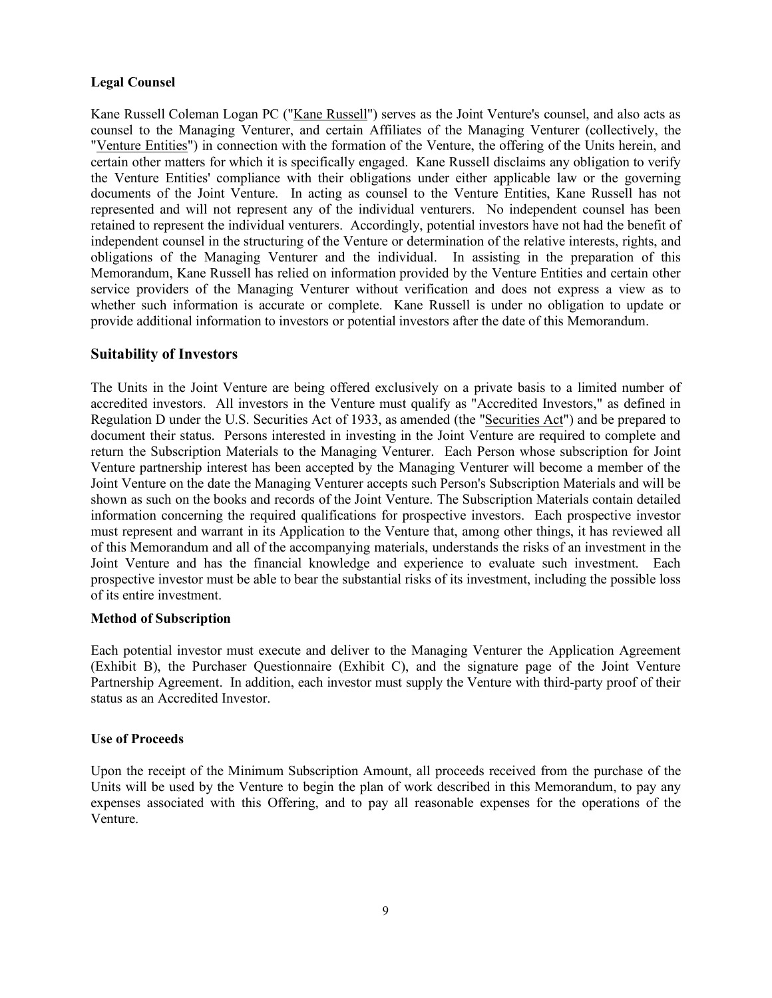## **Legal Counsel**

Kane Russell Coleman Logan PC ("Kane Russell") serves as the Joint Venture's counsel, and also acts as counsel to the Managing Venturer, and certain Affiliates of the Managing Venturer (collectively, the "Venture Entities") in connection with the formation of the Venture, the offering of the Units herein, and certain other matters for which it is specifically engaged. Kane Russell disclaims any obligation to verify the Venture Entities' compliance with their obligations under either applicable law or the governing documents of the Joint Venture. In acting as counsel to the Venture Entities, Kane Russell has not represented and will not represent any of the individual venturers. No independent counsel has been retained to represent the individual venturers. Accordingly, potential investors have not had the benefit of independent counsel in the structuring of the Venture or determination of the relative interests, rights, and obligations of the Managing Venturer and the individual. In assisting in the preparation of this Memorandum, Kane Russell has relied on information provided by the Venture Entities and certain other service providers of the Managing Venturer without verification and does not express a view as to whether such information is accurate or complete. Kane Russell is under no obligation to update or provide additional information to investors or potential investors after the date of this Memorandum.

## **Suitability of Investors**

The Units in the Joint Venture are being offered exclusively on a private basis to a limited number of accredited investors. All investors in the Venture must qualify as "Accredited Investors," as defined in Regulation D under the U.S. Securities Act of 1933, as amended (the "Securities Act") and be prepared to document their status. Persons interested in investing in the Joint Venture are required to complete and return the Subscription Materials to the Managing Venturer. Each Person whose subscription for Joint Venture partnership interest has been accepted by the Managing Venturer will become a member of the Joint Venture on the date the Managing Venturer accepts such Person's Subscription Materials and will be shown as such on the books and records of the Joint Venture. The Subscription Materials contain detailed information concerning the required qualifications for prospective investors. Each prospective investor must represent and warrant in its Application to the Venture that, among other things, it has reviewed all of this Memorandum and all of the accompanying materials, understands the risks of an investment in the Joint Venture and has the financial knowledge and experience to evaluate such investment. Each prospective investor must be able to bear the substantial risks of its investment, including the possible loss of its entire investment.

### **Method of Subscription**

Each potential investor must execute and deliver to the Managing Venturer the Application Agreement (Exhibit B), the Purchaser Questionnaire (Exhibit C), and the signature page of the Joint Venture Partnership Agreement. In addition, each investor must supply the Venture with third-party proof of their status as an Accredited Investor.

### **Use of Proceeds**

Upon the receipt of the Minimum Subscription Amount, all proceeds received from the purchase of the Units will be used by the Venture to begin the plan of work described in this Memorandum, to pay any expenses associated with this Offering, and to pay all reasonable expenses for the operations of the Venture.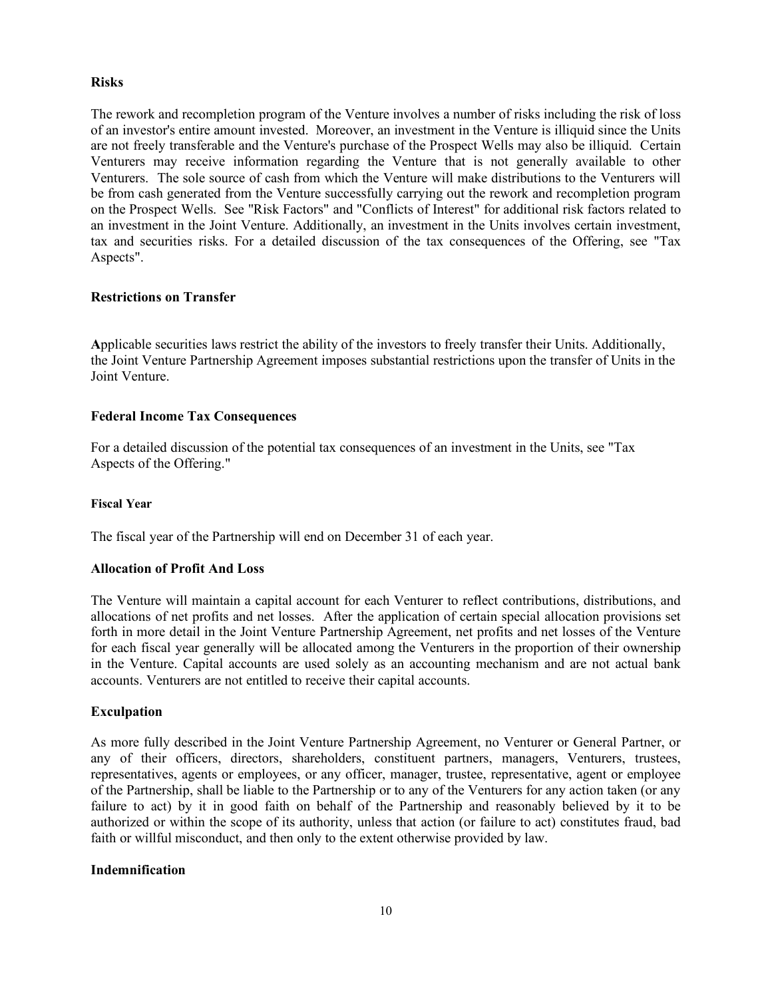## **Risks**

The rework and recompletion program of the Venture involves a number of risks including the risk of loss of an investor's entire amount invested. Moreover, an investment in the Venture is illiquid since the Units are not freely transferable and the Venture's purchase of the Prospect Wells may also be illiquid. Certain Venturers may receive information regarding the Venture that is not generally available to other Venturers. The sole source of cash from which the Venture will make distributions to the Venturers will be from cash generated from the Venture successfully carrying out the rework and recompletion program on the Prospect Wells. See "Risk Factors" and "Conflicts of Interest" for additional risk factors related to an investment in the Joint Venture. Additionally, an investment in the Units involves certain investment, tax and securities risks. For a detailed discussion of the tax consequences of the Offering, see "Tax Aspects".

## **Restrictions on Transfer**

**A**pplicable securities laws restrict the ability of the investors to freely transfer their Units. Additionally, the Joint Venture Partnership Agreement imposes substantial restrictions upon the transfer of Units in the Joint Venture.

### **Federal Income Tax Consequences**

For a detailed discussion of the potential tax consequences of an investment in the Units, see "Tax Aspects of the Offering."

### **Fiscal Year**

The fiscal year of the Partnership will end on December 31 of each year.

### **Allocation of Profit And Loss**

The Venture will maintain a capital account for each Venturer to reflect contributions, distributions, and allocations of net profits and net losses. After the application of certain special allocation provisions set forth in more detail in the Joint Venture Partnership Agreement, net profits and net losses of the Venture for each fiscal year generally will be allocated among the Venturers in the proportion of their ownership in the Venture. Capital accounts are used solely as an accounting mechanism and are not actual bank accounts. Venturers are not entitled to receive their capital accounts.

### **Exculpation**

As more fully described in the Joint Venture Partnership Agreement, no Venturer or General Partner, or any of their officers, directors, shareholders, constituent partners, managers, Venturers, trustees, representatives, agents or employees, or any officer, manager, trustee, representative, agent or employee of the Partnership, shall be liable to the Partnership or to any of the Venturers for any action taken (or any failure to act) by it in good faith on behalf of the Partnership and reasonably believed by it to be authorized or within the scope of its authority, unless that action (or failure to act) constitutes fraud, bad faith or willful misconduct, and then only to the extent otherwise provided by law.

### **Indemnification**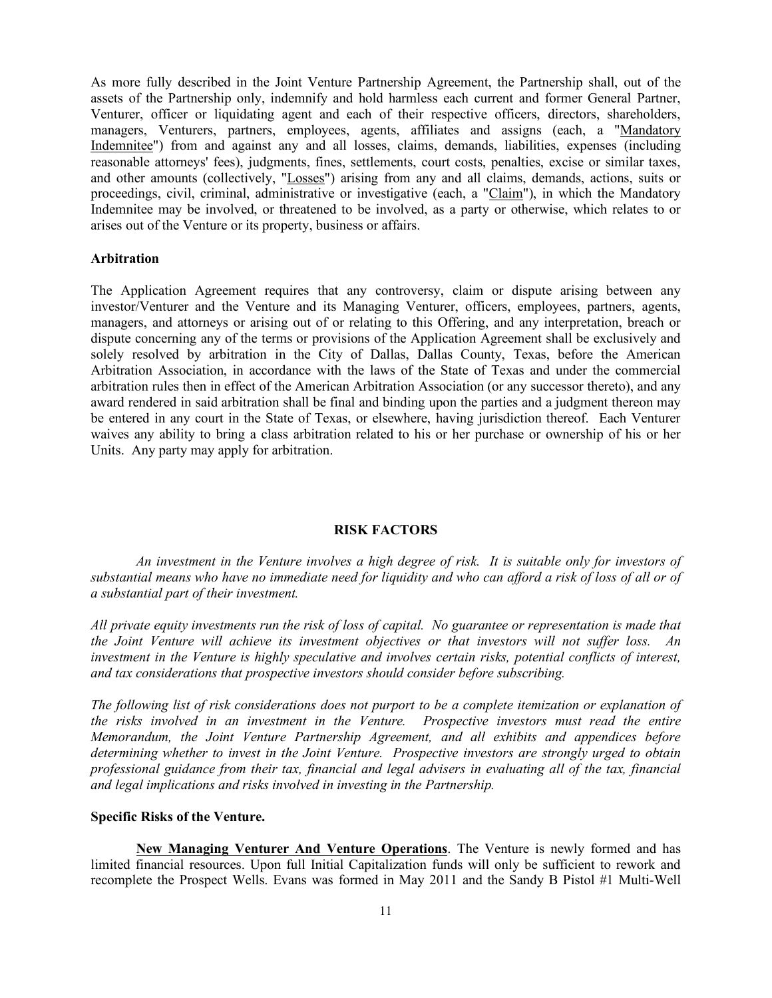As more fully described in the Joint Venture Partnership Agreement, the Partnership shall, out of the assets of the Partnership only, indemnify and hold harmless each current and former General Partner, Venturer, officer or liquidating agent and each of their respective officers, directors, shareholders, managers, Venturers, partners, employees, agents, affiliates and assigns (each, a "Mandatory Indemnitee") from and against any and all losses, claims, demands, liabilities, expenses (including reasonable attorneys' fees), judgments, fines, settlements, court costs, penalties, excise or similar taxes, and other amounts (collectively, "Losses") arising from any and all claims, demands, actions, suits or proceedings, civil, criminal, administrative or investigative (each, a "Claim"), in which the Mandatory Indemnitee may be involved, or threatened to be involved, as a party or otherwise, which relates to or arises out of the Venture or its property, business or affairs.

#### **Arbitration**

The Application Agreement requires that any controversy, claim or dispute arising between any investor/Venturer and the Venture and its Managing Venturer, officers, employees, partners, agents, managers, and attorneys or arising out of or relating to this Offering, and any interpretation, breach or dispute concerning any of the terms or provisions of the Application Agreement shall be exclusively and solely resolved by arbitration in the City of Dallas, Dallas County, Texas, before the American Arbitration Association, in accordance with the laws of the State of Texas and under the commercial arbitration rules then in effect of the American Arbitration Association (or any successor thereto), and any award rendered in said arbitration shall be final and binding upon the parties and a judgment thereon may be entered in any court in the State of Texas, or elsewhere, having jurisdiction thereof. Each Venturer waives any ability to bring a class arbitration related to his or her purchase or ownership of his or her Units. Any party may apply for arbitration.

#### **RISK FACTORS**

*An investment in the Venture involves a high degree of risk. It is suitable only for investors of substantial means who have no immediate need for liquidity and who can afford a risk of loss of all or of a substantial part of their investment.*

*All private equity investments run the risk of loss of capital. No guarantee or representation is made that the Joint Venture will achieve its investment objectives or that investors will not suffer loss. An investment in the Venture is highly speculative and involves certain risks, potential conflicts of interest, and tax considerations that prospective investors should consider before subscribing.*

*The following list of risk considerations does not purport to be a complete itemization or explanation of the risks involved in an investment in the Venture. Prospective investors must read the entire Memorandum, the Joint Venture Partnership Agreement, and all exhibits and appendices before determining whether to invest in the Joint Venture. Prospective investors are strongly urged to obtain professional guidance from their tax, financial and legal advisers in evaluating all of the tax, financial and legal implications and risks involved in investing in the Partnership.* 

#### **Specific Risks of the Venture.**

**New Managing Venturer And Venture Operations**. The Venture is newly formed and has limited financial resources. Upon full Initial Capitalization funds will only be sufficient to rework and recomplete the Prospect Wells. Evans was formed in May 2011 and the Sandy B Pistol #1 Multi-Well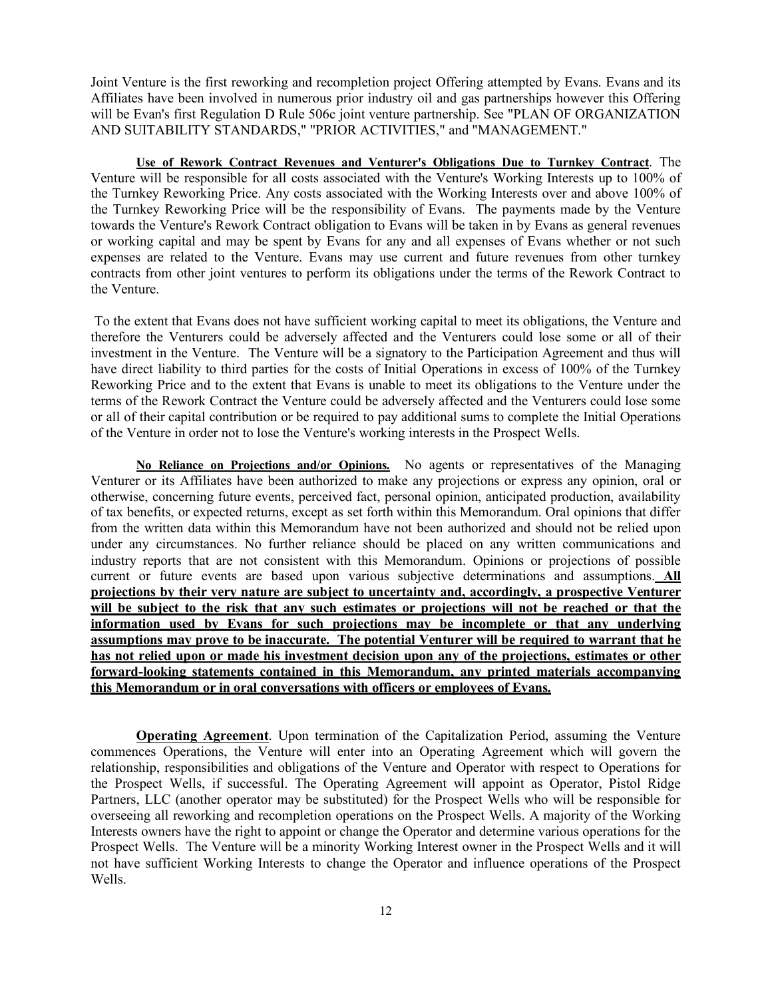Joint Venture is the first reworking and recompletion project Offering attempted by Evans. Evans and its Affiliates have been involved in numerous prior industry oil and gas partnerships however this Offering will be Evan's first Regulation D Rule 506c joint venture partnership. See "PLAN OF ORGANIZATION AND SUITABILITY STANDARDS," "PRIOR ACTIVITIES," and "MANAGEMENT."

**Use of Rework Contract Revenues and Venturer's Obligations Due to Turnkey Contract**. The Venture will be responsible for all costs associated with the Venture's Working Interests up to 100% of the Turnkey Reworking Price. Any costs associated with the Working Interests over and above 100% of the Turnkey Reworking Price will be the responsibility of Evans. The payments made by the Venture towards the Venture's Rework Contract obligation to Evans will be taken in by Evans as general revenues or working capital and may be spent by Evans for any and all expenses of Evans whether or not such expenses are related to the Venture. Evans may use current and future revenues from other turnkey contracts from other joint ventures to perform its obligations under the terms of the Rework Contract to the Venture.

To the extent that Evans does not have sufficient working capital to meet its obligations, the Venture and therefore the Venturers could be adversely affected and the Venturers could lose some or all of their investment in the Venture. The Venture will be a signatory to the Participation Agreement and thus will have direct liability to third parties for the costs of Initial Operations in excess of 100% of the Turnkey Reworking Price and to the extent that Evans is unable to meet its obligations to the Venture under the terms of the Rework Contract the Venture could be adversely affected and the Venturers could lose some or all of their capital contribution or be required to pay additional sums to complete the Initial Operations of the Venture in order not to lose the Venture's working interests in the Prospect Wells.

**No Reliance on Projections and/or Opinions.** No agents or representatives of the Managing Venturer or its Affiliates have been authorized to make any projections or express any opinion, oral or otherwise, concerning future events, perceived fact, personal opinion, anticipated production, availability of tax benefits, or expected returns, except as set forth within this Memorandum. Oral opinions that differ from the written data within this Memorandum have not been authorized and should not be relied upon under any circumstances. No further reliance should be placed on any written communications and industry reports that are not consistent with this Memorandum. Opinions or projections of possible current or future events are based upon various subjective determinations and assumptions. **All projections by their very nature are subject to uncertainty and, accordingly, a prospective Venturer will be subject to the risk that any such estimates or projections will not be reached or that the information used by Evans for such projections may be incomplete or that any underlying assumptions may prove to be inaccurate. The potential Venturer will be required to warrant that he has not relied upon or made his investment decision upon any of the projections, estimates or other forward-looking statements contained in this Memorandum, any printed materials accompanying this Memorandum or in oral conversations with officers or employees of Evans.** 

**Operating Agreement**. Upon termination of the Capitalization Period, assuming the Venture commences Operations, the Venture will enter into an Operating Agreement which will govern the relationship, responsibilities and obligations of the Venture and Operator with respect to Operations for the Prospect Wells, if successful. The Operating Agreement will appoint as Operator, Pistol Ridge Partners, LLC (another operator may be substituted) for the Prospect Wells who will be responsible for overseeing all reworking and recompletion operations on the Prospect Wells. A majority of the Working Interests owners have the right to appoint or change the Operator and determine various operations for the Prospect Wells. The Venture will be a minority Working Interest owner in the Prospect Wells and it will not have sufficient Working Interests to change the Operator and influence operations of the Prospect Wells.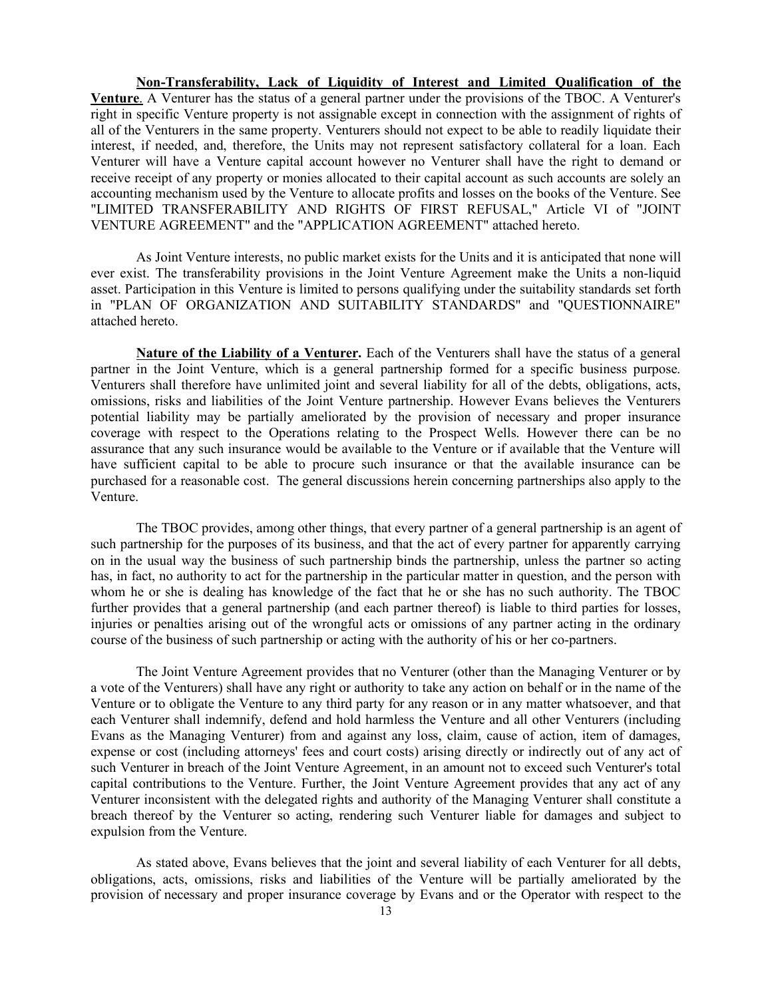**Non-Transferability, Lack of Liquidity of Interest and Limited Qualification of the Venture**. A Venturer has the status of a general partner under the provisions of the TBOC. A Venturer's right in specific Venture property is not assignable except in connection with the assignment of rights of all of the Venturers in the same property. Venturers should not expect to be able to readily liquidate their interest, if needed, and, therefore, the Units may not represent satisfactory collateral for a loan. Each Venturer will have a Venture capital account however no Venturer shall have the right to demand or receive receipt of any property or monies allocated to their capital account as such accounts are solely an accounting mechanism used by the Venture to allocate profits and losses on the books of the Venture. See "LIMITED TRANSFERABILITY AND RIGHTS OF FIRST REFUSAL," Article VI of "JOINT VENTURE AGREEMENT" and the "APPLICATION AGREEMENT" attached hereto.

As Joint Venture interests, no public market exists for the Units and it is anticipated that none will ever exist. The transferability provisions in the Joint Venture Agreement make the Units a non-liquid asset. Participation in this Venture is limited to persons qualifying under the suitability standards set forth in "PLAN OF ORGANIZATION AND SUITABILITY STANDARDS" and "QUESTIONNAIRE" attached hereto.

**Nature of the Liability of a Venturer.** Each of the Venturers shall have the status of a general partner in the Joint Venture, which is a general partnership formed for a specific business purpose. Venturers shall therefore have unlimited joint and several liability for all of the debts, obligations, acts, omissions, risks and liabilities of the Joint Venture partnership. However Evans believes the Venturers potential liability may be partially ameliorated by the provision of necessary and proper insurance coverage with respect to the Operations relating to the Prospect Wells. However there can be no assurance that any such insurance would be available to the Venture or if available that the Venture will have sufficient capital to be able to procure such insurance or that the available insurance can be purchased for a reasonable cost. The general discussions herein concerning partnerships also apply to the Venture.

The TBOC provides, among other things, that every partner of a general partnership is an agent of such partnership for the purposes of its business, and that the act of every partner for apparently carrying on in the usual way the business of such partnership binds the partnership, unless the partner so acting has, in fact, no authority to act for the partnership in the particular matter in question, and the person with whom he or she is dealing has knowledge of the fact that he or she has no such authority. The TBOC further provides that a general partnership (and each partner thereof) is liable to third parties for losses, injuries or penalties arising out of the wrongful acts or omissions of any partner acting in the ordinary course of the business of such partnership or acting with the authority of his or her co-partners.

The Joint Venture Agreement provides that no Venturer (other than the Managing Venturer or by a vote of the Venturers) shall have any right or authority to take any action on behalf or in the name of the Venture or to obligate the Venture to any third party for any reason or in any matter whatsoever, and that each Venturer shall indemnify, defend and hold harmless the Venture and all other Venturers (including Evans as the Managing Venturer) from and against any loss, claim, cause of action, item of damages, expense or cost (including attorneys' fees and court costs) arising directly or indirectly out of any act of such Venturer in breach of the Joint Venture Agreement, in an amount not to exceed such Venturer's total capital contributions to the Venture. Further, the Joint Venture Agreement provides that any act of any Venturer inconsistent with the delegated rights and authority of the Managing Venturer shall constitute a breach thereof by the Venturer so acting, rendering such Venturer liable for damages and subject to expulsion from the Venture.

As stated above, Evans believes that the joint and several liability of each Venturer for all debts, obligations, acts, omissions, risks and liabilities of the Venture will be partially ameliorated by the provision of necessary and proper insurance coverage by Evans and or the Operator with respect to the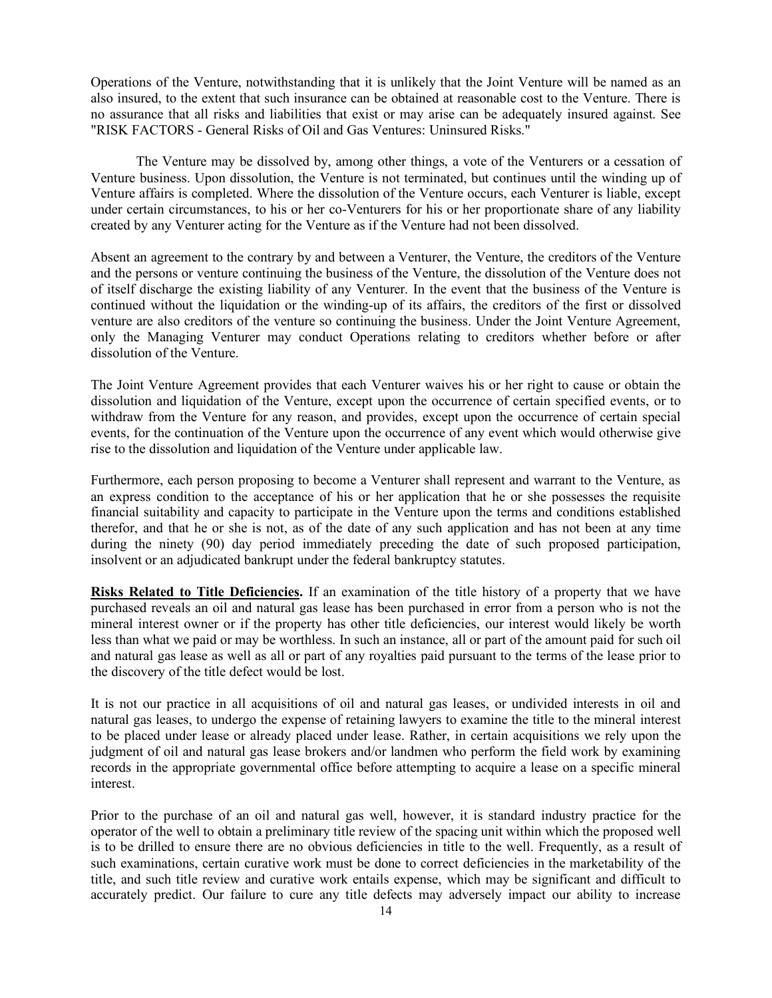Operations of the Venture, notwithstanding that it is unlikely that the Joint Venture will be named as an also insured, to the extent that such insurance can be obtained at reasonable cost to the Venture. There is no assurance that all risks and liabilities that exist or may arise can be adequately insured against. See "RISK FACTORS - General Risks of Oil and Gas Ventures: Uninsured Risks."

The Venture may be dissolved by, among other things, a vote of the Venturers or a cessation of Venture business. Upon dissolution, the Venture is not terminated, but continues until the winding up of Venture affairs is completed. Where the dissolution of the Venture occurs, each Venturer is liable, except under certain circumstances, to his or her co-Venturers for his or her proportionate share of any liability created by any Venturer acting for the Venture as if the Venture had not been dissolved.

Absent an agreement to the contrary by and between a Venturer, the Venture, the creditors of the Venture and the persons or venture continuing the business of the Venture, the dissolution of the Venture does not of itself discharge the existing liability of any Venturer. In the event that the business of the Venture is continued without the liquidation or the winding-up of its affairs, the creditors of the first or dissolved venture are also creditors of the venture so continuing the business. Under the Joint Venture Agreement, only the Managing Venturer may conduct Operations relating to creditors whether before or after dissolution of the Venture.

The Joint Venture Agreement provides that each Venturer waives his or her right to cause or obtain the dissolution and liquidation of the Venture, except upon the occurrence of certain specified events, or to withdraw from the Venture for any reason, and provides, except upon the occurrence of certain special events, for the continuation of the Venture upon the occurrence of any event which would otherwise give rise to the dissolution and liquidation of the Venture under applicable law.

Furthermore, each person proposing to become a Venturer shall represent and warrant to the Venture, as an express condition to the acceptance of his or her application that he or she possesses the requisite financial suitability and capacity to participate in the Venture upon the terms and conditions established therefor, and that he or she is not, as of the date of any such application and has not been at any time during the ninety (90) day period immediately preceding the date of such proposed participation, insolvent or an adjudicated bankrupt under the federal bankruptcy statutes.

**Risks Related to Title Deficiencies.** If an examination of the title history of a property that we have purchased reveals an oil and natural gas lease has been purchased in error from a person who is not the mineral interest owner or if the property has other title deficiencies, our interest would likely be worth less than what we paid or may be worthless. In such an instance, all or part of the amount paid for such oil and natural gas lease as well as all or part of any royalties paid pursuant to the terms of the lease prior to the discovery of the title defect would be lost.

It is not our practice in all acquisitions of oil and natural gas leases, or undivided interests in oil and natural gas leases, to undergo the expense of retaining lawyers to examine the title to the mineral interest to be placed under lease or already placed under lease. Rather, in certain acquisitions we rely upon the judgment of oil and natural gas lease brokers and/or landmen who perform the field work by examining records in the appropriate governmental office before attempting to acquire a lease on a specific mineral interest.

Prior to the purchase of an oil and natural gas well, however, it is standard industry practice for the operator of the well to obtain a preliminary title review of the spacing unit within which the proposed well is to be drilled to ensure there are no obvious deficiencies in title to the well. Frequently, as a result of such examinations, certain curative work must be done to correct deficiencies in the marketability of the title, and such title review and curative work entails expense, which may be significant and difficult to accurately predict. Our failure to cure any title defects may adversely impact our ability to increase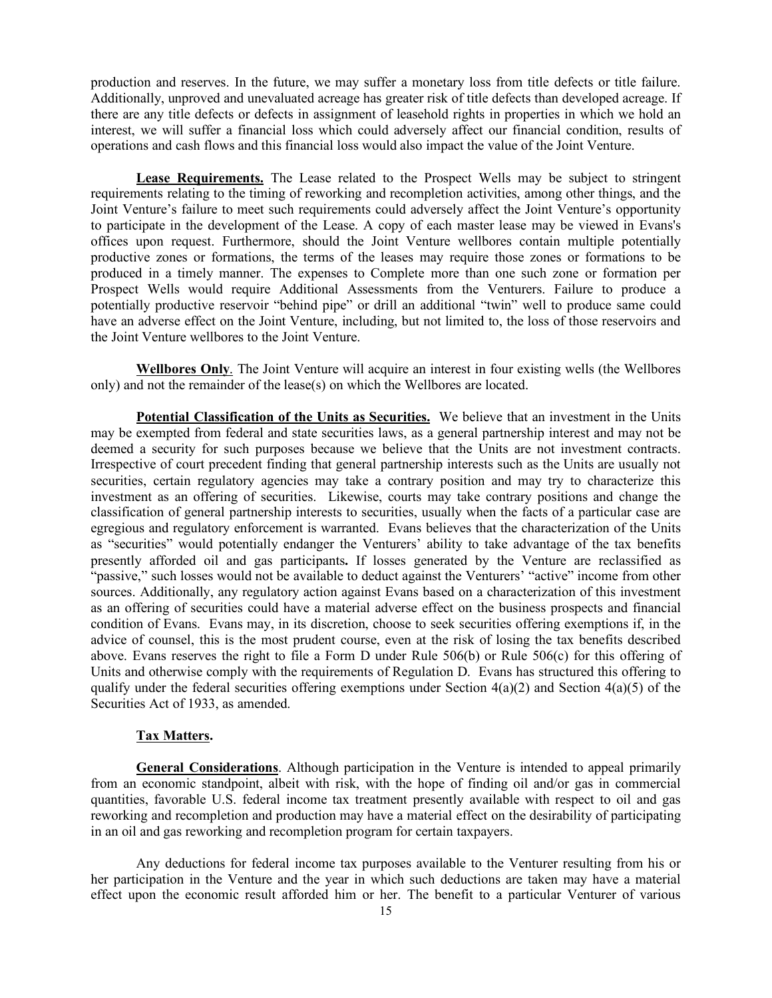production and reserves. In the future, we may suffer a monetary loss from title defects or title failure. Additionally, unproved and unevaluated acreage has greater risk of title defects than developed acreage. If there are any title defects or defects in assignment of leasehold rights in properties in which we hold an interest, we will suffer a financial loss which could adversely affect our financial condition, results of operations and cash flows and this financial loss would also impact the value of the Joint Venture.

**Lease Requirements.** The Lease related to the Prospect Wells may be subject to stringent requirements relating to the timing of reworking and recompletion activities, among other things, and the Joint Venture's failure to meet such requirements could adversely affect the Joint Venture's opportunity to participate in the development of the Lease. A copy of each master lease may be viewed in Evans's offices upon request. Furthermore, should the Joint Venture wellbores contain multiple potentially productive zones or formations, the terms of the leases may require those zones or formations to be produced in a timely manner. The expenses to Complete more than one such zone or formation per Prospect Wells would require Additional Assessments from the Venturers. Failure to produce a potentially productive reservoir "behind pipe" or drill an additional "twin" well to produce same could have an adverse effect on the Joint Venture, including, but not limited to, the loss of those reservoirs and the Joint Venture wellbores to the Joint Venture.

**Wellbores Only**. The Joint Venture will acquire an interest in four existing wells (the Wellbores only) and not the remainder of the lease(s) on which the Wellbores are located.

**Potential Classification of the Units as Securities.** We believe that an investment in the Units may be exempted from federal and state securities laws, as a general partnership interest and may not be deemed a security for such purposes because we believe that the Units are not investment contracts. Irrespective of court precedent finding that general partnership interests such as the Units are usually not securities, certain regulatory agencies may take a contrary position and may try to characterize this investment as an offering of securities. Likewise, courts may take contrary positions and change the classification of general partnership interests to securities, usually when the facts of a particular case are egregious and regulatory enforcement is warranted. Evans believes that the characterization of the Units as "securities" would potentially endanger the Venturers' ability to take advantage of the tax benefits presently afforded oil and gas participants**.** If losses generated by the Venture are reclassified as "passive," such losses would not be available to deduct against the Venturers' "active" income from other sources. Additionally, any regulatory action against Evans based on a characterization of this investment as an offering of securities could have a material adverse effect on the business prospects and financial condition of Evans. Evans may, in its discretion, choose to seek securities offering exemptions if, in the advice of counsel, this is the most prudent course, even at the risk of losing the tax benefits described above. Evans reserves the right to file a Form D under Rule 506(b) or Rule 506(c) for this offering of Units and otherwise comply with the requirements of Regulation D. Evans has structured this offering to qualify under the federal securities offering exemptions under Section  $4(a)(2)$  and Section  $4(a)(5)$  of the Securities Act of 1933, as amended.

#### **Tax Matters.**

**General Considerations**. Although participation in the Venture is intended to appeal primarily from an economic standpoint, albeit with risk, with the hope of finding oil and/or gas in commercial quantities, favorable U.S. federal income tax treatment presently available with respect to oil and gas reworking and recompletion and production may have a material effect on the desirability of participating in an oil and gas reworking and recompletion program for certain taxpayers.

Any deductions for federal income tax purposes available to the Venturer resulting from his or her participation in the Venture and the year in which such deductions are taken may have a material effect upon the economic result afforded him or her. The benefit to a particular Venturer of various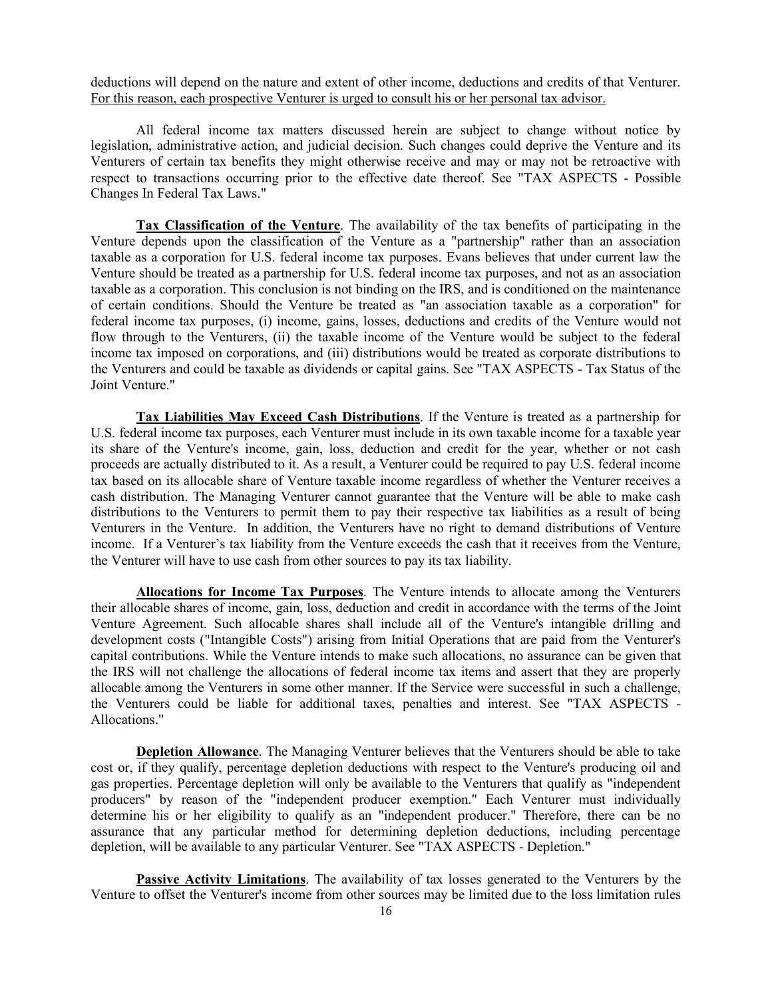deductions will depend on the nature and extent of other income, deductions and credits of that Venturer. For this reason, each prospective Venturer is urged to consult his or her personal tax advisor.

All federal income tax matters discussed herein are subject to change without notice by legislation, administrative action, and judicial decision. Such changes could deprive the Venture and its Venturers of certain tax benefits they might otherwise receive and may or may not be retroactive with respect to transactions occurring prior to the effective date thereof. See "TAX ASPECTS - Possible Changes In Federal Tax Laws."

**Tax Classification of the Venture**. The availability of the tax benefits of participating in the Venture depends upon the classification of the Venture as a "partnership" rather than an association taxable as a corporation for U.S. federal income tax purposes. Evans believes that under current law the Venture should be treated as a partnership for U.S. federal income tax purposes, and not as an association taxable as a corporation. This conclusion is not binding on the IRS, and is conditioned on the maintenance of certain conditions. Should the Venture be treated as "an association taxable as a corporation" for federal income tax purposes, (i) income, gains, losses, deductions and credits of the Venture would not flow through to the Venturers, (ii) the taxable income of the Venture would be subject to the federal income tax imposed on corporations, and (iii) distributions would be treated as corporate distributions to the Venturers and could be taxable as dividends or capital gains. See "TAX ASPECTS - Tax Status of the Joint Venture."

**Tax Liabilities May Exceed Cash Distributions**. If the Venture is treated as a partnership for U.S. federal income tax purposes, each Venturer must include in its own taxable income for a taxable year its share of the Venture's income, gain, loss, deduction and credit for the year, whether or not cash proceeds are actually distributed to it. As a result, a Venturer could be required to pay U.S. federal income tax based on its allocable share of Venture taxable income regardless of whether the Venturer receives a cash distribution. The Managing Venturer cannot guarantee that the Venture will be able to make cash distributions to the Venturers to permit them to pay their respective tax liabilities as a result of being Venturers in the Venture. In addition, the Venturers have no right to demand distributions of Venture income. If a Venturer's tax liability from the Venture exceeds the cash that it receives from the Venture, the Venturer will have to use cash from other sources to pay its tax liability.

**Allocations for Income Tax Purposes**. The Venture intends to allocate among the Venturers their allocable shares of income, gain, loss, deduction and credit in accordance with the terms of the Joint Venture Agreement. Such allocable shares shall include all of the Venture's intangible drilling and development costs ("Intangible Costs") arising from Initial Operations that are paid from the Venturer's capital contributions. While the Venture intends to make such allocations, no assurance can be given that the IRS will not challenge the allocations of federal income tax items and assert that they are properly allocable among the Venturers in some other manner. If the Service were successful in such a challenge, the Venturers could be liable for additional taxes, penalties and interest. See "TAX ASPECTS - Allocations."

**Depletion Allowance**. The Managing Venturer believes that the Venturers should be able to take cost or, if they qualify, percentage depletion deductions with respect to the Venture's producing oil and gas properties. Percentage depletion will only be available to the Venturers that qualify as "independent producers" by reason of the "independent producer exemption." Each Venturer must individually determine his or her eligibility to qualify as an "independent producer." Therefore, there can be no assurance that any particular method for determining depletion deductions, including percentage depletion, will be available to any particular Venturer. See "TAX ASPECTS - Depletion."

**Passive Activity Limitations**. The availability of tax losses generated to the Venturers by the Venture to offset the Venturer's income from other sources may be limited due to the loss limitation rules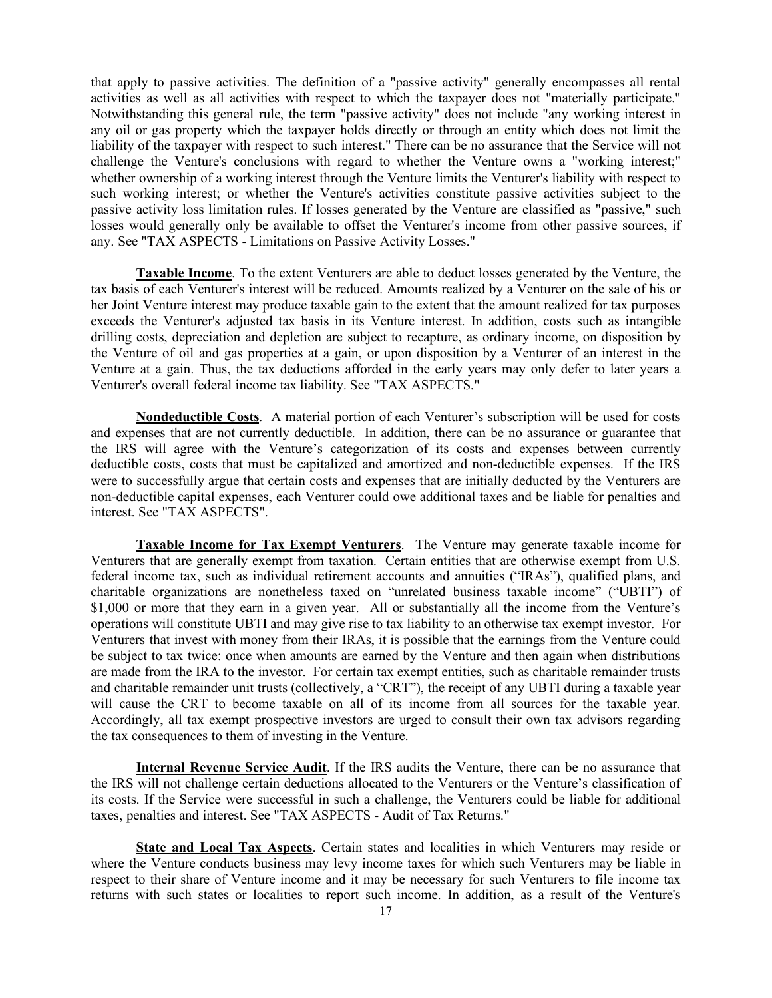that apply to passive activities. The definition of a "passive activity" generally encompasses all rental activities as well as all activities with respect to which the taxpayer does not "materially participate." Notwithstanding this general rule, the term "passive activity" does not include "any working interest in any oil or gas property which the taxpayer holds directly or through an entity which does not limit the liability of the taxpayer with respect to such interest." There can be no assurance that the Service will not challenge the Venture's conclusions with regard to whether the Venture owns a "working interest;" whether ownership of a working interest through the Venture limits the Venturer's liability with respect to such working interest; or whether the Venture's activities constitute passive activities subject to the passive activity loss limitation rules. If losses generated by the Venture are classified as "passive," such losses would generally only be available to offset the Venturer's income from other passive sources, if any. See "TAX ASPECTS - Limitations on Passive Activity Losses."

**Taxable Income**. To the extent Venturers are able to deduct losses generated by the Venture, the tax basis of each Venturer's interest will be reduced. Amounts realized by a Venturer on the sale of his or her Joint Venture interest may produce taxable gain to the extent that the amount realized for tax purposes exceeds the Venturer's adjusted tax basis in its Venture interest. In addition, costs such as intangible drilling costs, depreciation and depletion are subject to recapture, as ordinary income, on disposition by the Venture of oil and gas properties at a gain, or upon disposition by a Venturer of an interest in the Venture at a gain. Thus, the tax deductions afforded in the early years may only defer to later years a Venturer's overall federal income tax liability. See "TAX ASPECTS."

**Nondeductible Costs**. A material portion of each Venturer's subscription will be used for costs and expenses that are not currently deductible. In addition, there can be no assurance or guarantee that the IRS will agree with the Venture's categorization of its costs and expenses between currently deductible costs, costs that must be capitalized and amortized and non-deductible expenses. If the IRS were to successfully argue that certain costs and expenses that are initially deducted by the Venturers are non-deductible capital expenses, each Venturer could owe additional taxes and be liable for penalties and interest. See "TAX ASPECTS".

**Taxable Income for Tax Exempt Venturers**. The Venture may generate taxable income for Venturers that are generally exempt from taxation. Certain entities that are otherwise exempt from U.S. federal income tax, such as individual retirement accounts and annuities ("IRAs"), qualified plans, and charitable organizations are nonetheless taxed on "unrelated business taxable income" ("UBTI") of \$1,000 or more that they earn in a given year. All or substantially all the income from the Venture's operations will constitute UBTI and may give rise to tax liability to an otherwise tax exempt investor. For Venturers that invest with money from their IRAs, it is possible that the earnings from the Venture could be subject to tax twice: once when amounts are earned by the Venture and then again when distributions are made from the IRA to the investor. For certain tax exempt entities, such as charitable remainder trusts and charitable remainder unit trusts (collectively, a "CRT"), the receipt of any UBTI during a taxable year will cause the CRT to become taxable on all of its income from all sources for the taxable year. Accordingly, all tax exempt prospective investors are urged to consult their own tax advisors regarding the tax consequences to them of investing in the Venture.

**Internal Revenue Service Audit**. If the IRS audits the Venture, there can be no assurance that the IRS will not challenge certain deductions allocated to the Venturers or the Venture's classification of its costs. If the Service were successful in such a challenge, the Venturers could be liable for additional taxes, penalties and interest. See "TAX ASPECTS - Audit of Tax Returns."

**State and Local Tax Aspects**. Certain states and localities in which Venturers may reside or where the Venture conducts business may levy income taxes for which such Venturers may be liable in respect to their share of Venture income and it may be necessary for such Venturers to file income tax returns with such states or localities to report such income. In addition, as a result of the Venture's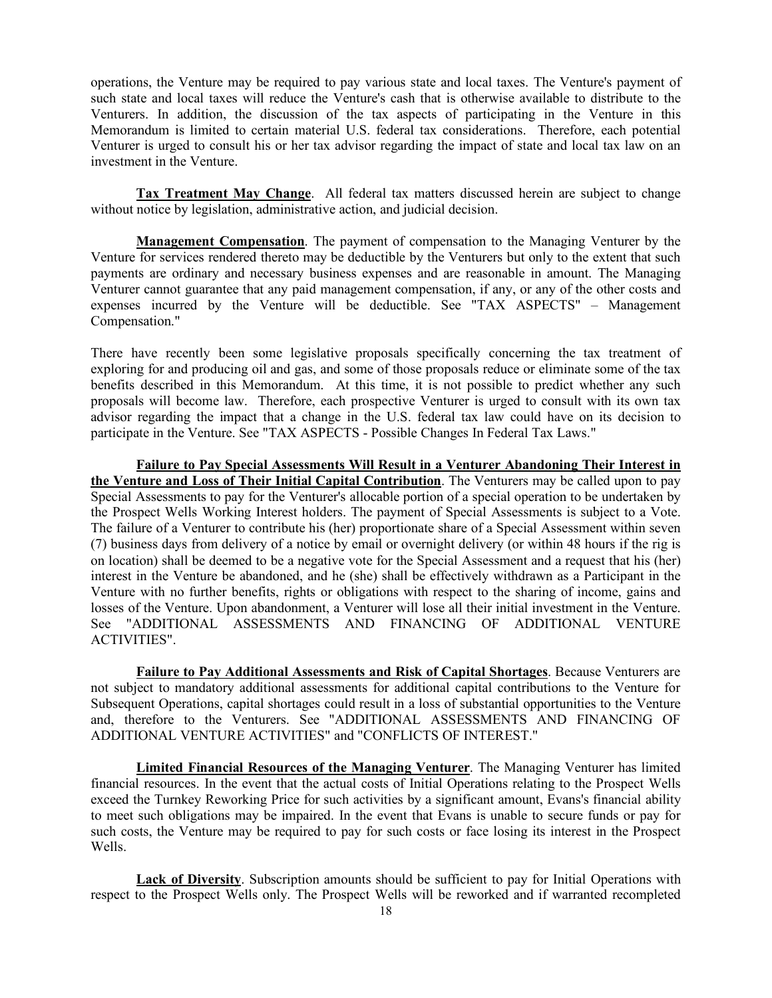operations, the Venture may be required to pay various state and local taxes. The Venture's payment of such state and local taxes will reduce the Venture's cash that is otherwise available to distribute to the Venturers. In addition, the discussion of the tax aspects of participating in the Venture in this Memorandum is limited to certain material U.S. federal tax considerations. Therefore, each potential Venturer is urged to consult his or her tax advisor regarding the impact of state and local tax law on an investment in the Venture.

**Tax Treatment May Change**. All federal tax matters discussed herein are subject to change without notice by legislation, administrative action, and judicial decision.

**Management Compensation**. The payment of compensation to the Managing Venturer by the Venture for services rendered thereto may be deductible by the Venturers but only to the extent that such payments are ordinary and necessary business expenses and are reasonable in amount. The Managing Venturer cannot guarantee that any paid management compensation, if any, or any of the other costs and expenses incurred by the Venture will be deductible. See "TAX ASPECTS" – Management Compensation."

There have recently been some legislative proposals specifically concerning the tax treatment of exploring for and producing oil and gas, and some of those proposals reduce or eliminate some of the tax benefits described in this Memorandum. At this time, it is not possible to predict whether any such proposals will become law. Therefore, each prospective Venturer is urged to consult with its own tax advisor regarding the impact that a change in the U.S. federal tax law could have on its decision to participate in the Venture. See "TAX ASPECTS - Possible Changes In Federal Tax Laws."

**Failure to Pay Special Assessments Will Result in a Venturer Abandoning Their Interest in the Venture and Loss of Their Initial Capital Contribution**. The Venturers may be called upon to pay Special Assessments to pay for the Venturer's allocable portion of a special operation to be undertaken by the Prospect Wells Working Interest holders. The payment of Special Assessments is subject to a Vote. The failure of a Venturer to contribute his (her) proportionate share of a Special Assessment within seven (7) business days from delivery of a notice by email or overnight delivery (or within 48 hours if the rig is on location) shall be deemed to be a negative vote for the Special Assessment and a request that his (her) interest in the Venture be abandoned, and he (she) shall be effectively withdrawn as a Participant in the Venture with no further benefits, rights or obligations with respect to the sharing of income, gains and losses of the Venture. Upon abandonment, a Venturer will lose all their initial investment in the Venture. See "ADDITIONAL ASSESSMENTS AND FINANCING OF ADDITIONAL VENTURE ACTIVITIES".

**Failure to Pay Additional Assessments and Risk of Capital Shortages**. Because Venturers are not subject to mandatory additional assessments for additional capital contributions to the Venture for Subsequent Operations, capital shortages could result in a loss of substantial opportunities to the Venture and, therefore to the Venturers. See "ADDITIONAL ASSESSMENTS AND FINANCING OF ADDITIONAL VENTURE ACTIVITIES" and "CONFLICTS OF INTEREST."

**Limited Financial Resources of the Managing Venturer**. The Managing Venturer has limited financial resources. In the event that the actual costs of Initial Operations relating to the Prospect Wells exceed the Turnkey Reworking Price for such activities by a significant amount, Evans's financial ability to meet such obligations may be impaired. In the event that Evans is unable to secure funds or pay for such costs, the Venture may be required to pay for such costs or face losing its interest in the Prospect Wells.

**Lack of Diversity**. Subscription amounts should be sufficient to pay for Initial Operations with respect to the Prospect Wells only. The Prospect Wells will be reworked and if warranted recompleted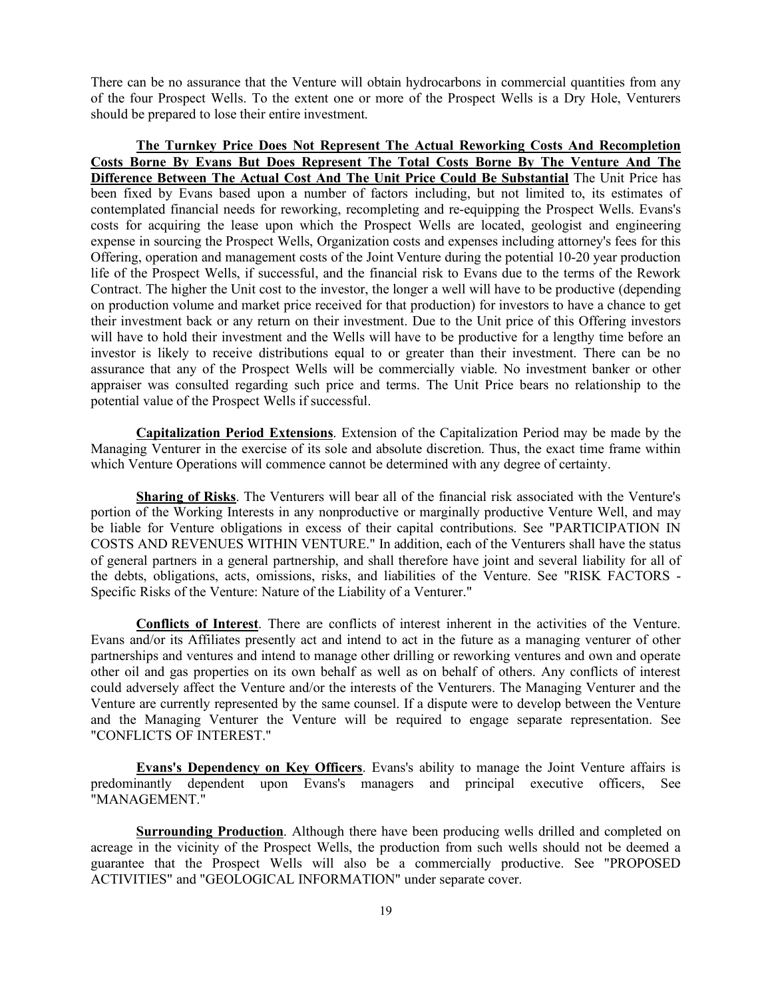There can be no assurance that the Venture will obtain hydrocarbons in commercial quantities from any of the four Prospect Wells. To the extent one or more of the Prospect Wells is a Dry Hole, Venturers should be prepared to lose their entire investment.

**The Turnkey Price Does Not Represent The Actual Reworking Costs And Recompletion Costs Borne By Evans But Does Represent The Total Costs Borne By The Venture And The Difference Between The Actual Cost And The Unit Price Could Be Substantial** The Unit Price has been fixed by Evans based upon a number of factors including, but not limited to, its estimates of contemplated financial needs for reworking, recompleting and re-equipping the Prospect Wells. Evans's costs for acquiring the lease upon which the Prospect Wells are located, geologist and engineering expense in sourcing the Prospect Wells, Organization costs and expenses including attorney's fees for this Offering, operation and management costs of the Joint Venture during the potential 10-20 year production life of the Prospect Wells, if successful, and the financial risk to Evans due to the terms of the Rework Contract. The higher the Unit cost to the investor, the longer a well will have to be productive (depending on production volume and market price received for that production) for investors to have a chance to get their investment back or any return on their investment. Due to the Unit price of this Offering investors will have to hold their investment and the Wells will have to be productive for a lengthy time before an investor is likely to receive distributions equal to or greater than their investment. There can be no assurance that any of the Prospect Wells will be commercially viable. No investment banker or other appraiser was consulted regarding such price and terms. The Unit Price bears no relationship to the potential value of the Prospect Wells if successful.

**Capitalization Period Extensions**. Extension of the Capitalization Period may be made by the Managing Venturer in the exercise of its sole and absolute discretion. Thus, the exact time frame within which Venture Operations will commence cannot be determined with any degree of certainty.

**Sharing of Risks**. The Venturers will bear all of the financial risk associated with the Venture's portion of the Working Interests in any nonproductive or marginally productive Venture Well, and may be liable for Venture obligations in excess of their capital contributions. See "PARTICIPATION IN COSTS AND REVENUES WITHIN VENTURE." In addition, each of the Venturers shall have the status of general partners in a general partnership, and shall therefore have joint and several liability for all of the debts, obligations, acts, omissions, risks, and liabilities of the Venture. See "RISK FACTORS - Specific Risks of the Venture: Nature of the Liability of a Venturer."

**Conflicts of Interest**. There are conflicts of interest inherent in the activities of the Venture. Evans and/or its Affiliates presently act and intend to act in the future as a managing venturer of other partnerships and ventures and intend to manage other drilling or reworking ventures and own and operate other oil and gas properties on its own behalf as well as on behalf of others. Any conflicts of interest could adversely affect the Venture and/or the interests of the Venturers. The Managing Venturer and the Venture are currently represented by the same counsel. If a dispute were to develop between the Venture and the Managing Venturer the Venture will be required to engage separate representation. See "CONFLICTS OF INTEREST."

**Evans's Dependency on Key Officers**. Evans's ability to manage the Joint Venture affairs is predominantly dependent upon Evans's managers and principal executive officers, See "MANAGEMENT."

**Surrounding Production**. Although there have been producing wells drilled and completed on acreage in the vicinity of the Prospect Wells, the production from such wells should not be deemed a guarantee that the Prospect Wells will also be a commercially productive. See "PROPOSED ACTIVITIES" and "GEOLOGICAL INFORMATION" under separate cover.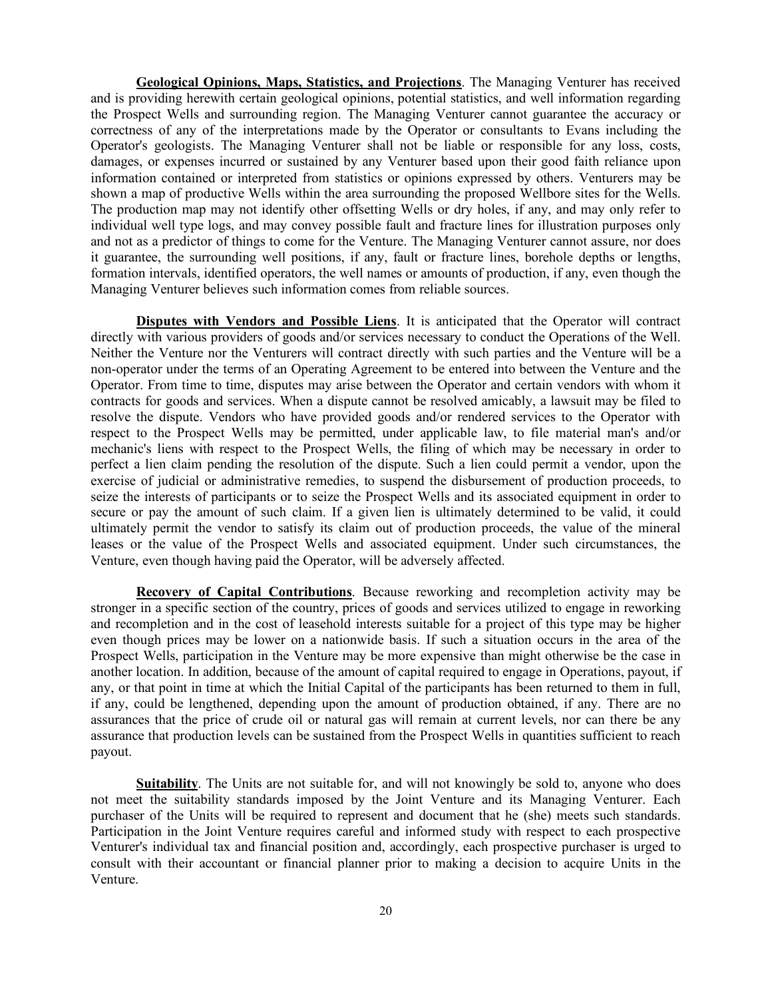**Geological Opinions, Maps, Statistics, and Projections**. The Managing Venturer has received and is providing herewith certain geological opinions, potential statistics, and well information regarding the Prospect Wells and surrounding region. The Managing Venturer cannot guarantee the accuracy or correctness of any of the interpretations made by the Operator or consultants to Evans including the Operator's geologists. The Managing Venturer shall not be liable or responsible for any loss, costs, damages, or expenses incurred or sustained by any Venturer based upon their good faith reliance upon information contained or interpreted from statistics or opinions expressed by others. Venturers may be shown a map of productive Wells within the area surrounding the proposed Wellbore sites for the Wells. The production map may not identify other offsetting Wells or dry holes, if any, and may only refer to individual well type logs, and may convey possible fault and fracture lines for illustration purposes only and not as a predictor of things to come for the Venture. The Managing Venturer cannot assure, nor does it guarantee, the surrounding well positions, if any, fault or fracture lines, borehole depths or lengths, formation intervals, identified operators, the well names or amounts of production, if any, even though the Managing Venturer believes such information comes from reliable sources.

**Disputes with Vendors and Possible Liens**. It is anticipated that the Operator will contract directly with various providers of goods and/or services necessary to conduct the Operations of the Well. Neither the Venture nor the Venturers will contract directly with such parties and the Venture will be a non-operator under the terms of an Operating Agreement to be entered into between the Venture and the Operator. From time to time, disputes may arise between the Operator and certain vendors with whom it contracts for goods and services. When a dispute cannot be resolved amicably, a lawsuit may be filed to resolve the dispute. Vendors who have provided goods and/or rendered services to the Operator with respect to the Prospect Wells may be permitted, under applicable law, to file material man's and/or mechanic's liens with respect to the Prospect Wells, the filing of which may be necessary in order to perfect a lien claim pending the resolution of the dispute. Such a lien could permit a vendor, upon the exercise of judicial or administrative remedies, to suspend the disbursement of production proceeds, to seize the interests of participants or to seize the Prospect Wells and its associated equipment in order to secure or pay the amount of such claim. If a given lien is ultimately determined to be valid, it could ultimately permit the vendor to satisfy its claim out of production proceeds, the value of the mineral leases or the value of the Prospect Wells and associated equipment. Under such circumstances, the Venture, even though having paid the Operator, will be adversely affected.

**Recovery of Capital Contributions**. Because reworking and recompletion activity may be stronger in a specific section of the country, prices of goods and services utilized to engage in reworking and recompletion and in the cost of leasehold interests suitable for a project of this type may be higher even though prices may be lower on a nationwide basis. If such a situation occurs in the area of the Prospect Wells, participation in the Venture may be more expensive than might otherwise be the case in another location. In addition, because of the amount of capital required to engage in Operations, payout, if any, or that point in time at which the Initial Capital of the participants has been returned to them in full, if any, could be lengthened, depending upon the amount of production obtained, if any. There are no assurances that the price of crude oil or natural gas will remain at current levels, nor can there be any assurance that production levels can be sustained from the Prospect Wells in quantities sufficient to reach payout.

**Suitability**. The Units are not suitable for, and will not knowingly be sold to, anyone who does not meet the suitability standards imposed by the Joint Venture and its Managing Venturer. Each purchaser of the Units will be required to represent and document that he (she) meets such standards. Participation in the Joint Venture requires careful and informed study with respect to each prospective Venturer's individual tax and financial position and, accordingly, each prospective purchaser is urged to consult with their accountant or financial planner prior to making a decision to acquire Units in the Venture.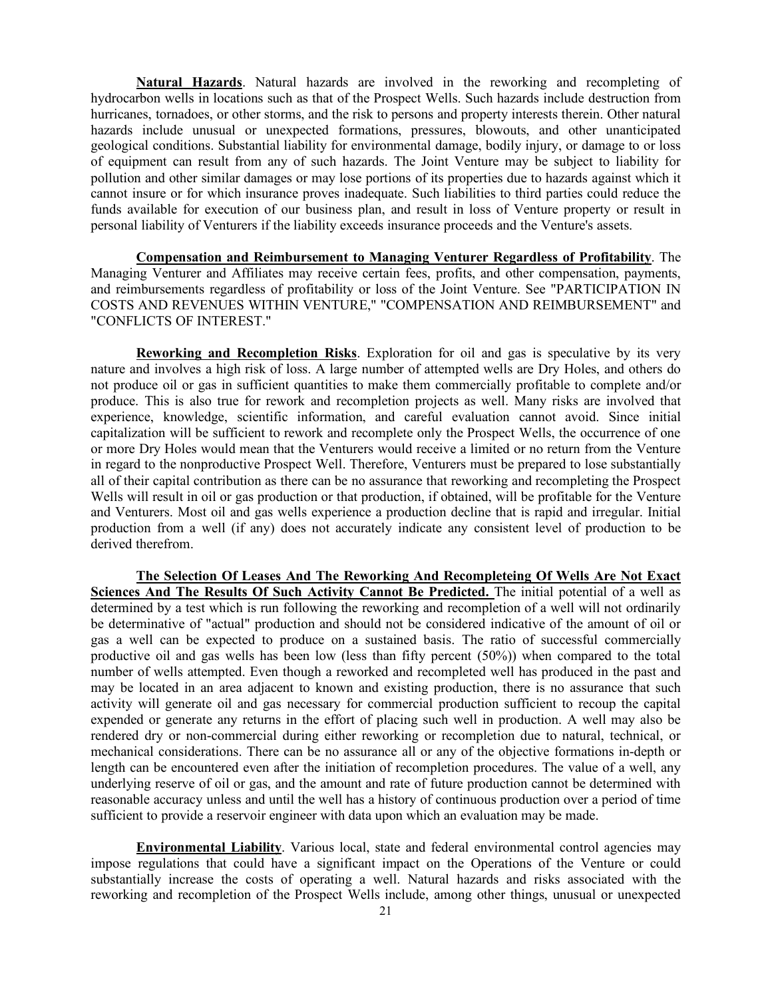**Natural Hazards**. Natural hazards are involved in the reworking and recompleting of hydrocarbon wells in locations such as that of the Prospect Wells. Such hazards include destruction from hurricanes, tornadoes, or other storms, and the risk to persons and property interests therein. Other natural hazards include unusual or unexpected formations, pressures, blowouts, and other unanticipated geological conditions. Substantial liability for environmental damage, bodily injury, or damage to or loss of equipment can result from any of such hazards. The Joint Venture may be subject to liability for pollution and other similar damages or may lose portions of its properties due to hazards against which it cannot insure or for which insurance proves inadequate. Such liabilities to third parties could reduce the funds available for execution of our business plan, and result in loss of Venture property or result in personal liability of Venturers if the liability exceeds insurance proceeds and the Venture's assets.

**Compensation and Reimbursement to Managing Venturer Regardless of Profitability**. The Managing Venturer and Affiliates may receive certain fees, profits, and other compensation, payments, and reimbursements regardless of profitability or loss of the Joint Venture. See "PARTICIPATION IN COSTS AND REVENUES WITHIN VENTURE," "COMPENSATION AND REIMBURSEMENT" and "CONFLICTS OF INTEREST."

**Reworking and Recompletion Risks**. Exploration for oil and gas is speculative by its very nature and involves a high risk of loss. A large number of attempted wells are Dry Holes, and others do not produce oil or gas in sufficient quantities to make them commercially profitable to complete and/or produce. This is also true for rework and recompletion projects as well. Many risks are involved that experience, knowledge, scientific information, and careful evaluation cannot avoid. Since initial capitalization will be sufficient to rework and recomplete only the Prospect Wells, the occurrence of one or more Dry Holes would mean that the Venturers would receive a limited or no return from the Venture in regard to the nonproductive Prospect Well. Therefore, Venturers must be prepared to lose substantially all of their capital contribution as there can be no assurance that reworking and recompleting the Prospect Wells will result in oil or gas production or that production, if obtained, will be profitable for the Venture and Venturers. Most oil and gas wells experience a production decline that is rapid and irregular. Initial production from a well (if any) does not accurately indicate any consistent level of production to be derived therefrom.

**The Selection Of Leases And The Reworking And Recompleteing Of Wells Are Not Exact Sciences And The Results Of Such Activity Cannot Be Predicted.** The initial potential of a well as determined by a test which is run following the reworking and recompletion of a well will not ordinarily be determinative of "actual" production and should not be considered indicative of the amount of oil or gas a well can be expected to produce on a sustained basis. The ratio of successful commercially productive oil and gas wells has been low (less than fifty percent (50%)) when compared to the total number of wells attempted. Even though a reworked and recompleted well has produced in the past and may be located in an area adjacent to known and existing production, there is no assurance that such activity will generate oil and gas necessary for commercial production sufficient to recoup the capital expended or generate any returns in the effort of placing such well in production. A well may also be rendered dry or non-commercial during either reworking or recompletion due to natural, technical, or mechanical considerations. There can be no assurance all or any of the objective formations in-depth or length can be encountered even after the initiation of recompletion procedures. The value of a well, any underlying reserve of oil or gas, and the amount and rate of future production cannot be determined with reasonable accuracy unless and until the well has a history of continuous production over a period of time sufficient to provide a reservoir engineer with data upon which an evaluation may be made.

**Environmental Liability**. Various local, state and federal environmental control agencies may impose regulations that could have a significant impact on the Operations of the Venture or could substantially increase the costs of operating a well. Natural hazards and risks associated with the reworking and recompletion of the Prospect Wells include, among other things, unusual or unexpected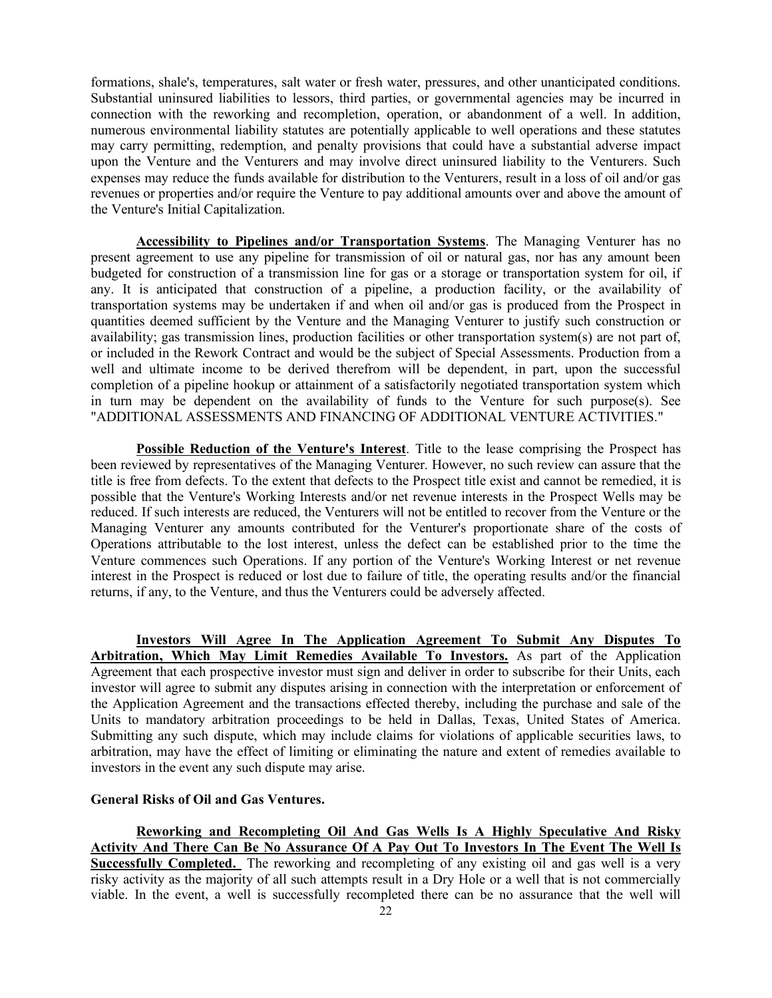formations, shale's, temperatures, salt water or fresh water, pressures, and other unanticipated conditions. Substantial uninsured liabilities to lessors, third parties, or governmental agencies may be incurred in connection with the reworking and recompletion, operation, or abandonment of a well. In addition, numerous environmental liability statutes are potentially applicable to well operations and these statutes may carry permitting, redemption, and penalty provisions that could have a substantial adverse impact upon the Venture and the Venturers and may involve direct uninsured liability to the Venturers. Such expenses may reduce the funds available for distribution to the Venturers, result in a loss of oil and/or gas revenues or properties and/or require the Venture to pay additional amounts over and above the amount of the Venture's Initial Capitalization.

**Accessibility to Pipelines and/or Transportation Systems**. The Managing Venturer has no present agreement to use any pipeline for transmission of oil or natural gas, nor has any amount been budgeted for construction of a transmission line for gas or a storage or transportation system for oil, if any. It is anticipated that construction of a pipeline, a production facility, or the availability of transportation systems may be undertaken if and when oil and/or gas is produced from the Prospect in quantities deemed sufficient by the Venture and the Managing Venturer to justify such construction or availability; gas transmission lines, production facilities or other transportation system(s) are not part of, or included in the Rework Contract and would be the subject of Special Assessments. Production from a well and ultimate income to be derived therefrom will be dependent, in part, upon the successful completion of a pipeline hookup or attainment of a satisfactorily negotiated transportation system which in turn may be dependent on the availability of funds to the Venture for such purpose(s). See "ADDITIONAL ASSESSMENTS AND FINANCING OF ADDITIONAL VENTURE ACTIVITIES."

**Possible Reduction of the Venture's Interest**. Title to the lease comprising the Prospect has been reviewed by representatives of the Managing Venturer. However, no such review can assure that the title is free from defects. To the extent that defects to the Prospect title exist and cannot be remedied, it is possible that the Venture's Working Interests and/or net revenue interests in the Prospect Wells may be reduced. If such interests are reduced, the Venturers will not be entitled to recover from the Venture or the Managing Venturer any amounts contributed for the Venturer's proportionate share of the costs of Operations attributable to the lost interest, unless the defect can be established prior to the time the Venture commences such Operations. If any portion of the Venture's Working Interest or net revenue interest in the Prospect is reduced or lost due to failure of title, the operating results and/or the financial returns, if any, to the Venture, and thus the Venturers could be adversely affected.

**Investors Will Agree In The Application Agreement To Submit Any Disputes To Arbitration, Which May Limit Remedies Available To Investors.** As part of the Application Agreement that each prospective investor must sign and deliver in order to subscribe for their Units, each investor will agree to submit any disputes arising in connection with the interpretation or enforcement of the Application Agreement and the transactions effected thereby, including the purchase and sale of the Units to mandatory arbitration proceedings to be held in Dallas, Texas, United States of America. Submitting any such dispute, which may include claims for violations of applicable securities laws, to arbitration, may have the effect of limiting or eliminating the nature and extent of remedies available to investors in the event any such dispute may arise.

## **General Risks of Oil and Gas Ventures.**

**Reworking and Recompleting Oil And Gas Wells Is A Highly Speculative And Risky Activity And There Can Be No Assurance Of A Pay Out To Investors In The Event The Well Is Successfully Completed.** The reworking and recompleting of any existing oil and gas well is a very risky activity as the majority of all such attempts result in a Dry Hole or a well that is not commercially viable. In the event, a well is successfully recompleted there can be no assurance that the well will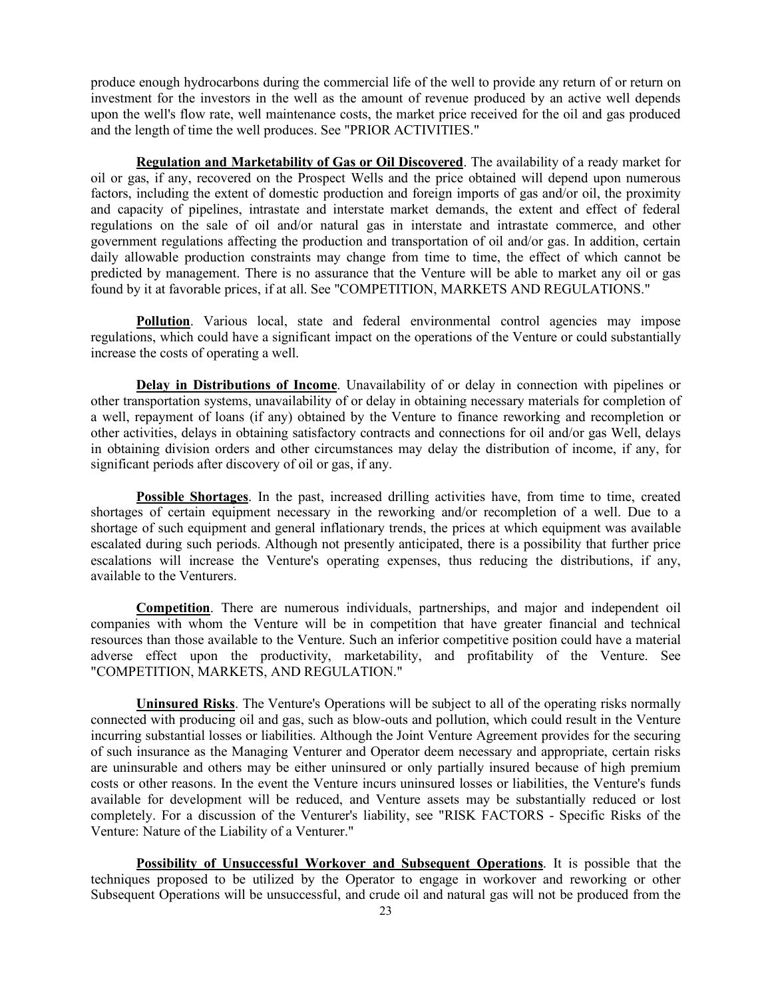produce enough hydrocarbons during the commercial life of the well to provide any return of or return on investment for the investors in the well as the amount of revenue produced by an active well depends upon the well's flow rate, well maintenance costs, the market price received for the oil and gas produced and the length of time the well produces. See "PRIOR ACTIVITIES."

**Regulation and Marketability of Gas or Oil Discovered**. The availability of a ready market for oil or gas, if any, recovered on the Prospect Wells and the price obtained will depend upon numerous factors, including the extent of domestic production and foreign imports of gas and/or oil, the proximity and capacity of pipelines, intrastate and interstate market demands, the extent and effect of federal regulations on the sale of oil and/or natural gas in interstate and intrastate commerce, and other government regulations affecting the production and transportation of oil and/or gas. In addition, certain daily allowable production constraints may change from time to time, the effect of which cannot be predicted by management. There is no assurance that the Venture will be able to market any oil or gas found by it at favorable prices, if at all. See "COMPETITION, MARKETS AND REGULATIONS."

**Pollution**. Various local, state and federal environmental control agencies may impose regulations, which could have a significant impact on the operations of the Venture or could substantially increase the costs of operating a well.

**Delay in Distributions of Income**. Unavailability of or delay in connection with pipelines or other transportation systems, unavailability of or delay in obtaining necessary materials for completion of a well, repayment of loans (if any) obtained by the Venture to finance reworking and recompletion or other activities, delays in obtaining satisfactory contracts and connections for oil and/or gas Well, delays in obtaining division orders and other circumstances may delay the distribution of income, if any, for significant periods after discovery of oil or gas, if any.

**Possible Shortages**. In the past, increased drilling activities have, from time to time, created shortages of certain equipment necessary in the reworking and/or recompletion of a well. Due to a shortage of such equipment and general inflationary trends, the prices at which equipment was available escalated during such periods. Although not presently anticipated, there is a possibility that further price escalations will increase the Venture's operating expenses, thus reducing the distributions, if any, available to the Venturers.

**Competition**. There are numerous individuals, partnerships, and major and independent oil companies with whom the Venture will be in competition that have greater financial and technical resources than those available to the Venture. Such an inferior competitive position could have a material adverse effect upon the productivity, marketability, and profitability of the Venture. See "COMPETITION, MARKETS, AND REGULATION."

**Uninsured Risks**. The Venture's Operations will be subject to all of the operating risks normally connected with producing oil and gas, such as blow-outs and pollution, which could result in the Venture incurring substantial losses or liabilities. Although the Joint Venture Agreement provides for the securing of such insurance as the Managing Venturer and Operator deem necessary and appropriate, certain risks are uninsurable and others may be either uninsured or only partially insured because of high premium costs or other reasons. In the event the Venture incurs uninsured losses or liabilities, the Venture's funds available for development will be reduced, and Venture assets may be substantially reduced or lost completely. For a discussion of the Venturer's liability, see "RISK FACTORS - Specific Risks of the Venture: Nature of the Liability of a Venturer."

**Possibility of Unsuccessful Workover and Subsequent Operations**. It is possible that the techniques proposed to be utilized by the Operator to engage in workover and reworking or other Subsequent Operations will be unsuccessful, and crude oil and natural gas will not be produced from the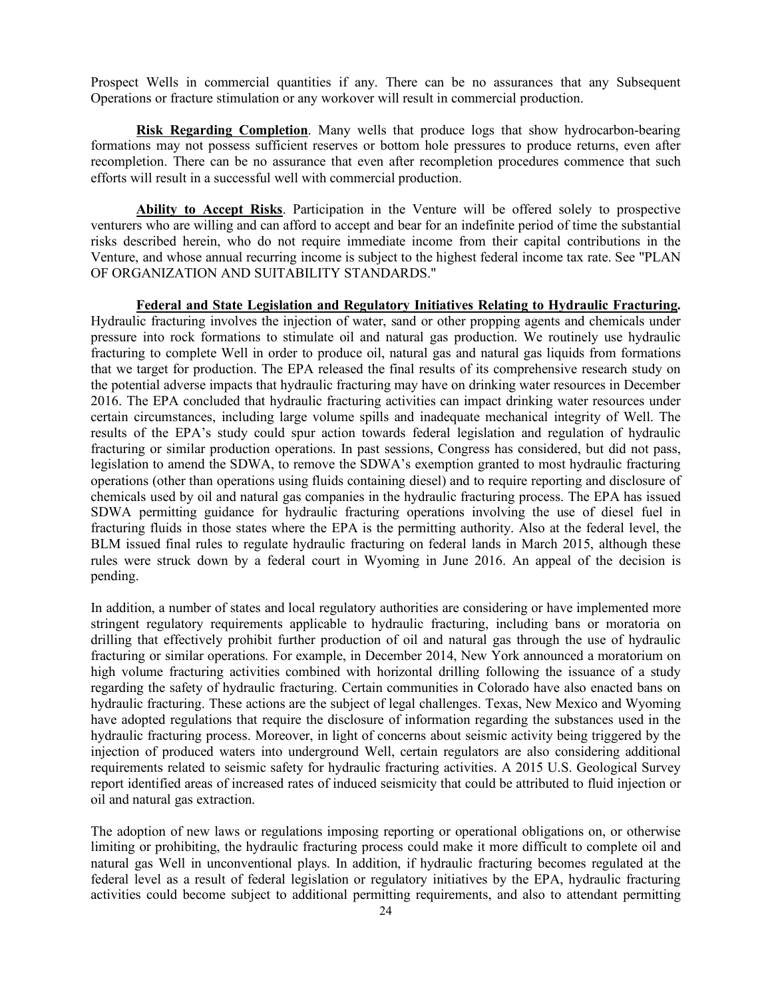Prospect Wells in commercial quantities if any. There can be no assurances that any Subsequent Operations or fracture stimulation or any workover will result in commercial production.

**Risk Regarding Completion**. Many wells that produce logs that show hydrocarbon-bearing formations may not possess sufficient reserves or bottom hole pressures to produce returns, even after recompletion. There can be no assurance that even after recompletion procedures commence that such efforts will result in a successful well with commercial production.

**Ability to Accept Risks**. Participation in the Venture will be offered solely to prospective venturers who are willing and can afford to accept and bear for an indefinite period of time the substantial risks described herein, who do not require immediate income from their capital contributions in the Venture, and whose annual recurring income is subject to the highest federal income tax rate. See "PLAN OF ORGANIZATION AND SUITABILITY STANDARDS."

**Federal and State Legislation and Regulatory Initiatives Relating to Hydraulic Fracturing.**  Hydraulic fracturing involves the injection of water, sand or other propping agents and chemicals under pressure into rock formations to stimulate oil and natural gas production. We routinely use hydraulic fracturing to complete Well in order to produce oil, natural gas and natural gas liquids from formations that we target for production. The EPA released the final results of its comprehensive research study on the potential adverse impacts that hydraulic fracturing may have on drinking water resources in December 2016. The EPA concluded that hydraulic fracturing activities can impact drinking water resources under certain circumstances, including large volume spills and inadequate mechanical integrity of Well. The results of the EPA's study could spur action towards federal legislation and regulation of hydraulic fracturing or similar production operations. In past sessions, Congress has considered, but did not pass, legislation to amend the SDWA, to remove the SDWA's exemption granted to most hydraulic fracturing operations (other than operations using fluids containing diesel) and to require reporting and disclosure of chemicals used by oil and natural gas companies in the hydraulic fracturing process. The EPA has issued SDWA permitting guidance for hydraulic fracturing operations involving the use of diesel fuel in fracturing fluids in those states where the EPA is the permitting authority. Also at the federal level, the BLM issued final rules to regulate hydraulic fracturing on federal lands in March 2015, although these rules were struck down by a federal court in Wyoming in June 2016. An appeal of the decision is pending.

In addition, a number of states and local regulatory authorities are considering or have implemented more stringent regulatory requirements applicable to hydraulic fracturing, including bans or moratoria on drilling that effectively prohibit further production of oil and natural gas through the use of hydraulic fracturing or similar operations. For example, in December 2014, New York announced a moratorium on high volume fracturing activities combined with horizontal drilling following the issuance of a study regarding the safety of hydraulic fracturing. Certain communities in Colorado have also enacted bans on hydraulic fracturing. These actions are the subject of legal challenges. Texas, New Mexico and Wyoming have adopted regulations that require the disclosure of information regarding the substances used in the hydraulic fracturing process. Moreover, in light of concerns about seismic activity being triggered by the injection of produced waters into underground Well, certain regulators are also considering additional requirements related to seismic safety for hydraulic fracturing activities. A 2015 U.S. Geological Survey report identified areas of increased rates of induced seismicity that could be attributed to fluid injection or oil and natural gas extraction.

The adoption of new laws or regulations imposing reporting or operational obligations on, or otherwise limiting or prohibiting, the hydraulic fracturing process could make it more difficult to complete oil and natural gas Well in unconventional plays. In addition, if hydraulic fracturing becomes regulated at the federal level as a result of federal legislation or regulatory initiatives by the EPA, hydraulic fracturing activities could become subject to additional permitting requirements, and also to attendant permitting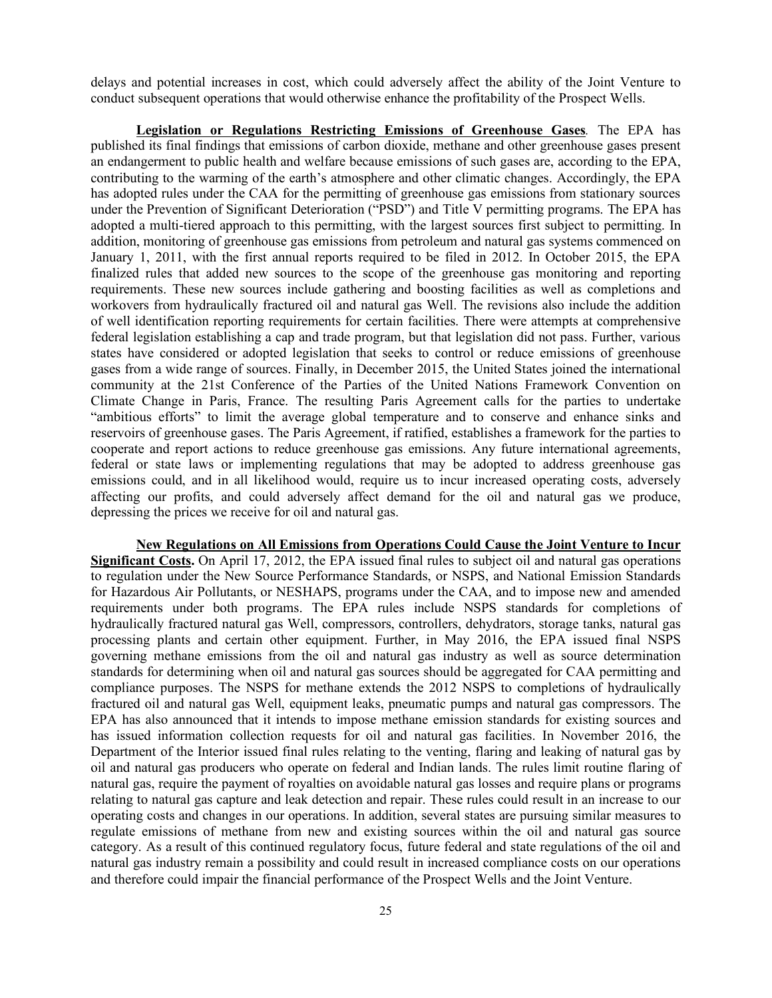delays and potential increases in cost, which could adversely affect the ability of the Joint Venture to conduct subsequent operations that would otherwise enhance the profitability of the Prospect Wells.

**Legislation or Regulations Restricting Emissions of Greenhouse Gases***.* The EPA has published its final findings that emissions of carbon dioxide, methane and other greenhouse gases present an endangerment to public health and welfare because emissions of such gases are, according to the EPA, contributing to the warming of the earth's atmosphere and other climatic changes. Accordingly, the EPA has adopted rules under the CAA for the permitting of greenhouse gas emissions from stationary sources under the Prevention of Significant Deterioration ("PSD") and Title V permitting programs. The EPA has adopted a multi-tiered approach to this permitting, with the largest sources first subject to permitting. In addition, monitoring of greenhouse gas emissions from petroleum and natural gas systems commenced on January 1, 2011, with the first annual reports required to be filed in 2012. In October 2015, the EPA finalized rules that added new sources to the scope of the greenhouse gas monitoring and reporting requirements. These new sources include gathering and boosting facilities as well as completions and workovers from hydraulically fractured oil and natural gas Well. The revisions also include the addition of well identification reporting requirements for certain facilities. There were attempts at comprehensive federal legislation establishing a cap and trade program, but that legislation did not pass. Further, various states have considered or adopted legislation that seeks to control or reduce emissions of greenhouse gases from a wide range of sources. Finally, in December 2015, the United States joined the international community at the 21st Conference of the Parties of the United Nations Framework Convention on Climate Change in Paris, France. The resulting Paris Agreement calls for the parties to undertake "ambitious efforts" to limit the average global temperature and to conserve and enhance sinks and reservoirs of greenhouse gases. The Paris Agreement, if ratified, establishes a framework for the parties to cooperate and report actions to reduce greenhouse gas emissions. Any future international agreements, federal or state laws or implementing regulations that may be adopted to address greenhouse gas emissions could, and in all likelihood would, require us to incur increased operating costs, adversely affecting our profits, and could adversely affect demand for the oil and natural gas we produce, depressing the prices we receive for oil and natural gas.

**New Regulations on All Emissions from Operations Could Cause the Joint Venture to Incur Significant Costs.** On April 17, 2012, the EPA issued final rules to subject oil and natural gas operations to regulation under the New Source Performance Standards, or NSPS, and National Emission Standards for Hazardous Air Pollutants, or NESHAPS, programs under the CAA, and to impose new and amended requirements under both programs. The EPA rules include NSPS standards for completions of hydraulically fractured natural gas Well, compressors, controllers, dehydrators, storage tanks, natural gas processing plants and certain other equipment. Further, in May 2016, the EPA issued final NSPS governing methane emissions from the oil and natural gas industry as well as source determination standards for determining when oil and natural gas sources should be aggregated for CAA permitting and compliance purposes. The NSPS for methane extends the 2012 NSPS to completions of hydraulically fractured oil and natural gas Well, equipment leaks, pneumatic pumps and natural gas compressors. The EPA has also announced that it intends to impose methane emission standards for existing sources and has issued information collection requests for oil and natural gas facilities. In November 2016, the Department of the Interior issued final rules relating to the venting, flaring and leaking of natural gas by oil and natural gas producers who operate on federal and Indian lands. The rules limit routine flaring of natural gas, require the payment of royalties on avoidable natural gas losses and require plans or programs relating to natural gas capture and leak detection and repair. These rules could result in an increase to our operating costs and changes in our operations. In addition, several states are pursuing similar measures to regulate emissions of methane from new and existing sources within the oil and natural gas source category. As a result of this continued regulatory focus, future federal and state regulations of the oil and natural gas industry remain a possibility and could result in increased compliance costs on our operations and therefore could impair the financial performance of the Prospect Wells and the Joint Venture.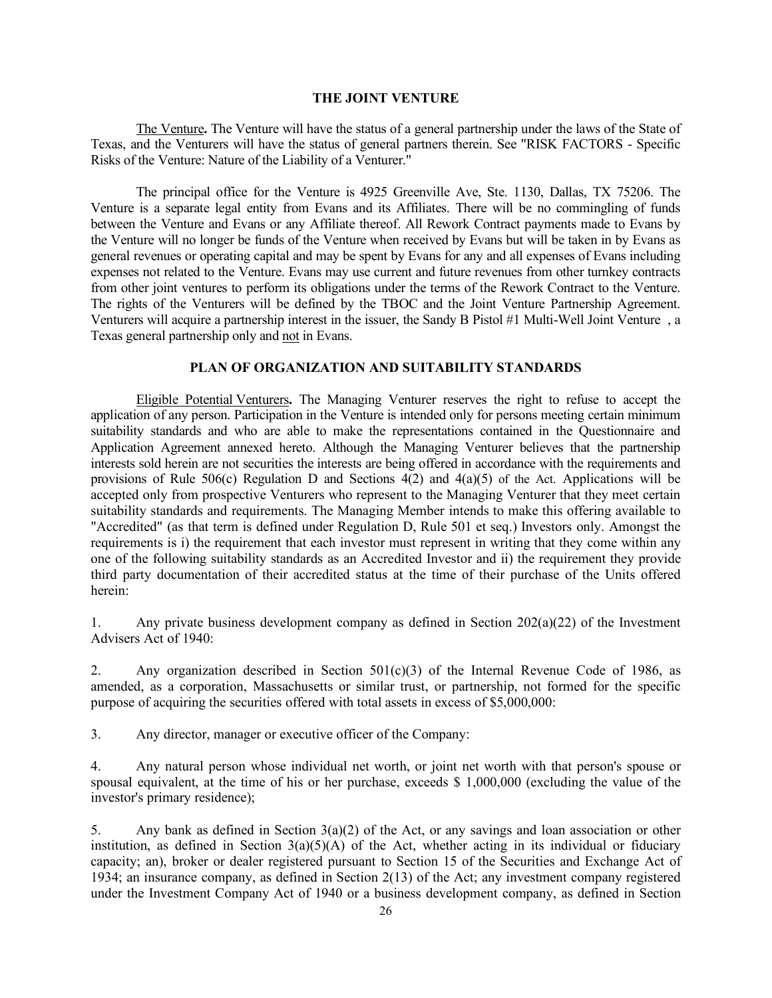## **THE JOINT VENTURE**

The Venture**.** The Venture will have the status of a general partnership under the laws of the State of Texas, and the Venturers will have the status of general partners therein. See "RISK FACTORS - Specific Risks of the Venture: Nature of the Liability of a Venturer."

The principal office for the Venture is 4925 Greenville Ave, Ste. 1130, Dallas, TX 75206. The Venture is a separate legal entity from Evans and its Affiliates. There will be no commingling of funds between the Venture and Evans or any Affiliate thereof. All Rework Contract payments made to Evans by the Venture will no longer be funds of the Venture when received by Evans but will be taken in by Evans as general revenues or operating capital and may be spent by Evans for any and all expenses of Evans including expenses not related to the Venture. Evans may use current and future revenues from other turnkey contracts from other joint ventures to perform its obligations under the terms of the Rework Contract to the Venture. The rights of the Venturers will be defined by the TBOC and the Joint Venture Partnership Agreement. Venturers will acquire a partnership interest in the issuer, the Sandy B Pistol #1 Multi-Well Joint Venture , a Texas general partnership only and not in Evans.

## **PLAN OF ORGANIZATION AND SUITABILITY STANDARDS**

Eligible Potential Venturers**.** The Managing Venturer reserves the right to refuse to accept the application of any person. Participation in the Venture is intended only for persons meeting certain minimum suitability standards and who are able to make the representations contained in the Questionnaire and Application Agreement annexed hereto. Although the Managing Venturer believes that the partnership interests sold herein are not securities the interests are being offered in accordance with the requirements and provisions of Rule 506(c) Regulation D and Sections 4(2) and 4(a)(5) of the Act. Applications will be accepted only from prospective Venturers who represent to the Managing Venturer that they meet certain suitability standards and requirements. The Managing Member intends to make this offering available to "Accredited" (as that term is defined under Regulation D, Rule 501 et seq.) Investors only. Amongst the requirements is i) the requirement that each investor must represent in writing that they come within any one of the following suitability standards as an Accredited Investor and ii) the requirement they provide third party documentation of their accredited status at the time of their purchase of the Units offered herein:

1. Any private business development company as defined in Section 202(a)(22) of the Investment Advisers Act of 1940:

2. Any organization described in Section  $501(c)(3)$  of the Internal Revenue Code of 1986, as amended, as a corporation, Massachusetts or similar trust, or partnership, not formed for the specific purpose of acquiring the securities offered with total assets in excess of \$5,000,000:

3. Any director, manager or executive officer of the Company:

4. Any natural person whose individual net worth, or joint net worth with that person's spouse or spousal equivalent, at the time of his or her purchase, exceeds \$ 1,000,000 (excluding the value of the investor's primary residence);

5. Any bank as defined in Section 3(a)(2) of the Act, or any savings and loan association or other institution, as defined in Section  $3(a)(5)(A)$  of the Act, whether acting in its individual or fiduciary capacity; an), broker or dealer registered pursuant to Section 15 of the Securities and Exchange Act of 1934; an insurance company, as defined in Section 2(13) of the Act; any investment company registered under the Investment Company Act of 1940 or a business development company, as defined in Section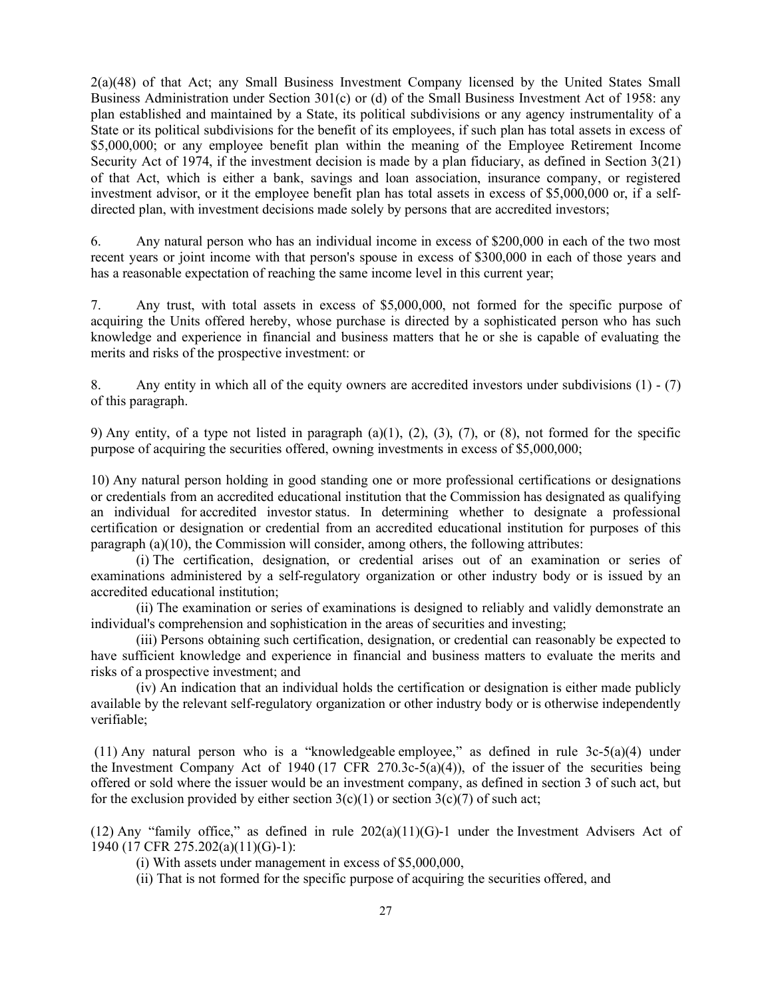2(a)(48) of that Act; any Small Business Investment Company licensed by the United States Small Business Administration under Section 301(c) or (d) of the Small Business Investment Act of 1958: any plan established and maintained by a State, its political subdivisions or any agency instrumentality of a State or its political subdivisions for the benefit of its employees, if such plan has total assets in excess of \$5,000,000; or any employee benefit plan within the meaning of the Employee Retirement Income Security Act of 1974, if the investment decision is made by a plan fiduciary, as defined in Section 3(21) of that Act, which is either a bank, savings and loan association, insurance company, or registered investment advisor, or it the employee benefit plan has total assets in excess of \$5,000,000 or, if a selfdirected plan, with investment decisions made solely by persons that are accredited investors;

6. Any natural person who has an individual income in excess of \$200,000 in each of the two most recent years or joint income with that person's spouse in excess of \$300,000 in each of those years and has a reasonable expectation of reaching the same income level in this current year;

7. Any trust, with total assets in excess of \$5,000,000, not formed for the specific purpose of acquiring the Units offered hereby, whose purchase is directed by a sophisticated person who has such knowledge and experience in financial and business matters that he or she is capable of evaluating the merits and risks of the prospective investment: or

8. Any entity in which all of the equity owners are accredited investors under subdivisions (1) - (7) of this paragraph.

9) Any entity, of a type not listed in paragraph  $(a)(1)$ ,  $(2)$ ,  $(3)$ ,  $(7)$ , or  $(8)$ , not formed for the specific purpose of acquiring the securities offered, owning investments in excess of \$5,000,000;

10) Any natural person holding in good standing one or more professional certifications or designations or credentials from an accredited educational institution that the Commission has designated as qualifying an individual for accredited investor status. In determining whether to designate a professional certification or designation or credential from an accredited educational institution for purposes of this paragraph (a)(10), the Commission will consider, among others, the following attributes:

(i) The certification, designation, or credential arises out of an examination or series of examinations administered by a self-regulatory organization or other industry body or is issued by an accredited educational institution;

(ii) The examination or series of examinations is designed to reliably and validly demonstrate an individual's comprehension and sophistication in the areas of securities and investing;

(iii) Persons obtaining such certification, designation, or credential can reasonably be expected to have sufficient knowledge and experience in financial and business matters to evaluate the merits and risks of a prospective investment; and

(iv) An indication that an individual holds the certification or designation is either made publicly available by the relevant self-regulatory organization or other industry body or is otherwise independently verifiable;

(11) Any natural person who is a "knowledgeable employee," as defined in rule 3c-5(a)(4) under the Investment Company Act of 1940 (17 CFR 270.3c-5(a)(4)), of the issuer of the securities being offered or sold where the issuer would be an investment company, as defined in section 3 of such act, but for the exclusion provided by either section  $3(c)(1)$  or section  $3(c)(7)$  of such act;

(12) Any "family office," as defined in rule 202(a)(11)(G)-1 under the Investment Advisers Act of 1940 (17 CFR 275.202(a)(11)(G)-1):

(i) With assets under management in excess of \$5,000,000,

(ii) That is not formed for the specific purpose of acquiring the securities offered, and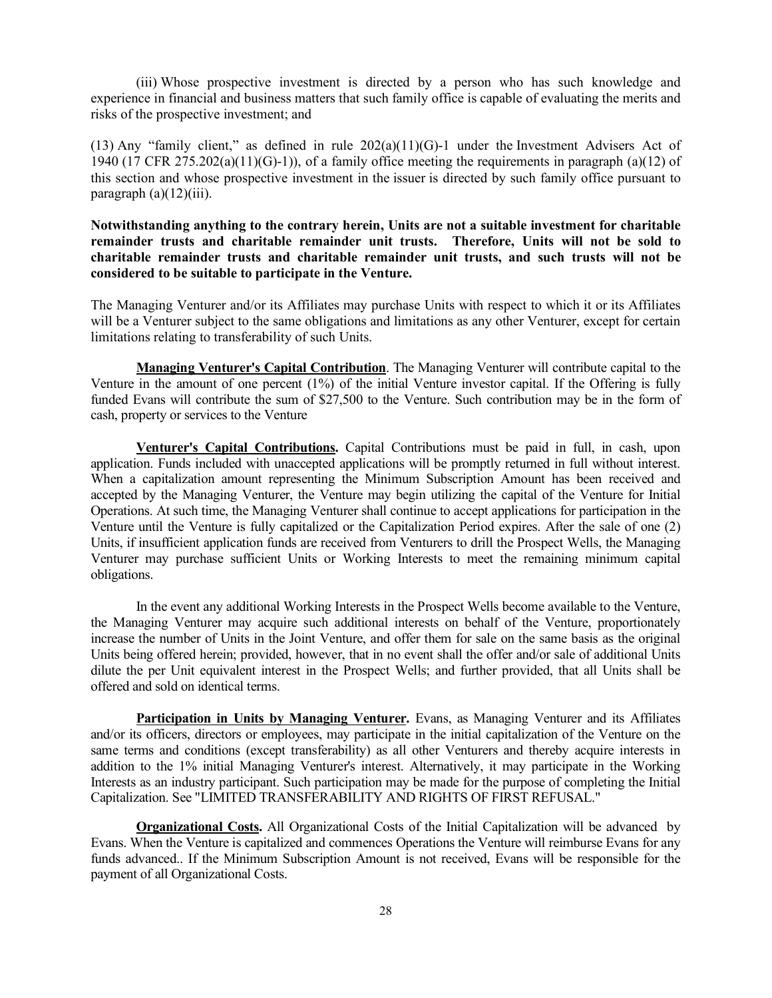(iii) Whose prospective investment is directed by a person who has such knowledge and experience in financial and business matters that such family office is capable of evaluating the merits and risks of the prospective investment; and

(13) Any "family client," as defined in rule 202(a)(11)(G)-1 under the Investment Advisers Act of 1940 (17 CFR 275.202(a)(11)(G)-1)), of a family office meeting the requirements in paragraph (a)(12) of this section and whose prospective investment in the issuer is directed by such family office pursuant to paragraph  $(a)(12)(iii)$ .

**Notwithstanding anything to the contrary herein, Units are not a suitable investment for charitable remainder trusts and charitable remainder unit trusts. Therefore, Units will not be sold to charitable remainder trusts and charitable remainder unit trusts, and such trusts will not be considered to be suitable to participate in the Venture.**

The Managing Venturer and/or its Affiliates may purchase Units with respect to which it or its Affiliates will be a Venturer subject to the same obligations and limitations as any other Venturer, except for certain limitations relating to transferability of such Units.

**Managing Venturer's Capital Contribution**. The Managing Venturer will contribute capital to the Venture in the amount of one percent (1%) of the initial Venture investor capital. If the Offering is fully funded Evans will contribute the sum of \$27,500 to the Venture. Such contribution may be in the form of cash, property or services to the Venture

**Venturer's Capital Contributions.** Capital Contributions must be paid in full, in cash, upon application. Funds included with unaccepted applications will be promptly returned in full without interest. When a capitalization amount representing the Minimum Subscription Amount has been received and accepted by the Managing Venturer, the Venture may begin utilizing the capital of the Venture for Initial Operations. At such time, the Managing Venturer shall continue to accept applications for participation in the Venture until the Venture is fully capitalized or the Capitalization Period expires. After the sale of one (2) Units, if insufficient application funds are received from Venturers to drill the Prospect Wells, the Managing Venturer may purchase sufficient Units or Working Interests to meet the remaining minimum capital obligations.

In the event any additional Working Interests in the Prospect Wells become available to the Venture, the Managing Venturer may acquire such additional interests on behalf of the Venture, proportionately increase the number of Units in the Joint Venture, and offer them for sale on the same basis as the original Units being offered herein; provided, however, that in no event shall the offer and/or sale of additional Units dilute the per Unit equivalent interest in the Prospect Wells; and further provided, that all Units shall be offered and sold on identical terms.

**Participation in Units by Managing Venturer.** Evans, as Managing Venturer and its Affiliates and/or its officers, directors or employees, may participate in the initial capitalization of the Venture on the same terms and conditions (except transferability) as all other Venturers and thereby acquire interests in addition to the 1% initial Managing Venturer's interest. Alternatively, it may participate in the Working Interests as an industry participant. Such participation may be made for the purpose of completing the Initial Capitalization. See "LIMITED TRANSFERABILITY AND RIGHTS OF FIRST REFUSAL."

**Organizational Costs.** All Organizational Costs of the Initial Capitalization will be advanced by Evans. When the Venture is capitalized and commences Operations the Venture will reimburse Evans for any funds advanced.. If the Minimum Subscription Amount is not received, Evans will be responsible for the payment of all Organizational Costs.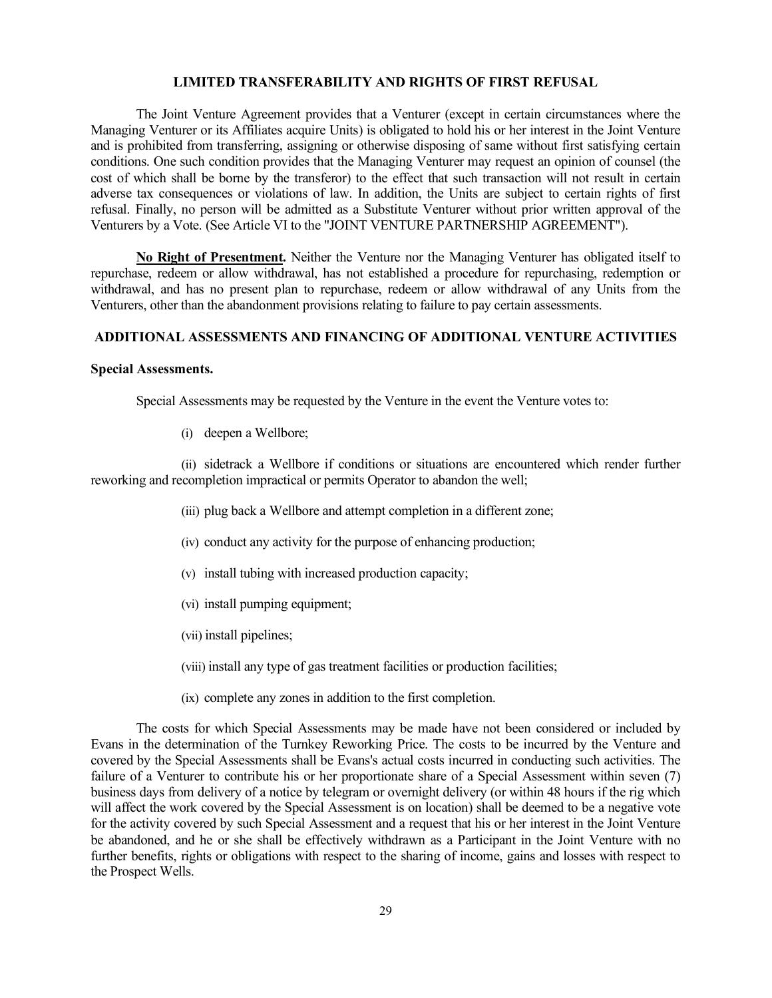## **LIMITED TRANSFERABILITY AND RIGHTS OF FIRST REFUSAL**

The Joint Venture Agreement provides that a Venturer (except in certain circumstances where the Managing Venturer or its Affiliates acquire Units) is obligated to hold his or her interest in the Joint Venture and is prohibited from transferring, assigning or otherwise disposing of same without first satisfying certain conditions. One such condition provides that the Managing Venturer may request an opinion of counsel (the cost of which shall be borne by the transferor) to the effect that such transaction will not result in certain adverse tax consequences or violations of law. In addition, the Units are subject to certain rights of first refusal. Finally, no person will be admitted as a Substitute Venturer without prior written approval of the Venturers by a Vote. (See Article VI to the "JOINT VENTURE PARTNERSHIP AGREEMENT").

**No Right of Presentment.** Neither the Venture nor the Managing Venturer has obligated itself to repurchase, redeem or allow withdrawal, has not established a procedure for repurchasing, redemption or withdrawal, and has no present plan to repurchase, redeem or allow withdrawal of any Units from the Venturers, other than the abandonment provisions relating to failure to pay certain assessments.

### **ADDITIONAL ASSESSMENTS AND FINANCING OF ADDITIONAL VENTURE ACTIVITIES**

#### **Special Assessments.**

Special Assessments may be requested by the Venture in the event the Venture votes to:

(i) deepen a Wellbore;

(ii) sidetrack a Wellbore if conditions or situations are encountered which render further reworking and recompletion impractical or permits Operator to abandon the well;

- (iii) plug back a Wellbore and attempt completion in a different zone;
- (iv) conduct any activity for the purpose of enhancing production;
- (v) install tubing with increased production capacity;
- (vi) install pumping equipment;
- (vii) install pipelines;
- (viii) install any type of gas treatment facilities or production facilities;
- (ix) complete any zones in addition to the first completion.

The costs for which Special Assessments may be made have not been considered or included by Evans in the determination of the Turnkey Reworking Price. The costs to be incurred by the Venture and covered by the Special Assessments shall be Evans's actual costs incurred in conducting such activities. The failure of a Venturer to contribute his or her proportionate share of a Special Assessment within seven (7) business days from delivery of a notice by telegram or overnight delivery (or within 48 hours if the rig which will affect the work covered by the Special Assessment is on location) shall be deemed to be a negative vote for the activity covered by such Special Assessment and a request that his or her interest in the Joint Venture be abandoned, and he or she shall be effectively withdrawn as a Participant in the Joint Venture with no further benefits, rights or obligations with respect to the sharing of income, gains and losses with respect to the Prospect Wells.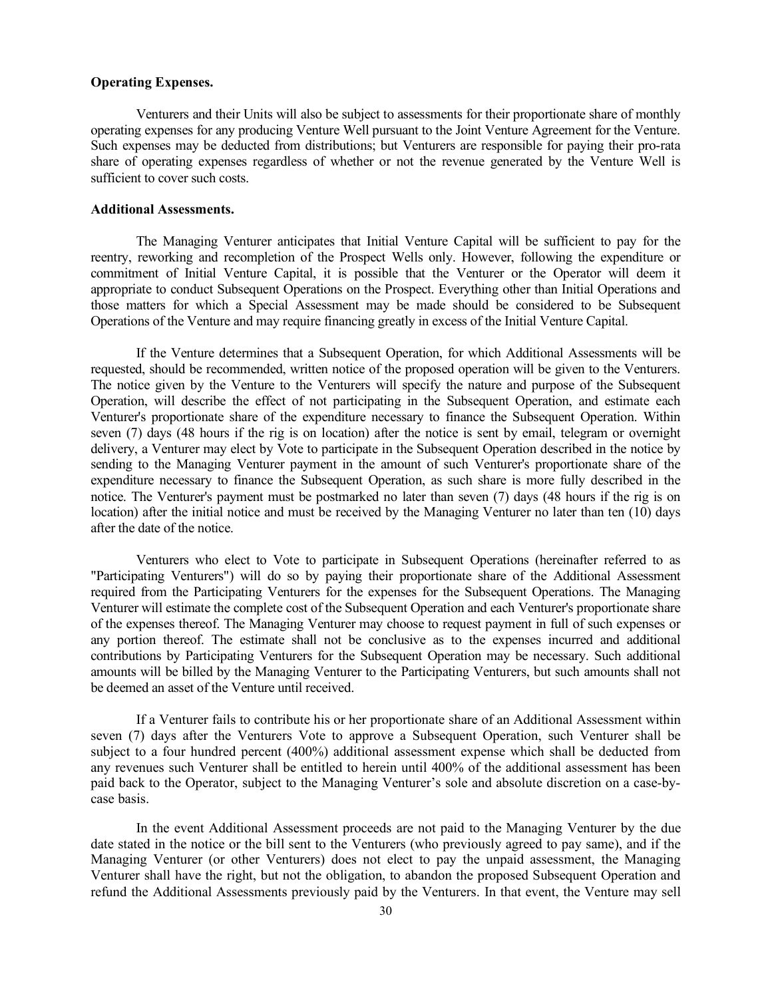# **Operating Expenses.**

Venturers and their Units will also be subject to assessments for their proportionate share of monthly operating expenses for any producing Venture Well pursuant to the Joint Venture Agreement for the Venture. Such expenses may be deducted from distributions; but Venturers are responsible for paying their pro-rata share of operating expenses regardless of whether or not the revenue generated by the Venture Well is sufficient to cover such costs.

#### **Additional Assessments.**

The Managing Venturer anticipates that Initial Venture Capital will be sufficient to pay for the reentry, reworking and recompletion of the Prospect Wells only. However, following the expenditure or commitment of Initial Venture Capital, it is possible that the Venturer or the Operator will deem it appropriate to conduct Subsequent Operations on the Prospect. Everything other than Initial Operations and those matters for which a Special Assessment may be made should be considered to be Subsequent Operations of the Venture and may require financing greatly in excess of the Initial Venture Capital.

If the Venture determines that a Subsequent Operation, for which Additional Assessments will be requested, should be recommended, written notice of the proposed operation will be given to the Venturers. The notice given by the Venture to the Venturers will specify the nature and purpose of the Subsequent Operation, will describe the effect of not participating in the Subsequent Operation, and estimate each Venturer's proportionate share of the expenditure necessary to finance the Subsequent Operation. Within seven (7) days (48 hours if the rig is on location) after the notice is sent by email, telegram or overnight delivery, a Venturer may elect by Vote to participate in the Subsequent Operation described in the notice by sending to the Managing Venturer payment in the amount of such Venturer's proportionate share of the expenditure necessary to finance the Subsequent Operation, as such share is more fully described in the notice. The Venturer's payment must be postmarked no later than seven (7) days (48 hours if the rig is on location) after the initial notice and must be received by the Managing Venturer no later than ten (10) days after the date of the notice.

Venturers who elect to Vote to participate in Subsequent Operations (hereinafter referred to as "Participating Venturers") will do so by paying their proportionate share of the Additional Assessment required from the Participating Venturers for the expenses for the Subsequent Operations. The Managing Venturer will estimate the complete cost of the Subsequent Operation and each Venturer's proportionate share of the expenses thereof. The Managing Venturer may choose to request payment in full of such expenses or any portion thereof. The estimate shall not be conclusive as to the expenses incurred and additional contributions by Participating Venturers for the Subsequent Operation may be necessary. Such additional amounts will be billed by the Managing Venturer to the Participating Venturers, but such amounts shall not be deemed an asset of the Venture until received.

If a Venturer fails to contribute his or her proportionate share of an Additional Assessment within seven (7) days after the Venturers Vote to approve a Subsequent Operation, such Venturer shall be subject to a four hundred percent (400%) additional assessment expense which shall be deducted from any revenues such Venturer shall be entitled to herein until 400% of the additional assessment has been paid back to the Operator, subject to the Managing Venturer's sole and absolute discretion on a case-bycase basis.

In the event Additional Assessment proceeds are not paid to the Managing Venturer by the due date stated in the notice or the bill sent to the Venturers (who previously agreed to pay same), and if the Managing Venturer (or other Venturers) does not elect to pay the unpaid assessment, the Managing Venturer shall have the right, but not the obligation, to abandon the proposed Subsequent Operation and refund the Additional Assessments previously paid by the Venturers. In that event, the Venture may sell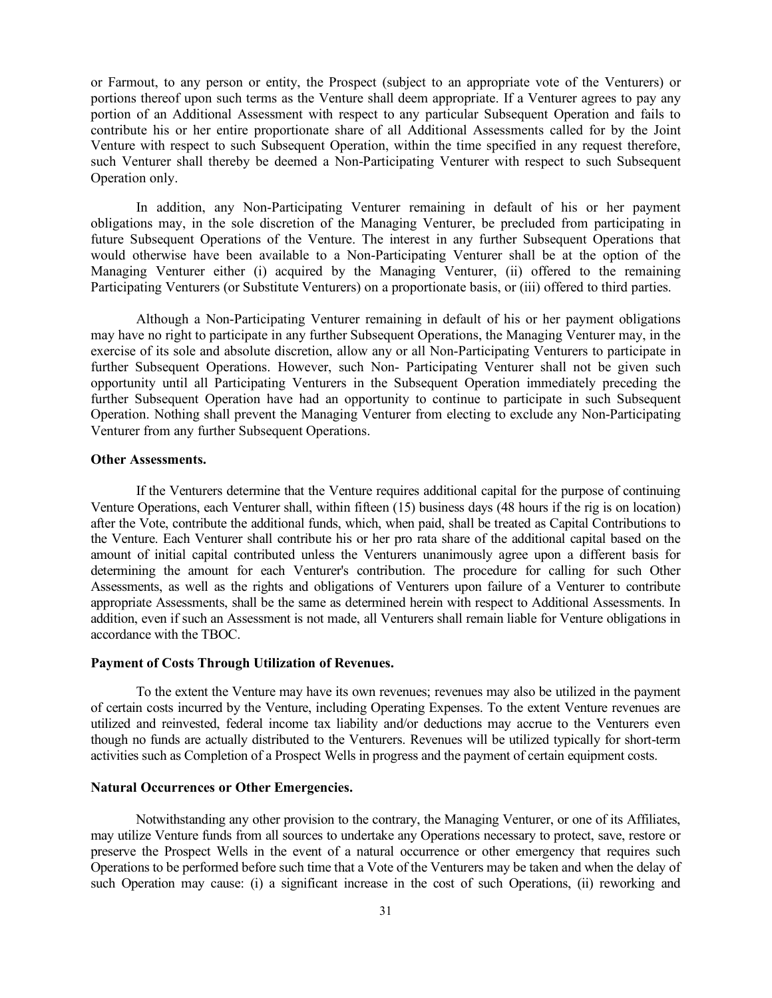or Farmout, to any person or entity, the Prospect (subject to an appropriate vote of the Venturers) or portions thereof upon such terms as the Venture shall deem appropriate. If a Venturer agrees to pay any portion of an Additional Assessment with respect to any particular Subsequent Operation and fails to contribute his or her entire proportionate share of all Additional Assessments called for by the Joint Venture with respect to such Subsequent Operation, within the time specified in any request therefore, such Venturer shall thereby be deemed a Non-Participating Venturer with respect to such Subsequent Operation only.

In addition, any Non-Participating Venturer remaining in default of his or her payment obligations may, in the sole discretion of the Managing Venturer, be precluded from participating in future Subsequent Operations of the Venture. The interest in any further Subsequent Operations that would otherwise have been available to a Non-Participating Venturer shall be at the option of the Managing Venturer either (i) acquired by the Managing Venturer, (ii) offered to the remaining Participating Venturers (or Substitute Venturers) on a proportionate basis, or (iii) offered to third parties.

Although a Non-Participating Venturer remaining in default of his or her payment obligations may have no right to participate in any further Subsequent Operations, the Managing Venturer may, in the exercise of its sole and absolute discretion, allow any or all Non-Participating Venturers to participate in further Subsequent Operations. However, such Non- Participating Venturer shall not be given such opportunity until all Participating Venturers in the Subsequent Operation immediately preceding the further Subsequent Operation have had an opportunity to continue to participate in such Subsequent Operation. Nothing shall prevent the Managing Venturer from electing to exclude any Non-Participating Venturer from any further Subsequent Operations.

#### **Other Assessments.**

If the Venturers determine that the Venture requires additional capital for the purpose of continuing Venture Operations, each Venturer shall, within fifteen (15) business days (48 hours if the rig is on location) after the Vote, contribute the additional funds, which, when paid, shall be treated as Capital Contributions to the Venture. Each Venturer shall contribute his or her pro rata share of the additional capital based on the amount of initial capital contributed unless the Venturers unanimously agree upon a different basis for determining the amount for each Venturer's contribution. The procedure for calling for such Other Assessments, as well as the rights and obligations of Venturers upon failure of a Venturer to contribute appropriate Assessments, shall be the same as determined herein with respect to Additional Assessments. In addition, even if such an Assessment is not made, all Venturers shall remain liable for Venture obligations in accordance with the TBOC.

#### **Payment of Costs Through Utilization of Revenues.**

To the extent the Venture may have its own revenues; revenues may also be utilized in the payment of certain costs incurred by the Venture, including Operating Expenses. To the extent Venture revenues are utilized and reinvested, federal income tax liability and/or deductions may accrue to the Venturers even though no funds are actually distributed to the Venturers. Revenues will be utilized typically for short-term activities such as Completion of a Prospect Wells in progress and the payment of certain equipment costs.

# **Natural Occurrences or Other Emergencies.**

Notwithstanding any other provision to the contrary, the Managing Venturer, or one of its Affiliates, may utilize Venture funds from all sources to undertake any Operations necessary to protect, save, restore or preserve the Prospect Wells in the event of a natural occurrence or other emergency that requires such Operations to be performed before such time that a Vote of the Venturers may be taken and when the delay of such Operation may cause: (i) a significant increase in the cost of such Operations, (ii) reworking and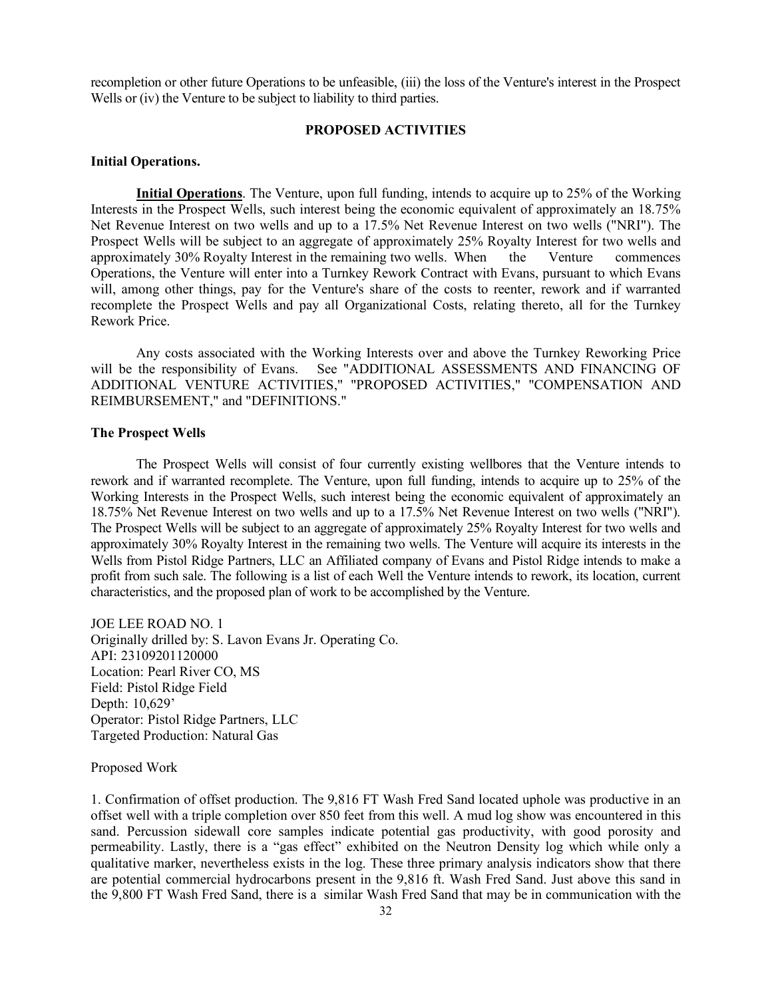recompletion or other future Operations to be unfeasible, (iii) the loss of the Venture's interest in the Prospect Wells or (iv) the Venture to be subject to liability to third parties.

### **PROPOSED ACTIVITIES**

# **Initial Operations.**

**Initial Operations**. The Venture, upon full funding, intends to acquire up to 25% of the Working Interests in the Prospect Wells, such interest being the economic equivalent of approximately an 18.75% Net Revenue Interest on two wells and up to a 17.5% Net Revenue Interest on two wells ("NRI"). The Prospect Wells will be subject to an aggregate of approximately 25% Royalty Interest for two wells and approximately 30% Royalty Interest in the remaining two wells. When the Venture commences Operations, the Venture will enter into a Turnkey Rework Contract with Evans, pursuant to which Evans will, among other things, pay for the Venture's share of the costs to reenter, rework and if warranted recomplete the Prospect Wells and pay all Organizational Costs, relating thereto, all for the Turnkey Rework Price.

Any costs associated with the Working Interests over and above the Turnkey Reworking Price will be the responsibility of Evans. See "ADDITIONAL ASSESSMENTS AND FINANCING OF ADDITIONAL VENTURE ACTIVITIES," "PROPOSED ACTIVITIES," "COMPENSATION AND REIMBURSEMENT," and "DEFINITIONS."

### **The Prospect Wells**

The Prospect Wells will consist of four currently existing wellbores that the Venture intends to rework and if warranted recomplete. The Venture, upon full funding, intends to acquire up to 25% of the Working Interests in the Prospect Wells, such interest being the economic equivalent of approximately an 18.75% Net Revenue Interest on two wells and up to a 17.5% Net Revenue Interest on two wells ("NRI"). The Prospect Wells will be subject to an aggregate of approximately 25% Royalty Interest for two wells and approximately 30% Royalty Interest in the remaining two wells. The Venture will acquire its interests in the Wells from Pistol Ridge Partners, LLC an Affiliated company of Evans and Pistol Ridge intends to make a profit from such sale. The following is a list of each Well the Venture intends to rework, its location, current characteristics, and the proposed plan of work to be accomplished by the Venture.

JOE LEE ROAD NO. 1 Originally drilled by: S. Lavon Evans Jr. Operating Co. API: 23109201120000 Location: Pearl River CO, MS Field: Pistol Ridge Field Depth: 10,629' Operator: Pistol Ridge Partners, LLC Targeted Production: Natural Gas

### Proposed Work

1. Confirmation of offset production. The 9,816 FT Wash Fred Sand located uphole was productive in an offset well with a triple completion over 850 feet from this well. A mud log show was encountered in this sand. Percussion sidewall core samples indicate potential gas productivity, with good porosity and permeability. Lastly, there is a "gas effect" exhibited on the Neutron Density log which while only a qualitative marker, nevertheless exists in the log. These three primary analysis indicators show that there are potential commercial hydrocarbons present in the 9,816 ft. Wash Fred Sand. Just above this sand in the 9,800 FT Wash Fred Sand, there is a similar Wash Fred Sand that may be in communication with the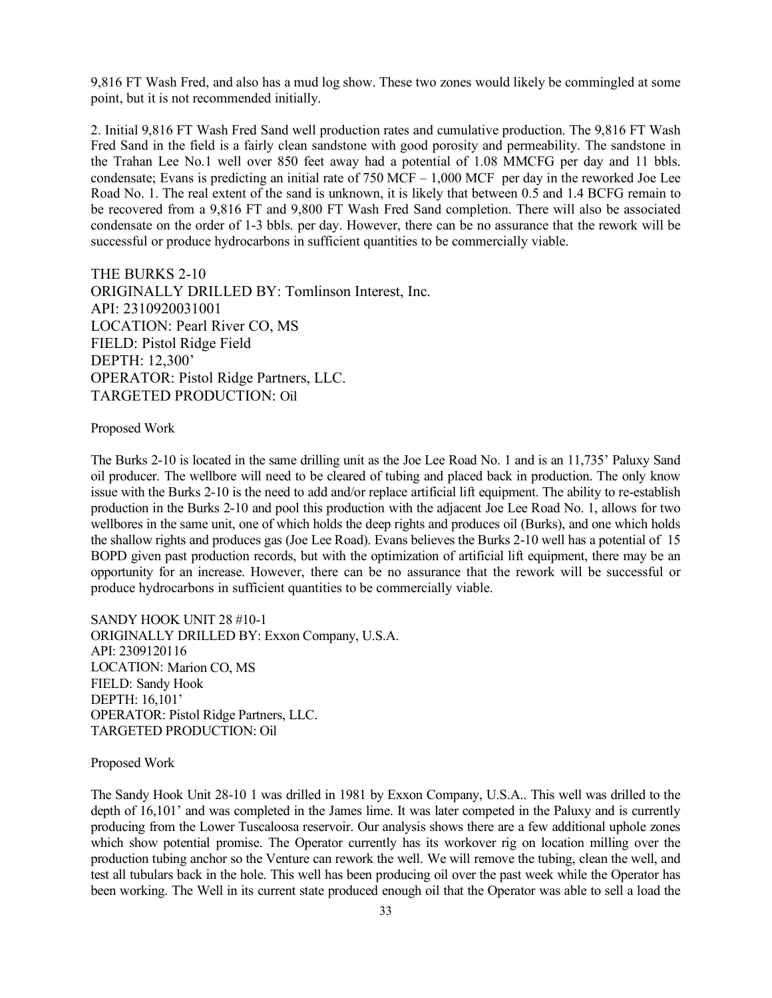9,816 FT Wash Fred, and also has a mud log show. These two zones would likely be commingled at some point, but it is not recommended initially.

2. Initial 9,816 FT Wash Fred Sand well production rates and cumulative production. The 9,816 FT Wash Fred Sand in the field is a fairly clean sandstone with good porosity and permeability. The sandstone in the Trahan Lee No.1 well over 850 feet away had a potential of 1.08 MMCFG per day and 11 bbls. condensate; Evans is predicting an initial rate of  $750$  MCF –  $1,000$  MCF per day in the reworked Joe Lee Road No. 1. The real extent of the sand is unknown, it is likely that between 0.5 and 1.4 BCFG remain to be recovered from a 9,816 FT and 9,800 FT Wash Fred Sand completion. There will also be associated condensate on the order of 1-3 bbls. per day. However, there can be no assurance that the rework will be successful or produce hydrocarbons in sufficient quantities to be commercially viable.

THE BURKS 2-10 ORIGINALLY DRILLED BY: Tomlinson Interest, Inc. API: 2310920031001 LOCATION: Pearl River CO, MS FIELD: Pistol Ridge Field DEPTH: 12,300' OPERATOR: Pistol Ridge Partners, LLC. TARGETED PRODUCTION: Oil

Proposed Work

The Burks 2-10 is located in the same drilling unit as the Joe Lee Road No. 1 and is an 11,735' Paluxy Sand oil producer. The wellbore will need to be cleared of tubing and placed back in production. The only know issue with the Burks 2-10 is the need to add and/or replace artificial lift equipment. The ability to re-establish production in the Burks 2-10 and pool this production with the adjacent Joe Lee Road No. 1, allows for two wellbores in the same unit, one of which holds the deep rights and produces oil (Burks), and one which holds the shallow rights and produces gas (Joe Lee Road). Evans believes the Burks 2-10 well has a potential of 15 BOPD given past production records, but with the optimization of artificial lift equipment, there may be an opportunity for an increase. However, there can be no assurance that the rework will be successful or produce hydrocarbons in sufficient quantities to be commercially viable.

SANDY HOOK UNIT 28 #10-1 ORIGINALLY DRILLED BY: Exxon Company, U.S.A. API: 2309120116 LOCATION: Marion CO, MS FIELD: Sandy Hook DEPTH: 16,101' OPERATOR: Pistol Ridge Partners, LLC. TARGETED PRODUCTION: Oil

Proposed Work

The Sandy Hook Unit 28-10 1 was drilled in 1981 by Exxon Company, U.S.A.. This well was drilled to the depth of 16,101' and was completed in the James lime. It was later competed in the Paluxy and is currently producing from the Lower Tuscaloosa reservoir. Our analysis shows there are a few additional uphole zones which show potential promise. The Operator currently has its workover rig on location milling over the production tubing anchor so the Venture can rework the well. We will remove the tubing, clean the well, and test all tubulars back in the hole. This well has been producing oil over the past week while the Operator has been working. The Well in its current state produced enough oil that the Operator was able to sell a load the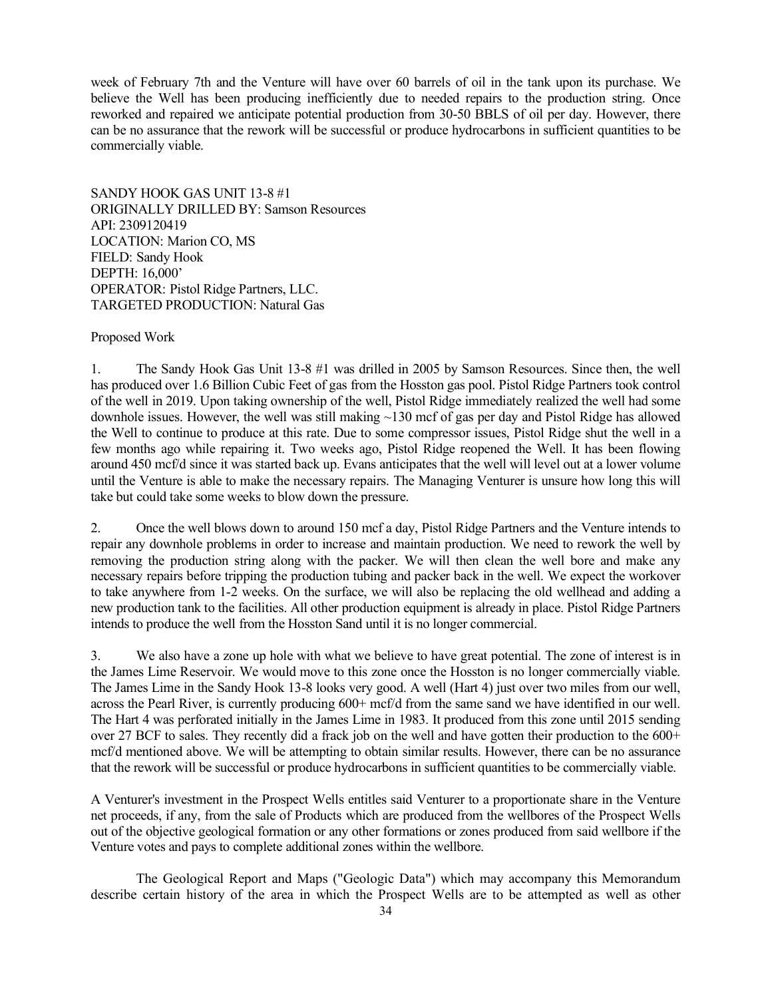week of February 7th and the Venture will have over 60 barrels of oil in the tank upon its purchase. We believe the Well has been producing inefficiently due to needed repairs to the production string. Once reworked and repaired we anticipate potential production from 30-50 BBLS of oil per day. However, there can be no assurance that the rework will be successful or produce hydrocarbons in sufficient quantities to be commercially viable.

SANDY HOOK GAS UNIT 13-8 #1 ORIGINALLY DRILLED BY: Samson Resources API: 2309120419 LOCATION: Marion CO, MS FIELD: Sandy Hook DEPTH: 16,000' OPERATOR: Pistol Ridge Partners, LLC. TARGETED PRODUCTION: Natural Gas

#### Proposed Work

1. The Sandy Hook Gas Unit 13-8 #1 was drilled in 2005 by Samson Resources. Since then, the well has produced over 1.6 Billion Cubic Feet of gas from the Hosston gas pool. Pistol Ridge Partners took control of the well in 2019. Upon taking ownership of the well, Pistol Ridge immediately realized the well had some downhole issues. However, the well was still making ~130 mcf of gas per day and Pistol Ridge has allowed the Well to continue to produce at this rate. Due to some compressor issues, Pistol Ridge shut the well in a few months ago while repairing it. Two weeks ago, Pistol Ridge reopened the Well. It has been flowing around 450 mcf/d since it was started back up. Evans anticipates that the well will level out at a lower volume until the Venture is able to make the necessary repairs. The Managing Venturer is unsure how long this will take but could take some weeks to blow down the pressure.

2. Once the well blows down to around 150 mcf a day, Pistol Ridge Partners and the Venture intends to repair any downhole problems in order to increase and maintain production. We need to rework the well by removing the production string along with the packer. We will then clean the well bore and make any necessary repairs before tripping the production tubing and packer back in the well. We expect the workover to take anywhere from 1-2 weeks. On the surface, we will also be replacing the old wellhead and adding a new production tank to the facilities. All other production equipment is already in place. Pistol Ridge Partners intends to produce the well from the Hosston Sand until it is no longer commercial.

3. We also have a zone up hole with what we believe to have great potential. The zone of interest is in the James Lime Reservoir. We would move to this zone once the Hosston is no longer commercially viable. The James Lime in the Sandy Hook 13-8 looks very good. A well (Hart 4) just over two miles from our well, across the Pearl River, is currently producing 600+ mcf/d from the same sand we have identified in our well. The Hart 4 was perforated initially in the James Lime in 1983. It produced from this zone until 2015 sending over 27 BCF to sales. They recently did a frack job on the well and have gotten their production to the 600+ mcf/d mentioned above. We will be attempting to obtain similar results. However, there can be no assurance that the rework will be successful or produce hydrocarbons in sufficient quantities to be commercially viable.

A Venturer's investment in the Prospect Wells entitles said Venturer to a proportionate share in the Venture net proceeds, if any, from the sale of Products which are produced from the wellbores of the Prospect Wells out of the objective geological formation or any other formations or zones produced from said wellbore if the Venture votes and pays to complete additional zones within the wellbore.

The Geological Report and Maps ("Geologic Data") which may accompany this Memorandum describe certain history of the area in which the Prospect Wells are to be attempted as well as other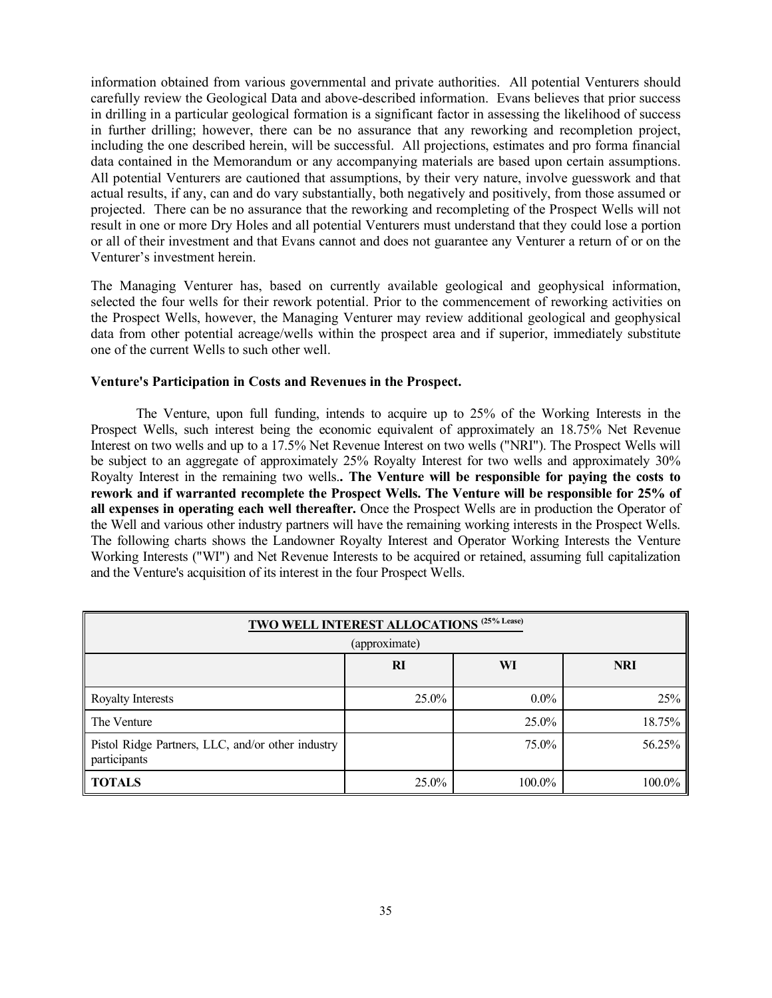information obtained from various governmental and private authorities. All potential Venturers should carefully review the Geological Data and above-described information. Evans believes that prior success in drilling in a particular geological formation is a significant factor in assessing the likelihood of success in further drilling; however, there can be no assurance that any reworking and recompletion project, including the one described herein, will be successful. All projections, estimates and pro forma financial data contained in the Memorandum or any accompanying materials are based upon certain assumptions. All potential Venturers are cautioned that assumptions, by their very nature, involve guesswork and that actual results, if any, can and do vary substantially, both negatively and positively, from those assumed or projected. There can be no assurance that the reworking and recompleting of the Prospect Wells will not result in one or more Dry Holes and all potential Venturers must understand that they could lose a portion or all of their investment and that Evans cannot and does not guarantee any Venturer a return of or on the Venturer's investment herein.

The Managing Venturer has, based on currently available geological and geophysical information, selected the four wells for their rework potential. Prior to the commencement of reworking activities on the Prospect Wells, however, the Managing Venturer may review additional geological and geophysical data from other potential acreage/wells within the prospect area and if superior, immediately substitute one of the current Wells to such other well.

## **Venture's Participation in Costs and Revenues in the Prospect.**

The Venture, upon full funding, intends to acquire up to 25% of the Working Interests in the Prospect Wells, such interest being the economic equivalent of approximately an 18.75% Net Revenue Interest on two wells and up to a 17.5% Net Revenue Interest on two wells ("NRI"). The Prospect Wells will be subject to an aggregate of approximately 25% Royalty Interest for two wells and approximately 30% Royalty Interest in the remaining two wells.**. The Venture will be responsible for paying the costs to rework and if warranted recomplete the Prospect Wells. The Venture will be responsible for 25% of all expenses in operating each well thereafter.** Once the Prospect Wells are in production the Operator of the Well and various other industry partners will have the remaining working interests in the Prospect Wells. The following charts shows the Landowner Royalty Interest and Operator Working Interests the Venture Working Interests ("WI") and Net Revenue Interests to be acquired or retained, assuming full capitalization and the Venture's acquisition of its interest in the four Prospect Wells.

| <b>TWO WELL INTEREST ALLOCATIONS (25% Lease)</b>                  |           |          |            |  |
|-------------------------------------------------------------------|-----------|----------|------------|--|
| (approximate)                                                     |           |          |            |  |
|                                                                   | <b>RI</b> | WI       | <b>NRI</b> |  |
|                                                                   |           |          |            |  |
| <b>Royalty Interests</b>                                          | 25.0%     | $0.0\%$  | <b>25%</b> |  |
| The Venture                                                       |           | $25.0\%$ | 18.75%     |  |
| Pistol Ridge Partners, LLC, and/or other industry<br>participants |           | 75.0%    | 56.25%     |  |
| <b>TOTALS</b>                                                     | 25.0%     | 100.0%   | 100.0%     |  |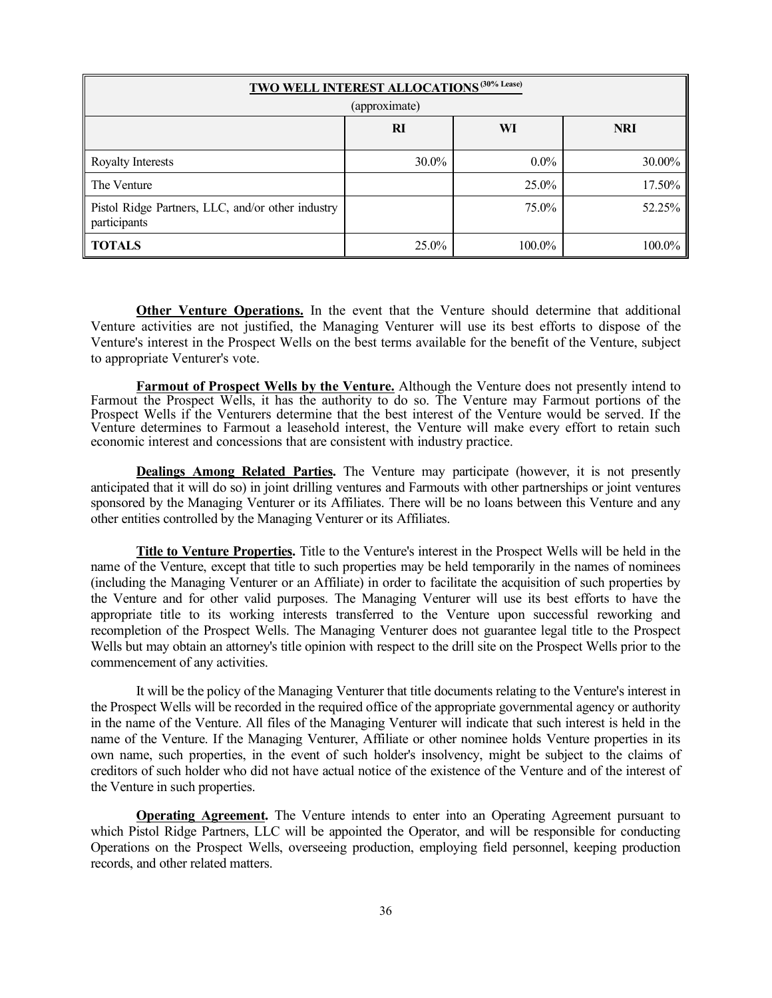| <b>TWO WELL INTEREST ALLOCATIONS (30% Lease)</b>                  |           |          |            |  |
|-------------------------------------------------------------------|-----------|----------|------------|--|
| (approximate)                                                     |           |          |            |  |
|                                                                   | <b>RI</b> | WI       | <b>NRI</b> |  |
| <b>Royalty Interests</b>                                          | $30.0\%$  | $0.0\%$  | 30.00%     |  |
| The Venture                                                       |           | $25.0\%$ | 17.50%     |  |
| Pistol Ridge Partners, LLC, and/or other industry<br>participants |           | 75.0%    | 52.25%     |  |
| <b>TOTALS</b>                                                     | $25.0\%$  | 100.0%   | 100.0%     |  |

**Other Venture Operations.** In the event that the Venture should determine that additional Venture activities are not justified, the Managing Venturer will use its best efforts to dispose of the Venture's interest in the Prospect Wells on the best terms available for the benefit of the Venture, subject to appropriate Venturer's vote.

**Farmout of Prospect Wells by the Venture.** Although the Venture does not presently intend to Farmout the Prospect Wells, it has the authority to do so. The Venture may Farmout portions of the Prospect Wells if the Venturers determine that the best interest of the Venture would be served. If the Venture determines to Farmout a leasehold interest, the Venture will make every effort to retain such economic interest and concessions that are consistent with industry practice.

**Dealings Among Related Parties.** The Venture may participate (however, it is not presently anticipated that it will do so) in joint drilling ventures and Farmouts with other partnerships or joint ventures sponsored by the Managing Venturer or its Affiliates. There will be no loans between this Venture and any other entities controlled by the Managing Venturer or its Affiliates.

**Title to Venture Properties.** Title to the Venture's interest in the Prospect Wells will be held in the name of the Venture, except that title to such properties may be held temporarily in the names of nominees (including the Managing Venturer or an Affiliate) in order to facilitate the acquisition of such properties by the Venture and for other valid purposes. The Managing Venturer will use its best efforts to have the appropriate title to its working interests transferred to the Venture upon successful reworking and recompletion of the Prospect Wells. The Managing Venturer does not guarantee legal title to the Prospect Wells but may obtain an attorney's title opinion with respect to the drill site on the Prospect Wells prior to the commencement of any activities.

It will be the policy of the Managing Venturer that title documents relating to the Venture's interest in the Prospect Wells will be recorded in the required office of the appropriate governmental agency or authority in the name of the Venture. All files of the Managing Venturer will indicate that such interest is held in the name of the Venture. If the Managing Venturer, Affiliate or other nominee holds Venture properties in its own name, such properties, in the event of such holder's insolvency, might be subject to the claims of creditors of such holder who did not have actual notice of the existence of the Venture and of the interest of the Venture in such properties.

**Operating Agreement.** The Venture intends to enter into an Operating Agreement pursuant to which Pistol Ridge Partners, LLC will be appointed the Operator, and will be responsible for conducting Operations on the Prospect Wells, overseeing production, employing field personnel, keeping production records, and other related matters.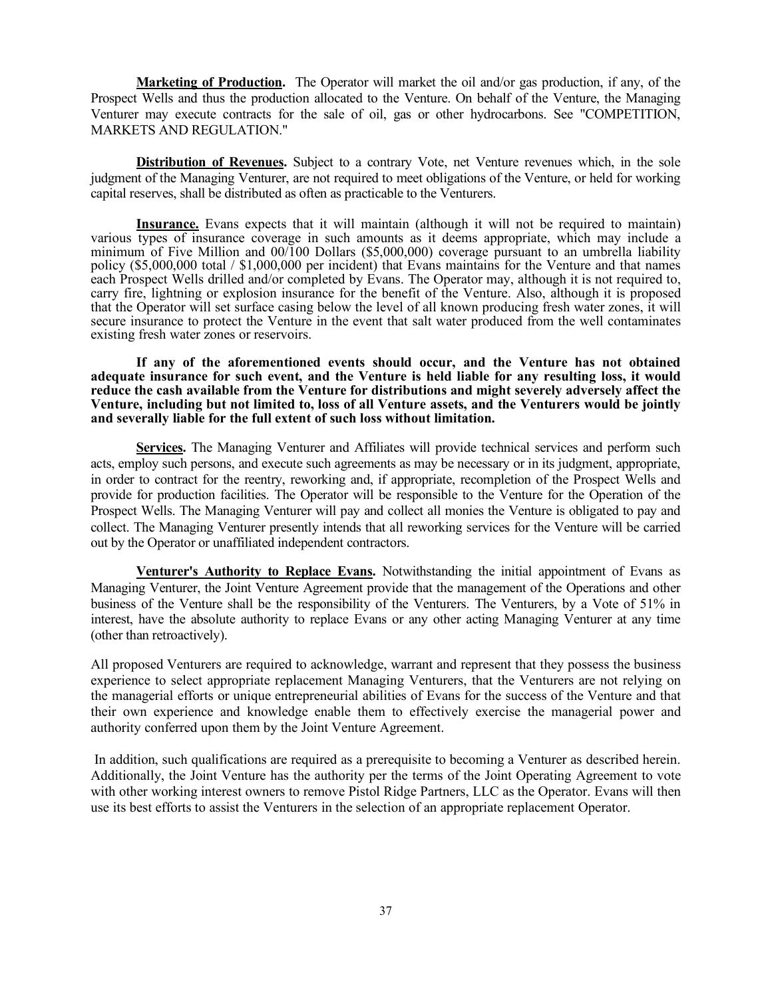**Marketing of Production.** The Operator will market the oil and/or gas production, if any, of the Prospect Wells and thus the production allocated to the Venture. On behalf of the Venture, the Managing Venturer may execute contracts for the sale of oil, gas or other hydrocarbons. See "COMPETITION, MARKETS AND REGULATION."

**Distribution of Revenues.** Subject to a contrary Vote, net Venture revenues which, in the sole judgment of the Managing Venturer, are not required to meet obligations of the Venture, or held for working capital reserves, shall be distributed as often as practicable to the Venturers.

**Insurance.** Evans expects that it will maintain (although it will not be required to maintain) various types of insurance coverage in such amounts as it deems appropriate, which may include a minimum of Five Million and  $00/100$  Dollars (\$5,000,000) coverage pursuant to an umbrella liability policy (\$5,000,000 total / \$1,000,000 per incident) that Evans maintains for the Venture and that names each Prospect Wells drilled and/or completed by Evans. The Operator may, although it is not required to, carry fire, lightning or explosion insurance for the benefit of the Venture. Also, although it is proposed that the Operator will set surface casing below the level of all known producing fresh water zones, it will secure insurance to protect the Venture in the event that salt water produced from the well contaminates existing fresh water zones or reservoirs.

**If any of the aforementioned events should occur, and the Venture has not obtained adequate insurance for such event, and the Venture is held liable for any resulting loss, it would reduce the cash available from the Venture for distributions and might severely adversely affect the Venture, including but not limited to, loss of all Venture assets, and the Venturers would be jointly and severally liable for the full extent of such loss without limitation.** 

**Services.** The Managing Venturer and Affiliates will provide technical services and perform such acts, employ such persons, and execute such agreements as may be necessary or in its judgment, appropriate, in order to contract for the reentry, reworking and, if appropriate, recompletion of the Prospect Wells and provide for production facilities. The Operator will be responsible to the Venture for the Operation of the Prospect Wells. The Managing Venturer will pay and collect all monies the Venture is obligated to pay and collect. The Managing Venturer presently intends that all reworking services for the Venture will be carried out by the Operator or unaffiliated independent contractors.

**Venturer's Authority to Replace Evans.** Notwithstanding the initial appointment of Evans as Managing Venturer, the Joint Venture Agreement provide that the management of the Operations and other business of the Venture shall be the responsibility of the Venturers. The Venturers, by a Vote of 51% in interest, have the absolute authority to replace Evans or any other acting Managing Venturer at any time (other than retroactively).

All proposed Venturers are required to acknowledge, warrant and represent that they possess the business experience to select appropriate replacement Managing Venturers, that the Venturers are not relying on the managerial efforts or unique entrepreneurial abilities of Evans for the success of the Venture and that their own experience and knowledge enable them to effectively exercise the managerial power and authority conferred upon them by the Joint Venture Agreement.

In addition, such qualifications are required as a prerequisite to becoming a Venturer as described herein. Additionally, the Joint Venture has the authority per the terms of the Joint Operating Agreement to vote with other working interest owners to remove Pistol Ridge Partners, LLC as the Operator. Evans will then use its best efforts to assist the Venturers in the selection of an appropriate replacement Operator.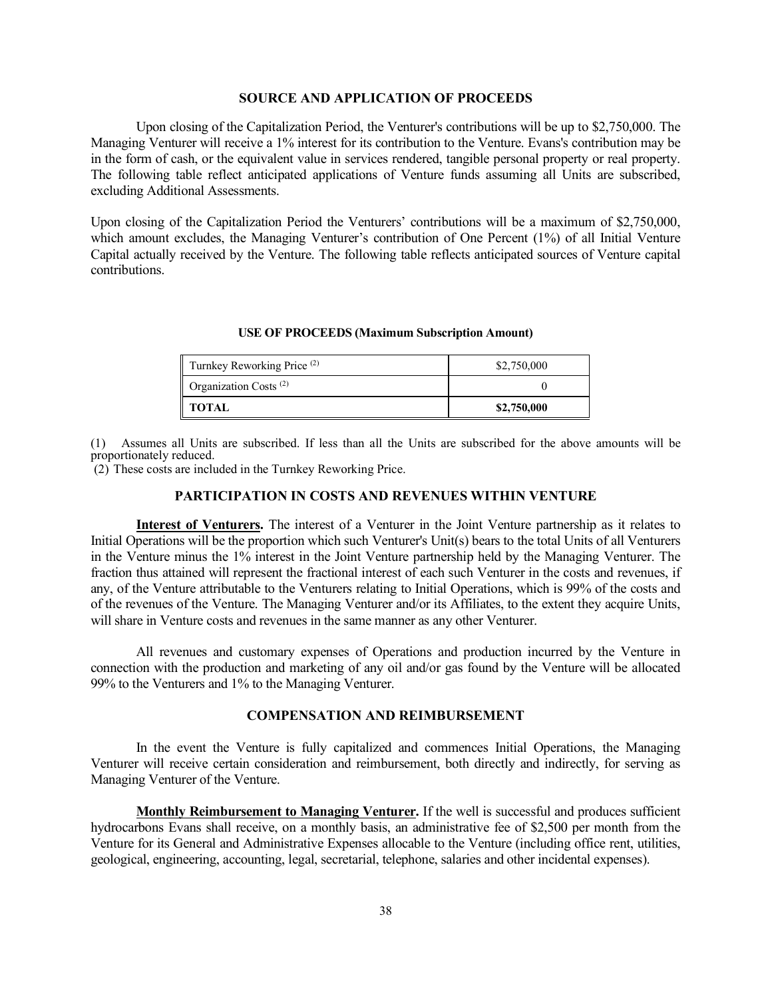# **SOURCE AND APPLICATION OF PROCEEDS**

Upon closing of the Capitalization Period, the Venturer's contributions will be up to \$2,750,000. The Managing Venturer will receive a 1% interest for its contribution to the Venture. Evans's contribution may be in the form of cash, or the equivalent value in services rendered, tangible personal property or real property. The following table reflect anticipated applications of Venture funds assuming all Units are subscribed, excluding Additional Assessments.

Upon closing of the Capitalization Period the Venturers' contributions will be a maximum of \$2,750,000, which amount excludes, the Managing Venturer's contribution of One Percent (1%) of all Initial Venture Capital actually received by the Venture. The following table reflects anticipated sources of Venture capital contributions.

#### **USE OF PROCEEDS (Maximum Subscription Amount)**

| Turnkey Reworking Price <sup>(2)</sup> | \$2,750,000 |
|----------------------------------------|-------------|
| Organization Costs <sup>(2)</sup>      |             |
| <b>TOTAL</b>                           | \$2,750,000 |

(1) Assumes all Units are subscribed. If less than all the Units are subscribed for the above amounts will be proportionately reduced.

(2) These costs are included in the Turnkey Reworking Price.

#### **PARTICIPATION IN COSTS AND REVENUES WITHIN VENTURE**

**Interest of Venturers.** The interest of a Venturer in the Joint Venture partnership as it relates to Initial Operations will be the proportion which such Venturer's Unit(s) bears to the total Units of all Venturers in the Venture minus the 1% interest in the Joint Venture partnership held by the Managing Venturer. The fraction thus attained will represent the fractional interest of each such Venturer in the costs and revenues, if any, of the Venture attributable to the Venturers relating to Initial Operations, which is 99% of the costs and of the revenues of the Venture. The Managing Venturer and/or its Affiliates, to the extent they acquire Units, will share in Venture costs and revenues in the same manner as any other Venturer.

All revenues and customary expenses of Operations and production incurred by the Venture in connection with the production and marketing of any oil and/or gas found by the Venture will be allocated 99% to the Venturers and 1% to the Managing Venturer.

#### **COMPENSATION AND REIMBURSEMENT**

In the event the Venture is fully capitalized and commences Initial Operations, the Managing Venturer will receive certain consideration and reimbursement, both directly and indirectly, for serving as Managing Venturer of the Venture.

**Monthly Reimbursement to Managing Venturer.** If the well is successful and produces sufficient hydrocarbons Evans shall receive, on a monthly basis, an administrative fee of \$2,500 per month from the Venture for its General and Administrative Expenses allocable to the Venture (including office rent, utilities, geological, engineering, accounting, legal, secretarial, telephone, salaries and other incidental expenses).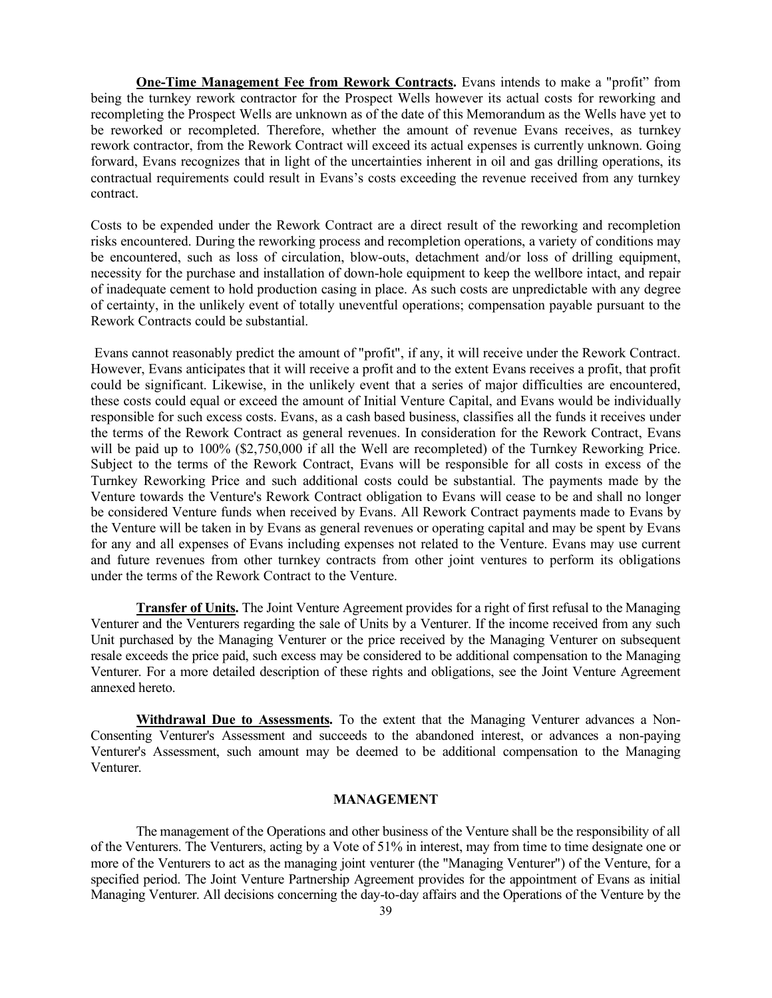**One-Time Management Fee from Rework Contracts.** Evans intends to make a "profit" from being the turnkey rework contractor for the Prospect Wells however its actual costs for reworking and recompleting the Prospect Wells are unknown as of the date of this Memorandum as the Wells have yet to be reworked or recompleted. Therefore, whether the amount of revenue Evans receives, as turnkey rework contractor, from the Rework Contract will exceed its actual expenses is currently unknown. Going forward, Evans recognizes that in light of the uncertainties inherent in oil and gas drilling operations, its contractual requirements could result in Evans's costs exceeding the revenue received from any turnkey contract.

Costs to be expended under the Rework Contract are a direct result of the reworking and recompletion risks encountered. During the reworking process and recompletion operations, a variety of conditions may be encountered, such as loss of circulation, blow-outs, detachment and/or loss of drilling equipment, necessity for the purchase and installation of down-hole equipment to keep the wellbore intact, and repair of inadequate cement to hold production casing in place. As such costs are unpredictable with any degree of certainty, in the unlikely event of totally uneventful operations; compensation payable pursuant to the Rework Contracts could be substantial.

 Evans cannot reasonably predict the amount of "profit", if any, it will receive under the Rework Contract. However, Evans anticipates that it will receive a profit and to the extent Evans receives a profit, that profit could be significant. Likewise, in the unlikely event that a series of major difficulties are encountered, these costs could equal or exceed the amount of Initial Venture Capital, and Evans would be individually responsible for such excess costs. Evans, as a cash based business, classifies all the funds it receives under the terms of the Rework Contract as general revenues. In consideration for the Rework Contract, Evans will be paid up to 100% (\$2,750,000 if all the Well are recompleted) of the Turnkey Reworking Price. Subject to the terms of the Rework Contract, Evans will be responsible for all costs in excess of the Turnkey Reworking Price and such additional costs could be substantial. The payments made by the Venture towards the Venture's Rework Contract obligation to Evans will cease to be and shall no longer be considered Venture funds when received by Evans. All Rework Contract payments made to Evans by the Venture will be taken in by Evans as general revenues or operating capital and may be spent by Evans for any and all expenses of Evans including expenses not related to the Venture. Evans may use current and future revenues from other turnkey contracts from other joint ventures to perform its obligations under the terms of the Rework Contract to the Venture.

**Transfer of Units.** The Joint Venture Agreement provides for a right of first refusal to the Managing Venturer and the Venturers regarding the sale of Units by a Venturer. If the income received from any such Unit purchased by the Managing Venturer or the price received by the Managing Venturer on subsequent resale exceeds the price paid, such excess may be considered to be additional compensation to the Managing Venturer. For a more detailed description of these rights and obligations, see the Joint Venture Agreement annexed hereto.

**Withdrawal Due to Assessments.** To the extent that the Managing Venturer advances a Non-Consenting Venturer's Assessment and succeeds to the abandoned interest, or advances a non-paying Venturer's Assessment, such amount may be deemed to be additional compensation to the Managing Venturer.

### **MANAGEMENT**

The management of the Operations and other business of the Venture shall be the responsibility of all of the Venturers. The Venturers, acting by a Vote of 51% in interest, may from time to time designate one or more of the Venturers to act as the managing joint venturer (the "Managing Venturer") of the Venture, for a specified period. The Joint Venture Partnership Agreement provides for the appointment of Evans as initial Managing Venturer. All decisions concerning the day-to-day affairs and the Operations of the Venture by the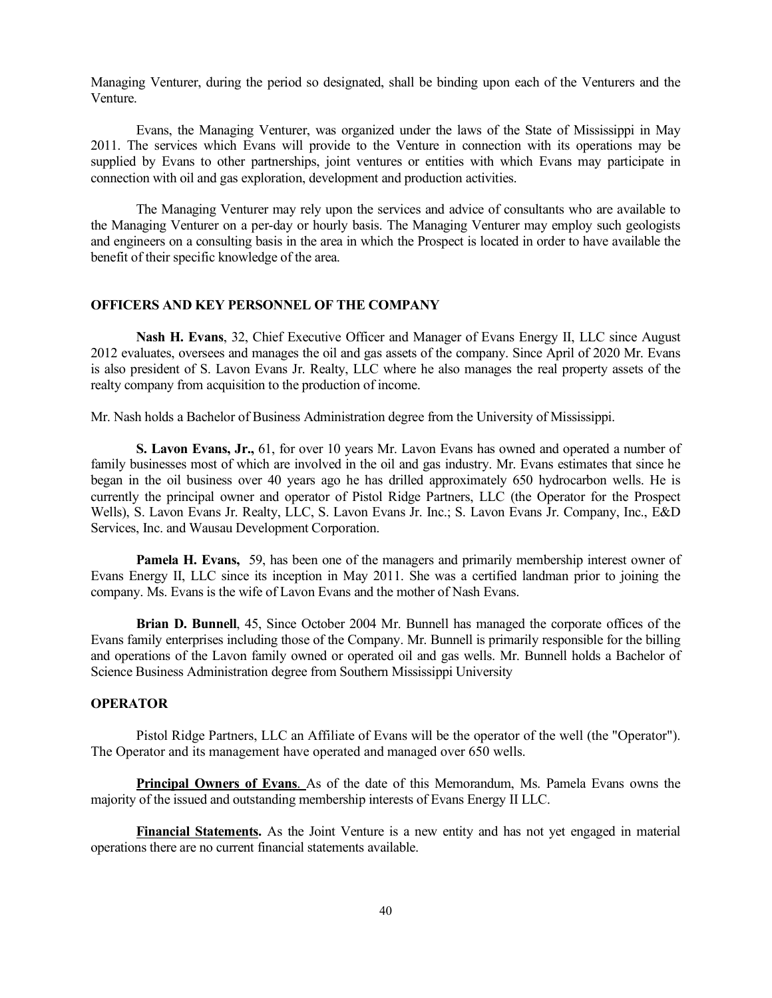Managing Venturer, during the period so designated, shall be binding upon each of the Venturers and the Venture.

Evans, the Managing Venturer, was organized under the laws of the State of Mississippi in May 2011. The services which Evans will provide to the Venture in connection with its operations may be supplied by Evans to other partnerships, joint ventures or entities with which Evans may participate in connection with oil and gas exploration, development and production activities.

The Managing Venturer may rely upon the services and advice of consultants who are available to the Managing Venturer on a per-day or hourly basis. The Managing Venturer may employ such geologists and engineers on a consulting basis in the area in which the Prospect is located in order to have available the benefit of their specific knowledge of the area.

### **OFFICERS AND KEY PERSONNEL OF THE COMPANY**

**Nash H. Evans**, 32, Chief Executive Officer and Manager of Evans Energy II, LLC since August 2012 evaluates, oversees and manages the oil and gas assets of the company. Since April of 2020 Mr. Evans is also president of S. Lavon Evans Jr. Realty, LLC where he also manages the real property assets of the realty company from acquisition to the production of income.

Mr. Nash holds a Bachelor of Business Administration degree from the University of Mississippi.

**S. Lavon Evans, Jr.,** 61, for over 10 years Mr. Lavon Evans has owned and operated a number of family businesses most of which are involved in the oil and gas industry. Mr. Evans estimates that since he began in the oil business over 40 years ago he has drilled approximately 650 hydrocarbon wells. He is currently the principal owner and operator of Pistol Ridge Partners, LLC (the Operator for the Prospect Wells), S. Lavon Evans Jr. Realty, LLC, S. Lavon Evans Jr. Inc.; S. Lavon Evans Jr. Company, Inc., E&D Services, Inc. and Wausau Development Corporation.

**Pamela H. Evans,** 59, has been one of the managers and primarily membership interest owner of Evans Energy II, LLC since its inception in May 2011. She was a certified landman prior to joining the company. Ms. Evans is the wife of Lavon Evans and the mother of Nash Evans.

**Brian D. Bunnell**, 45, Since October 2004 Mr. Bunnell has managed the corporate offices of the Evans family enterprises including those of the Company. Mr. Bunnell is primarily responsible for the billing and operations of the Lavon family owned or operated oil and gas wells. Mr. Bunnell holds a Bachelor of Science Business Administration degree from Southern Mississippi University

## **OPERATOR**

Pistol Ridge Partners, LLC an Affiliate of Evans will be the operator of the well (the "Operator"). The Operator and its management have operated and managed over 650 wells.

**Principal Owners of Evans**. As of the date of this Memorandum, Ms. Pamela Evans owns the majority of the issued and outstanding membership interests of Evans Energy II LLC.

**Financial Statements.** As the Joint Venture is a new entity and has not yet engaged in material operations there are no current financial statements available.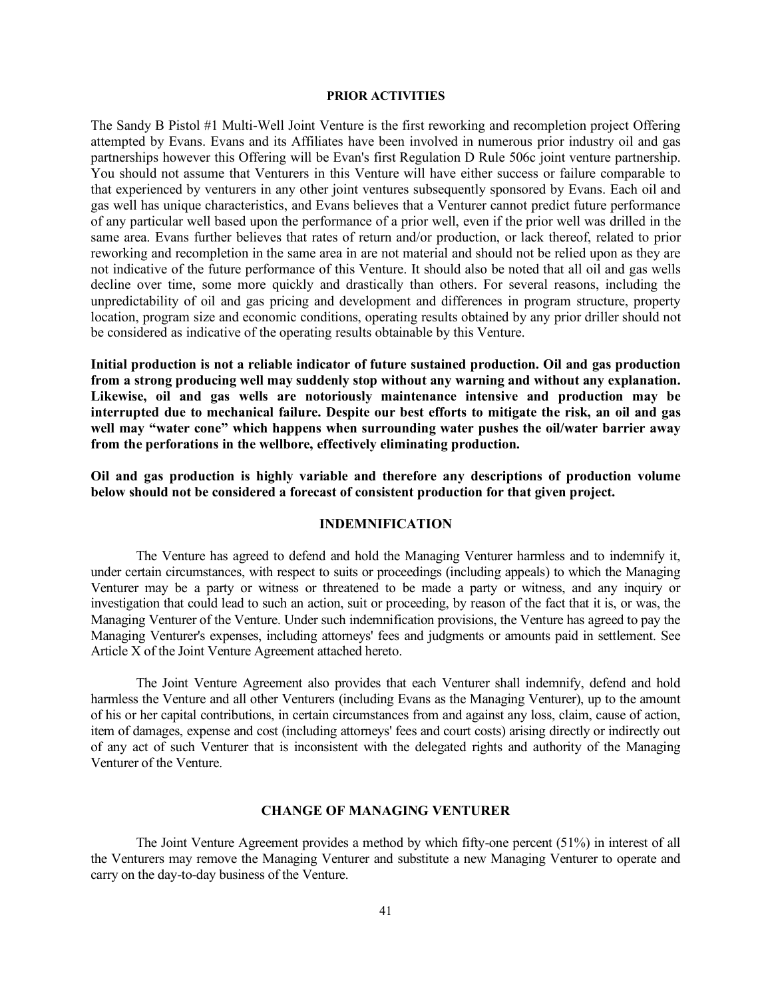#### **PRIOR ACTIVITIES**

The Sandy B Pistol #1 Multi-Well Joint Venture is the first reworking and recompletion project Offering attempted by Evans. Evans and its Affiliates have been involved in numerous prior industry oil and gas partnerships however this Offering will be Evan's first Regulation D Rule 506c joint venture partnership. You should not assume that Venturers in this Venture will have either success or failure comparable to that experienced by venturers in any other joint ventures subsequently sponsored by Evans. Each oil and gas well has unique characteristics, and Evans believes that a Venturer cannot predict future performance of any particular well based upon the performance of a prior well, even if the prior well was drilled in the same area. Evans further believes that rates of return and/or production, or lack thereof, related to prior reworking and recompletion in the same area in are not material and should not be relied upon as they are not indicative of the future performance of this Venture. It should also be noted that all oil and gas wells decline over time, some more quickly and drastically than others. For several reasons, including the unpredictability of oil and gas pricing and development and differences in program structure, property location, program size and economic conditions, operating results obtained by any prior driller should not be considered as indicative of the operating results obtainable by this Venture.

**Initial production is not a reliable indicator of future sustained production. Oil and gas production from a strong producing well may suddenly stop without any warning and without any explanation. Likewise, oil and gas wells are notoriously maintenance intensive and production may be interrupted due to mechanical failure. Despite our best efforts to mitigate the risk, an oil and gas well may "water cone" which happens when surrounding water pushes the oil/water barrier away from the perforations in the wellbore, effectively eliminating production.**

**Oil and gas production is highly variable and therefore any descriptions of production volume below should not be considered a forecast of consistent production for that given project.** 

# **INDEMNIFICATION**

The Venture has agreed to defend and hold the Managing Venturer harmless and to indemnify it, under certain circumstances, with respect to suits or proceedings (including appeals) to which the Managing Venturer may be a party or witness or threatened to be made a party or witness, and any inquiry or investigation that could lead to such an action, suit or proceeding, by reason of the fact that it is, or was, the Managing Venturer of the Venture. Under such indemnification provisions, the Venture has agreed to pay the Managing Venturer's expenses, including attorneys' fees and judgments or amounts paid in settlement. See Article X of the Joint Venture Agreement attached hereto.

The Joint Venture Agreement also provides that each Venturer shall indemnify, defend and hold harmless the Venture and all other Venturers (including Evans as the Managing Venturer), up to the amount of his or her capital contributions, in certain circumstances from and against any loss, claim, cause of action, item of damages, expense and cost (including attorneys' fees and court costs) arising directly or indirectly out of any act of such Venturer that is inconsistent with the delegated rights and authority of the Managing Venturer of the Venture.

### **CHANGE OF MANAGING VENTURER**

The Joint Venture Agreement provides a method by which fifty-one percent (51%) in interest of all the Venturers may remove the Managing Venturer and substitute a new Managing Venturer to operate and carry on the day-to-day business of the Venture.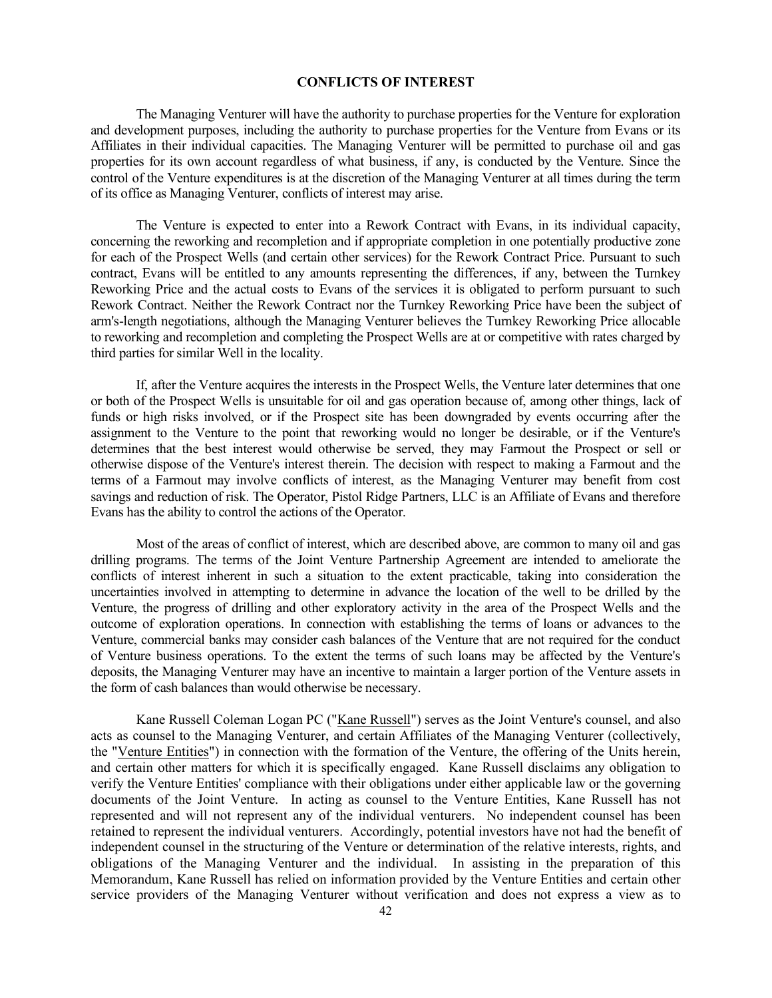# **CONFLICTS OF INTEREST**

The Managing Venturer will have the authority to purchase properties for the Venture for exploration and development purposes, including the authority to purchase properties for the Venture from Evans or its Affiliates in their individual capacities. The Managing Venturer will be permitted to purchase oil and gas properties for its own account regardless of what business, if any, is conducted by the Venture. Since the control of the Venture expenditures is at the discretion of the Managing Venturer at all times during the term of its office as Managing Venturer, conflicts of interest may arise.

The Venture is expected to enter into a Rework Contract with Evans, in its individual capacity, concerning the reworking and recompletion and if appropriate completion in one potentially productive zone for each of the Prospect Wells (and certain other services) for the Rework Contract Price. Pursuant to such contract, Evans will be entitled to any amounts representing the differences, if any, between the Turnkey Reworking Price and the actual costs to Evans of the services it is obligated to perform pursuant to such Rework Contract. Neither the Rework Contract nor the Turnkey Reworking Price have been the subject of arm's-length negotiations, although the Managing Venturer believes the Turnkey Reworking Price allocable to reworking and recompletion and completing the Prospect Wells are at or competitive with rates charged by third parties for similar Well in the locality.

If, after the Venture acquires the interests in the Prospect Wells, the Venture later determines that one or both of the Prospect Wells is unsuitable for oil and gas operation because of, among other things, lack of funds or high risks involved, or if the Prospect site has been downgraded by events occurring after the assignment to the Venture to the point that reworking would no longer be desirable, or if the Venture's determines that the best interest would otherwise be served, they may Farmout the Prospect or sell or otherwise dispose of the Venture's interest therein. The decision with respect to making a Farmout and the terms of a Farmout may involve conflicts of interest, as the Managing Venturer may benefit from cost savings and reduction of risk. The Operator, Pistol Ridge Partners, LLC is an Affiliate of Evans and therefore Evans has the ability to control the actions of the Operator.

Most of the areas of conflict of interest, which are described above, are common to many oil and gas drilling programs. The terms of the Joint Venture Partnership Agreement are intended to ameliorate the conflicts of interest inherent in such a situation to the extent practicable, taking into consideration the uncertainties involved in attempting to determine in advance the location of the well to be drilled by the Venture, the progress of drilling and other exploratory activity in the area of the Prospect Wells and the outcome of exploration operations. In connection with establishing the terms of loans or advances to the Venture, commercial banks may consider cash balances of the Venture that are not required for the conduct of Venture business operations. To the extent the terms of such loans may be affected by the Venture's deposits, the Managing Venturer may have an incentive to maintain a larger portion of the Venture assets in the form of cash balances than would otherwise be necessary.

Kane Russell Coleman Logan PC ("Kane Russell") serves as the Joint Venture's counsel, and also acts as counsel to the Managing Venturer, and certain Affiliates of the Managing Venturer (collectively, the "Venture Entities") in connection with the formation of the Venture, the offering of the Units herein, and certain other matters for which it is specifically engaged. Kane Russell disclaims any obligation to verify the Venture Entities' compliance with their obligations under either applicable law or the governing documents of the Joint Venture. In acting as counsel to the Venture Entities, Kane Russell has not represented and will not represent any of the individual venturers. No independent counsel has been retained to represent the individual venturers. Accordingly, potential investors have not had the benefit of independent counsel in the structuring of the Venture or determination of the relative interests, rights, and obligations of the Managing Venturer and the individual. In assisting in the preparation of this Memorandum, Kane Russell has relied on information provided by the Venture Entities and certain other service providers of the Managing Venturer without verification and does not express a view as to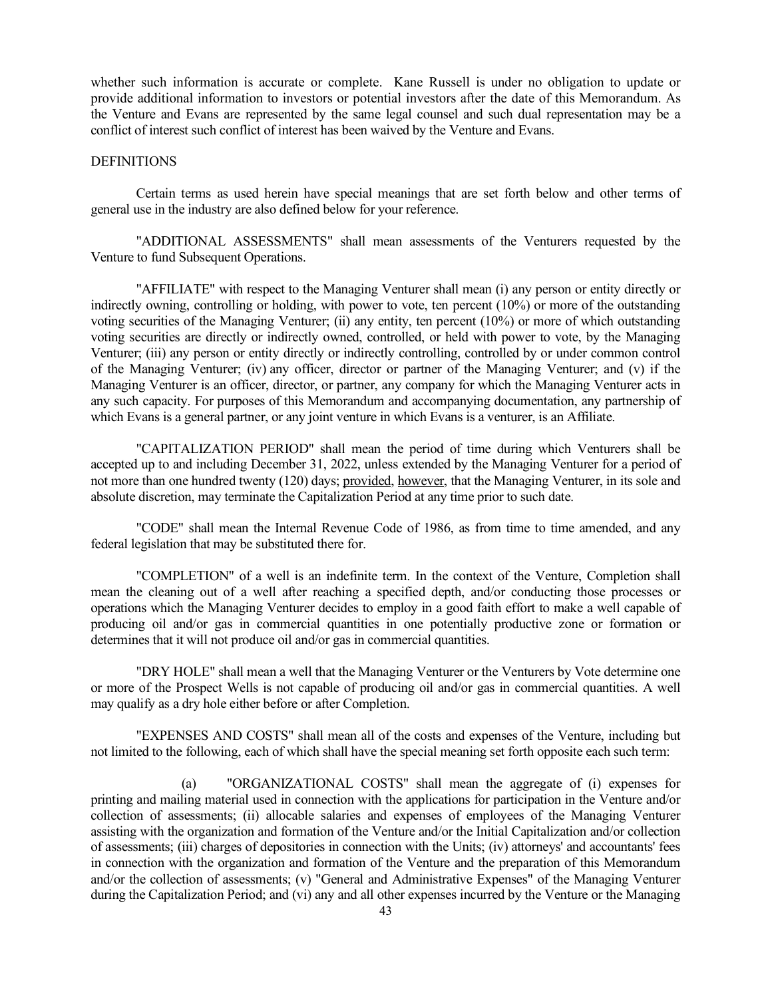whether such information is accurate or complete. Kane Russell is under no obligation to update or provide additional information to investors or potential investors after the date of this Memorandum. As the Venture and Evans are represented by the same legal counsel and such dual representation may be a conflict of interest such conflict of interest has been waived by the Venture and Evans.

# **DEFINITIONS**

Certain terms as used herein have special meanings that are set forth below and other terms of general use in the industry are also defined below for your reference.

"ADDITIONAL ASSESSMENTS" shall mean assessments of the Venturers requested by the Venture to fund Subsequent Operations.

"AFFILIATE" with respect to the Managing Venturer shall mean (i) any person or entity directly or indirectly owning, controlling or holding, with power to vote, ten percent (10%) or more of the outstanding voting securities of the Managing Venturer; (ii) any entity, ten percent (10%) or more of which outstanding voting securities are directly or indirectly owned, controlled, or held with power to vote, by the Managing Venturer; (iii) any person or entity directly or indirectly controlling, controlled by or under common control of the Managing Venturer; (iv) any officer, director or partner of the Managing Venturer; and (v) if the Managing Venturer is an officer, director, or partner, any company for which the Managing Venturer acts in any such capacity. For purposes of this Memorandum and accompanying documentation, any partnership of which Evans is a general partner, or any joint venture in which Evans is a venturer, is an Affiliate.

"CAPITALIZATION PERIOD" shall mean the period of time during which Venturers shall be accepted up to and including December 31, 2022, unless extended by the Managing Venturer for a period of not more than one hundred twenty (120) days; provided, however, that the Managing Venturer, in its sole and absolute discretion, may terminate the Capitalization Period at any time prior to such date.

"CODE" shall mean the Internal Revenue Code of 1986, as from time to time amended, and any federal legislation that may be substituted there for.

"COMPLETION" of a well is an indefinite term. In the context of the Venture, Completion shall mean the cleaning out of a well after reaching a specified depth, and/or conducting those processes or operations which the Managing Venturer decides to employ in a good faith effort to make a well capable of producing oil and/or gas in commercial quantities in one potentially productive zone or formation or determines that it will not produce oil and/or gas in commercial quantities.

"DRY HOLE" shall mean a well that the Managing Venturer or the Venturers by Vote determine one or more of the Prospect Wells is not capable of producing oil and/or gas in commercial quantities. A well may qualify as a dry hole either before or after Completion.

"EXPENSES AND COSTS" shall mean all of the costs and expenses of the Venture, including but not limited to the following, each of which shall have the special meaning set forth opposite each such term:

 (a) "ORGANIZATIONAL COSTS" shall mean the aggregate of (i) expenses for printing and mailing material used in connection with the applications for participation in the Venture and/or collection of assessments; (ii) allocable salaries and expenses of employees of the Managing Venturer assisting with the organization and formation of the Venture and/or the Initial Capitalization and/or collection of assessments; (iii) charges of depositories in connection with the Units; (iv) attorneys' and accountants' fees in connection with the organization and formation of the Venture and the preparation of this Memorandum and/or the collection of assessments; (v) "General and Administrative Expenses" of the Managing Venturer during the Capitalization Period; and (vi) any and all other expenses incurred by the Venture or the Managing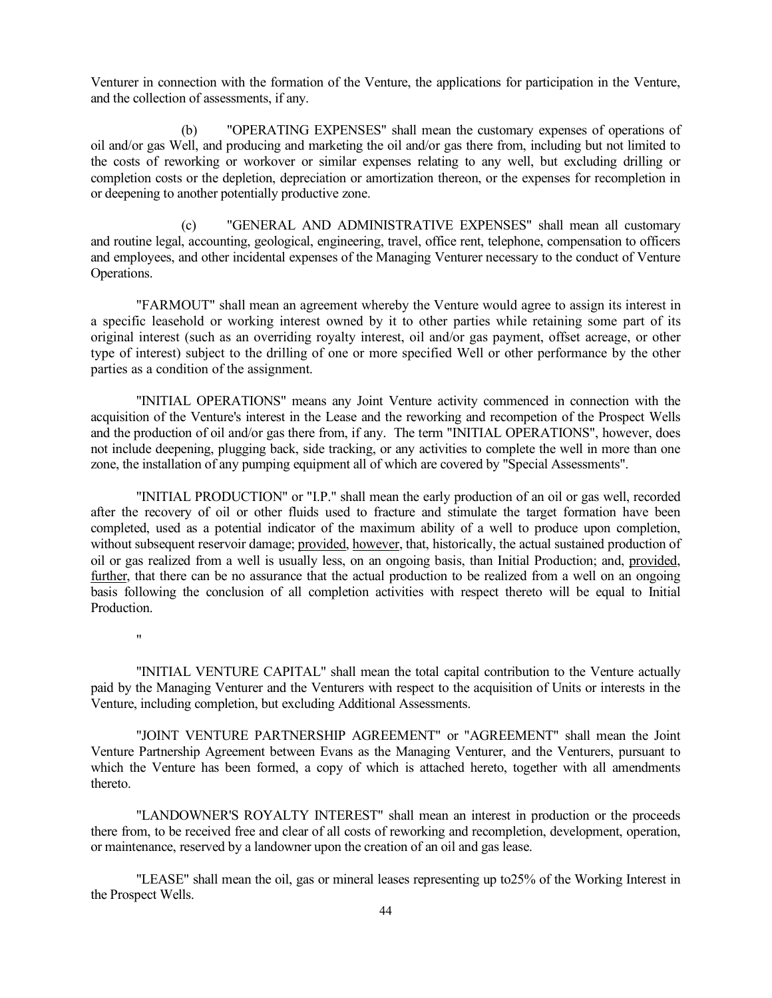Venturer in connection with the formation of the Venture, the applications for participation in the Venture, and the collection of assessments, if any.

 (b) "OPERATING EXPENSES" shall mean the customary expenses of operations of oil and/or gas Well, and producing and marketing the oil and/or gas there from, including but not limited to the costs of reworking or workover or similar expenses relating to any well, but excluding drilling or completion costs or the depletion, depreciation or amortization thereon, or the expenses for recompletion in or deepening to another potentially productive zone.

 (c) "GENERAL AND ADMINISTRATIVE EXPENSES" shall mean all customary and routine legal, accounting, geological, engineering, travel, office rent, telephone, compensation to officers and employees, and other incidental expenses of the Managing Venturer necessary to the conduct of Venture Operations.

"FARMOUT" shall mean an agreement whereby the Venture would agree to assign its interest in a specific leasehold or working interest owned by it to other parties while retaining some part of its original interest (such as an overriding royalty interest, oil and/or gas payment, offset acreage, or other type of interest) subject to the drilling of one or more specified Well or other performance by the other parties as a condition of the assignment.

"INITIAL OPERATIONS" means any Joint Venture activity commenced in connection with the acquisition of the Venture's interest in the Lease and the reworking and recompetion of the Prospect Wells and the production of oil and/or gas there from, if any. The term "INITIAL OPERATIONS", however, does not include deepening, plugging back, side tracking, or any activities to complete the well in more than one zone, the installation of any pumping equipment all of which are covered by "Special Assessments".

"INITIAL PRODUCTION" or "I.P." shall mean the early production of an oil or gas well, recorded after the recovery of oil or other fluids used to fracture and stimulate the target formation have been completed, used as a potential indicator of the maximum ability of a well to produce upon completion, without subsequent reservoir damage; provided, however, that, historically, the actual sustained production of oil or gas realized from a well is usually less, on an ongoing basis, than Initial Production; and, provided, further, that there can be no assurance that the actual production to be realized from a well on an ongoing basis following the conclusion of all completion activities with respect thereto will be equal to Initial Production.

"

"INITIAL VENTURE CAPITAL" shall mean the total capital contribution to the Venture actually paid by the Managing Venturer and the Venturers with respect to the acquisition of Units or interests in the Venture, including completion, but excluding Additional Assessments.

"JOINT VENTURE PARTNERSHIP AGREEMENT" or "AGREEMENT" shall mean the Joint Venture Partnership Agreement between Evans as the Managing Venturer, and the Venturers, pursuant to which the Venture has been formed, a copy of which is attached hereto, together with all amendments thereto.

"LANDOWNER'S ROYALTY INTEREST" shall mean an interest in production or the proceeds there from, to be received free and clear of all costs of reworking and recompletion, development, operation, or maintenance, reserved by a landowner upon the creation of an oil and gas lease.

"LEASE" shall mean the oil, gas or mineral leases representing up to25% of the Working Interest in the Prospect Wells.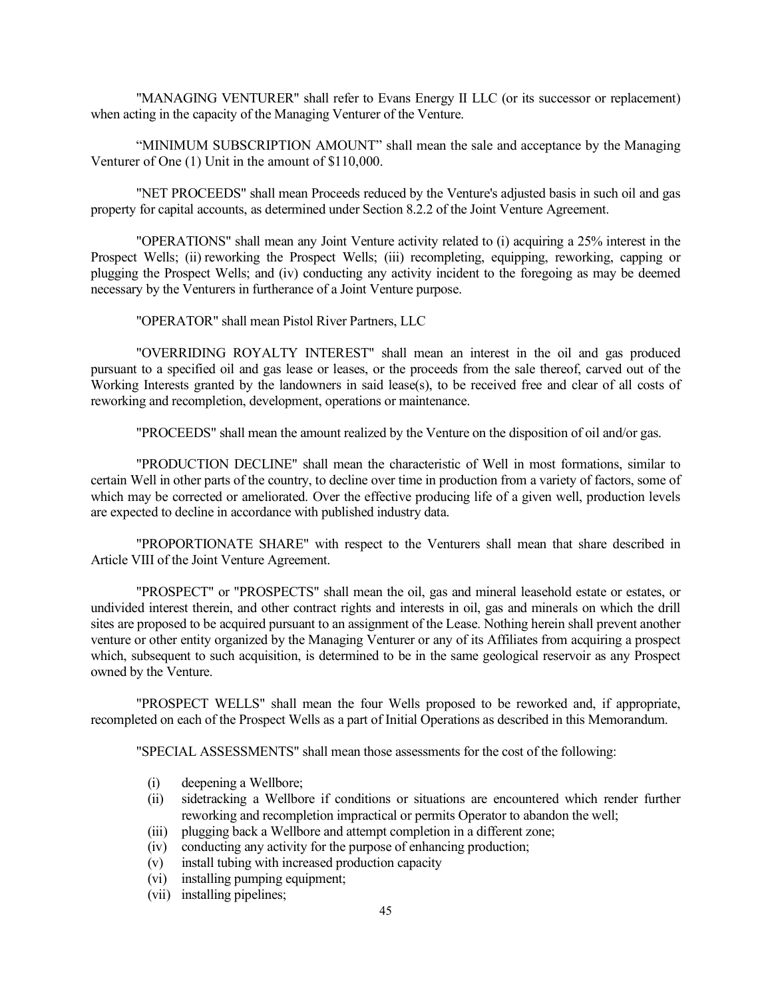"MANAGING VENTURER" shall refer to Evans Energy II LLC (or its successor or replacement) when acting in the capacity of the Managing Venturer of the Venture.

"MINIMUM SUBSCRIPTION AMOUNT" shall mean the sale and acceptance by the Managing Venturer of One (1) Unit in the amount of \$110,000.

"NET PROCEEDS" shall mean Proceeds reduced by the Venture's adjusted basis in such oil and gas property for capital accounts, as determined under Section 8.2.2 of the Joint Venture Agreement.

"OPERATIONS" shall mean any Joint Venture activity related to (i) acquiring a 25% interest in the Prospect Wells; (ii) reworking the Prospect Wells; (iii) recompleting, equipping, reworking, capping or plugging the Prospect Wells; and (iv) conducting any activity incident to the foregoing as may be deemed necessary by the Venturers in furtherance of a Joint Venture purpose.

"OPERATOR" shall mean Pistol River Partners, LLC

"OVERRIDING ROYALTY INTEREST" shall mean an interest in the oil and gas produced pursuant to a specified oil and gas lease or leases, or the proceeds from the sale thereof, carved out of the Working Interests granted by the landowners in said lease(s), to be received free and clear of all costs of reworking and recompletion, development, operations or maintenance.

"PROCEEDS" shall mean the amount realized by the Venture on the disposition of oil and/or gas.

"PRODUCTION DECLINE" shall mean the characteristic of Well in most formations, similar to certain Well in other parts of the country, to decline over time in production from a variety of factors, some of which may be corrected or ameliorated. Over the effective producing life of a given well, production levels are expected to decline in accordance with published industry data.

"PROPORTIONATE SHARE" with respect to the Venturers shall mean that share described in Article VIII of the Joint Venture Agreement.

"PROSPECT" or "PROSPECTS" shall mean the oil, gas and mineral leasehold estate or estates, or undivided interest therein, and other contract rights and interests in oil, gas and minerals on which the drill sites are proposed to be acquired pursuant to an assignment of the Lease. Nothing herein shall prevent another venture or other entity organized by the Managing Venturer or any of its Affiliates from acquiring a prospect which, subsequent to such acquisition, is determined to be in the same geological reservoir as any Prospect owned by the Venture.

"PROSPECT WELLS" shall mean the four Wells proposed to be reworked and, if appropriate, recompleted on each of the Prospect Wells as a part of Initial Operations as described in this Memorandum.

"SPECIAL ASSESSMENTS" shall mean those assessments for the cost of the following:

- (i) deepening a Wellbore;
- (ii) sidetracking a Wellbore if conditions or situations are encountered which render further reworking and recompletion impractical or permits Operator to abandon the well;
- (iii) plugging back a Wellbore and attempt completion in a different zone;
- (iv) conducting any activity for the purpose of enhancing production;
- (v) install tubing with increased production capacity
- (vi) installing pumping equipment;
- (vii) installing pipelines;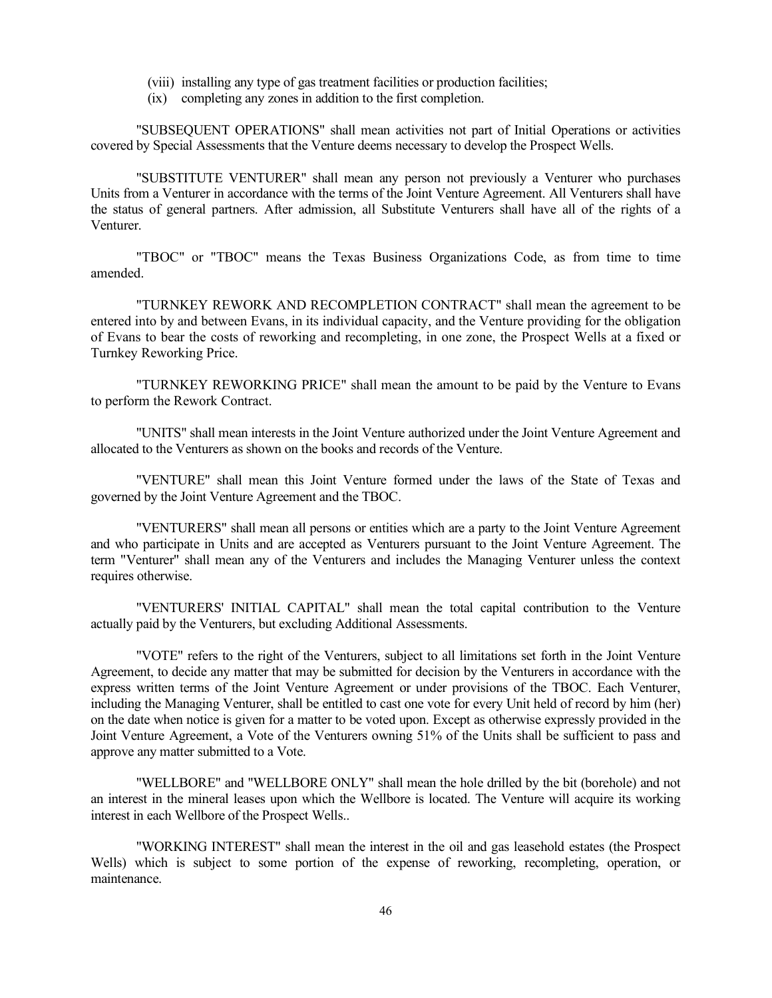- (viii) installing any type of gas treatment facilities or production facilities;
- (ix) completing any zones in addition to the first completion.

"SUBSEQUENT OPERATIONS" shall mean activities not part of Initial Operations or activities covered by Special Assessments that the Venture deems necessary to develop the Prospect Wells.

"SUBSTITUTE VENTURER" shall mean any person not previously a Venturer who purchases Units from a Venturer in accordance with the terms of the Joint Venture Agreement. All Venturers shall have the status of general partners. After admission, all Substitute Venturers shall have all of the rights of a Venturer.

"TBOC" or "TBOC" means the Texas Business Organizations Code, as from time to time amended.

"TURNKEY REWORK AND RECOMPLETION CONTRACT" shall mean the agreement to be entered into by and between Evans, in its individual capacity, and the Venture providing for the obligation of Evans to bear the costs of reworking and recompleting, in one zone, the Prospect Wells at a fixed or Turnkey Reworking Price.

"TURNKEY REWORKING PRICE" shall mean the amount to be paid by the Venture to Evans to perform the Rework Contract.

"UNITS" shall mean interests in the Joint Venture authorized under the Joint Venture Agreement and allocated to the Venturers as shown on the books and records of the Venture.

"VENTURE" shall mean this Joint Venture formed under the laws of the State of Texas and governed by the Joint Venture Agreement and the TBOC.

"VENTURERS" shall mean all persons or entities which are a party to the Joint Venture Agreement and who participate in Units and are accepted as Venturers pursuant to the Joint Venture Agreement. The term "Venturer" shall mean any of the Venturers and includes the Managing Venturer unless the context requires otherwise.

"VENTURERS' INITIAL CAPITAL" shall mean the total capital contribution to the Venture actually paid by the Venturers, but excluding Additional Assessments.

"VOTE" refers to the right of the Venturers, subject to all limitations set forth in the Joint Venture Agreement, to decide any matter that may be submitted for decision by the Venturers in accordance with the express written terms of the Joint Venture Agreement or under provisions of the TBOC. Each Venturer, including the Managing Venturer, shall be entitled to cast one vote for every Unit held of record by him (her) on the date when notice is given for a matter to be voted upon. Except as otherwise expressly provided in the Joint Venture Agreement, a Vote of the Venturers owning 51% of the Units shall be sufficient to pass and approve any matter submitted to a Vote.

"WELLBORE" and "WELLBORE ONLY" shall mean the hole drilled by the bit (borehole) and not an interest in the mineral leases upon which the Wellbore is located. The Venture will acquire its working interest in each Wellbore of the Prospect Wells..

"WORKING INTEREST" shall mean the interest in the oil and gas leasehold estates (the Prospect Wells) which is subject to some portion of the expense of reworking, recompleting, operation, or maintenance.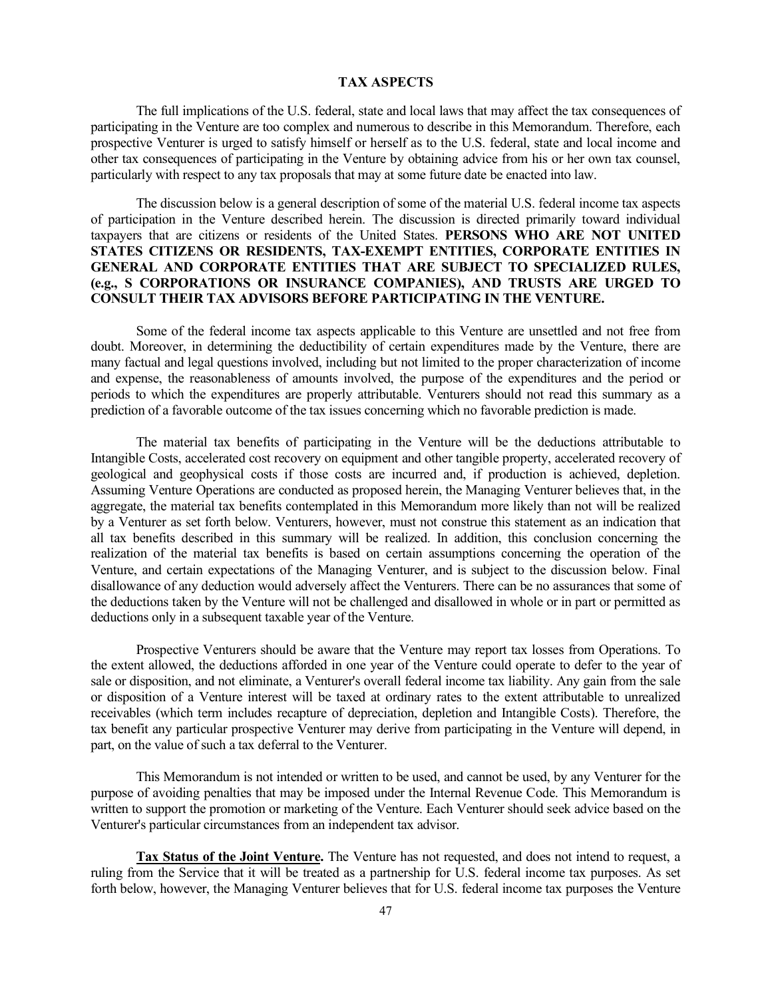## **TAX ASPECTS**

The full implications of the U.S. federal, state and local laws that may affect the tax consequences of participating in the Venture are too complex and numerous to describe in this Memorandum. Therefore, each prospective Venturer is urged to satisfy himself or herself as to the U.S. federal, state and local income and other tax consequences of participating in the Venture by obtaining advice from his or her own tax counsel, particularly with respect to any tax proposals that may at some future date be enacted into law.

The discussion below is a general description of some of the material U.S. federal income tax aspects of participation in the Venture described herein. The discussion is directed primarily toward individual taxpayers that are citizens or residents of the United States. **PERSONS WHO ARE NOT UNITED STATES CITIZENS OR RESIDENTS, TAX-EXEMPT ENTITIES, CORPORATE ENTITIES IN GENERAL AND CORPORATE ENTITIES THAT ARE SUBJECT TO SPECIALIZED RULES, (e.g., S CORPORATIONS OR INSURANCE COMPANIES), AND TRUSTS ARE URGED TO CONSULT THEIR TAX ADVISORS BEFORE PARTICIPATING IN THE VENTURE.**

Some of the federal income tax aspects applicable to this Venture are unsettled and not free from doubt. Moreover, in determining the deductibility of certain expenditures made by the Venture, there are many factual and legal questions involved, including but not limited to the proper characterization of income and expense, the reasonableness of amounts involved, the purpose of the expenditures and the period or periods to which the expenditures are properly attributable. Venturers should not read this summary as a prediction of a favorable outcome of the tax issues concerning which no favorable prediction is made.

The material tax benefits of participating in the Venture will be the deductions attributable to Intangible Costs, accelerated cost recovery on equipment and other tangible property, accelerated recovery of geological and geophysical costs if those costs are incurred and, if production is achieved, depletion. Assuming Venture Operations are conducted as proposed herein, the Managing Venturer believes that, in the aggregate, the material tax benefits contemplated in this Memorandum more likely than not will be realized by a Venturer as set forth below. Venturers, however, must not construe this statement as an indication that all tax benefits described in this summary will be realized. In addition, this conclusion concerning the realization of the material tax benefits is based on certain assumptions concerning the operation of the Venture, and certain expectations of the Managing Venturer, and is subject to the discussion below. Final disallowance of any deduction would adversely affect the Venturers. There can be no assurances that some of the deductions taken by the Venture will not be challenged and disallowed in whole or in part or permitted as deductions only in a subsequent taxable year of the Venture.

Prospective Venturers should be aware that the Venture may report tax losses from Operations. To the extent allowed, the deductions afforded in one year of the Venture could operate to defer to the year of sale or disposition, and not eliminate, a Venturer's overall federal income tax liability. Any gain from the sale or disposition of a Venture interest will be taxed at ordinary rates to the extent attributable to unrealized receivables (which term includes recapture of depreciation, depletion and Intangible Costs). Therefore, the tax benefit any particular prospective Venturer may derive from participating in the Venture will depend, in part, on the value of such a tax deferral to the Venturer.

This Memorandum is not intended or written to be used, and cannot be used, by any Venturer for the purpose of avoiding penalties that may be imposed under the Internal Revenue Code. This Memorandum is written to support the promotion or marketing of the Venture. Each Venturer should seek advice based on the Venturer's particular circumstances from an independent tax advisor.

**Tax Status of the Joint Venture.** The Venture has not requested, and does not intend to request, a ruling from the Service that it will be treated as a partnership for U.S. federal income tax purposes. As set forth below, however, the Managing Venturer believes that for U.S. federal income tax purposes the Venture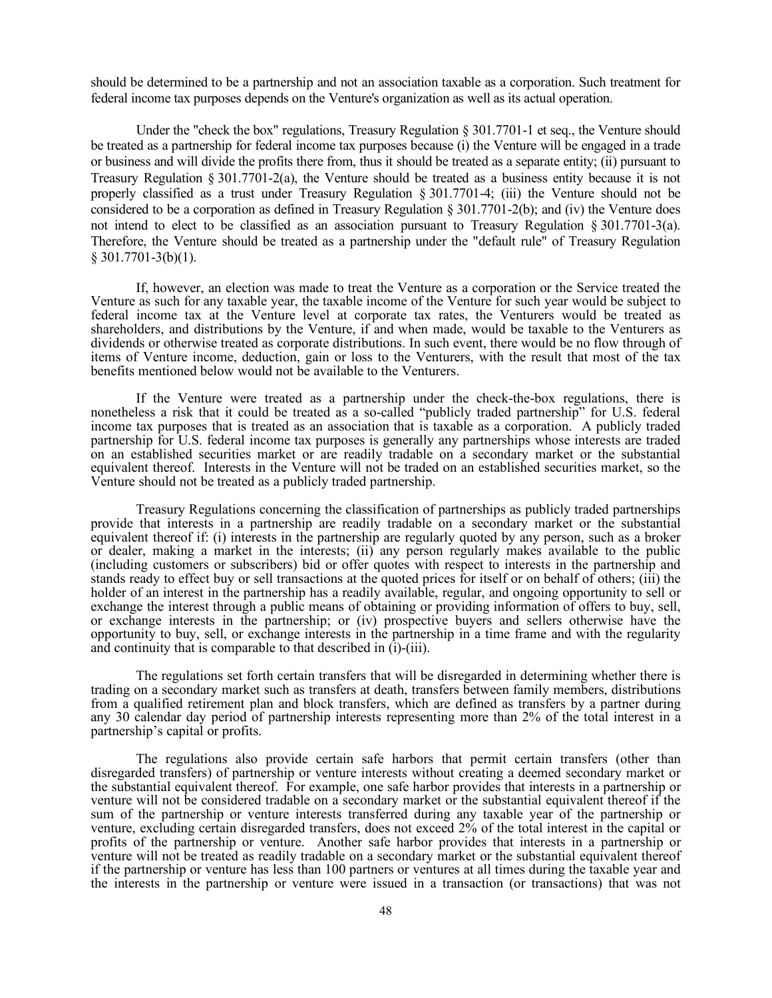should be determined to be a partnership and not an association taxable as a corporation. Such treatment for federal income tax purposes depends on the Venture's organization as well as its actual operation.

Under the "check the box" regulations, Treasury Regulation  $\S 301.7701$ -1 et seq., the Venture should be treated as a partnership for federal income tax purposes because (i) the Venture will be engaged in a trade or business and will divide the profits there from, thus it should be treated as a separate entity; (ii) pursuant to Treasury Regulation  $\S 301.7701-2(a)$ , the Venture should be treated as a business entity because it is not properly classified as a trust under Treasury Regulation § 301.7701-4; (iii) the Venture should not be considered to be a corporation as defined in Treasury Regulation  $\S 301.7701-2(b)$ ; and (iv) the Venture does not intend to elect to be classified as an association pursuant to Treasury Regulation § 301.7701-3(a). Therefore, the Venture should be treated as a partnership under the "default rule" of Treasury Regulation § 301.7701-3(b)(1).

If, however, an election was made to treat the Venture as a corporation or the Service treated the Venture as such for any taxable year, the taxable income of the Venture for such year would be subject to federal income tax at the Venture level at corporate tax rates, the Venturers would be treated as shareholders, and distributions by the Venture, if and when made, would be taxable to the Venturers as dividends or otherwise treated as corporate distributions. In such event, there would be no flow through of items of Venture income, deduction, gain or loss to the Venturers, with the result that most of the tax benefits mentioned below would not be available to the Venturers.

If the Venture were treated as a partnership under the check-the-box regulations, there is nonetheless a risk that it could be treated as a so-called "publicly traded partnership" for U.S. federal income tax purposes that is treated as an association that is taxable as a corporation. A publicly traded partnership for U.S. federal income tax purposes is generally any partnerships whose interests are traded on an established securities market or are readily tradable on a secondary market or the substantial equivalent thereof. Interests in the Venture will not be traded on an established securities market, so the Venture should not be treated as a publicly traded partnership.

Treasury Regulations concerning the classification of partnerships as publicly traded partnerships provide that interests in a partnership are readily tradable on a secondary market or the substantial equivalent thereof if: (i) interests in the partnership are regularly quoted by any person, such as a broker or dealer, making a market in the interests; (ii) any person regularly makes available to the public (including customers or subscribers) bid or offer quotes with respect to interests in the partnership and stands ready to effect buy or sell transactions at the quoted prices for itself or on behalf of others; (iii) the holder of an interest in the partnership has a readily available, regular, and ongoing opportunity to sell or exchange the interest through a public means of obtaining or providing information of offers to buy, sell, or exchange interests in the partnership; or (iv) prospective buyers and sellers otherwise have the opportunity to buy, sell, or exchange interests in the partnership in a time frame and with the regularity and continuity that is comparable to that described in  $(i)$ - $(iii)$ .

The regulations set forth certain transfers that will be disregarded in determining whether there is trading on a secondary market such as transfers at death, transfers between family members, distributions from a qualified retirement plan and block transfers, which are defined as transfers by a partner during any 30 calendar day period of partnership interests representing more than 2% of the total interest in a partnership's capital or profits.

The regulations also provide certain safe harbors that permit certain transfers (other than disregarded transfers) of partnership or venture interests without creating a deemed secondary market or the substantial equivalent thereof. For example, one safe harbor provides that interests in a partnership or venture will not be considered tradable on a secondary market or the substantial equivalent thereof if the sum of the partnership or venture interests transferred during any taxable year of the partnership or venture, excluding certain disregarded transfers, does not exceed 2% of the total interest in the capital or profits of the partnership or venture. Another safe harbor provides that interests in a partnership or venture will not be treated as readily tradable on a secondary market or the substantial equivalent thereof if the partnership or venture has less than 100 partners or ventures at all times during the taxable year and the interests in the partnership or venture were issued in a transaction (or transactions) that was not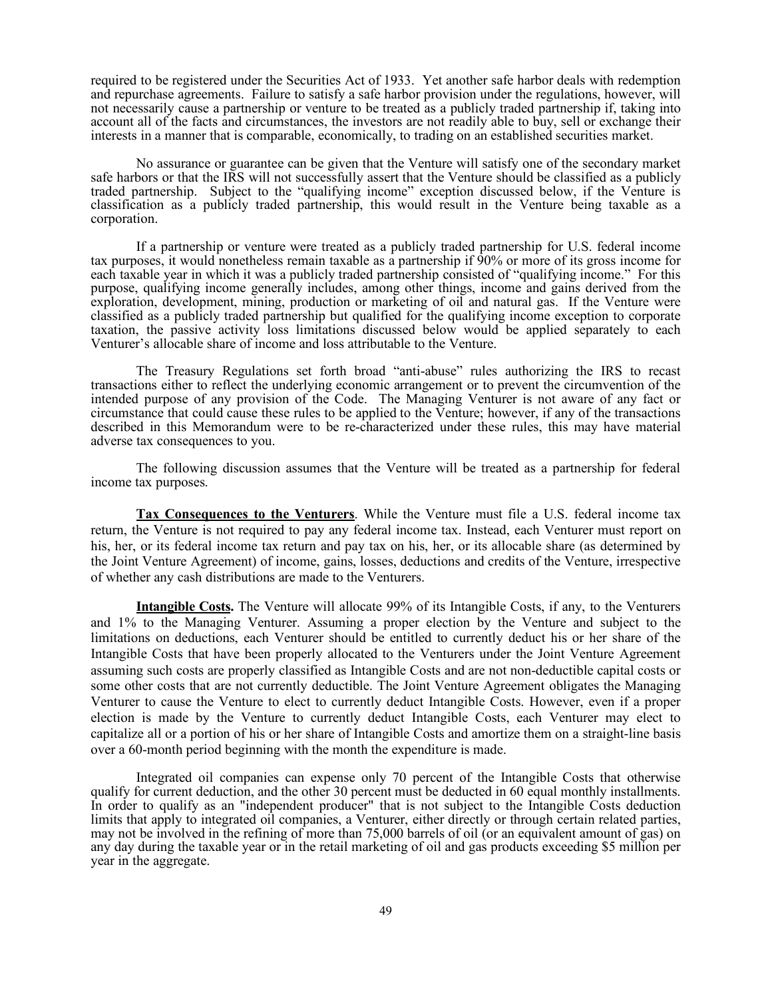required to be registered under the Securities Act of 1933. Yet another safe harbor deals with redemption and repurchase agreements. Failure to satisfy a safe harbor provision under the regulations, however, will not necessarily cause a partnership or venture to be treated as a publicly traded partnership if, taking into account all of the facts and circumstances, the investors are not readily able to buy, sell or exchange their interests in a manner that is comparable, economically, to trading on an established securities market.

No assurance or guarantee can be given that the Venture will satisfy one of the secondary market safe harbors or that the IRS will not successfully assert that the Venture should be classified as a publicly traded partnership. Subject to the "qualifying income" exception discussed below, if the Venture is classification as a publicly traded partnership, this would result in the Venture being taxable as a corporation.

If a partnership or venture were treated as a publicly traded partnership for U.S. federal income tax purposes, it would nonetheless remain taxable as a partnership if 90% or more of its gross income for each taxable year in which it was a publicly traded partnership consisted of "qualifying income." For this purpose, qualifying income generally includes, among other things, income and gains derived from the exploration, development, mining, production or marketing of oil and natural gas. If the Venture were classified as a publicly traded partnership but qualified for the qualifying income exception to corporate taxation, the passive activity loss limitations discussed below would be applied separately to each Venturer's allocable share of income and loss attributable to the Venture.

The Treasury Regulations set forth broad "anti-abuse" rules authorizing the IRS to recast transactions either to reflect the underlying economic arrangement or to prevent the circumvention of the intended purpose of any provision of the Code. The Managing Venturer is not aware of any fact or circumstance that could cause these rules to be applied to the Venture; however, if any of the transactions described in this Memorandum were to be re-characterized under these rules, this may have material adverse tax consequences to you.

The following discussion assumes that the Venture will be treated as a partnership for federal income tax purposes.

**Tax Consequences to the Venturers**. While the Venture must file a U.S. federal income tax return, the Venture is not required to pay any federal income tax. Instead, each Venturer must report on his, her, or its federal income tax return and pay tax on his, her, or its allocable share (as determined by the Joint Venture Agreement) of income, gains, losses, deductions and credits of the Venture, irrespective of whether any cash distributions are made to the Venturers.

**Intangible Costs.** The Venture will allocate 99% of its Intangible Costs, if any, to the Venturers and 1% to the Managing Venturer. Assuming a proper election by the Venture and subject to the limitations on deductions, each Venturer should be entitled to currently deduct his or her share of the Intangible Costs that have been properly allocated to the Venturers under the Joint Venture Agreement assuming such costs are properly classified as Intangible Costs and are not non-deductible capital costs or some other costs that are not currently deductible. The Joint Venture Agreement obligates the Managing Venturer to cause the Venture to elect to currently deduct Intangible Costs. However, even if a proper election is made by the Venture to currently deduct Intangible Costs, each Venturer may elect to capitalize all or a portion of his or her share of Intangible Costs and amortize them on a straight-line basis over a 60-month period beginning with the month the expenditure is made.

Integrated oil companies can expense only 70 percent of the Intangible Costs that otherwise qualify for current deduction, and the other 30 percent must be deducted in 60 equal monthly installments. In order to qualify as an "independent producer" that is not subject to the Intangible Costs deduction limits that apply to integrated oil companies, a Venturer, either directly or through certain related parties, may not be involved in the refining of more than 75,000 barrels of oil (or an equivalent amount of gas) on any day during the taxable year or in the retail marketing of oil and gas products exceeding \$5 million per year in the aggregate.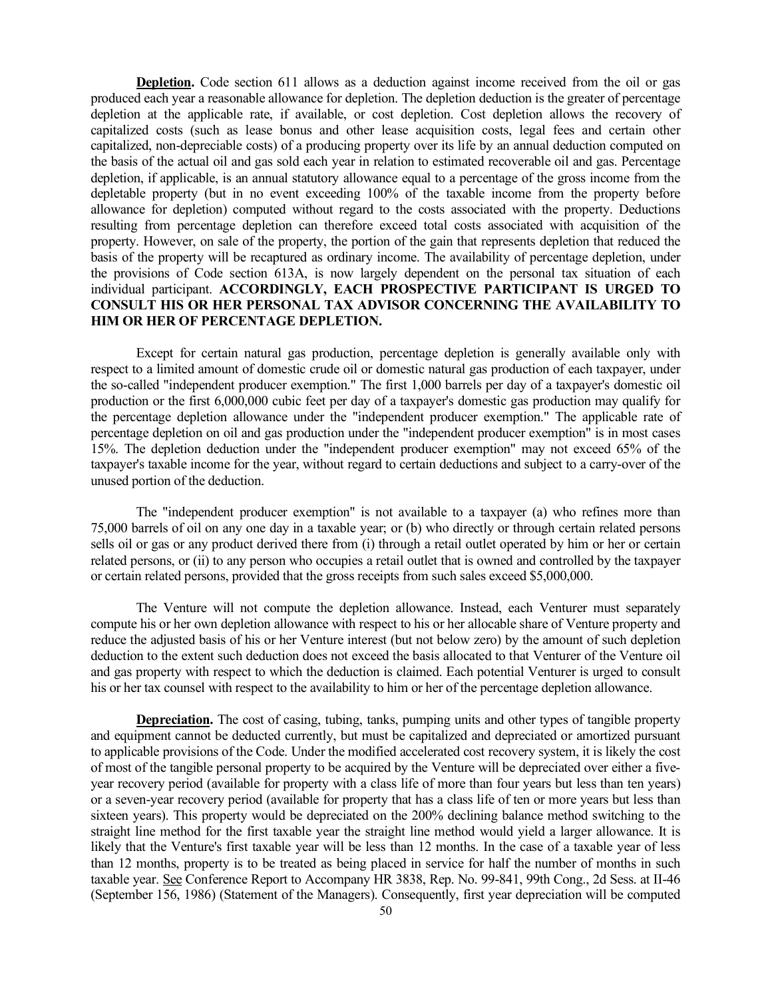**Depletion.** Code section 611 allows as a deduction against income received from the oil or gas produced each year a reasonable allowance for depletion. The depletion deduction is the greater of percentage depletion at the applicable rate, if available, or cost depletion. Cost depletion allows the recovery of capitalized costs (such as lease bonus and other lease acquisition costs, legal fees and certain other capitalized, non-depreciable costs) of a producing property over its life by an annual deduction computed on the basis of the actual oil and gas sold each year in relation to estimated recoverable oil and gas. Percentage depletion, if applicable, is an annual statutory allowance equal to a percentage of the gross income from the depletable property (but in no event exceeding 100% of the taxable income from the property before allowance for depletion) computed without regard to the costs associated with the property. Deductions resulting from percentage depletion can therefore exceed total costs associated with acquisition of the property. However, on sale of the property, the portion of the gain that represents depletion that reduced the basis of the property will be recaptured as ordinary income. The availability of percentage depletion, under the provisions of Code section 613A, is now largely dependent on the personal tax situation of each individual participant. **ACCORDINGLY, EACH PROSPECTIVE PARTICIPANT IS URGED TO CONSULT HIS OR HER PERSONAL TAX ADVISOR CONCERNING THE AVAILABILITY TO HIM OR HER OF PERCENTAGE DEPLETION.**

Except for certain natural gas production, percentage depletion is generally available only with respect to a limited amount of domestic crude oil or domestic natural gas production of each taxpayer, under the so-called "independent producer exemption." The first 1,000 barrels per day of a taxpayer's domestic oil production or the first 6,000,000 cubic feet per day of a taxpayer's domestic gas production may qualify for the percentage depletion allowance under the "independent producer exemption." The applicable rate of percentage depletion on oil and gas production under the "independent producer exemption" is in most cases 15%. The depletion deduction under the "independent producer exemption" may not exceed 65% of the taxpayer's taxable income for the year, without regard to certain deductions and subject to a carry-over of the unused portion of the deduction.

The "independent producer exemption" is not available to a taxpayer (a) who refines more than 75,000 barrels of oil on any one day in a taxable year; or (b) who directly or through certain related persons sells oil or gas or any product derived there from (i) through a retail outlet operated by him or her or certain related persons, or (ii) to any person who occupies a retail outlet that is owned and controlled by the taxpayer or certain related persons, provided that the gross receipts from such sales exceed \$5,000,000.

The Venture will not compute the depletion allowance. Instead, each Venturer must separately compute his or her own depletion allowance with respect to his or her allocable share of Venture property and reduce the adjusted basis of his or her Venture interest (but not below zero) by the amount of such depletion deduction to the extent such deduction does not exceed the basis allocated to that Venturer of the Venture oil and gas property with respect to which the deduction is claimed. Each potential Venturer is urged to consult his or her tax counsel with respect to the availability to him or her of the percentage depletion allowance.

**Depreciation.** The cost of casing, tubing, tanks, pumping units and other types of tangible property and equipment cannot be deducted currently, but must be capitalized and depreciated or amortized pursuant to applicable provisions of the Code. Under the modified accelerated cost recovery system, it is likely the cost of most of the tangible personal property to be acquired by the Venture will be depreciated over either a fiveyear recovery period (available for property with a class life of more than four years but less than ten years) or a seven-year recovery period (available for property that has a class life of ten or more years but less than sixteen years). This property would be depreciated on the 200% declining balance method switching to the straight line method for the first taxable year the straight line method would yield a larger allowance. It is likely that the Venture's first taxable year will be less than 12 months. In the case of a taxable year of less than 12 months, property is to be treated as being placed in service for half the number of months in such taxable year. See Conference Report to Accompany HR 3838, Rep. No. 99-841, 99th Cong., 2d Sess. at II-46 (September 156, 1986) (Statement of the Managers). Consequently, first year depreciation will be computed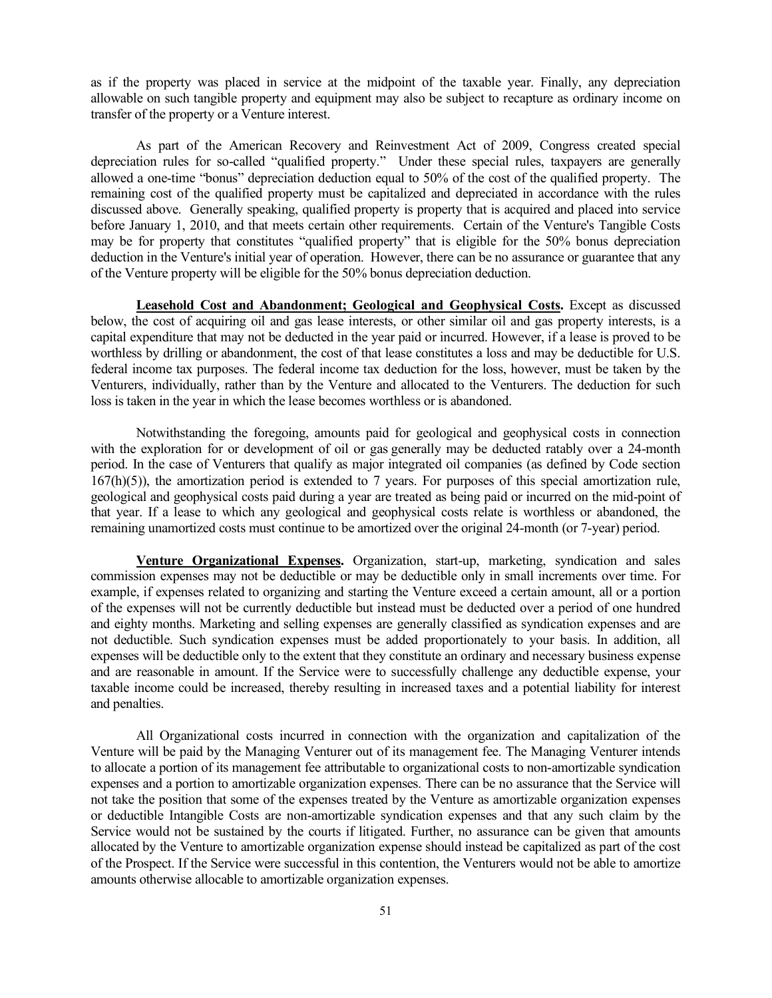as if the property was placed in service at the midpoint of the taxable year. Finally, any depreciation allowable on such tangible property and equipment may also be subject to recapture as ordinary income on transfer of the property or a Venture interest.

As part of the American Recovery and Reinvestment Act of 2009, Congress created special depreciation rules for so-called "qualified property." Under these special rules, taxpayers are generally allowed a one-time "bonus" depreciation deduction equal to 50% of the cost of the qualified property. The remaining cost of the qualified property must be capitalized and depreciated in accordance with the rules discussed above. Generally speaking, qualified property is property that is acquired and placed into service before January 1, 2010, and that meets certain other requirements. Certain of the Venture's Tangible Costs may be for property that constitutes "qualified property" that is eligible for the 50% bonus depreciation deduction in the Venture's initial year of operation. However, there can be no assurance or guarantee that any of the Venture property will be eligible for the 50% bonus depreciation deduction.

**Leasehold Cost and Abandonment; Geological and Geophysical Costs.** Except as discussed below, the cost of acquiring oil and gas lease interests, or other similar oil and gas property interests, is a capital expenditure that may not be deducted in the year paid or incurred. However, if a lease is proved to be worthless by drilling or abandonment, the cost of that lease constitutes a loss and may be deductible for U.S. federal income tax purposes. The federal income tax deduction for the loss, however, must be taken by the Venturers, individually, rather than by the Venture and allocated to the Venturers. The deduction for such loss is taken in the year in which the lease becomes worthless or is abandoned.

Notwithstanding the foregoing, amounts paid for geological and geophysical costs in connection with the exploration for or development of oil or gas generally may be deducted ratably over a 24-month period. In the case of Venturers that qualify as major integrated oil companies (as defined by Code section  $167(h)(5)$ ), the amortization period is extended to 7 years. For purposes of this special amortization rule, geological and geophysical costs paid during a year are treated as being paid or incurred on the mid-point of that year. If a lease to which any geological and geophysical costs relate is worthless or abandoned, the remaining unamortized costs must continue to be amortized over the original 24-month (or 7-year) period.

**Venture Organizational Expenses.** Organization, start-up, marketing, syndication and sales commission expenses may not be deductible or may be deductible only in small increments over time. For example, if expenses related to organizing and starting the Venture exceed a certain amount, all or a portion of the expenses will not be currently deductible but instead must be deducted over a period of one hundred and eighty months. Marketing and selling expenses are generally classified as syndication expenses and are not deductible. Such syndication expenses must be added proportionately to your basis. In addition, all expenses will be deductible only to the extent that they constitute an ordinary and necessary business expense and are reasonable in amount. If the Service were to successfully challenge any deductible expense, your taxable income could be increased, thereby resulting in increased taxes and a potential liability for interest and penalties.

All Organizational costs incurred in connection with the organization and capitalization of the Venture will be paid by the Managing Venturer out of its management fee. The Managing Venturer intends to allocate a portion of its management fee attributable to organizational costs to non-amortizable syndication expenses and a portion to amortizable organization expenses. There can be no assurance that the Service will not take the position that some of the expenses treated by the Venture as amortizable organization expenses or deductible Intangible Costs are non-amortizable syndication expenses and that any such claim by the Service would not be sustained by the courts if litigated. Further, no assurance can be given that amounts allocated by the Venture to amortizable organization expense should instead be capitalized as part of the cost of the Prospect. If the Service were successful in this contention, the Venturers would not be able to amortize amounts otherwise allocable to amortizable organization expenses.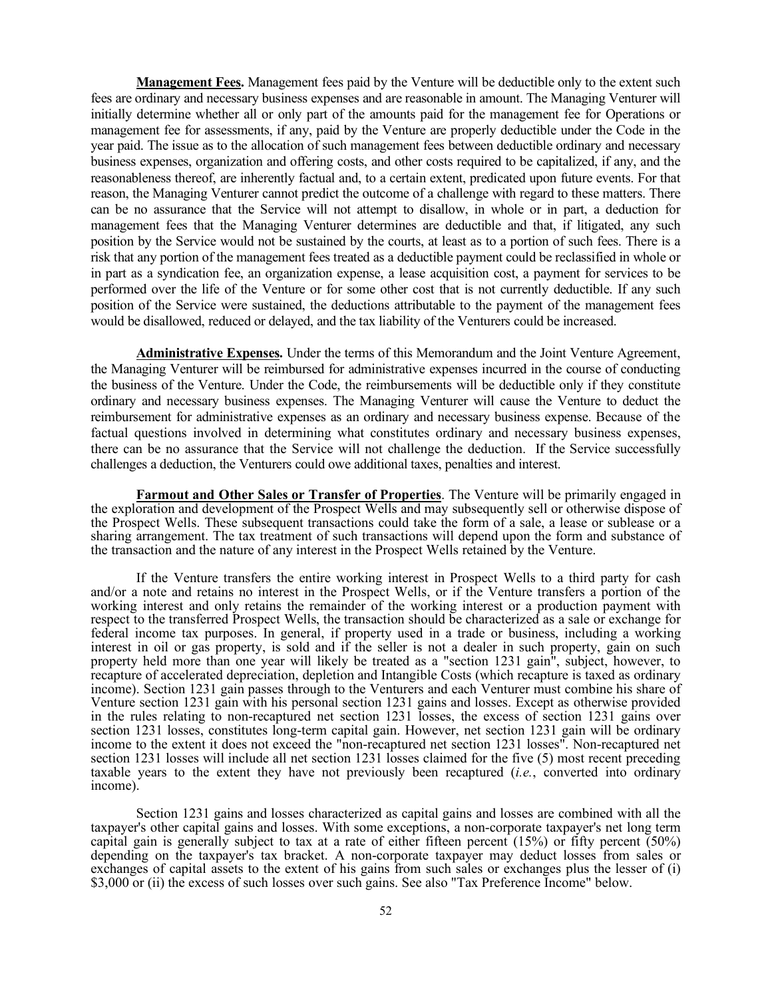**Management Fees.** Management fees paid by the Venture will be deductible only to the extent such fees are ordinary and necessary business expenses and are reasonable in amount. The Managing Venturer will initially determine whether all or only part of the amounts paid for the management fee for Operations or management fee for assessments, if any, paid by the Venture are properly deductible under the Code in the year paid. The issue as to the allocation of such management fees between deductible ordinary and necessary business expenses, organization and offering costs, and other costs required to be capitalized, if any, and the reasonableness thereof, are inherently factual and, to a certain extent, predicated upon future events. For that reason, the Managing Venturer cannot predict the outcome of a challenge with regard to these matters. There can be no assurance that the Service will not attempt to disallow, in whole or in part, a deduction for management fees that the Managing Venturer determines are deductible and that, if litigated, any such position by the Service would not be sustained by the courts, at least as to a portion of such fees. There is a risk that any portion of the management fees treated as a deductible payment could be reclassified in whole or in part as a syndication fee, an organization expense, a lease acquisition cost, a payment for services to be performed over the life of the Venture or for some other cost that is not currently deductible. If any such position of the Service were sustained, the deductions attributable to the payment of the management fees would be disallowed, reduced or delayed, and the tax liability of the Venturers could be increased.

**Administrative Expenses.** Under the terms of this Memorandum and the Joint Venture Agreement, the Managing Venturer will be reimbursed for administrative expenses incurred in the course of conducting the business of the Venture. Under the Code, the reimbursements will be deductible only if they constitute ordinary and necessary business expenses. The Managing Venturer will cause the Venture to deduct the reimbursement for administrative expenses as an ordinary and necessary business expense. Because of the factual questions involved in determining what constitutes ordinary and necessary business expenses, there can be no assurance that the Service will not challenge the deduction. If the Service successfully challenges a deduction, the Venturers could owe additional taxes, penalties and interest.

**Farmout and Other Sales or Transfer of Properties**. The Venture will be primarily engaged in the exploration and development of the Prospect Wells and may subsequently sell or otherwise dispose of the Prospect Wells. These subsequent transactions could take the form of a sale, a lease or sublease or a sharing arrangement. The tax treatment of such transactions will depend upon the form and substance of the transaction and the nature of any interest in the Prospect Wells retained by the Venture.

If the Venture transfers the entire working interest in Prospect Wells to a third party for cash and/or a note and retains no interest in the Prospect Wells, or if the Venture transfers a portion of the working interest and only retains the remainder of the working interest or a production payment with respect to the transferred Prospect Wells, the transaction should be characterized as a sale or exchange for federal income tax purposes. In general, if property used in a trade or business, including a working interest in oil or gas property, is sold and if the seller is not a dealer in such property, gain on such property held more than one year will likely be treated as a "section 1231 gain", subject, however, to recapture of accelerated depreciation, depletion and Intangible Costs (which recapture is taxed as ordinary income). Section 1231 gain passes through to the Venturers and each Venturer must combine his share of Venture section 1231 gain with his personal section 1231 gains and losses. Except as otherwise provided in the rules relating to non-recaptured net section 1231 losses, the excess of section 1231 gains over section 1231 losses, constitutes long-term capital gain. However, net section 1231 gain will be ordinary income to the extent it does not exceed the "non-recaptured net section 1231 losses". Non-recaptured net section 1231 losses will include all net section 1231 losses claimed for the five (5) most recent preceding taxable years to the extent they have not previously been recaptured (*i.e.*, converted into ordinary income).

Section 1231 gains and losses characterized as capital gains and losses are combined with all the taxpayer's other capital gains and losses. With some exceptions, a non-corporate taxpayer's net long term capital gain is generally subject to tax at a rate of either fifteen percent (15%) or fifty percent (50%) depending on the taxpayer's tax bracket. A non-corporate taxpayer may deduct losses from sales or exchanges of capital assets to the extent of his gains from such sales or exchanges plus the lesser of (i) \$3,000 or (ii) the excess of such losses over such gains. See also "Tax Preference Income" below.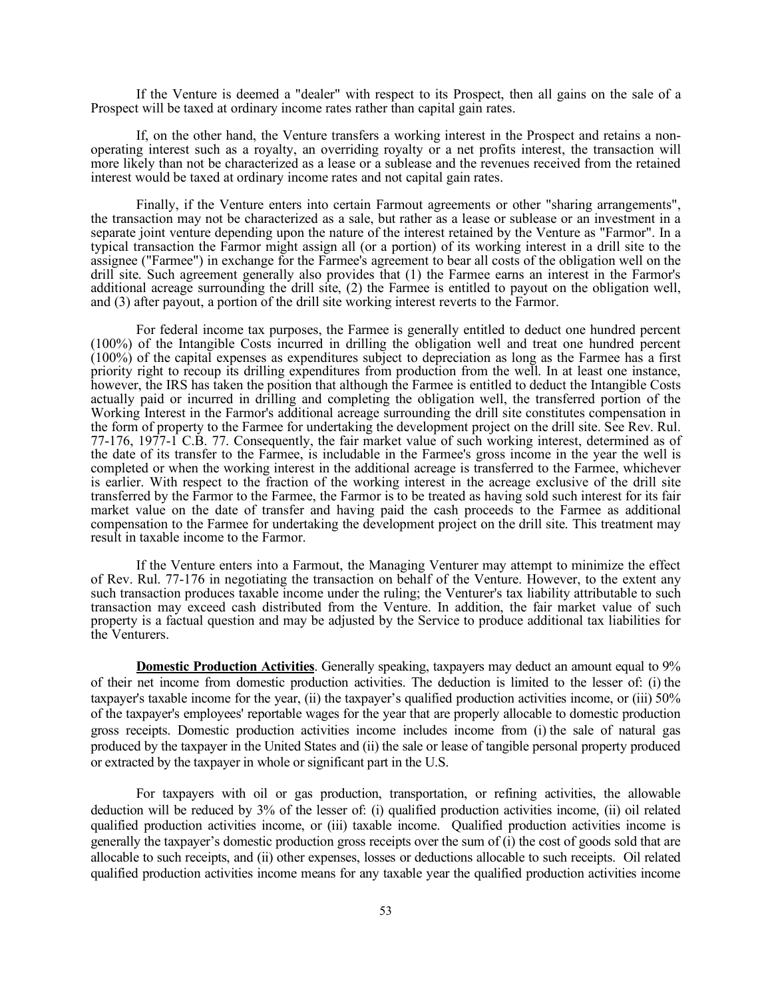If the Venture is deemed a "dealer" with respect to its Prospect, then all gains on the sale of a Prospect will be taxed at ordinary income rates rather than capital gain rates.

If, on the other hand, the Venture transfers a working interest in the Prospect and retains a non- operating interest such as a royalty, an overriding royalty or a net profits interest, the transaction will more likely than not be characterized as a lease or a sublease and the revenues received from the retained interest would be taxed at ordinary income rates and not capital gain rates.

Finally, if the Venture enters into certain Farmout agreements or other "sharing arrangements", the transaction may not be characterized as a sale, but rather as a lease or sublease or an investment in a separate joint venture depending upon the nature of the interest retained by the Venture as "Farmor". In a typical transaction the Farmor might assign all (or a portion) of its working interest in a drill site to the assignee ("Farmee") in exchange for the Farmee's agreement to bear all costs of the obligation well on the drill site. Such agreement generally also provides that (1) the Farmee earns an interest in the Farmor's additional acreage surrounding the drill site, (2) the Farmee is entitled to payout on the obligation well, and (3) after payout, a portion of the drill site working interest reverts to the Farmor.

For federal income tax purposes, the Farmee is generally entitled to deduct one hundred percent (100%) of the Intangible Costs incurred in drilling the obligation well and treat one hundred percent  $(100%)$  of the capital expenses as expenditures subject to depreciation as long as the Farmee has a first priority right to recoup its drilling expenditures from production from the well. In at least one instance, however, the IRS has taken the position that although the Farmee is entitled to deduct the Intangible Costs actually paid or incurred in drilling and completing the obligation well, the transferred portion of the Working Interest in the Farmor's additional acreage surrounding the drill site constitutes compensation in the form of property to the Farmee for undertaking the development project on the drill site. See Rev. Rul. 77-176, 1977-1 C.B. 77. Consequently, the fair market value of such working interest, determined as of the date of its transfer to the Farmee, is includable in the Farmee's gross income in the year the well is completed or when the working interest in the additional acreage is transferred to the Farmee, whichever is earlier. With respect to the fraction of the working interest in the acreage exclusive of the drill site transferred by the Farmor to the Farmee, the Farmor is to be treated as having sold such interest for its fair market value on the date of transfer and having paid the cash proceeds to the Farmee as additional compensation to the Farmee for undertaking the development project on the drill site. This treatment may result in taxable income to the Farmor.

If the Venture enters into a Farmout, the Managing Venturer may attempt to minimize the effect of Rev. Rul. 77-176 in negotiating the transaction on behalf of the Venture. However, to the extent any such transaction produces taxable income under the ruling; the Venturer's tax liability attributable to such transaction may exceed cash distributed from the Venture. In addition, the fair market value of such property is a factual question and may be adjusted by the Service to produce additional tax liabilities for the Venturers.

**Domestic Production Activities**. Generally speaking, taxpayers may deduct an amount equal to 9% of their net income from domestic production activities. The deduction is limited to the lesser of: (i) the taxpayer's taxable income for the year, (ii) the taxpayer's qualified production activities income, or (iii) 50% of the taxpayer's employees' reportable wages for the year that are properly allocable to domestic production gross receipts. Domestic production activities income includes income from (i) the sale of natural gas produced by the taxpayer in the United States and (ii) the sale or lease of tangible personal property produced or extracted by the taxpayer in whole or significant part in the U.S.

For taxpayers with oil or gas production, transportation, or refining activities, the allowable deduction will be reduced by 3% of the lesser of: (i) qualified production activities income, (ii) oil related qualified production activities income, or (iii) taxable income. Qualified production activities income is generally the taxpayer's domestic production gross receipts over the sum of (i) the cost of goods sold that are allocable to such receipts, and (ii) other expenses, losses or deductions allocable to such receipts. Oil related qualified production activities income means for any taxable year the qualified production activities income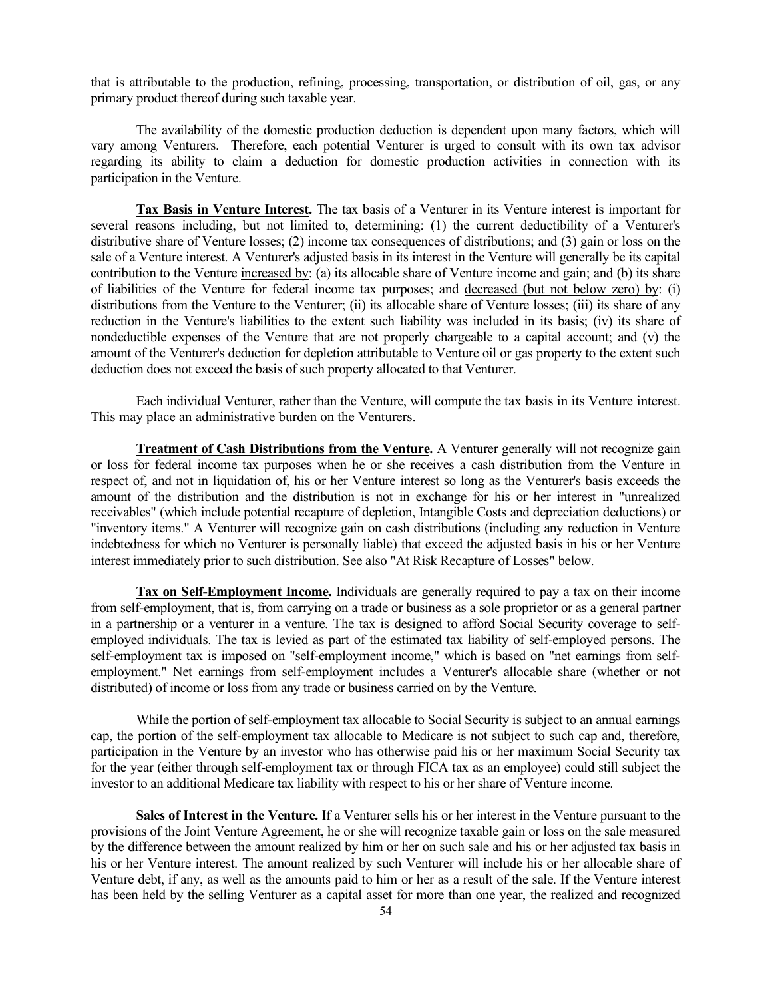that is attributable to the production, refining, processing, transportation, or distribution of oil, gas, or any primary product thereof during such taxable year.

The availability of the domestic production deduction is dependent upon many factors, which will vary among Venturers. Therefore, each potential Venturer is urged to consult with its own tax advisor regarding its ability to claim a deduction for domestic production activities in connection with its participation in the Venture.

**Tax Basis in Venture Interest.** The tax basis of a Venturer in its Venture interest is important for several reasons including, but not limited to, determining: (1) the current deductibility of a Venturer's distributive share of Venture losses; (2) income tax consequences of distributions; and (3) gain or loss on the sale of a Venture interest. A Venturer's adjusted basis in its interest in the Venture will generally be its capital contribution to the Venture increased by: (a) its allocable share of Venture income and gain; and (b) its share of liabilities of the Venture for federal income tax purposes; and decreased (but not below zero) by: (i) distributions from the Venture to the Venturer; (ii) its allocable share of Venture losses; (iii) its share of any reduction in the Venture's liabilities to the extent such liability was included in its basis; (iv) its share of nondeductible expenses of the Venture that are not properly chargeable to a capital account; and (v) the amount of the Venturer's deduction for depletion attributable to Venture oil or gas property to the extent such deduction does not exceed the basis of such property allocated to that Venturer.

Each individual Venturer, rather than the Venture, will compute the tax basis in its Venture interest. This may place an administrative burden on the Venturers.

**Treatment of Cash Distributions from the Venture.** A Venturer generally will not recognize gain or loss for federal income tax purposes when he or she receives a cash distribution from the Venture in respect of, and not in liquidation of, his or her Venture interest so long as the Venturer's basis exceeds the amount of the distribution and the distribution is not in exchange for his or her interest in "unrealized receivables" (which include potential recapture of depletion, Intangible Costs and depreciation deductions) or "inventory items." A Venturer will recognize gain on cash distributions (including any reduction in Venture indebtedness for which no Venturer is personally liable) that exceed the adjusted basis in his or her Venture interest immediately prior to such distribution. See also "At Risk Recapture of Losses" below.

**Tax on Self-Employment Income.** Individuals are generally required to pay a tax on their income from self-employment, that is, from carrying on a trade or business as a sole proprietor or as a general partner in a partnership or a venturer in a venture. The tax is designed to afford Social Security coverage to selfemployed individuals. The tax is levied as part of the estimated tax liability of self-employed persons. The self-employment tax is imposed on "self-employment income," which is based on "net earnings from selfemployment." Net earnings from self-employment includes a Venturer's allocable share (whether or not distributed) of income or loss from any trade or business carried on by the Venture.

While the portion of self-employment tax allocable to Social Security is subject to an annual earnings cap, the portion of the self-employment tax allocable to Medicare is not subject to such cap and, therefore, participation in the Venture by an investor who has otherwise paid his or her maximum Social Security tax for the year (either through self-employment tax or through FICA tax as an employee) could still subject the investor to an additional Medicare tax liability with respect to his or her share of Venture income.

**Sales of Interest in the Venture.** If a Venturer sells his or her interest in the Venture pursuant to the provisions of the Joint Venture Agreement, he or she will recognize taxable gain or loss on the sale measured by the difference between the amount realized by him or her on such sale and his or her adjusted tax basis in his or her Venture interest. The amount realized by such Venturer will include his or her allocable share of Venture debt, if any, as well as the amounts paid to him or her as a result of the sale. If the Venture interest has been held by the selling Venturer as a capital asset for more than one year, the realized and recognized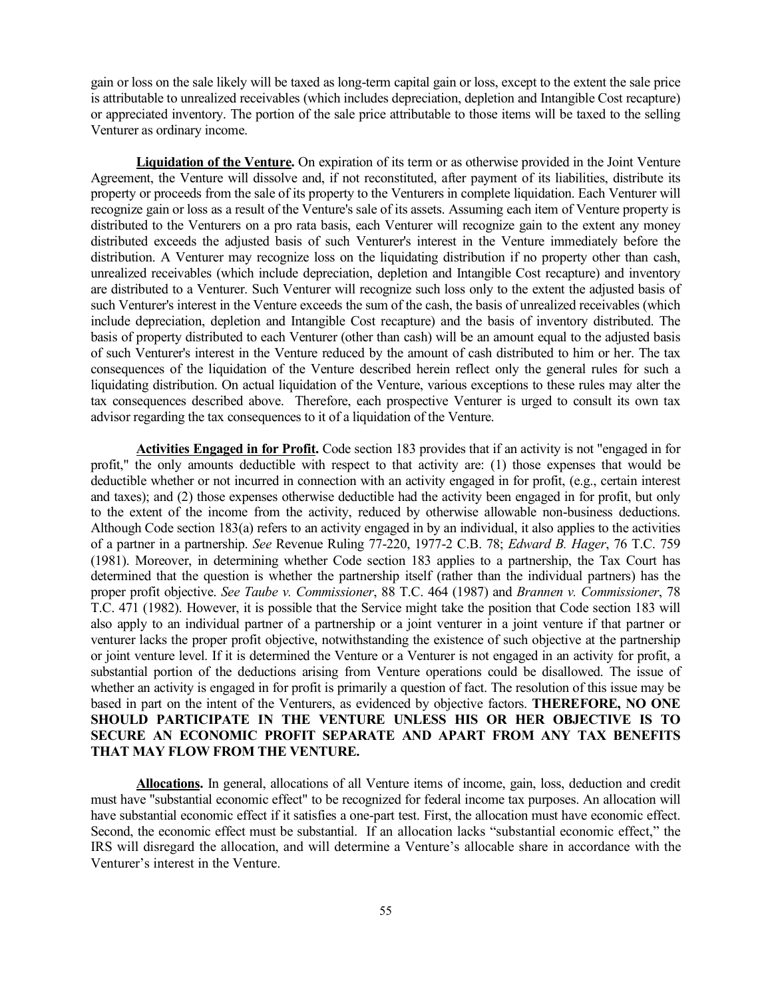gain or loss on the sale likely will be taxed as long-term capital gain or loss, except to the extent the sale price is attributable to unrealized receivables (which includes depreciation, depletion and Intangible Cost recapture) or appreciated inventory. The portion of the sale price attributable to those items will be taxed to the selling Venturer as ordinary income.

**Liquidation of the Venture.** On expiration of its term or as otherwise provided in the Joint Venture Agreement, the Venture will dissolve and, if not reconstituted, after payment of its liabilities, distribute its property or proceeds from the sale of its property to the Venturers in complete liquidation. Each Venturer will recognize gain or loss as a result of the Venture's sale of its assets. Assuming each item of Venture property is distributed to the Venturers on a pro rata basis, each Venturer will recognize gain to the extent any money distributed exceeds the adjusted basis of such Venturer's interest in the Venture immediately before the distribution. A Venturer may recognize loss on the liquidating distribution if no property other than cash, unrealized receivables (which include depreciation, depletion and Intangible Cost recapture) and inventory are distributed to a Venturer. Such Venturer will recognize such loss only to the extent the adjusted basis of such Venturer's interest in the Venture exceeds the sum of the cash, the basis of unrealized receivables (which include depreciation, depletion and Intangible Cost recapture) and the basis of inventory distributed. The basis of property distributed to each Venturer (other than cash) will be an amount equal to the adjusted basis of such Venturer's interest in the Venture reduced by the amount of cash distributed to him or her. The tax consequences of the liquidation of the Venture described herein reflect only the general rules for such a liquidating distribution. On actual liquidation of the Venture, various exceptions to these rules may alter the tax consequences described above. Therefore, each prospective Venturer is urged to consult its own tax advisor regarding the tax consequences to it of a liquidation of the Venture.

**Activities Engaged in for Profit.** Code section 183 provides that if an activity is not "engaged in for profit," the only amounts deductible with respect to that activity are: (1) those expenses that would be deductible whether or not incurred in connection with an activity engaged in for profit, (e.g., certain interest and taxes); and (2) those expenses otherwise deductible had the activity been engaged in for profit, but only to the extent of the income from the activity, reduced by otherwise allowable non-business deductions. Although Code section 183(a) refers to an activity engaged in by an individual, it also applies to the activities of a partner in a partnership. *See* Revenue Ruling 77-220, 1977-2 C.B. 78; *Edward B. Hager*, 76 T.C. 759 (1981). Moreover, in determining whether Code section 183 applies to a partnership, the Tax Court has determined that the question is whether the partnership itself (rather than the individual partners) has the proper profit objective. *See Taube v. Commissioner*, 88 T.C. 464 (1987) and *Brannen v. Commissioner*, 78 T.C. 471 (1982). However, it is possible that the Service might take the position that Code section 183 will also apply to an individual partner of a partnership or a joint venturer in a joint venture if that partner or venturer lacks the proper profit objective, notwithstanding the existence of such objective at the partnership or joint venture level. If it is determined the Venture or a Venturer is not engaged in an activity for profit, a substantial portion of the deductions arising from Venture operations could be disallowed. The issue of whether an activity is engaged in for profit is primarily a question of fact. The resolution of this issue may be based in part on the intent of the Venturers, as evidenced by objective factors. **THEREFORE, NO ONE SHOULD PARTICIPATE IN THE VENTURE UNLESS HIS OR HER OBJECTIVE IS TO SECURE AN ECONOMIC PROFIT SEPARATE AND APART FROM ANY TAX BENEFITS THAT MAY FLOW FROM THE VENTURE.**

**Allocations.** In general, allocations of all Venture items of income, gain, loss, deduction and credit must have "substantial economic effect" to be recognized for federal income tax purposes. An allocation will have substantial economic effect if it satisfies a one-part test. First, the allocation must have economic effect. Second, the economic effect must be substantial. If an allocation lacks "substantial economic effect," the IRS will disregard the allocation, and will determine a Venture's allocable share in accordance with the Venturer's interest in the Venture.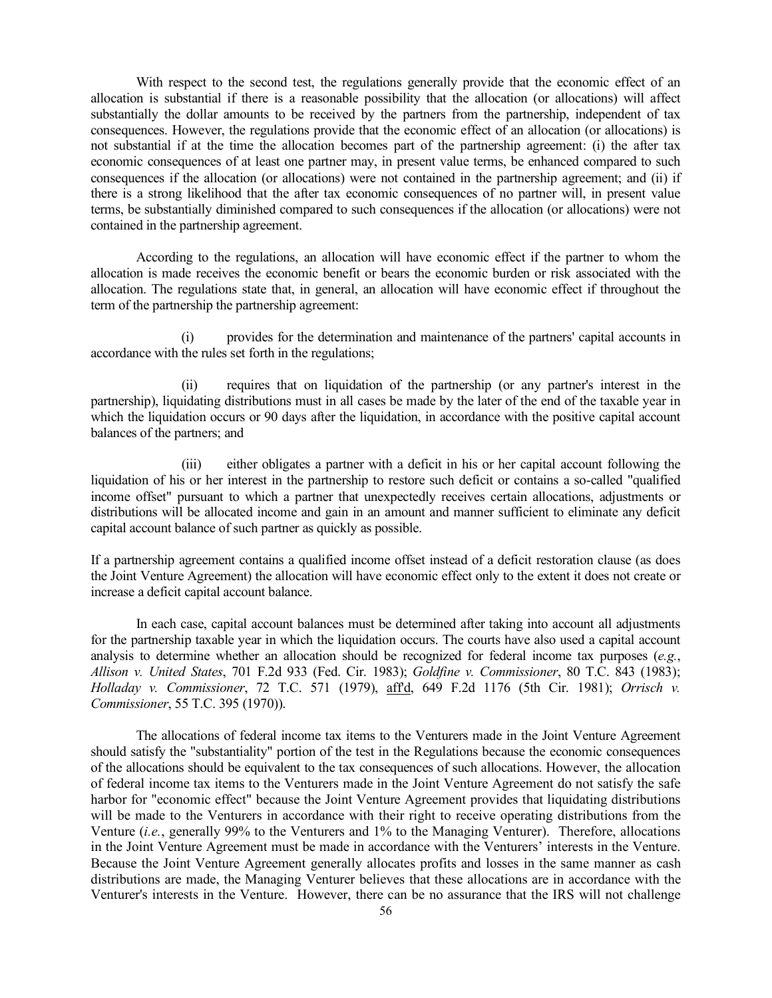With respect to the second test, the regulations generally provide that the economic effect of an allocation is substantial if there is a reasonable possibility that the allocation (or allocations) will affect substantially the dollar amounts to be received by the partners from the partnership, independent of tax consequences. However, the regulations provide that the economic effect of an allocation (or allocations) is not substantial if at the time the allocation becomes part of the partnership agreement: (i) the after tax economic consequences of at least one partner may, in present value terms, be enhanced compared to such consequences if the allocation (or allocations) were not contained in the partnership agreement; and (ii) if there is a strong likelihood that the after tax economic consequences of no partner will, in present value terms, be substantially diminished compared to such consequences if the allocation (or allocations) were not contained in the partnership agreement.

According to the regulations, an allocation will have economic effect if the partner to whom the allocation is made receives the economic benefit or bears the economic burden or risk associated with the allocation. The regulations state that, in general, an allocation will have economic effect if throughout the term of the partnership the partnership agreement:

 (i) provides for the determination and maintenance of the partners' capital accounts in accordance with the rules set forth in the regulations;

 (ii) requires that on liquidation of the partnership (or any partner's interest in the partnership), liquidating distributions must in all cases be made by the later of the end of the taxable year in which the liquidation occurs or 90 days after the liquidation, in accordance with the positive capital account balances of the partners; and

 (iii) either obligates a partner with a deficit in his or her capital account following the liquidation of his or her interest in the partnership to restore such deficit or contains a so-called "qualified income offset" pursuant to which a partner that unexpectedly receives certain allocations, adjustments or distributions will be allocated income and gain in an amount and manner sufficient to eliminate any deficit capital account balance of such partner as quickly as possible.

If a partnership agreement contains a qualified income offset instead of a deficit restoration clause (as does the Joint Venture Agreement) the allocation will have economic effect only to the extent it does not create or increase a deficit capital account balance.

In each case, capital account balances must be determined after taking into account all adjustments for the partnership taxable year in which the liquidation occurs. The courts have also used a capital account analysis to determine whether an allocation should be recognized for federal income tax purposes (*e.g.*, *Allison v. United States*, 701 F.2d 933 (Fed. Cir. 1983); *Goldfine v. Commissioner*, 80 T.C. 843 (1983); *Holladay v. Commissioner*, 72 T.C. 571 (1979), aff'd, 649 F.2d 1176 (5th Cir. 1981); *Orrisch v. Commissioner*, 55 T.C. 395 (1970)).

The allocations of federal income tax items to the Venturers made in the Joint Venture Agreement should satisfy the "substantiality" portion of the test in the Regulations because the economic consequences of the allocations should be equivalent to the tax consequences of such allocations. However, the allocation of federal income tax items to the Venturers made in the Joint Venture Agreement do not satisfy the safe harbor for "economic effect" because the Joint Venture Agreement provides that liquidating distributions will be made to the Venturers in accordance with their right to receive operating distributions from the Venture (*i.e.*, generally 99% to the Venturers and 1% to the Managing Venturer). Therefore, allocations in the Joint Venture Agreement must be made in accordance with the Venturers' interests in the Venture. Because the Joint Venture Agreement generally allocates profits and losses in the same manner as cash distributions are made, the Managing Venturer believes that these allocations are in accordance with the Venturer's interests in the Venture. However, there can be no assurance that the IRS will not challenge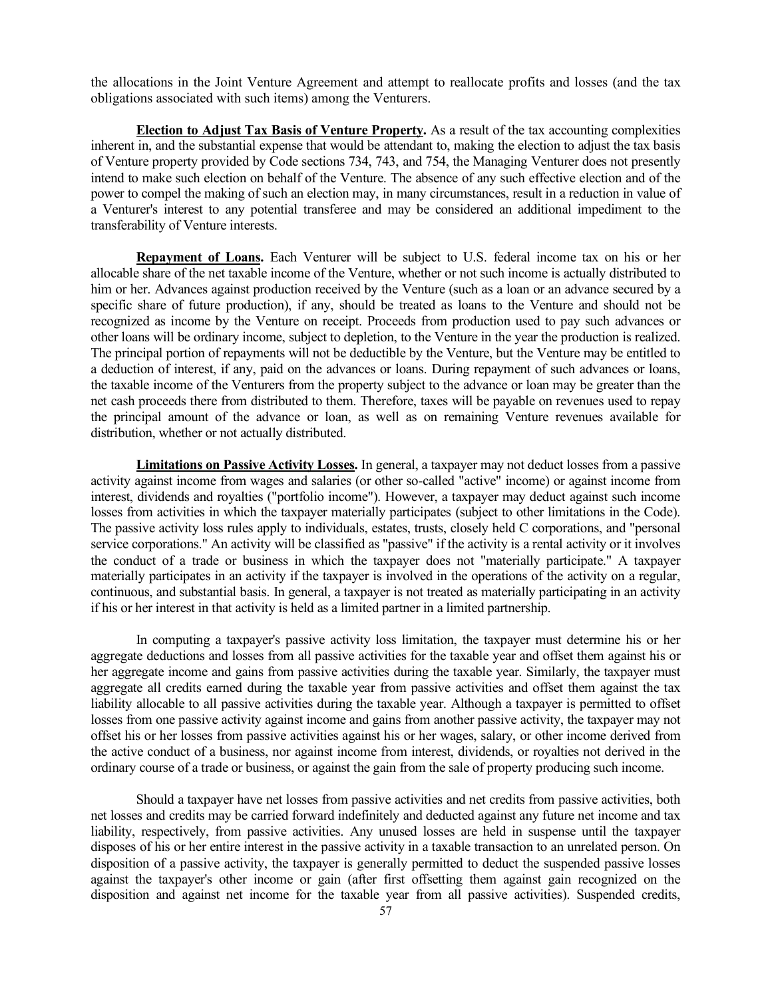the allocations in the Joint Venture Agreement and attempt to reallocate profits and losses (and the tax obligations associated with such items) among the Venturers.

**Election to Adjust Tax Basis of Venture Property.** As a result of the tax accounting complexities inherent in, and the substantial expense that would be attendant to, making the election to adjust the tax basis of Venture property provided by Code sections 734, 743, and 754, the Managing Venturer does not presently intend to make such election on behalf of the Venture. The absence of any such effective election and of the power to compel the making of such an election may, in many circumstances, result in a reduction in value of a Venturer's interest to any potential transferee and may be considered an additional impediment to the transferability of Venture interests.

**Repayment of Loans.** Each Venturer will be subject to U.S. federal income tax on his or her allocable share of the net taxable income of the Venture, whether or not such income is actually distributed to him or her. Advances against production received by the Venture (such as a loan or an advance secured by a specific share of future production), if any, should be treated as loans to the Venture and should not be recognized as income by the Venture on receipt. Proceeds from production used to pay such advances or other loans will be ordinary income, subject to depletion, to the Venture in the year the production is realized. The principal portion of repayments will not be deductible by the Venture, but the Venture may be entitled to a deduction of interest, if any, paid on the advances or loans. During repayment of such advances or loans, the taxable income of the Venturers from the property subject to the advance or loan may be greater than the net cash proceeds there from distributed to them. Therefore, taxes will be payable on revenues used to repay the principal amount of the advance or loan, as well as on remaining Venture revenues available for distribution, whether or not actually distributed.

**Limitations on Passive Activity Losses.** In general, a taxpayer may not deduct losses from a passive activity against income from wages and salaries (or other so-called "active" income) or against income from interest, dividends and royalties ("portfolio income"). However, a taxpayer may deduct against such income losses from activities in which the taxpayer materially participates (subject to other limitations in the Code). The passive activity loss rules apply to individuals, estates, trusts, closely held C corporations, and "personal service corporations." An activity will be classified as "passive" if the activity is a rental activity or it involves the conduct of a trade or business in which the taxpayer does not "materially participate." A taxpayer materially participates in an activity if the taxpayer is involved in the operations of the activity on a regular, continuous, and substantial basis. In general, a taxpayer is not treated as materially participating in an activity if his or her interest in that activity is held as a limited partner in a limited partnership.

In computing a taxpayer's passive activity loss limitation, the taxpayer must determine his or her aggregate deductions and losses from all passive activities for the taxable year and offset them against his or her aggregate income and gains from passive activities during the taxable year. Similarly, the taxpayer must aggregate all credits earned during the taxable year from passive activities and offset them against the tax liability allocable to all passive activities during the taxable year. Although a taxpayer is permitted to offset losses from one passive activity against income and gains from another passive activity, the taxpayer may not offset his or her losses from passive activities against his or her wages, salary, or other income derived from the active conduct of a business, nor against income from interest, dividends, or royalties not derived in the ordinary course of a trade or business, or against the gain from the sale of property producing such income.

Should a taxpayer have net losses from passive activities and net credits from passive activities, both net losses and credits may be carried forward indefinitely and deducted against any future net income and tax liability, respectively, from passive activities. Any unused losses are held in suspense until the taxpayer disposes of his or her entire interest in the passive activity in a taxable transaction to an unrelated person. On disposition of a passive activity, the taxpayer is generally permitted to deduct the suspended passive losses against the taxpayer's other income or gain (after first offsetting them against gain recognized on the disposition and against net income for the taxable year from all passive activities). Suspended credits,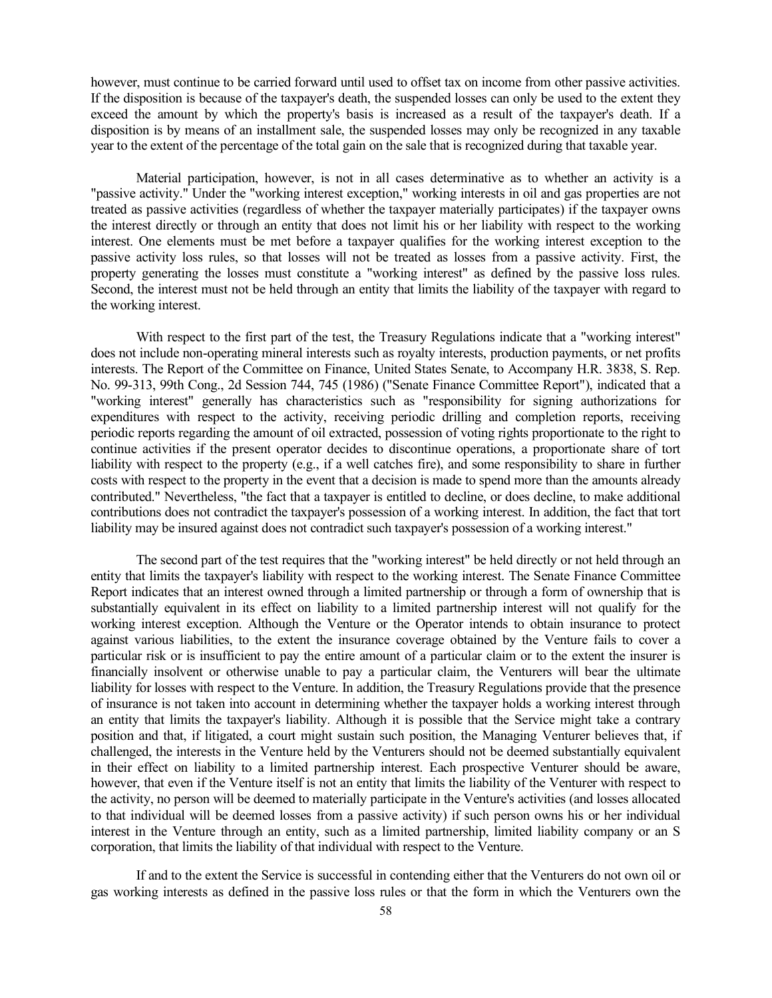however, must continue to be carried forward until used to offset tax on income from other passive activities. If the disposition is because of the taxpayer's death, the suspended losses can only be used to the extent they exceed the amount by which the property's basis is increased as a result of the taxpayer's death. If a disposition is by means of an installment sale, the suspended losses may only be recognized in any taxable year to the extent of the percentage of the total gain on the sale that is recognized during that taxable year.

Material participation, however, is not in all cases determinative as to whether an activity is a "passive activity." Under the "working interest exception," working interests in oil and gas properties are not treated as passive activities (regardless of whether the taxpayer materially participates) if the taxpayer owns the interest directly or through an entity that does not limit his or her liability with respect to the working interest. One elements must be met before a taxpayer qualifies for the working interest exception to the passive activity loss rules, so that losses will not be treated as losses from a passive activity. First, the property generating the losses must constitute a "working interest" as defined by the passive loss rules. Second, the interest must not be held through an entity that limits the liability of the taxpayer with regard to the working interest.

With respect to the first part of the test, the Treasury Regulations indicate that a "working interest" does not include non-operating mineral interests such as royalty interests, production payments, or net profits interests. The Report of the Committee on Finance, United States Senate, to Accompany H.R. 3838, S. Rep. No. 99-313, 99th Cong., 2d Session 744, 745 (1986) ("Senate Finance Committee Report"), indicated that a "working interest" generally has characteristics such as "responsibility for signing authorizations for expenditures with respect to the activity, receiving periodic drilling and completion reports, receiving periodic reports regarding the amount of oil extracted, possession of voting rights proportionate to the right to continue activities if the present operator decides to discontinue operations, a proportionate share of tort liability with respect to the property (e.g., if a well catches fire), and some responsibility to share in further costs with respect to the property in the event that a decision is made to spend more than the amounts already contributed." Nevertheless, "the fact that a taxpayer is entitled to decline, or does decline, to make additional contributions does not contradict the taxpayer's possession of a working interest. In addition, the fact that tort liability may be insured against does not contradict such taxpayer's possession of a working interest."

The second part of the test requires that the "working interest" be held directly or not held through an entity that limits the taxpayer's liability with respect to the working interest. The Senate Finance Committee Report indicates that an interest owned through a limited partnership or through a form of ownership that is substantially equivalent in its effect on liability to a limited partnership interest will not qualify for the working interest exception. Although the Venture or the Operator intends to obtain insurance to protect against various liabilities, to the extent the insurance coverage obtained by the Venture fails to cover a particular risk or is insufficient to pay the entire amount of a particular claim or to the extent the insurer is financially insolvent or otherwise unable to pay a particular claim, the Venturers will bear the ultimate liability for losses with respect to the Venture. In addition, the Treasury Regulations provide that the presence of insurance is not taken into account in determining whether the taxpayer holds a working interest through an entity that limits the taxpayer's liability. Although it is possible that the Service might take a contrary position and that, if litigated, a court might sustain such position, the Managing Venturer believes that, if challenged, the interests in the Venture held by the Venturers should not be deemed substantially equivalent in their effect on liability to a limited partnership interest. Each prospective Venturer should be aware, however, that even if the Venture itself is not an entity that limits the liability of the Venturer with respect to the activity, no person will be deemed to materially participate in the Venture's activities (and losses allocated to that individual will be deemed losses from a passive activity) if such person owns his or her individual interest in the Venture through an entity, such as a limited partnership, limited liability company or an S corporation, that limits the liability of that individual with respect to the Venture.

If and to the extent the Service is successful in contending either that the Venturers do not own oil or gas working interests as defined in the passive loss rules or that the form in which the Venturers own the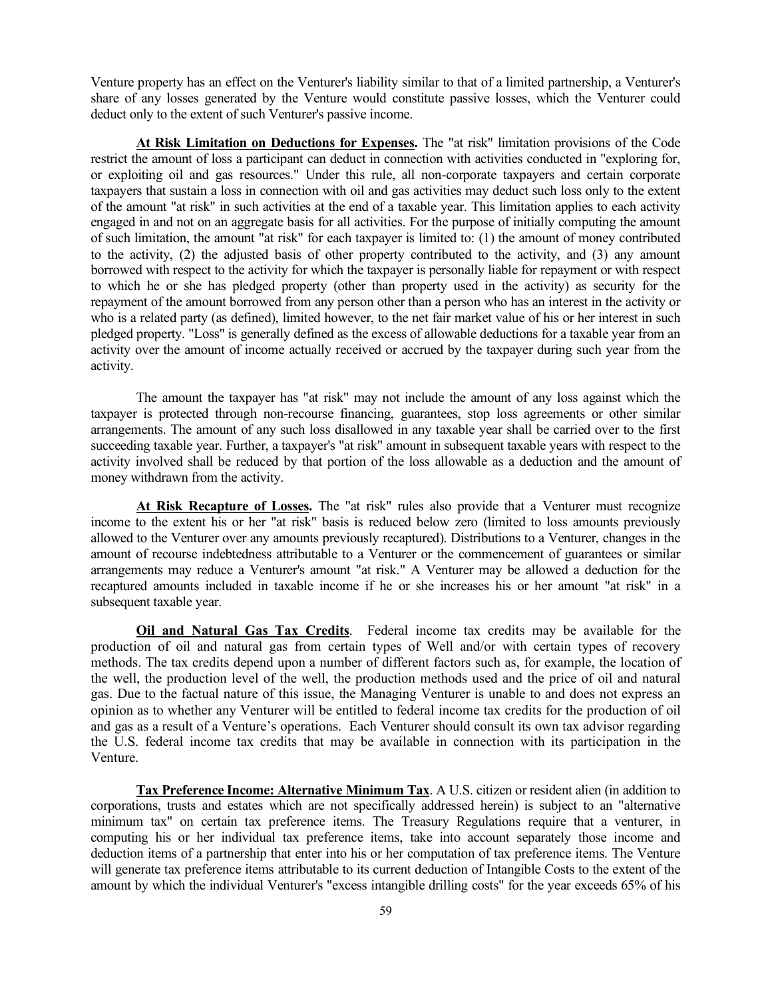Venture property has an effect on the Venturer's liability similar to that of a limited partnership, a Venturer's share of any losses generated by the Venture would constitute passive losses, which the Venturer could deduct only to the extent of such Venturer's passive income.

**At Risk Limitation on Deductions for Expenses.** The "at risk" limitation provisions of the Code restrict the amount of loss a participant can deduct in connection with activities conducted in "exploring for, or exploiting oil and gas resources." Under this rule, all non-corporate taxpayers and certain corporate taxpayers that sustain a loss in connection with oil and gas activities may deduct such loss only to the extent of the amount "at risk" in such activities at the end of a taxable year. This limitation applies to each activity engaged in and not on an aggregate basis for all activities. For the purpose of initially computing the amount of such limitation, the amount "at risk" for each taxpayer is limited to: (1) the amount of money contributed to the activity, (2) the adjusted basis of other property contributed to the activity, and (3) any amount borrowed with respect to the activity for which the taxpayer is personally liable for repayment or with respect to which he or she has pledged property (other than property used in the activity) as security for the repayment of the amount borrowed from any person other than a person who has an interest in the activity or who is a related party (as defined), limited however, to the net fair market value of his or her interest in such pledged property. "Loss" is generally defined as the excess of allowable deductions for a taxable year from an activity over the amount of income actually received or accrued by the taxpayer during such year from the activity.

The amount the taxpayer has "at risk" may not include the amount of any loss against which the taxpayer is protected through non-recourse financing, guarantees, stop loss agreements or other similar arrangements. The amount of any such loss disallowed in any taxable year shall be carried over to the first succeeding taxable year. Further, a taxpayer's "at risk" amount in subsequent taxable years with respect to the activity involved shall be reduced by that portion of the loss allowable as a deduction and the amount of money withdrawn from the activity.

At Risk Recapture of Losses. The "at risk" rules also provide that a Venturer must recognize income to the extent his or her "at risk" basis is reduced below zero (limited to loss amounts previously allowed to the Venturer over any amounts previously recaptured). Distributions to a Venturer, changes in the amount of recourse indebtedness attributable to a Venturer or the commencement of guarantees or similar arrangements may reduce a Venturer's amount "at risk." A Venturer may be allowed a deduction for the recaptured amounts included in taxable income if he or she increases his or her amount "at risk" in a subsequent taxable year.

**Oil and Natural Gas Tax Credits**. Federal income tax credits may be available for the production of oil and natural gas from certain types of Well and/or with certain types of recovery methods. The tax credits depend upon a number of different factors such as, for example, the location of the well, the production level of the well, the production methods used and the price of oil and natural gas. Due to the factual nature of this issue, the Managing Venturer is unable to and does not express an opinion as to whether any Venturer will be entitled to federal income tax credits for the production of oil and gas as a result of a Venture's operations. Each Venturer should consult its own tax advisor regarding the U.S. federal income tax credits that may be available in connection with its participation in the Venture.

**Tax Preference Income: Alternative Minimum Tax**. A U.S. citizen or resident alien (in addition to corporations, trusts and estates which are not specifically addressed herein) is subject to an "alternative minimum tax" on certain tax preference items. The Treasury Regulations require that a venturer, in computing his or her individual tax preference items, take into account separately those income and deduction items of a partnership that enter into his or her computation of tax preference items. The Venture will generate tax preference items attributable to its current deduction of Intangible Costs to the extent of the amount by which the individual Venturer's "excess intangible drilling costs" for the year exceeds 65% of his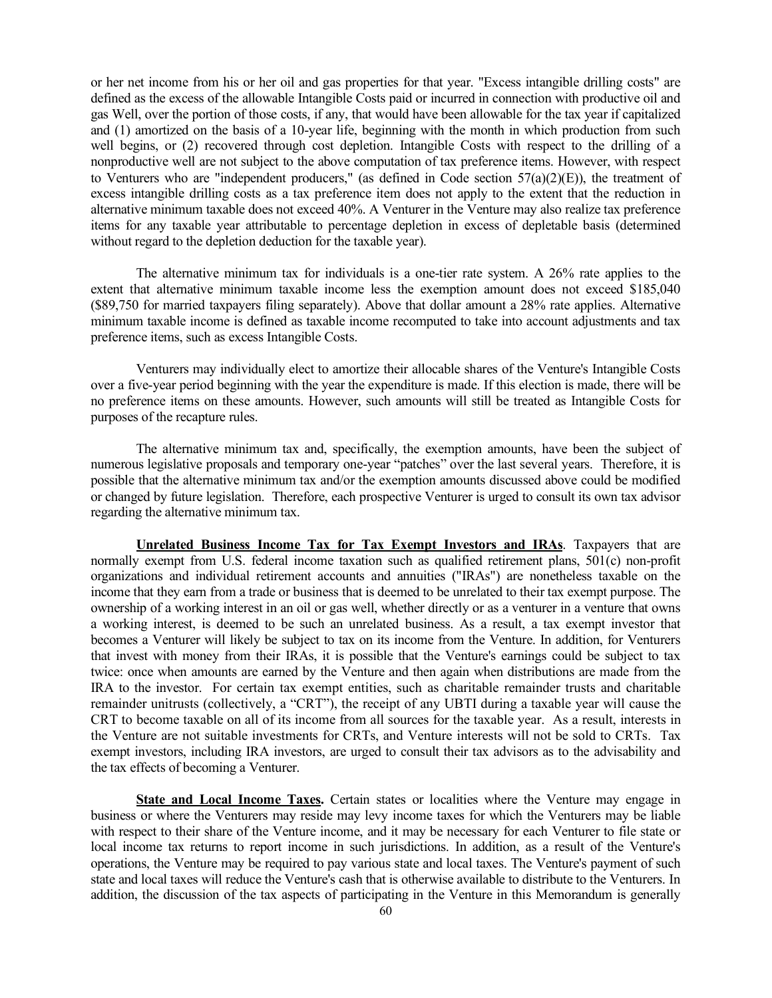or her net income from his or her oil and gas properties for that year. "Excess intangible drilling costs" are defined as the excess of the allowable Intangible Costs paid or incurred in connection with productive oil and gas Well, over the portion of those costs, if any, that would have been allowable for the tax year if capitalized and (1) amortized on the basis of a 10-year life, beginning with the month in which production from such well begins, or (2) recovered through cost depletion. Intangible Costs with respect to the drilling of a nonproductive well are not subject to the above computation of tax preference items. However, with respect to Venturers who are "independent producers," (as defined in Code section  $57(a)(2)(E)$ ), the treatment of excess intangible drilling costs as a tax preference item does not apply to the extent that the reduction in alternative minimum taxable does not exceed 40%. A Venturer in the Venture may also realize tax preference items for any taxable year attributable to percentage depletion in excess of depletable basis (determined without regard to the depletion deduction for the taxable year).

The alternative minimum tax for individuals is a one-tier rate system. A 26% rate applies to the extent that alternative minimum taxable income less the exemption amount does not exceed \$185,040 (\$89,750 for married taxpayers filing separately). Above that dollar amount a 28% rate applies. Alternative minimum taxable income is defined as taxable income recomputed to take into account adjustments and tax preference items, such as excess Intangible Costs.

 Venturers may individually elect to amortize their allocable shares of the Venture's Intangible Costs over a five-year period beginning with the year the expenditure is made. If this election is made, there will be no preference items on these amounts. However, such amounts will still be treated as Intangible Costs for purposes of the recapture rules.

The alternative minimum tax and, specifically, the exemption amounts, have been the subject of numerous legislative proposals and temporary one-year "patches" over the last several years. Therefore, it is possible that the alternative minimum tax and/or the exemption amounts discussed above could be modified or changed by future legislation. Therefore, each prospective Venturer is urged to consult its own tax advisor regarding the alternative minimum tax.

**Unrelated Business Income Tax for Tax Exempt Investors and IRAs**. Taxpayers that are normally exempt from U.S. federal income taxation such as qualified retirement plans, 501(c) non-profit organizations and individual retirement accounts and annuities ("IRAs") are nonetheless taxable on the income that they earn from a trade or business that is deemed to be unrelated to their tax exempt purpose. The ownership of a working interest in an oil or gas well, whether directly or as a venturer in a venture that owns a working interest, is deemed to be such an unrelated business. As a result, a tax exempt investor that becomes a Venturer will likely be subject to tax on its income from the Venture. In addition, for Venturers that invest with money from their IRAs, it is possible that the Venture's earnings could be subject to tax twice: once when amounts are earned by the Venture and then again when distributions are made from the IRA to the investor. For certain tax exempt entities, such as charitable remainder trusts and charitable remainder unitrusts (collectively, a "CRT"), the receipt of any UBTI during a taxable year will cause the CRT to become taxable on all of its income from all sources for the taxable year. As a result, interests in the Venture are not suitable investments for CRTs, and Venture interests will not be sold to CRTs. Tax exempt investors, including IRA investors, are urged to consult their tax advisors as to the advisability and the tax effects of becoming a Venturer.

**State and Local Income Taxes.** Certain states or localities where the Venture may engage in business or where the Venturers may reside may levy income taxes for which the Venturers may be liable with respect to their share of the Venture income, and it may be necessary for each Venturer to file state or local income tax returns to report income in such jurisdictions. In addition, as a result of the Venture's operations, the Venture may be required to pay various state and local taxes. The Venture's payment of such state and local taxes will reduce the Venture's cash that is otherwise available to distribute to the Venturers. In addition, the discussion of the tax aspects of participating in the Venture in this Memorandum is generally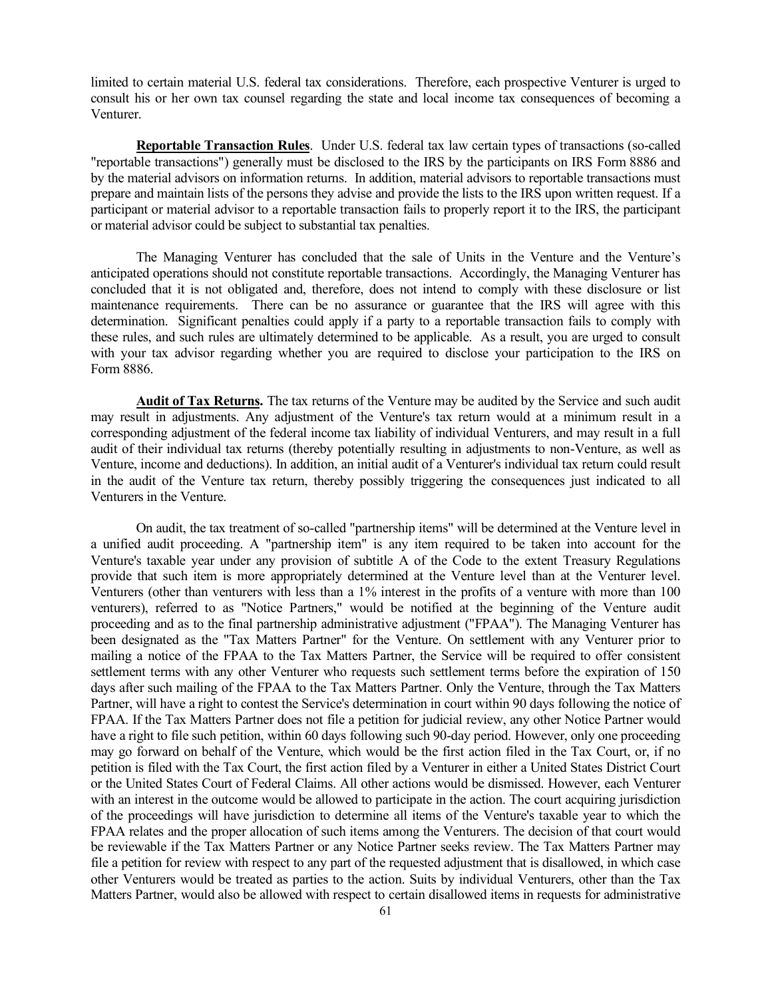limited to certain material U.S. federal tax considerations. Therefore, each prospective Venturer is urged to consult his or her own tax counsel regarding the state and local income tax consequences of becoming a Venturer.

**Reportable Transaction Rules**. Under U.S. federal tax law certain types of transactions (so-called "reportable transactions") generally must be disclosed to the IRS by the participants on IRS Form 8886 and by the material advisors on information returns. In addition, material advisors to reportable transactions must prepare and maintain lists of the persons they advise and provide the lists to the IRS upon written request. If a participant or material advisor to a reportable transaction fails to properly report it to the IRS, the participant or material advisor could be subject to substantial tax penalties.

The Managing Venturer has concluded that the sale of Units in the Venture and the Venture's anticipated operations should not constitute reportable transactions. Accordingly, the Managing Venturer has concluded that it is not obligated and, therefore, does not intend to comply with these disclosure or list maintenance requirements. There can be no assurance or guarantee that the IRS will agree with this determination. Significant penalties could apply if a party to a reportable transaction fails to comply with these rules, and such rules are ultimately determined to be applicable. As a result, you are urged to consult with your tax advisor regarding whether you are required to disclose your participation to the IRS on Form 8886.

**Audit of Tax Returns.** The tax returns of the Venture may be audited by the Service and such audit may result in adjustments. Any adjustment of the Venture's tax return would at a minimum result in a corresponding adjustment of the federal income tax liability of individual Venturers, and may result in a full audit of their individual tax returns (thereby potentially resulting in adjustments to non-Venture, as well as Venture, income and deductions). In addition, an initial audit of a Venturer's individual tax return could result in the audit of the Venture tax return, thereby possibly triggering the consequences just indicated to all Venturers in the Venture.

On audit, the tax treatment of so-called "partnership items" will be determined at the Venture level in a unified audit proceeding. A "partnership item" is any item required to be taken into account for the Venture's taxable year under any provision of subtitle A of the Code to the extent Treasury Regulations provide that such item is more appropriately determined at the Venture level than at the Venturer level. Venturers (other than venturers with less than a 1% interest in the profits of a venture with more than 100 venturers), referred to as "Notice Partners," would be notified at the beginning of the Venture audit proceeding and as to the final partnership administrative adjustment ("FPAA"). The Managing Venturer has been designated as the "Tax Matters Partner" for the Venture. On settlement with any Venturer prior to mailing a notice of the FPAA to the Tax Matters Partner, the Service will be required to offer consistent settlement terms with any other Venturer who requests such settlement terms before the expiration of 150 days after such mailing of the FPAA to the Tax Matters Partner. Only the Venture, through the Tax Matters Partner, will have a right to contest the Service's determination in court within 90 days following the notice of FPAA. If the Tax Matters Partner does not file a petition for judicial review, any other Notice Partner would have a right to file such petition, within 60 days following such 90-day period. However, only one proceeding may go forward on behalf of the Venture, which would be the first action filed in the Tax Court, or, if no petition is filed with the Tax Court, the first action filed by a Venturer in either a United States District Court or the United States Court of Federal Claims. All other actions would be dismissed. However, each Venturer with an interest in the outcome would be allowed to participate in the action. The court acquiring jurisdiction of the proceedings will have jurisdiction to determine all items of the Venture's taxable year to which the FPAA relates and the proper allocation of such items among the Venturers. The decision of that court would be reviewable if the Tax Matters Partner or any Notice Partner seeks review. The Tax Matters Partner may file a petition for review with respect to any part of the requested adjustment that is disallowed, in which case other Venturers would be treated as parties to the action. Suits by individual Venturers, other than the Tax Matters Partner, would also be allowed with respect to certain disallowed items in requests for administrative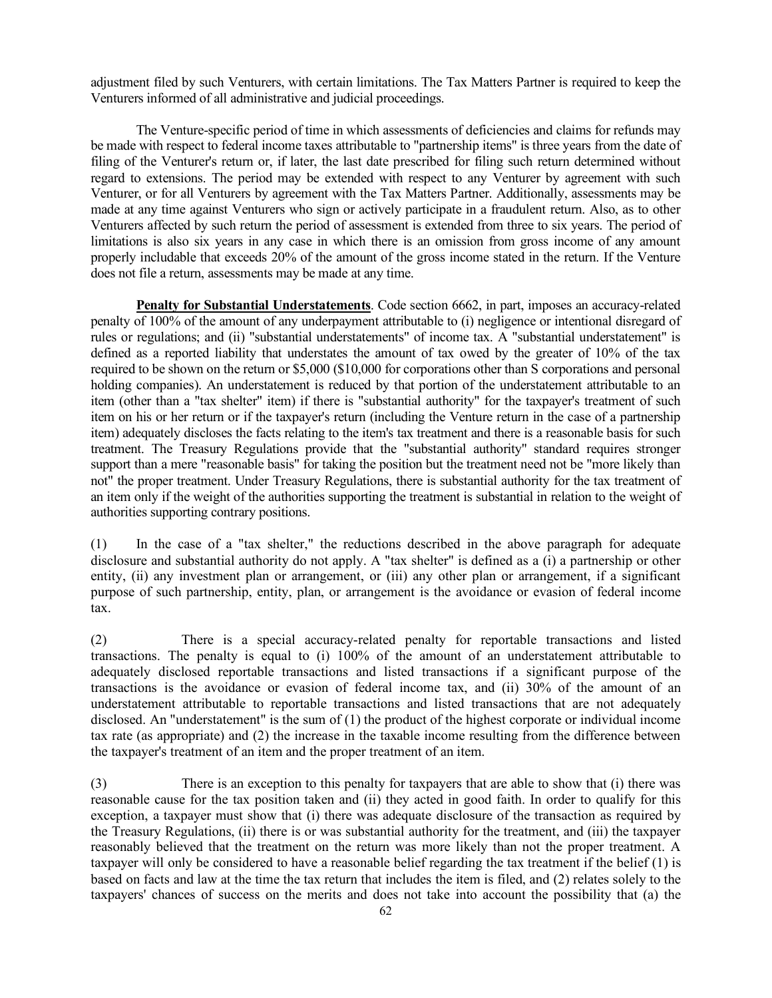adjustment filed by such Venturers, with certain limitations. The Tax Matters Partner is required to keep the Venturers informed of all administrative and judicial proceedings.

The Venture-specific period of time in which assessments of deficiencies and claims for refunds may be made with respect to federal income taxes attributable to "partnership items" is three years from the date of filing of the Venturer's return or, if later, the last date prescribed for filing such return determined without regard to extensions. The period may be extended with respect to any Venturer by agreement with such Venturer, or for all Venturers by agreement with the Tax Matters Partner. Additionally, assessments may be made at any time against Venturers who sign or actively participate in a fraudulent return. Also, as to other Venturers affected by such return the period of assessment is extended from three to six years. The period of limitations is also six years in any case in which there is an omission from gross income of any amount properly includable that exceeds 20% of the amount of the gross income stated in the return. If the Venture does not file a return, assessments may be made at any time.

**Penalty for Substantial Understatements**. Code section 6662, in part, imposes an accuracy-related penalty of 100% of the amount of any underpayment attributable to (i) negligence or intentional disregard of rules or regulations; and (ii) "substantial understatements" of income tax. A "substantial understatement" is defined as a reported liability that understates the amount of tax owed by the greater of 10% of the tax required to be shown on the return or \$5,000 (\$10,000 for corporations other than S corporations and personal holding companies). An understatement is reduced by that portion of the understatement attributable to an item (other than a "tax shelter" item) if there is "substantial authority" for the taxpayer's treatment of such item on his or her return or if the taxpayer's return (including the Venture return in the case of a partnership item) adequately discloses the facts relating to the item's tax treatment and there is a reasonable basis for such treatment. The Treasury Regulations provide that the "substantial authority" standard requires stronger support than a mere "reasonable basis" for taking the position but the treatment need not be "more likely than not" the proper treatment. Under Treasury Regulations, there is substantial authority for the tax treatment of an item only if the weight of the authorities supporting the treatment is substantial in relation to the weight of authorities supporting contrary positions.

(1) In the case of a "tax shelter," the reductions described in the above paragraph for adequate disclosure and substantial authority do not apply. A "tax shelter" is defined as a (i) a partnership or other entity, (ii) any investment plan or arrangement, or (iii) any other plan or arrangement, if a significant purpose of such partnership, entity, plan, or arrangement is the avoidance or evasion of federal income tax.

(2) There is a special accuracy-related penalty for reportable transactions and listed transactions. The penalty is equal to (i) 100% of the amount of an understatement attributable to adequately disclosed reportable transactions and listed transactions if a significant purpose of the transactions is the avoidance or evasion of federal income tax, and (ii) 30% of the amount of an understatement attributable to reportable transactions and listed transactions that are not adequately disclosed. An "understatement" is the sum of (1) the product of the highest corporate or individual income tax rate (as appropriate) and (2) the increase in the taxable income resulting from the difference between the taxpayer's treatment of an item and the proper treatment of an item.

(3) There is an exception to this penalty for taxpayers that are able to show that (i) there was reasonable cause for the tax position taken and (ii) they acted in good faith. In order to qualify for this exception, a taxpayer must show that (i) there was adequate disclosure of the transaction as required by the Treasury Regulations, (ii) there is or was substantial authority for the treatment, and (iii) the taxpayer reasonably believed that the treatment on the return was more likely than not the proper treatment. A taxpayer will only be considered to have a reasonable belief regarding the tax treatment if the belief (1) is based on facts and law at the time the tax return that includes the item is filed, and (2) relates solely to the taxpayers' chances of success on the merits and does not take into account the possibility that (a) the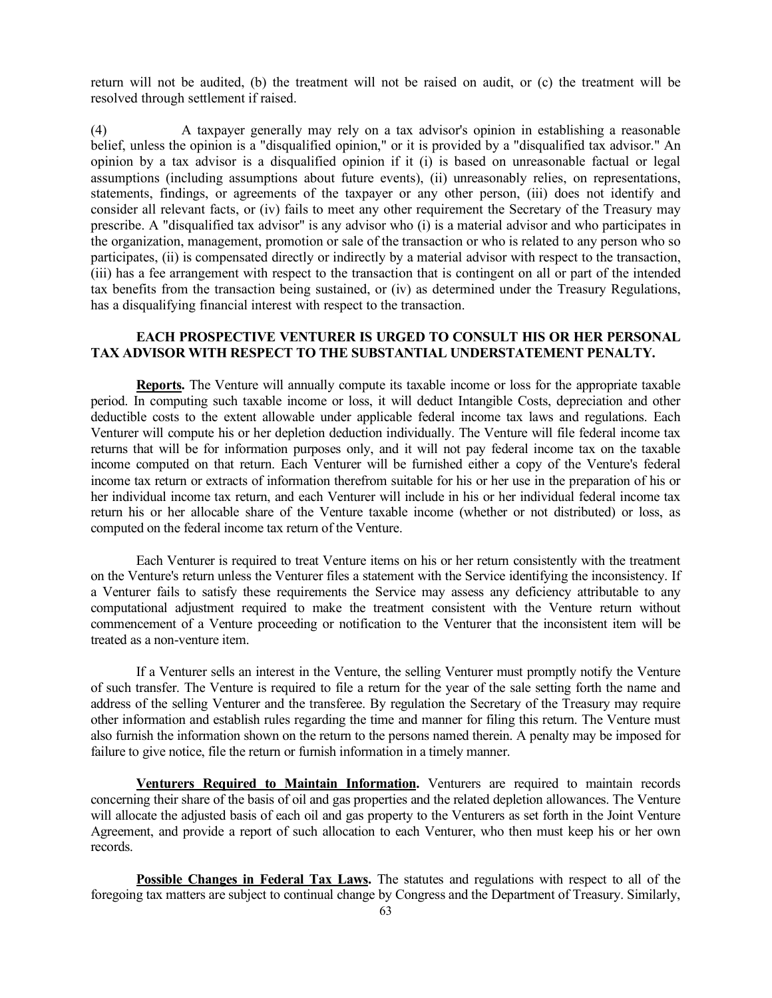return will not be audited, (b) the treatment will not be raised on audit, or (c) the treatment will be resolved through settlement if raised.

(4) A taxpayer generally may rely on a tax advisor's opinion in establishing a reasonable belief, unless the opinion is a "disqualified opinion," or it is provided by a "disqualified tax advisor." An opinion by a tax advisor is a disqualified opinion if it (i) is based on unreasonable factual or legal assumptions (including assumptions about future events), (ii) unreasonably relies, on representations, statements, findings, or agreements of the taxpayer or any other person, (iii) does not identify and consider all relevant facts, or (iv) fails to meet any other requirement the Secretary of the Treasury may prescribe. A "disqualified tax advisor" is any advisor who (i) is a material advisor and who participates in the organization, management, promotion or sale of the transaction or who is related to any person who so participates, (ii) is compensated directly or indirectly by a material advisor with respect to the transaction, (iii) has a fee arrangement with respect to the transaction that is contingent on all or part of the intended tax benefits from the transaction being sustained, or (iv) as determined under the Treasury Regulations, has a disqualifying financial interest with respect to the transaction.

# **EACH PROSPECTIVE VENTURER IS URGED TO CONSULT HIS OR HER PERSONAL TAX ADVISOR WITH RESPECT TO THE SUBSTANTIAL UNDERSTATEMENT PENALTY.**

**Reports.** The Venture will annually compute its taxable income or loss for the appropriate taxable period. In computing such taxable income or loss, it will deduct Intangible Costs, depreciation and other deductible costs to the extent allowable under applicable federal income tax laws and regulations. Each Venturer will compute his or her depletion deduction individually. The Venture will file federal income tax returns that will be for information purposes only, and it will not pay federal income tax on the taxable income computed on that return. Each Venturer will be furnished either a copy of the Venture's federal income tax return or extracts of information therefrom suitable for his or her use in the preparation of his or her individual income tax return, and each Venturer will include in his or her individual federal income tax return his or her allocable share of the Venture taxable income (whether or not distributed) or loss, as computed on the federal income tax return of the Venture.

Each Venturer is required to treat Venture items on his or her return consistently with the treatment on the Venture's return unless the Venturer files a statement with the Service identifying the inconsistency. If a Venturer fails to satisfy these requirements the Service may assess any deficiency attributable to any computational adjustment required to make the treatment consistent with the Venture return without commencement of a Venture proceeding or notification to the Venturer that the inconsistent item will be treated as a non-venture item.

If a Venturer sells an interest in the Venture, the selling Venturer must promptly notify the Venture of such transfer. The Venture is required to file a return for the year of the sale setting forth the name and address of the selling Venturer and the transferee. By regulation the Secretary of the Treasury may require other information and establish rules regarding the time and manner for filing this return. The Venture must also furnish the information shown on the return to the persons named therein. A penalty may be imposed for failure to give notice, file the return or furnish information in a timely manner.

**Venturers Required to Maintain Information.** Venturers are required to maintain records concerning their share of the basis of oil and gas properties and the related depletion allowances. The Venture will allocate the adjusted basis of each oil and gas property to the Venturers as set forth in the Joint Venture Agreement, and provide a report of such allocation to each Venturer, who then must keep his or her own records.

**Possible Changes in Federal Tax Laws.** The statutes and regulations with respect to all of the foregoing tax matters are subject to continual change by Congress and the Department of Treasury. Similarly,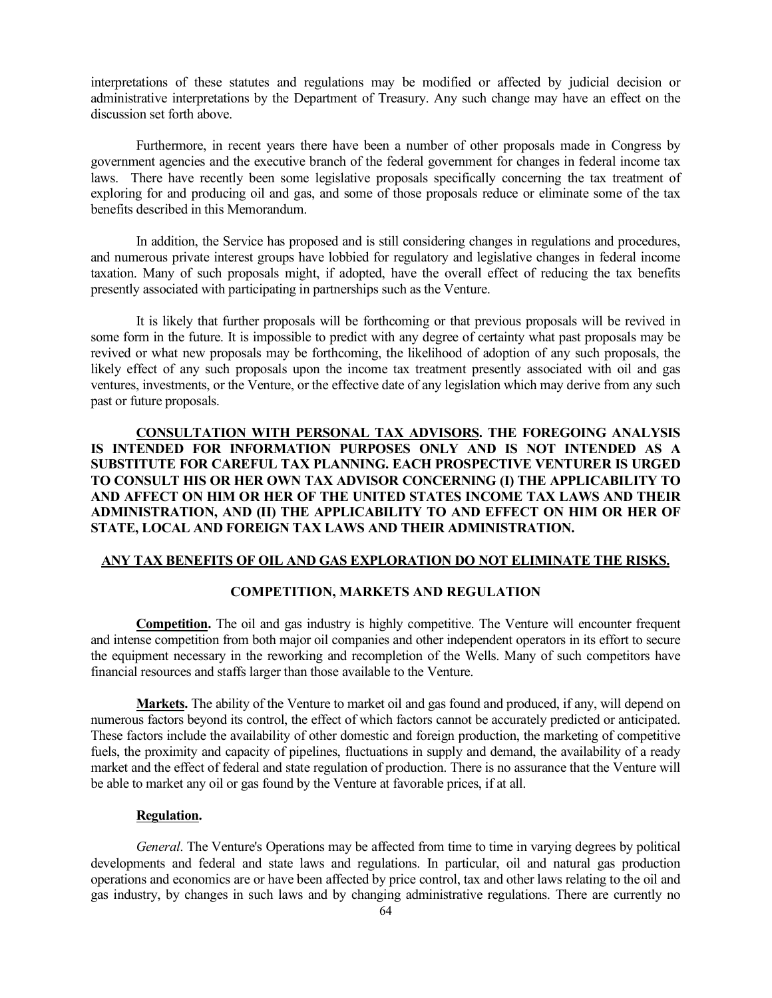interpretations of these statutes and regulations may be modified or affected by judicial decision or administrative interpretations by the Department of Treasury. Any such change may have an effect on the discussion set forth above.

Furthermore, in recent years there have been a number of other proposals made in Congress by government agencies and the executive branch of the federal government for changes in federal income tax laws. There have recently been some legislative proposals specifically concerning the tax treatment of exploring for and producing oil and gas, and some of those proposals reduce or eliminate some of the tax benefits described in this Memorandum.

In addition, the Service has proposed and is still considering changes in regulations and procedures, and numerous private interest groups have lobbied for regulatory and legislative changes in federal income taxation. Many of such proposals might, if adopted, have the overall effect of reducing the tax benefits presently associated with participating in partnerships such as the Venture.

It is likely that further proposals will be forthcoming or that previous proposals will be revived in some form in the future. It is impossible to predict with any degree of certainty what past proposals may be revived or what new proposals may be forthcoming, the likelihood of adoption of any such proposals, the likely effect of any such proposals upon the income tax treatment presently associated with oil and gas ventures, investments, or the Venture, or the effective date of any legislation which may derive from any such past or future proposals.

**CONSULTATION WITH PERSONAL TAX ADVISORS. THE FOREGOING ANALYSIS IS INTENDED FOR INFORMATION PURPOSES ONLY AND IS NOT INTENDED AS A SUBSTITUTE FOR CAREFUL TAX PLANNING. EACH PROSPECTIVE VENTURER IS URGED TO CONSULT HIS OR HER OWN TAX ADVISOR CONCERNING (I) THE APPLICABILITY TO AND AFFECT ON HIM OR HER OF THE UNITED STATES INCOME TAX LAWS AND THEIR ADMINISTRATION, AND (II) THE APPLICABILITY TO AND EFFECT ON HIM OR HER OF STATE, LOCAL AND FOREIGN TAX LAWS AND THEIR ADMINISTRATION.**

# **ANY TAX BENEFITS OF OIL AND GAS EXPLORATION DO NOT ELIMINATE THE RISKS.**

## **COMPETITION, MARKETS AND REGULATION**

**Competition.** The oil and gas industry is highly competitive. The Venture will encounter frequent and intense competition from both major oil companies and other independent operators in its effort to secure the equipment necessary in the reworking and recompletion of the Wells. Many of such competitors have financial resources and staffs larger than those available to the Venture.

**Markets.** The ability of the Venture to market oil and gas found and produced, if any, will depend on numerous factors beyond its control, the effect of which factors cannot be accurately predicted or anticipated. These factors include the availability of other domestic and foreign production, the marketing of competitive fuels, the proximity and capacity of pipelines, fluctuations in supply and demand, the availability of a ready market and the effect of federal and state regulation of production. There is no assurance that the Venture will be able to market any oil or gas found by the Venture at favorable prices, if at all.

### **Regulation.**

*General*. The Venture's Operations may be affected from time to time in varying degrees by political developments and federal and state laws and regulations. In particular, oil and natural gas production operations and economics are or have been affected by price control, tax and other laws relating to the oil and gas industry, by changes in such laws and by changing administrative regulations. There are currently no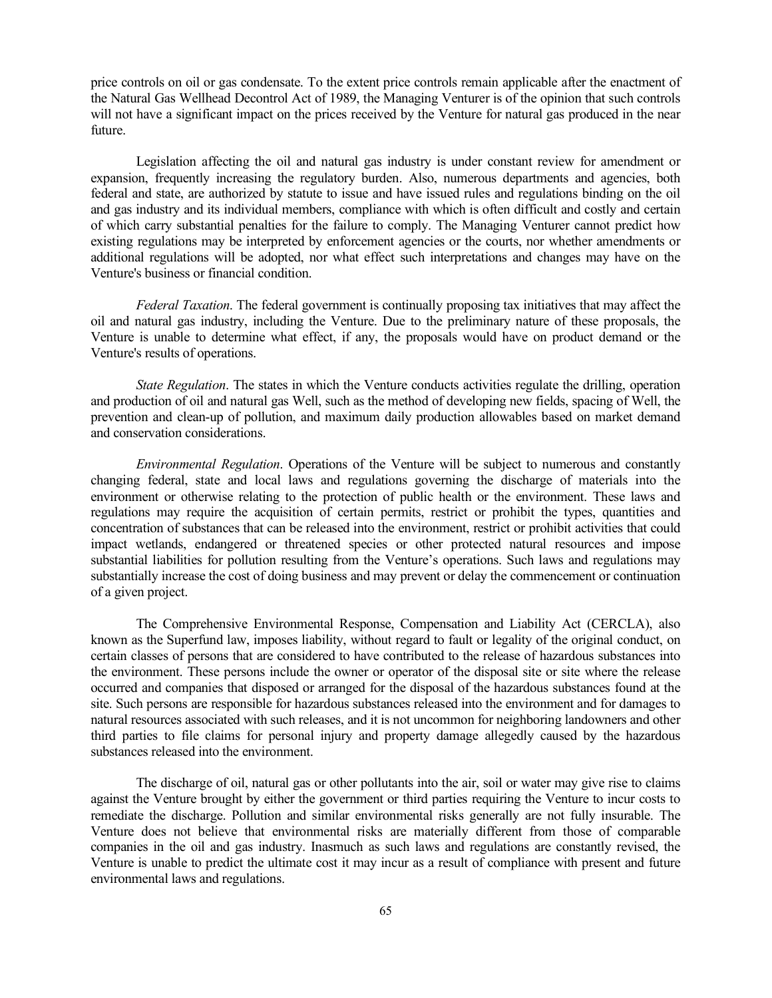price controls on oil or gas condensate. To the extent price controls remain applicable after the enactment of the Natural Gas Wellhead Decontrol Act of 1989, the Managing Venturer is of the opinion that such controls will not have a significant impact on the prices received by the Venture for natural gas produced in the near future.

Legislation affecting the oil and natural gas industry is under constant review for amendment or expansion, frequently increasing the regulatory burden. Also, numerous departments and agencies, both federal and state, are authorized by statute to issue and have issued rules and regulations binding on the oil and gas industry and its individual members, compliance with which is often difficult and costly and certain of which carry substantial penalties for the failure to comply. The Managing Venturer cannot predict how existing regulations may be interpreted by enforcement agencies or the courts, nor whether amendments or additional regulations will be adopted, nor what effect such interpretations and changes may have on the Venture's business or financial condition.

*Federal Taxation*. The federal government is continually proposing tax initiatives that may affect the oil and natural gas industry, including the Venture. Due to the preliminary nature of these proposals, the Venture is unable to determine what effect, if any, the proposals would have on product demand or the Venture's results of operations.

*State Regulation*. The states in which the Venture conducts activities regulate the drilling, operation and production of oil and natural gas Well, such as the method of developing new fields, spacing of Well, the prevention and clean-up of pollution, and maximum daily production allowables based on market demand and conservation considerations.

*Environmental Regulation*. Operations of the Venture will be subject to numerous and constantly changing federal, state and local laws and regulations governing the discharge of materials into the environment or otherwise relating to the protection of public health or the environment. These laws and regulations may require the acquisition of certain permits, restrict or prohibit the types, quantities and concentration of substances that can be released into the environment, restrict or prohibit activities that could impact wetlands, endangered or threatened species or other protected natural resources and impose substantial liabilities for pollution resulting from the Venture's operations. Such laws and regulations may substantially increase the cost of doing business and may prevent or delay the commencement or continuation of a given project.

The Comprehensive Environmental Response, Compensation and Liability Act (CERCLA), also known as the Superfund law, imposes liability, without regard to fault or legality of the original conduct, on certain classes of persons that are considered to have contributed to the release of hazardous substances into the environment. These persons include the owner or operator of the disposal site or site where the release occurred and companies that disposed or arranged for the disposal of the hazardous substances found at the site. Such persons are responsible for hazardous substances released into the environment and for damages to natural resources associated with such releases, and it is not uncommon for neighboring landowners and other third parties to file claims for personal injury and property damage allegedly caused by the hazardous substances released into the environment.

The discharge of oil, natural gas or other pollutants into the air, soil or water may give rise to claims against the Venture brought by either the government or third parties requiring the Venture to incur costs to remediate the discharge. Pollution and similar environmental risks generally are not fully insurable. The Venture does not believe that environmental risks are materially different from those of comparable companies in the oil and gas industry. Inasmuch as such laws and regulations are constantly revised, the Venture is unable to predict the ultimate cost it may incur as a result of compliance with present and future environmental laws and regulations.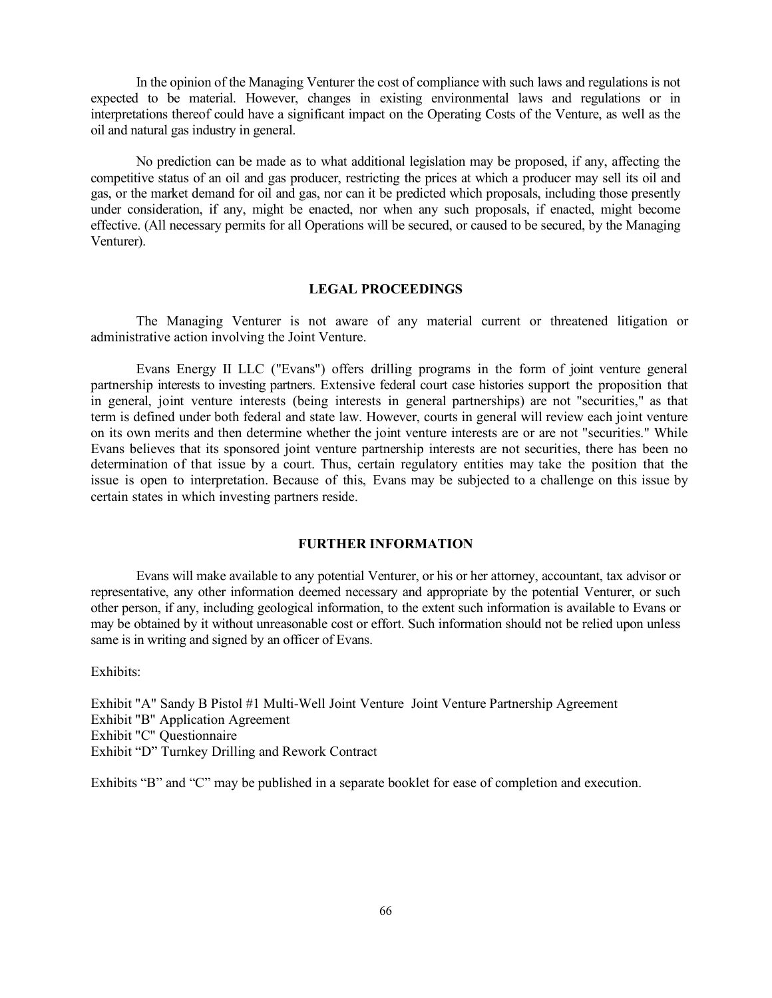In the opinion of the Managing Venturer the cost of compliance with such laws and regulations is not expected to be material. However, changes in existing environmental laws and regulations or in interpretations thereof could have a significant impact on the Operating Costs of the Venture, as well as the oil and natural gas industry in general.

No prediction can be made as to what additional legislation may be proposed, if any, affecting the competitive status of an oil and gas producer, restricting the prices at which a producer may sell its oil and gas, or the market demand for oil and gas, nor can it be predicted which proposals, including those presently under consideration, if any, might be enacted, nor when any such proposals, if enacted, might become effective. (All necessary permits for all Operations will be secured, or caused to be secured, by the Managing Venturer).

## **LEGAL PROCEEDINGS**

The Managing Venturer is not aware of any material current or threatened litigation or administrative action involving the Joint Venture.

Evans Energy II LLC ("Evans") offers drilling programs in the form of joint venture general partnership interests to investing partners. Extensive federal court case histories support the proposition that in general, joint venture interests (being interests in general partnerships) are not "securities," as that term is defined under both federal and state law. However, courts in general will review each joint venture on its own merits and then determine whether the joint venture interests are or are not "securities." While Evans believes that its sponsored joint venture partnership interests are not securities, there has been no determination of that issue by a court. Thus, certain regulatory entities may take the position that the issue is open to interpretation. Because of this, Evans may be subjected to a challenge on this issue by certain states in which investing partners reside.

## **FURTHER INFORMATION**

Evans will make available to any potential Venturer, or his or her attorney, accountant, tax advisor or representative, any other information deemed necessary and appropriate by the potential Venturer, or such other person, if any, including geological information, to the extent such information is available to Evans or may be obtained by it without unreasonable cost or effort. Such information should not be relied upon unless same is in writing and signed by an officer of Evans.

Exhibits:

Exhibit "A" Sandy B Pistol #1 Multi-Well Joint Venture Joint Venture Partnership Agreement Exhibit "B" Application Agreement Exhibit "C" Questionnaire Exhibit "D" Turnkey Drilling and Rework Contract

Exhibits "B" and "C" may be published in a separate booklet for ease of completion and execution.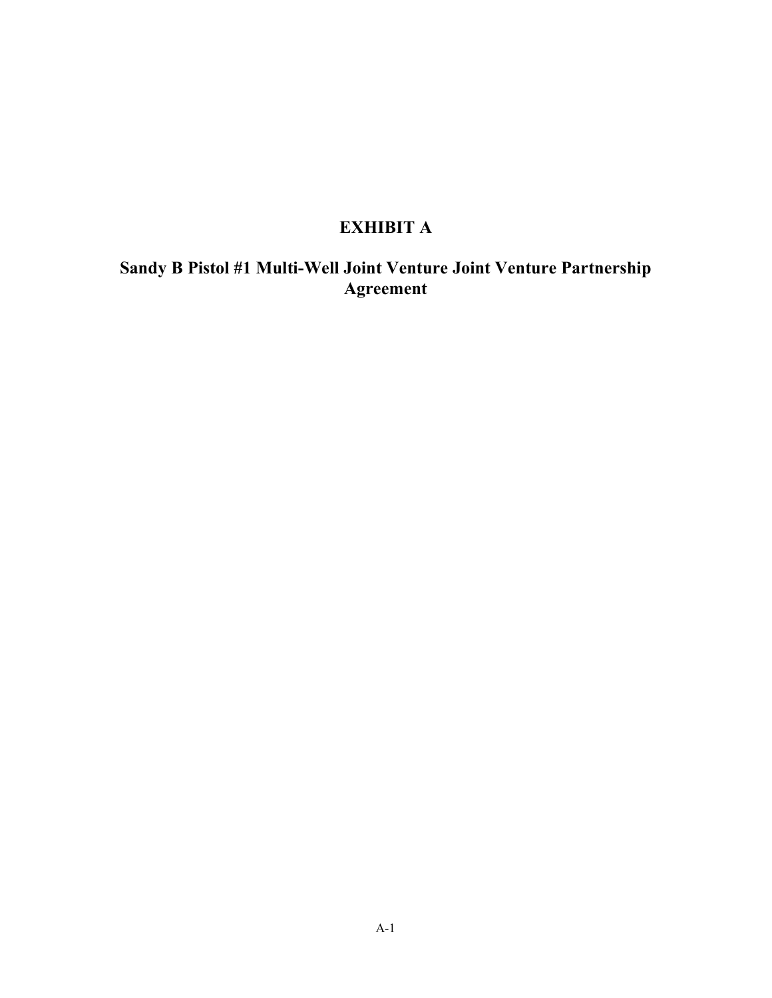# **EXHIBIT A**

# **Sandy B Pistol #1 Multi-Well Joint Venture Joint Venture Partnership Agreement**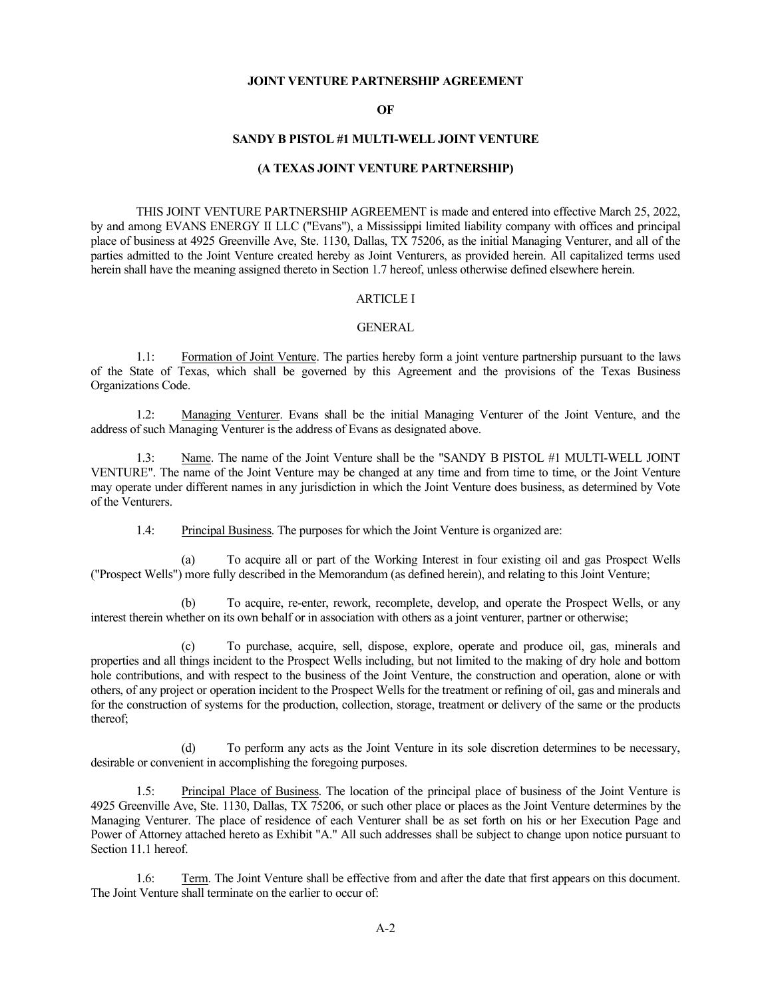## **JOINT VENTURE PARTNERSHIP AGREEMENT**

## **OF**

## **SANDY B PISTOL #1 MULTI-WELL JOINT VENTURE**

## **(A TEXAS JOINT VENTURE PARTNERSHIP)**

THIS JOINT VENTURE PARTNERSHIP AGREEMENT is made and entered into effective March 25, 2022, by and among EVANS ENERGY II LLC ("Evans"), a Mississippi limited liability company with offices and principal place of business at 4925 Greenville Ave, Ste. 1130, Dallas, TX 75206, as the initial Managing Venturer, and all of the parties admitted to the Joint Venture created hereby as Joint Venturers, as provided herein. All capitalized terms used herein shall have the meaning assigned thereto in Section 1.7 hereof, unless otherwise defined elsewhere herein.

#### ARTICLE I

## GENERAL

1.1: Formation of Joint Venture. The parties hereby form a joint venture partnership pursuant to the laws of the State of Texas, which shall be governed by this Agreement and the provisions of the Texas Business Organizations Code.

1.2: Managing Venturer. Evans shall be the initial Managing Venturer of the Joint Venture, and the address of such Managing Venturer is the address of Evans as designated above.

1.3: Name. The name of the Joint Venture shall be the "SANDY B PISTOL #1 MULTI-WELL JOINT VENTURE". The name of the Joint Venture may be changed at any time and from time to time, or the Joint Venture may operate under different names in any jurisdiction in which the Joint Venture does business, as determined by Vote of the Venturers.

1.4: Principal Business. The purposes for which the Joint Venture is organized are:

 (a) To acquire all or part of the Working Interest in four existing oil and gas Prospect Wells ("Prospect Wells") more fully described in the Memorandum (as defined herein), and relating to this Joint Venture;

 (b) To acquire, re-enter, rework, recomplete, develop, and operate the Prospect Wells, or any interest therein whether on its own behalf or in association with others as a joint venturer, partner or otherwise;

 (c) To purchase, acquire, sell, dispose, explore, operate and produce oil, gas, minerals and properties and all things incident to the Prospect Wells including, but not limited to the making of dry hole and bottom hole contributions, and with respect to the business of the Joint Venture, the construction and operation, alone or with others, of any project or operation incident to the Prospect Wells for the treatment or refining of oil, gas and minerals and for the construction of systems for the production, collection, storage, treatment or delivery of the same or the products thereof;

 (d) To perform any acts as the Joint Venture in its sole discretion determines to be necessary, desirable or convenient in accomplishing the foregoing purposes.

1.5: Principal Place of Business. The location of the principal place of business of the Joint Venture is 4925 Greenville Ave, Ste. 1130, Dallas, TX 75206, or such other place or places as the Joint Venture determines by the Managing Venturer. The place of residence of each Venturer shall be as set forth on his or her Execution Page and Power of Attorney attached hereto as Exhibit "A." All such addresses shall be subject to change upon notice pursuant to Section 11.1 hereof.

1.6: Term. The Joint Venture shall be effective from and after the date that first appears on this document. The Joint Venture shall terminate on the earlier to occur of: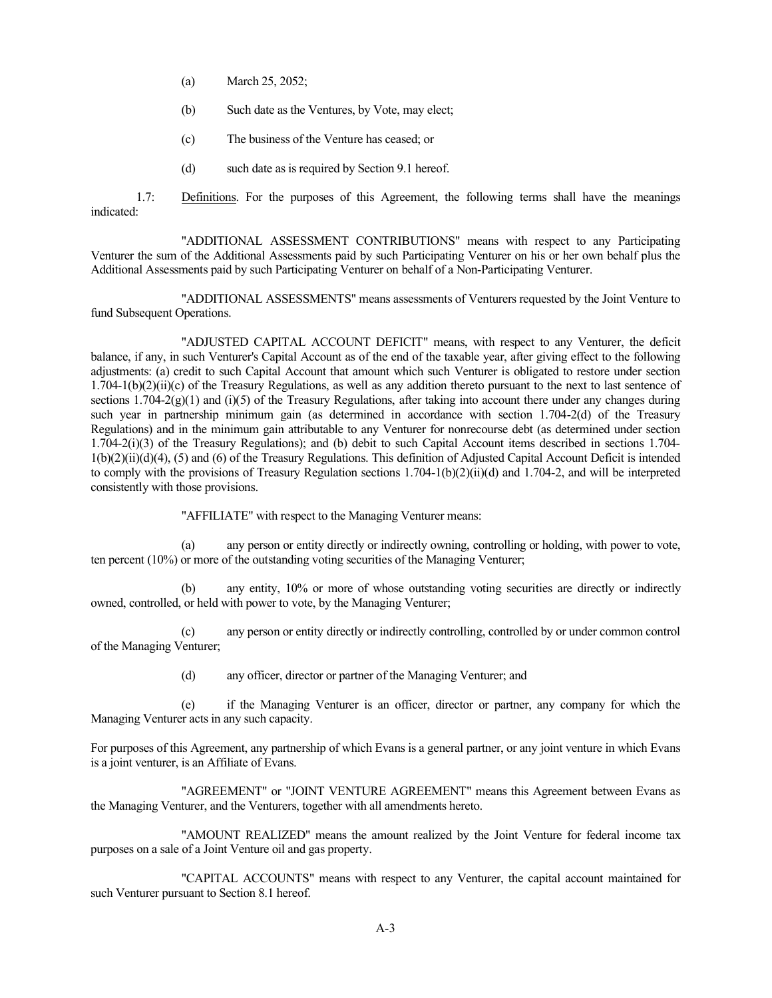- (a) March 25, 2052;
- (b) Such date as the Ventures, by Vote, may elect;
- (c) The business of the Venture has ceased; or
- (d) such date as is required by Section 9.1 hereof.

1.7: Definitions. For the purposes of this Agreement, the following terms shall have the meanings indicated:

 "ADDITIONAL ASSESSMENT CONTRIBUTIONS" means with respect to any Participating Venturer the sum of the Additional Assessments paid by such Participating Venturer on his or her own behalf plus the Additional Assessments paid by such Participating Venturer on behalf of a Non-Participating Venturer.

 "ADDITIONAL ASSESSMENTS" means assessments of Venturers requested by the Joint Venture to fund Subsequent Operations.

 "ADJUSTED CAPITAL ACCOUNT DEFICIT" means, with respect to any Venturer, the deficit balance, if any, in such Venturer's Capital Account as of the end of the taxable year, after giving effect to the following adjustments: (a) credit to such Capital Account that amount which such Venturer is obligated to restore under section  $1.704-1(b)(2)(ii)(c)$  of the Treasury Regulations, as well as any addition thereto pursuant to the next to last sentence of sections  $1.704-2(g)(1)$  and (i)(5) of the Treasury Regulations, after taking into account there under any changes during such year in partnership minimum gain (as determined in accordance with section 1.704-2(d) of the Treasury Regulations) and in the minimum gain attributable to any Venturer for nonrecourse debt (as determined under section 1.704-2(i)(3) of the Treasury Regulations); and (b) debit to such Capital Account items described in sections 1.704- 1(b)(2)(ii)(d)(4), (5) and (6) of the Treasury Regulations. This definition of Adjusted Capital Account Deficit is intended to comply with the provisions of Treasury Regulation sections  $1.704-1(b)(2)(ii)(d)$  and  $1.704-2$ , and will be interpreted consistently with those provisions.

"AFFILIATE" with respect to the Managing Venturer means:

 (a) any person or entity directly or indirectly owning, controlling or holding, with power to vote, ten percent (10%) or more of the outstanding voting securities of the Managing Venturer;

 (b) any entity, 10% or more of whose outstanding voting securities are directly or indirectly owned, controlled, or held with power to vote, by the Managing Venturer;

 (c) any person or entity directly or indirectly controlling, controlled by or under common control of the Managing Venturer;

(d) any officer, director or partner of the Managing Venturer; and

 (e) if the Managing Venturer is an officer, director or partner, any company for which the Managing Venturer acts in any such capacity.

For purposes of this Agreement, any partnership of which Evans is a general partner, or any joint venture in which Evans is a joint venturer, is an Affiliate of Evans.

 "AGREEMENT" or "JOINT VENTURE AGREEMENT" means this Agreement between Evans as the Managing Venturer, and the Venturers, together with all amendments hereto.

 "AMOUNT REALIZED" means the amount realized by the Joint Venture for federal income tax purposes on a sale of a Joint Venture oil and gas property.

 "CAPITAL ACCOUNTS" means with respect to any Venturer, the capital account maintained for such Venturer pursuant to Section 8.1 hereof.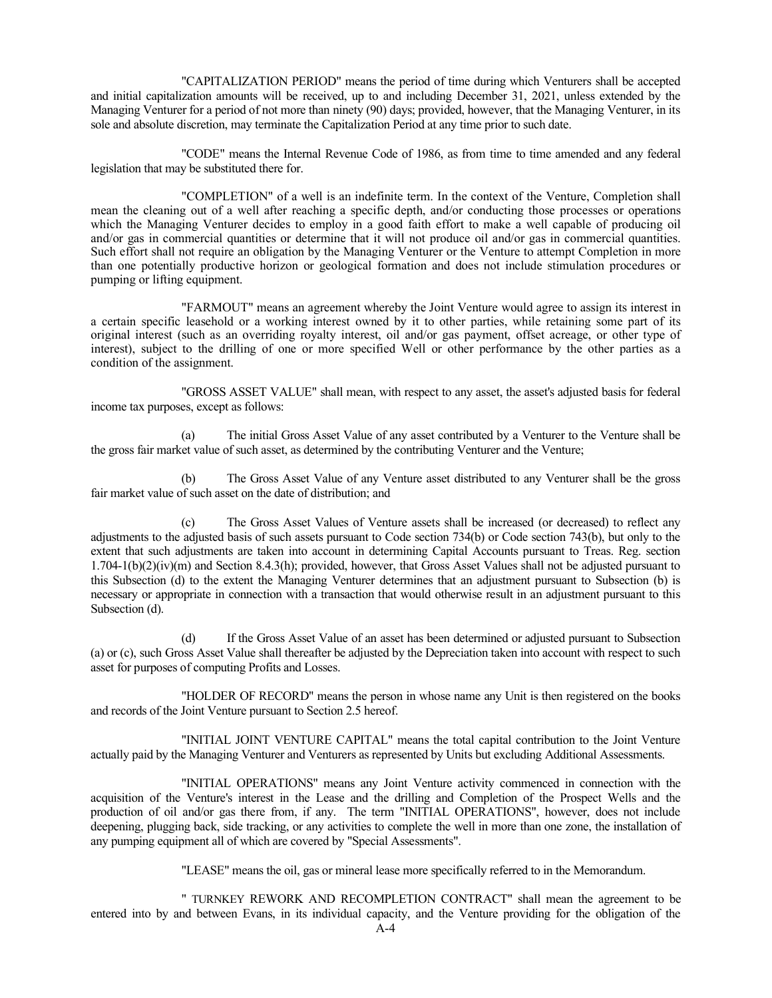"CAPITALIZATION PERIOD" means the period of time during which Venturers shall be accepted and initial capitalization amounts will be received, up to and including December 31, 2021, unless extended by the Managing Venturer for a period of not more than ninety (90) days; provided, however, that the Managing Venturer, in its sole and absolute discretion, may terminate the Capitalization Period at any time prior to such date.

"CODE" means the Internal Revenue Code of 1986, as from time to time amended and any federal legislation that may be substituted there for.

"COMPLETION" of a well is an indefinite term. In the context of the Venture, Completion shall mean the cleaning out of a well after reaching a specific depth, and/or conducting those processes or operations which the Managing Venturer decides to employ in a good faith effort to make a well capable of producing oil and/or gas in commercial quantities or determine that it will not produce oil and/or gas in commercial quantities. Such effort shall not require an obligation by the Managing Venturer or the Venture to attempt Completion in more than one potentially productive horizon or geological formation and does not include stimulation procedures or pumping or lifting equipment.

"FARMOUT" means an agreement whereby the Joint Venture would agree to assign its interest in a certain specific leasehold or a working interest owned by it to other parties, while retaining some part of its original interest (such as an overriding royalty interest, oil and/or gas payment, offset acreage, or other type of interest), subject to the drilling of one or more specified Well or other performance by the other parties as a condition of the assignment.

"GROSS ASSET VALUE" shall mean, with respect to any asset, the asset's adjusted basis for federal income tax purposes, except as follows:

(a) The initial Gross Asset Value of any asset contributed by a Venturer to the Venture shall be the gross fair market value of such asset, as determined by the contributing Venturer and the Venture;

(b) The Gross Asset Value of any Venture asset distributed to any Venturer shall be the gross fair market value of such asset on the date of distribution; and

(c) The Gross Asset Values of Venture assets shall be increased (or decreased) to reflect any adjustments to the adjusted basis of such assets pursuant to Code section 734(b) or Code section 743(b), but only to the extent that such adjustments are taken into account in determining Capital Accounts pursuant to Treas. Reg. section 1.704-1(b)(2)(iv)(m) and Section 8.4.3(h); provided, however, that Gross Asset Values shall not be adjusted pursuant to this Subsection (d) to the extent the Managing Venturer determines that an adjustment pursuant to Subsection (b) is necessary or appropriate in connection with a transaction that would otherwise result in an adjustment pursuant to this Subsection (d).

If the Gross Asset Value of an asset has been determined or adjusted pursuant to Subsection (a) or (c), such Gross Asset Value shall thereafter be adjusted by the Depreciation taken into account with respect to such asset for purposes of computing Profits and Losses.

"HOLDER OF RECORD" means the person in whose name any Unit is then registered on the books and records of the Joint Venture pursuant to Section 2.5 hereof.

"INITIAL JOINT VENTURE CAPITAL" means the total capital contribution to the Joint Venture actually paid by the Managing Venturer and Venturers as represented by Units but excluding Additional Assessments.

"INITIAL OPERATIONS" means any Joint Venture activity commenced in connection with the acquisition of the Venture's interest in the Lease and the drilling and Completion of the Prospect Wells and the production of oil and/or gas there from, if any. The term "INITIAL OPERATIONS", however, does not include deepening, plugging back, side tracking, or any activities to complete the well in more than one zone, the installation of any pumping equipment all of which are covered by "Special Assessments".

"LEASE" means the oil, gas or mineral lease more specifically referred to in the Memorandum.

" TURNKEY REWORK AND RECOMPLETION CONTRACT" shall mean the agreement to be entered into by and between Evans, in its individual capacity, and the Venture providing for the obligation of the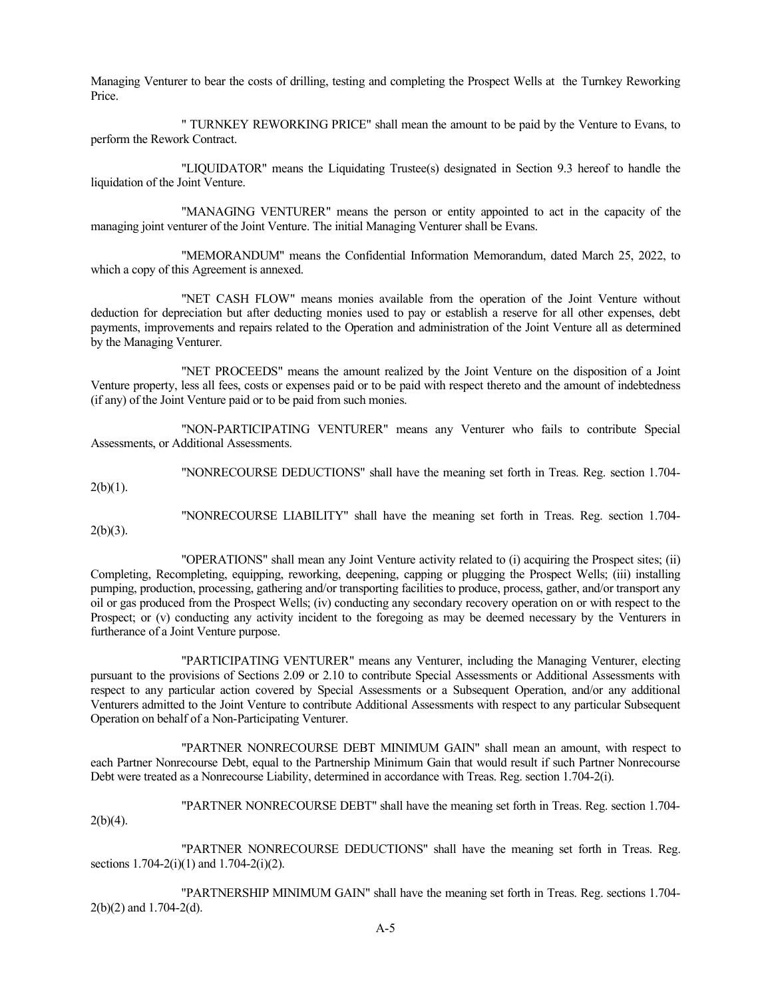Managing Venturer to bear the costs of drilling, testing and completing the Prospect Wells at the Turnkey Reworking Price.

" TURNKEY REWORKING PRICE" shall mean the amount to be paid by the Venture to Evans, to perform the Rework Contract.

"LIQUIDATOR" means the Liquidating Trustee(s) designated in Section 9.3 hereof to handle the liquidation of the Joint Venture.

"MANAGING VENTURER" means the person or entity appointed to act in the capacity of the managing joint venturer of the Joint Venture. The initial Managing Venturer shall be Evans.

"MEMORANDUM" means the Confidential Information Memorandum, dated March 25, 2022, to which a copy of this Agreement is annexed.

"NET CASH FLOW" means monies available from the operation of the Joint Venture without deduction for depreciation but after deducting monies used to pay or establish a reserve for all other expenses, debt payments, improvements and repairs related to the Operation and administration of the Joint Venture all as determined by the Managing Venturer.

"NET PROCEEDS" means the amount realized by the Joint Venture on the disposition of a Joint Venture property, less all fees, costs or expenses paid or to be paid with respect thereto and the amount of indebtedness (if any) of the Joint Venture paid or to be paid from such monies.

"NON-PARTICIPATING VENTURER" means any Venturer who fails to contribute Special Assessments, or Additional Assessments.

"NONRECOURSE DEDUCTIONS" shall have the meaning set forth in Treas. Reg. section 1.704-  $2(b)(1)$ .

"NONRECOURSE LIABILITY" shall have the meaning set forth in Treas. Reg. section 1.704-

 $2(b)(3)$ .

"OPERATIONS" shall mean any Joint Venture activity related to (i) acquiring the Prospect sites; (ii) Completing, Recompleting, equipping, reworking, deepening, capping or plugging the Prospect Wells; (iii) installing pumping, production, processing, gathering and/or transporting facilities to produce, process, gather, and/or transport any oil or gas produced from the Prospect Wells; (iv) conducting any secondary recovery operation on or with respect to the Prospect; or (v) conducting any activity incident to the foregoing as may be deemed necessary by the Venturers in furtherance of a Joint Venture purpose.

"PARTICIPATING VENTURER" means any Venturer, including the Managing Venturer, electing pursuant to the provisions of Sections 2.09 or 2.10 to contribute Special Assessments or Additional Assessments with respect to any particular action covered by Special Assessments or a Subsequent Operation, and/or any additional Venturers admitted to the Joint Venture to contribute Additional Assessments with respect to any particular Subsequent Operation on behalf of a Non-Participating Venturer.

"PARTNER NONRECOURSE DEBT MINIMUM GAIN" shall mean an amount, with respect to each Partner Nonrecourse Debt, equal to the Partnership Minimum Gain that would result if such Partner Nonrecourse Debt were treated as a Nonrecourse Liability, determined in accordance with Treas. Reg. section 1.704-2(i).

"PARTNER NONRECOURSE DEBT" shall have the meaning set forth in Treas. Reg. section 1.704-  $2(b)(4)$ .

"PARTNER NONRECOURSE DEDUCTIONS" shall have the meaning set forth in Treas. Reg. sections 1.704-2(i)(1) and 1.704-2(i)(2).

"PARTNERSHIP MINIMUM GAIN" shall have the meaning set forth in Treas. Reg. sections 1.704- 2(b)(2) and 1.704-2(d).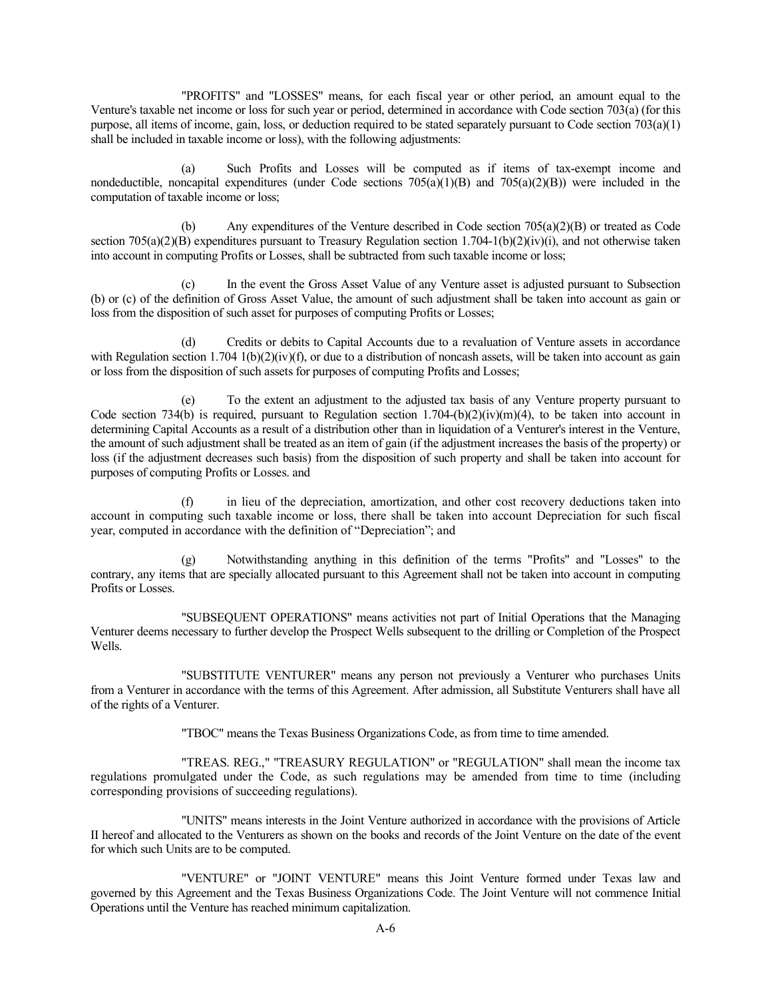"PROFITS" and "LOSSES" means, for each fiscal year or other period, an amount equal to the Venture's taxable net income or loss for such year or period, determined in accordance with Code section 703(a) (for this purpose, all items of income, gain, loss, or deduction required to be stated separately pursuant to Code section 703(a)(1) shall be included in taxable income or loss), with the following adjustments:

(a) Such Profits and Losses will be computed as if items of tax-exempt income and nondeductible, noncapital expenditures (under Code sections  $705(a)(1)(B)$  and  $705(a)(2)(B)$ ) were included in the computation of taxable income or loss;

(b) Any expenditures of the Venture described in Code section 705(a)(2)(B) or treated as Code section 705(a)(2)(B) expenditures pursuant to Treasury Regulation section 1.704-1(b)(2)(iv)(i), and not otherwise taken into account in computing Profits or Losses, shall be subtracted from such taxable income or loss;

(c) In the event the Gross Asset Value of any Venture asset is adjusted pursuant to Subsection (b) or (c) of the definition of Gross Asset Value, the amount of such adjustment shall be taken into account as gain or loss from the disposition of such asset for purposes of computing Profits or Losses;

Credits or debits to Capital Accounts due to a revaluation of Venture assets in accordance with Regulation section 1.704 1(b)(2)(iv)(f), or due to a distribution of noncash assets, will be taken into account as gain or loss from the disposition of such assets for purposes of computing Profits and Losses;

(e) To the extent an adjustment to the adjusted tax basis of any Venture property pursuant to Code section 734(b) is required, pursuant to Regulation section  $1.704-(b)(2)(iv)(m)(4)$ , to be taken into account in determining Capital Accounts as a result of a distribution other than in liquidation of a Venturer's interest in the Venture, the amount of such adjustment shall be treated as an item of gain (if the adjustment increases the basis of the property) or loss (if the adjustment decreases such basis) from the disposition of such property and shall be taken into account for purposes of computing Profits or Losses. and

in lieu of the depreciation, amortization, and other cost recovery deductions taken into account in computing such taxable income or loss, there shall be taken into account Depreciation for such fiscal year, computed in accordance with the definition of "Depreciation"; and

(g) Notwithstanding anything in this definition of the terms "Profits" and "Losses" to the contrary, any items that are specially allocated pursuant to this Agreement shall not be taken into account in computing Profits or Losses.

"SUBSEQUENT OPERATIONS" means activities not part of Initial Operations that the Managing Venturer deems necessary to further develop the Prospect Wells subsequent to the drilling or Completion of the Prospect Wells.

"SUBSTITUTE VENTURER" means any person not previously a Venturer who purchases Units from a Venturer in accordance with the terms of this Agreement. After admission, all Substitute Venturers shall have all of the rights of a Venturer.

"TBOC" means the Texas Business Organizations Code, as from time to time amended.

"TREAS. REG.," "TREASURY REGULATION" or "REGULATION" shall mean the income tax regulations promulgated under the Code, as such regulations may be amended from time to time (including corresponding provisions of succeeding regulations).

"UNITS" means interests in the Joint Venture authorized in accordance with the provisions of Article II hereof and allocated to the Venturers as shown on the books and records of the Joint Venture on the date of the event for which such Units are to be computed.

"VENTURE" or "JOINT VENTURE" means this Joint Venture formed under Texas law and governed by this Agreement and the Texas Business Organizations Code. The Joint Venture will not commence Initial Operations until the Venture has reached minimum capitalization.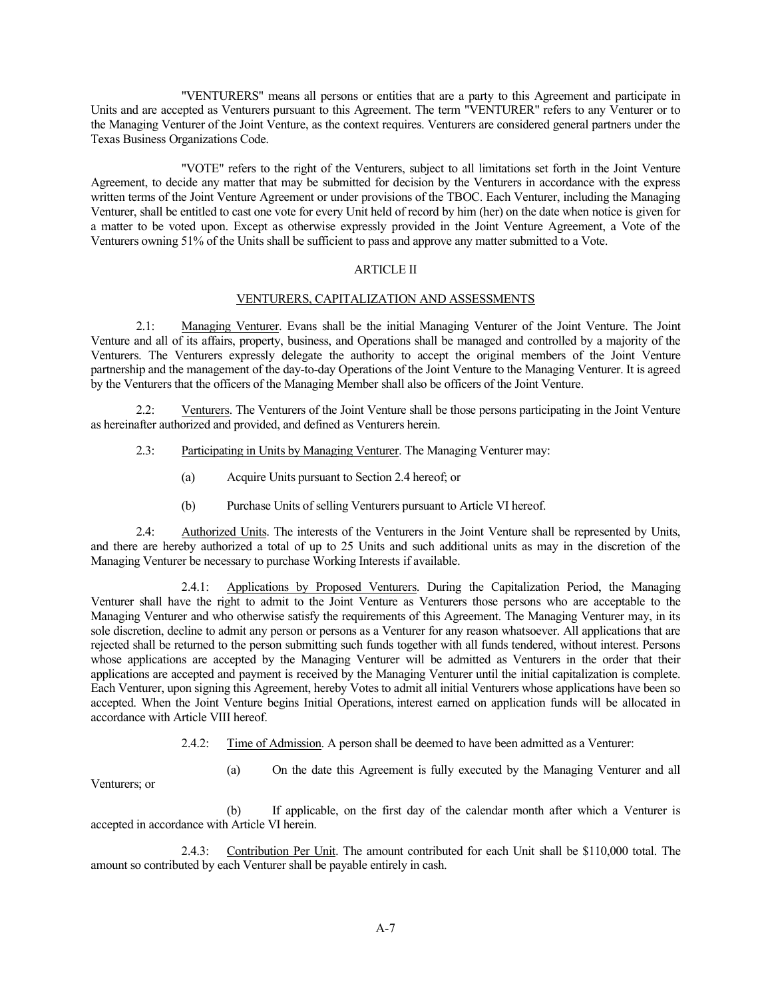"VENTURERS" means all persons or entities that are a party to this Agreement and participate in Units and are accepted as Venturers pursuant to this Agreement. The term "VENTURER" refers to any Venturer or to the Managing Venturer of the Joint Venture, as the context requires. Venturers are considered general partners under the Texas Business Organizations Code.

"VOTE" refers to the right of the Venturers, subject to all limitations set forth in the Joint Venture Agreement, to decide any matter that may be submitted for decision by the Venturers in accordance with the express written terms of the Joint Venture Agreement or under provisions of the TBOC. Each Venturer, including the Managing Venturer, shall be entitled to cast one vote for every Unit held of record by him (her) on the date when notice is given for a matter to be voted upon. Except as otherwise expressly provided in the Joint Venture Agreement, a Vote of the Venturers owning 51% of the Units shall be sufficient to pass and approve any matter submitted to a Vote.

## ARTICLE II

## VENTURERS, CAPITALIZATION AND ASSESSMENTS

2.1: Managing Venturer. Evans shall be the initial Managing Venturer of the Joint Venture. The Joint Venture and all of its affairs, property, business, and Operations shall be managed and controlled by a majority of the Venturers. The Venturers expressly delegate the authority to accept the original members of the Joint Venture partnership and the management of the day-to-day Operations of the Joint Venture to the Managing Venturer. It is agreed by the Venturers that the officers of the Managing Member shall also be officers of the Joint Venture.

2.2: Venturers. The Venturers of the Joint Venture shall be those persons participating in the Joint Venture as hereinafter authorized and provided, and defined as Venturers herein.

- 2.3: Participating in Units by Managing Venturer. The Managing Venturer may:
	- (a) Acquire Units pursuant to Section 2.4 hereof; or
	- (b) Purchase Units of selling Venturers pursuant to Article VI hereof.

2.4: Authorized Units. The interests of the Venturers in the Joint Venture shall be represented by Units, and there are hereby authorized a total of up to 25 Units and such additional units as may in the discretion of the Managing Venturer be necessary to purchase Working Interests if available.

 2.4.1: Applications by Proposed Venturers. During the Capitalization Period, the Managing Venturer shall have the right to admit to the Joint Venture as Venturers those persons who are acceptable to the Managing Venturer and who otherwise satisfy the requirements of this Agreement. The Managing Venturer may, in its sole discretion, decline to admit any person or persons as a Venturer for any reason whatsoever. All applications that are rejected shall be returned to the person submitting such funds together with all funds tendered, without interest. Persons whose applications are accepted by the Managing Venturer will be admitted as Venturers in the order that their applications are accepted and payment is received by the Managing Venturer until the initial capitalization is complete. Each Venturer, upon signing this Agreement, hereby Votes to admit all initial Venturers whose applications have been so accepted. When the Joint Venture begins Initial Operations, interest earned on application funds will be allocated in accordance with Article VIII hereof.

2.4.2: Time of Admission. A person shall be deemed to have been admitted as a Venturer:

## Venturers; or

(a) On the date this Agreement is fully executed by the Managing Venturer and all

 (b) If applicable, on the first day of the calendar month after which a Venturer is accepted in accordance with Article VI herein.

 2.4.3: Contribution Per Unit. The amount contributed for each Unit shall be \$110,000 total. The amount so contributed by each Venturer shall be payable entirely in cash.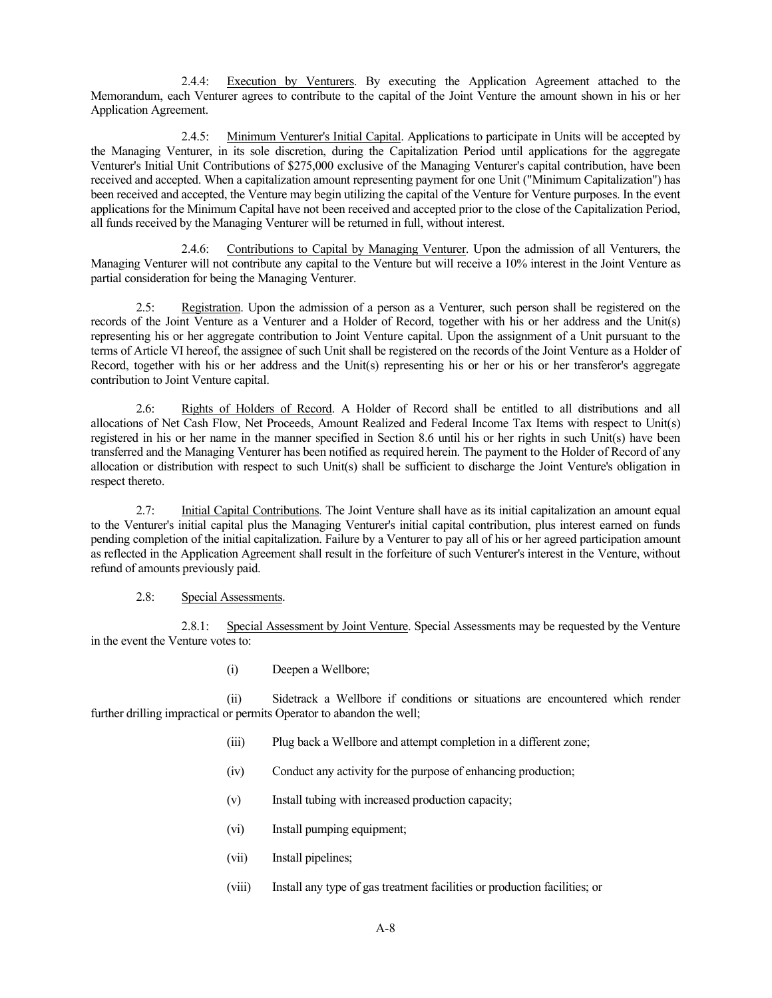2.4.4: Execution by Venturers. By executing the Application Agreement attached to the Memorandum, each Venturer agrees to contribute to the capital of the Joint Venture the amount shown in his or her Application Agreement.

 2.4.5: Minimum Venturer's Initial Capital. Applications to participate in Units will be accepted by the Managing Venturer, in its sole discretion, during the Capitalization Period until applications for the aggregate Venturer's Initial Unit Contributions of \$275,000 exclusive of the Managing Venturer's capital contribution, have been received and accepted. When a capitalization amount representing payment for one Unit ("Minimum Capitalization") has been received and accepted, the Venture may begin utilizing the capital of the Venture for Venture purposes. In the event applications for the Minimum Capital have not been received and accepted prior to the close of the Capitalization Period, all funds received by the Managing Venturer will be returned in full, without interest.

 2.4.6: Contributions to Capital by Managing Venturer. Upon the admission of all Venturers, the Managing Venturer will not contribute any capital to the Venture but will receive a 10% interest in the Joint Venture as partial consideration for being the Managing Venturer.

2.5: Registration. Upon the admission of a person as a Venturer, such person shall be registered on the records of the Joint Venture as a Venturer and a Holder of Record, together with his or her address and the Unit(s) representing his or her aggregate contribution to Joint Venture capital. Upon the assignment of a Unit pursuant to the terms of Article VI hereof, the assignee of such Unit shall be registered on the records of the Joint Venture as a Holder of Record, together with his or her address and the Unit(s) representing his or her or his or her transferor's aggregate contribution to Joint Venture capital.

2.6: Rights of Holders of Record. A Holder of Record shall be entitled to all distributions and all allocations of Net Cash Flow, Net Proceeds, Amount Realized and Federal Income Tax Items with respect to Unit(s) registered in his or her name in the manner specified in Section 8.6 until his or her rights in such Unit(s) have been transferred and the Managing Venturer has been notified as required herein. The payment to the Holder of Record of any allocation or distribution with respect to such Unit(s) shall be sufficient to discharge the Joint Venture's obligation in respect thereto.

2.7: Initial Capital Contributions. The Joint Venture shall have as its initial capitalization an amount equal to the Venturer's initial capital plus the Managing Venturer's initial capital contribution, plus interest earned on funds pending completion of the initial capitalization. Failure by a Venturer to pay all of his or her agreed participation amount as reflected in the Application Agreement shall result in the forfeiture of such Venturer's interest in the Venture, without refund of amounts previously paid.

# 2.8: Special Assessments.

 2.8.1: Special Assessment by Joint Venture. Special Assessments may be requested by the Venture in the event the Venture votes to:

(i) Deepen a Wellbore;

(ii) Sidetrack a Wellbore if conditions or situations are encountered which render further drilling impractical or permits Operator to abandon the well;

- (iii) Plug back a Wellbore and attempt completion in a different zone;
- (iv) Conduct any activity for the purpose of enhancing production;
- (v) Install tubing with increased production capacity;
- (vi) Install pumping equipment;
- (vii) Install pipelines;
- (viii) Install any type of gas treatment facilities or production facilities; or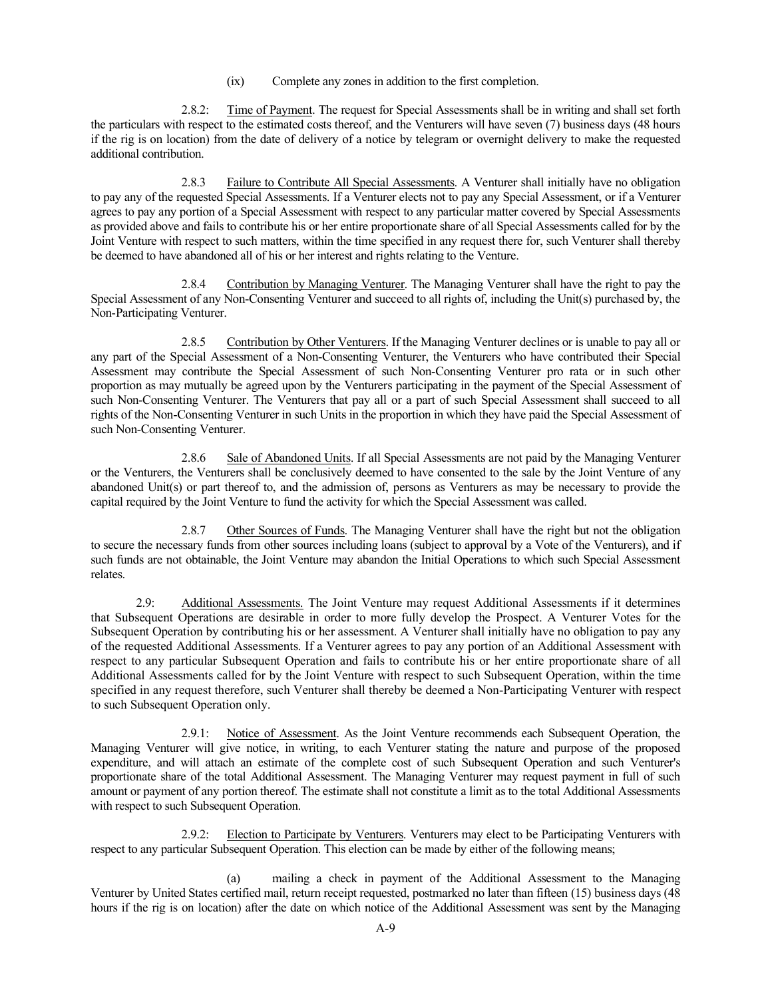(ix) Complete any zones in addition to the first completion.

 2.8.2: Time of Payment. The request for Special Assessments shall be in writing and shall set forth the particulars with respect to the estimated costs thereof, and the Venturers will have seven (7) business days (48 hours if the rig is on location) from the date of delivery of a notice by telegram or overnight delivery to make the requested additional contribution.

 2.8.3 Failure to Contribute All Special Assessments. A Venturer shall initially have no obligation to pay any of the requested Special Assessments. If a Venturer elects not to pay any Special Assessment, or if a Venturer agrees to pay any portion of a Special Assessment with respect to any particular matter covered by Special Assessments as provided above and fails to contribute his or her entire proportionate share of all Special Assessments called for by the Joint Venture with respect to such matters, within the time specified in any request there for, such Venturer shall thereby be deemed to have abandoned all of his or her interest and rights relating to the Venture.

 2.8.4 Contribution by Managing Venturer. The Managing Venturer shall have the right to pay the Special Assessment of any Non-Consenting Venturer and succeed to all rights of, including the Unit(s) purchased by, the Non-Participating Venturer.

 2.8.5 Contribution by Other Venturers. If the Managing Venturer declines or is unable to pay all or any part of the Special Assessment of a Non-Consenting Venturer, the Venturers who have contributed their Special Assessment may contribute the Special Assessment of such Non-Consenting Venturer pro rata or in such other proportion as may mutually be agreed upon by the Venturers participating in the payment of the Special Assessment of such Non-Consenting Venturer. The Venturers that pay all or a part of such Special Assessment shall succeed to all rights of the Non-Consenting Venturer in such Units in the proportion in which they have paid the Special Assessment of such Non-Consenting Venturer.

 2.8.6 Sale of Abandoned Units. If all Special Assessments are not paid by the Managing Venturer or the Venturers, the Venturers shall be conclusively deemed to have consented to the sale by the Joint Venture of any abandoned Unit(s) or part thereof to, and the admission of, persons as Venturers as may be necessary to provide the capital required by the Joint Venture to fund the activity for which the Special Assessment was called.

 2.8.7 Other Sources of Funds. The Managing Venturer shall have the right but not the obligation to secure the necessary funds from other sources including loans (subject to approval by a Vote of the Venturers), and if such funds are not obtainable, the Joint Venture may abandon the Initial Operations to which such Special Assessment relates.

2.9: Additional Assessments. The Joint Venture may request Additional Assessments if it determines that Subsequent Operations are desirable in order to more fully develop the Prospect. A Venturer Votes for the Subsequent Operation by contributing his or her assessment. A Venturer shall initially have no obligation to pay any of the requested Additional Assessments. If a Venturer agrees to pay any portion of an Additional Assessment with respect to any particular Subsequent Operation and fails to contribute his or her entire proportionate share of all Additional Assessments called for by the Joint Venture with respect to such Subsequent Operation, within the time specified in any request therefore, such Venturer shall thereby be deemed a Non-Participating Venturer with respect to such Subsequent Operation only.

 2.9.1: Notice of Assessment. As the Joint Venture recommends each Subsequent Operation, the Managing Venturer will give notice, in writing, to each Venturer stating the nature and purpose of the proposed expenditure, and will attach an estimate of the complete cost of such Subsequent Operation and such Venturer's proportionate share of the total Additional Assessment. The Managing Venturer may request payment in full of such amount or payment of any portion thereof. The estimate shall not constitute a limit as to the total Additional Assessments with respect to such Subsequent Operation.

 2.9.2: Election to Participate by Venturers. Venturers may elect to be Participating Venturers with respect to any particular Subsequent Operation. This election can be made by either of the following means;

(a) mailing a check in payment of the Additional Assessment to the Managing Venturer by United States certified mail, return receipt requested, postmarked no later than fifteen (15) business days (48 hours if the rig is on location) after the date on which notice of the Additional Assessment was sent by the Managing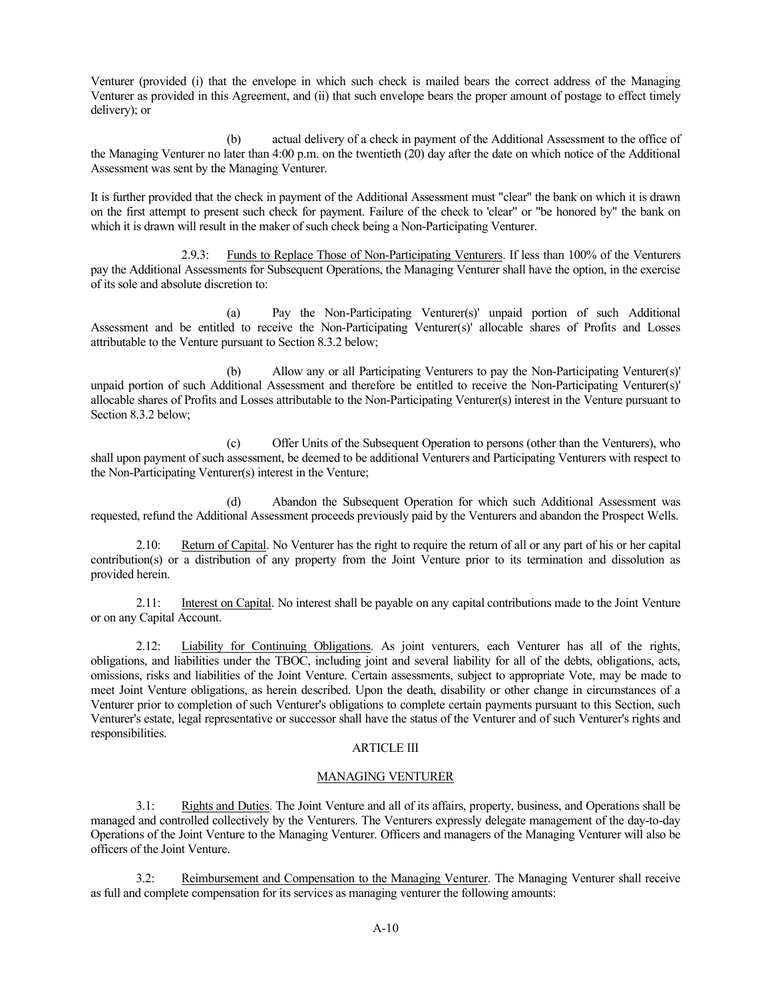Venturer (provided (i) that the envelope in which such check is mailed bears the correct address of the Managing Venturer as provided in this Agreement, and (ii) that such envelope bears the proper amount of postage to effect timely delivery); or

(b) actual delivery of a check in payment of the Additional Assessment to the office of the Managing Venturer no later than 4:00 p.m. on the twentieth (20) day after the date on which notice of the Additional Assessment was sent by the Managing Venturer.

It is further provided that the check in payment of the Additional Assessment must "clear" the bank on which it is drawn on the first attempt to present such check for payment. Failure of the check to 'clear" or "be honored by" the bank on which it is drawn will result in the maker of such check being a Non-Participating Venturer.

 2.9.3: Funds to Replace Those of Non-Participating Venturers. If less than 100% of the Venturers pay the Additional Assessments for Subsequent Operations, the Managing Venturer shall have the option, in the exercise of its sole and absolute discretion to:

(a) Pay the Non-Participating Venturer(s)' unpaid portion of such Additional Assessment and be entitled to receive the Non-Participating Venturer(s)' allocable shares of Profits and Losses attributable to the Venture pursuant to Section 8.3.2 below;

(b) Allow any or all Participating Venturers to pay the Non-Participating Venturer(s)' unpaid portion of such Additional Assessment and therefore be entitled to receive the Non-Participating Venturer(s)' allocable shares of Profits and Losses attributable to the Non-Participating Venturer(s) interest in the Venture pursuant to Section 8.3.2 below;

(c) Offer Units of the Subsequent Operation to persons (other than the Venturers), who shall upon payment of such assessment, be deemed to be additional Venturers and Participating Venturers with respect to the Non-Participating Venturer(s) interest in the Venture;

(d) Abandon the Subsequent Operation for which such Additional Assessment was requested, refund the Additional Assessment proceeds previously paid by the Venturers and abandon the Prospect Wells.

2.10: Return of Capital. No Venturer has the right to require the return of all or any part of his or her capital contribution(s) or a distribution of any property from the Joint Venture prior to its termination and dissolution as provided herein.

2.11: Interest on Capital. No interest shall be payable on any capital contributions made to the Joint Venture or on any Capital Account.

2.12: Liability for Continuing Obligations. As joint venturers, each Venturer has all of the rights, obligations, and liabilities under the TBOC, including joint and several liability for all of the debts, obligations, acts, omissions, risks and liabilities of the Joint Venture. Certain assessments, subject to appropriate Vote, may be made to meet Joint Venture obligations, as herein described. Upon the death, disability or other change in circumstances of a Venturer prior to completion of such Venturer's obligations to complete certain payments pursuant to this Section, such Venturer's estate, legal representative or successor shall have the status of the Venturer and of such Venturer's rights and responsibilities.

# ARTICLE III

# MANAGING VENTURER

3.1: Rights and Duties. The Joint Venture and all of its affairs, property, business, and Operations shall be managed and controlled collectively by the Venturers. The Venturers expressly delegate management of the day-to-day Operations of the Joint Venture to the Managing Venturer. Officers and managers of the Managing Venturer will also be officers of the Joint Venture.

3.2: Reimbursement and Compensation to the Managing Venturer. The Managing Venturer shall receive as full and complete compensation for its services as managing venturer the following amounts: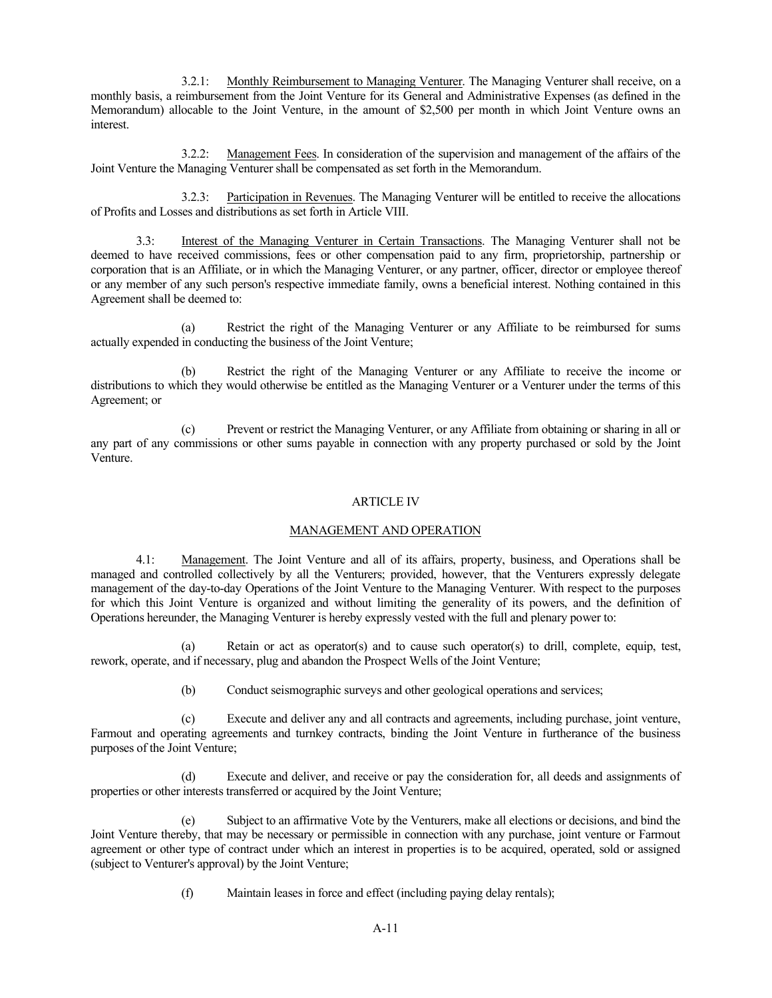3.2.1: Monthly Reimbursement to Managing Venturer. The Managing Venturer shall receive, on a monthly basis, a reimbursement from the Joint Venture for its General and Administrative Expenses (as defined in the Memorandum) allocable to the Joint Venture, in the amount of \$2,500 per month in which Joint Venture owns an interest.

 3.2.2: Management Fees. In consideration of the supervision and management of the affairs of the Joint Venture the Managing Venturer shall be compensated as set forth in the Memorandum.

 3.2.3: Participation in Revenues. The Managing Venturer will be entitled to receive the allocations of Profits and Losses and distributions as set forth in Article VIII.

3.3: Interest of the Managing Venturer in Certain Transactions. The Managing Venturer shall not be deemed to have received commissions, fees or other compensation paid to any firm, proprietorship, partnership or corporation that is an Affiliate, or in which the Managing Venturer, or any partner, officer, director or employee thereof or any member of any such person's respective immediate family, owns a beneficial interest. Nothing contained in this Agreement shall be deemed to:

(a) Restrict the right of the Managing Venturer or any Affiliate to be reimbursed for sums actually expended in conducting the business of the Joint Venture;

(b) Restrict the right of the Managing Venturer or any Affiliate to receive the income or distributions to which they would otherwise be entitled as the Managing Venturer or a Venturer under the terms of this Agreement; or

(c) Prevent or restrict the Managing Venturer, or any Affiliate from obtaining or sharing in all or any part of any commissions or other sums payable in connection with any property purchased or sold by the Joint Venture.

## ARTICLE IV

## MANAGEMENT AND OPERATION

4.1: Management. The Joint Venture and all of its affairs, property, business, and Operations shall be managed and controlled collectively by all the Venturers; provided, however, that the Venturers expressly delegate management of the day-to-day Operations of the Joint Venture to the Managing Venturer. With respect to the purposes for which this Joint Venture is organized and without limiting the generality of its powers, and the definition of Operations hereunder, the Managing Venturer is hereby expressly vested with the full and plenary power to:

 (a) Retain or act as operator(s) and to cause such operator(s) to drill, complete, equip, test, rework, operate, and if necessary, plug and abandon the Prospect Wells of the Joint Venture;

(b) Conduct seismographic surveys and other geological operations and services;

 (c) Execute and deliver any and all contracts and agreements, including purchase, joint venture, Farmout and operating agreements and turnkey contracts, binding the Joint Venture in furtherance of the business purposes of the Joint Venture;

 (d) Execute and deliver, and receive or pay the consideration for, all deeds and assignments of properties or other interests transferred or acquired by the Joint Venture;

 (e) Subject to an affirmative Vote by the Venturers, make all elections or decisions, and bind the Joint Venture thereby, that may be necessary or permissible in connection with any purchase, joint venture or Farmout agreement or other type of contract under which an interest in properties is to be acquired, operated, sold or assigned (subject to Venturer's approval) by the Joint Venture;

(f) Maintain leases in force and effect (including paying delay rentals);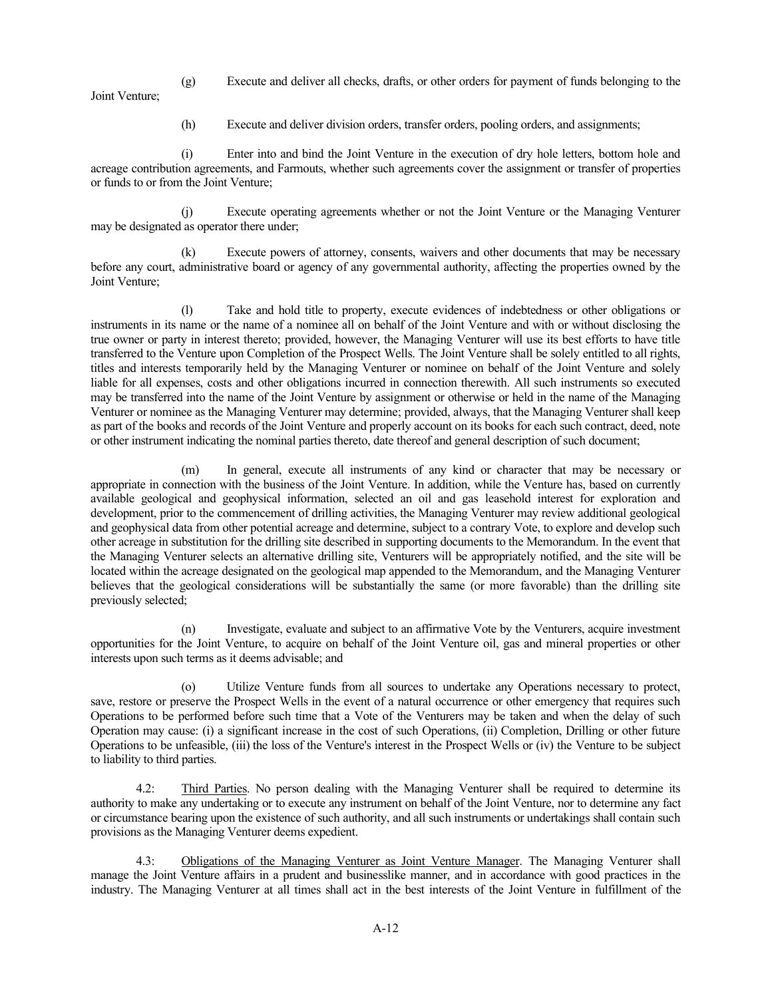Joint Venture;

- (g) Execute and deliver all checks, drafts, or other orders for payment of funds belonging to the
- (h) Execute and deliver division orders, transfer orders, pooling orders, and assignments;

 (i) Enter into and bind the Joint Venture in the execution of dry hole letters, bottom hole and acreage contribution agreements, and Farmouts, whether such agreements cover the assignment or transfer of properties or funds to or from the Joint Venture;

 (j) Execute operating agreements whether or not the Joint Venture or the Managing Venturer may be designated as operator there under;

 (k) Execute powers of attorney, consents, waivers and other documents that may be necessary before any court, administrative board or agency of any governmental authority, affecting the properties owned by the Joint Venture;

 (l) Take and hold title to property, execute evidences of indebtedness or other obligations or instruments in its name or the name of a nominee all on behalf of the Joint Venture and with or without disclosing the true owner or party in interest thereto; provided, however, the Managing Venturer will use its best efforts to have title transferred to the Venture upon Completion of the Prospect Wells. The Joint Venture shall be solely entitled to all rights, titles and interests temporarily held by the Managing Venturer or nominee on behalf of the Joint Venture and solely liable for all expenses, costs and other obligations incurred in connection therewith. All such instruments so executed may be transferred into the name of the Joint Venture by assignment or otherwise or held in the name of the Managing Venturer or nominee as the Managing Venturer may determine; provided, always, that the Managing Venturer shall keep as part of the books and records of the Joint Venture and properly account on its books for each such contract, deed, note or other instrument indicating the nominal parties thereto, date thereof and general description of such document;

 (m) In general, execute all instruments of any kind or character that may be necessary or appropriate in connection with the business of the Joint Venture. In addition, while the Venture has, based on currently available geological and geophysical information, selected an oil and gas leasehold interest for exploration and development, prior to the commencement of drilling activities, the Managing Venturer may review additional geological and geophysical data from other potential acreage and determine, subject to a contrary Vote, to explore and develop such other acreage in substitution for the drilling site described in supporting documents to the Memorandum. In the event that the Managing Venturer selects an alternative drilling site, Venturers will be appropriately notified, and the site will be located within the acreage designated on the geological map appended to the Memorandum, and the Managing Venturer believes that the geological considerations will be substantially the same (or more favorable) than the drilling site previously selected;

 (n) Investigate, evaluate and subject to an affirmative Vote by the Venturers, acquire investment opportunities for the Joint Venture, to acquire on behalf of the Joint Venture oil, gas and mineral properties or other interests upon such terms as it deems advisable; and

 (o) Utilize Venture funds from all sources to undertake any Operations necessary to protect, save, restore or preserve the Prospect Wells in the event of a natural occurrence or other emergency that requires such Operations to be performed before such time that a Vote of the Venturers may be taken and when the delay of such Operation may cause: (i) a significant increase in the cost of such Operations, (ii) Completion, Drilling or other future Operations to be unfeasible, (iii) the loss of the Venture's interest in the Prospect Wells or (iv) the Venture to be subject to liability to third parties.

4.2: Third Parties. No person dealing with the Managing Venturer shall be required to determine its authority to make any undertaking or to execute any instrument on behalf of the Joint Venture, nor to determine any fact or circumstance bearing upon the existence of such authority, and all such instruments or undertakings shall contain such provisions as the Managing Venturer deems expedient.

 4.3: Obligations of the Managing Venturer as Joint Venture Manager. The Managing Venturer shall manage the Joint Venture affairs in a prudent and businesslike manner, and in accordance with good practices in the industry. The Managing Venturer at all times shall act in the best interests of the Joint Venture in fulfillment of the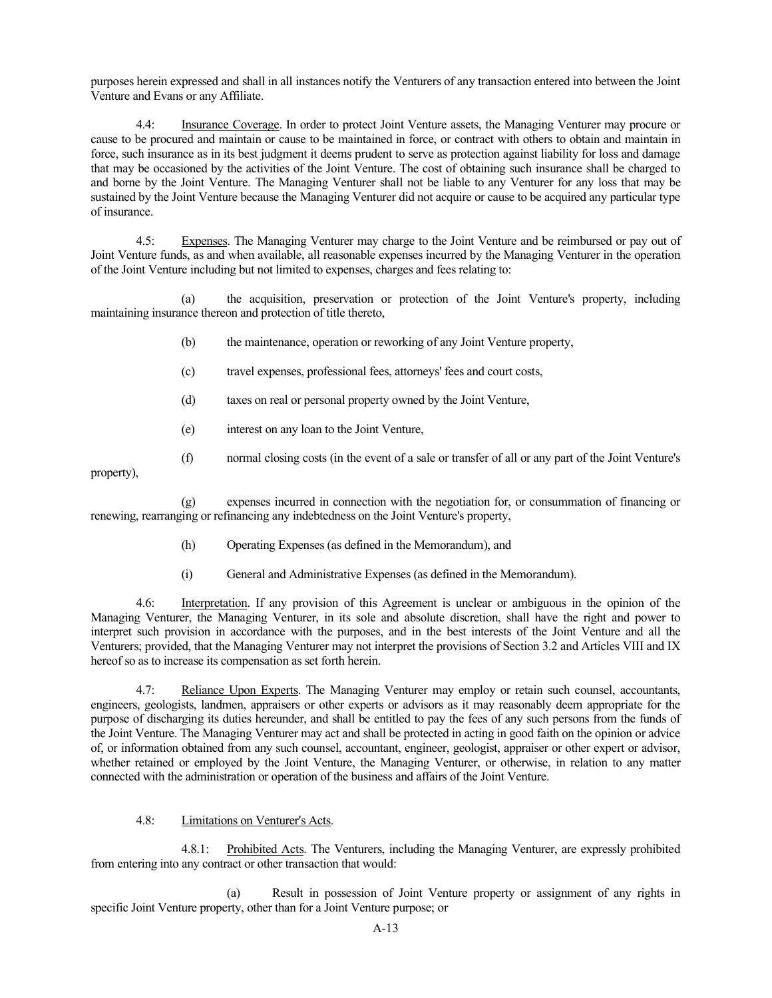purposes herein expressed and shall in all instances notify the Venturers of any transaction entered into between the Joint Venture and Evans or any Affiliate.

4.4: Insurance Coverage. In order to protect Joint Venture assets, the Managing Venturer may procure or cause to be procured and maintain or cause to be maintained in force, or contract with others to obtain and maintain in force, such insurance as in its best judgment it deems prudent to serve as protection against liability for loss and damage that may be occasioned by the activities of the Joint Venture. The cost of obtaining such insurance shall be charged to and borne by the Joint Venture. The Managing Venturer shall not be liable to any Venturer for any loss that may be sustained by the Joint Venture because the Managing Venturer did not acquire or cause to be acquired any particular type of insurance.

4.5: Expenses. The Managing Venturer may charge to the Joint Venture and be reimbursed or pay out of Joint Venture funds, as and when available, all reasonable expenses incurred by the Managing Venturer in the operation of the Joint Venture including but not limited to expenses, charges and fees relating to:

 (a) the acquisition, preservation or protection of the Joint Venture's property, including maintaining insurance thereon and protection of title thereto,

- (b) the maintenance, operation or reworking of any Joint Venture property,
- (c) travel expenses, professional fees, attorneys' fees and court costs,
- (d) taxes on real or personal property owned by the Joint Venture,
- (e) interest on any loan to the Joint Venture,
- (f) normal closing costs (in the event of a sale or transfer of all or any part of the Joint Venture's

property),

 (g) expenses incurred in connection with the negotiation for, or consummation of financing or renewing, rearranging or refinancing any indebtedness on the Joint Venture's property,

- (h) Operating Expenses (as defined in the Memorandum), and
- (i) General and Administrative Expenses (as defined in the Memorandum).

4.6: Interpretation. If any provision of this Agreement is unclear or ambiguous in the opinion of the Managing Venturer, the Managing Venturer, in its sole and absolute discretion, shall have the right and power to interpret such provision in accordance with the purposes, and in the best interests of the Joint Venture and all the Venturers; provided, that the Managing Venturer may not interpret the provisions of Section 3.2 and Articles VIII and IX hereof so as to increase its compensation as set forth herein.

4.7: Reliance Upon Experts. The Managing Venturer may employ or retain such counsel, accountants, engineers, geologists, landmen, appraisers or other experts or advisors as it may reasonably deem appropriate for the purpose of discharging its duties hereunder, and shall be entitled to pay the fees of any such persons from the funds of the Joint Venture. The Managing Venturer may act and shall be protected in acting in good faith on the opinion or advice of, or information obtained from any such counsel, accountant, engineer, geologist, appraiser or other expert or advisor, whether retained or employed by the Joint Venture, the Managing Venturer, or otherwise, in relation to any matter connected with the administration or operation of the business and affairs of the Joint Venture.

## 4.8: Limitations on Venturer's Acts.

 4.8.1: Prohibited Acts. The Venturers, including the Managing Venturer, are expressly prohibited from entering into any contract or other transaction that would:

 (a) Result in possession of Joint Venture property or assignment of any rights in specific Joint Venture property, other than for a Joint Venture purpose; or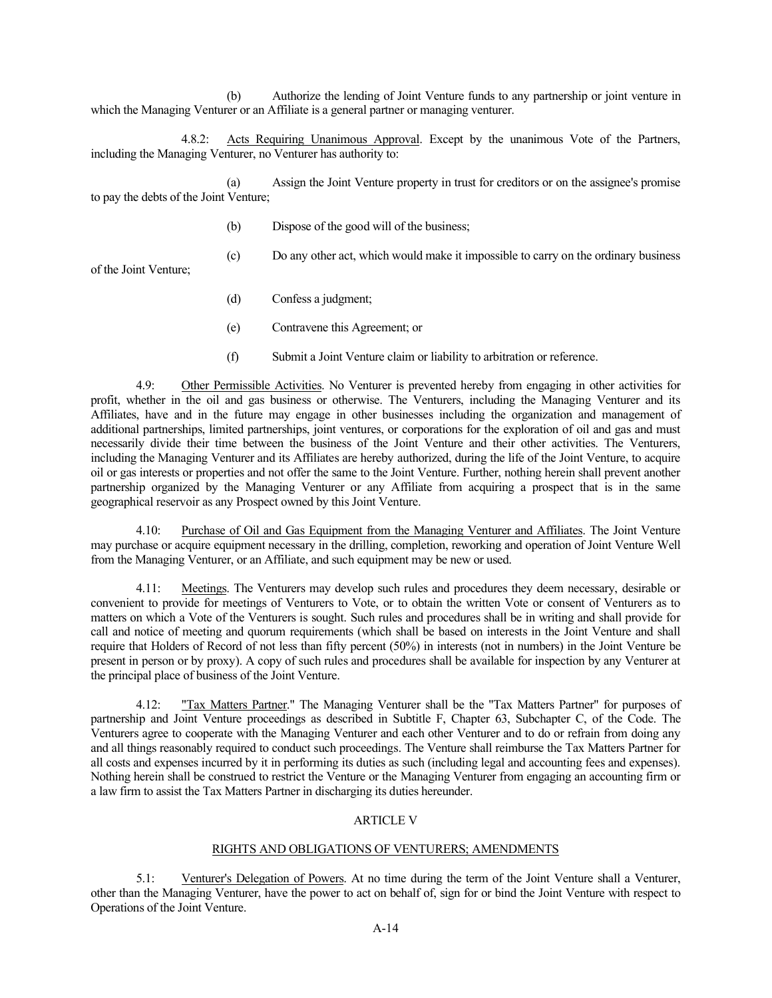(b) Authorize the lending of Joint Venture funds to any partnership or joint venture in which the Managing Venturer or an Affiliate is a general partner or managing venturer.

 4.8.2: Acts Requiring Unanimous Approval. Except by the unanimous Vote of the Partners, including the Managing Venturer, no Venturer has authority to:

 (a) Assign the Joint Venture property in trust for creditors or on the assignee's promise to pay the debts of the Joint Venture;

- (b) Dispose of the good will of the business;
- (c) Do any other act, which would make it impossible to carry on the ordinary business

of the Joint Venture;

- (d) Confess a judgment;
- (e) Contravene this Agreement; or
- (f) Submit a Joint Venture claim or liability to arbitration or reference.

4.9: Other Permissible Activities. No Venturer is prevented hereby from engaging in other activities for profit, whether in the oil and gas business or otherwise. The Venturers, including the Managing Venturer and its Affiliates, have and in the future may engage in other businesses including the organization and management of additional partnerships, limited partnerships, joint ventures, or corporations for the exploration of oil and gas and must necessarily divide their time between the business of the Joint Venture and their other activities. The Venturers, including the Managing Venturer and its Affiliates are hereby authorized, during the life of the Joint Venture, to acquire oil or gas interests or properties and not offer the same to the Joint Venture. Further, nothing herein shall prevent another partnership organized by the Managing Venturer or any Affiliate from acquiring a prospect that is in the same geographical reservoir as any Prospect owned by this Joint Venture.

4.10: Purchase of Oil and Gas Equipment from the Managing Venturer and Affiliates. The Joint Venture may purchase or acquire equipment necessary in the drilling, completion, reworking and operation of Joint Venture Well from the Managing Venturer, or an Affiliate, and such equipment may be new or used.

4.11: Meetings. The Venturers may develop such rules and procedures they deem necessary, desirable or convenient to provide for meetings of Venturers to Vote, or to obtain the written Vote or consent of Venturers as to matters on which a Vote of the Venturers is sought. Such rules and procedures shall be in writing and shall provide for call and notice of meeting and quorum requirements (which shall be based on interests in the Joint Venture and shall require that Holders of Record of not less than fifty percent (50%) in interests (not in numbers) in the Joint Venture be present in person or by proxy). A copy of such rules and procedures shall be available for inspection by any Venturer at the principal place of business of the Joint Venture.

4.12: "Tax Matters Partner." The Managing Venturer shall be the "Tax Matters Partner" for purposes of partnership and Joint Venture proceedings as described in Subtitle F, Chapter 63, Subchapter C, of the Code. The Venturers agree to cooperate with the Managing Venturer and each other Venturer and to do or refrain from doing any and all things reasonably required to conduct such proceedings. The Venture shall reimburse the Tax Matters Partner for all costs and expenses incurred by it in performing its duties as such (including legal and accounting fees and expenses). Nothing herein shall be construed to restrict the Venture or the Managing Venturer from engaging an accounting firm or a law firm to assist the Tax Matters Partner in discharging its duties hereunder.

# ARTICLE V

# RIGHTS AND OBLIGATIONS OF VENTURERS; AMENDMENTS

5.1: Venturer's Delegation of Powers. At no time during the term of the Joint Venture shall a Venturer, other than the Managing Venturer, have the power to act on behalf of, sign for or bind the Joint Venture with respect to Operations of the Joint Venture.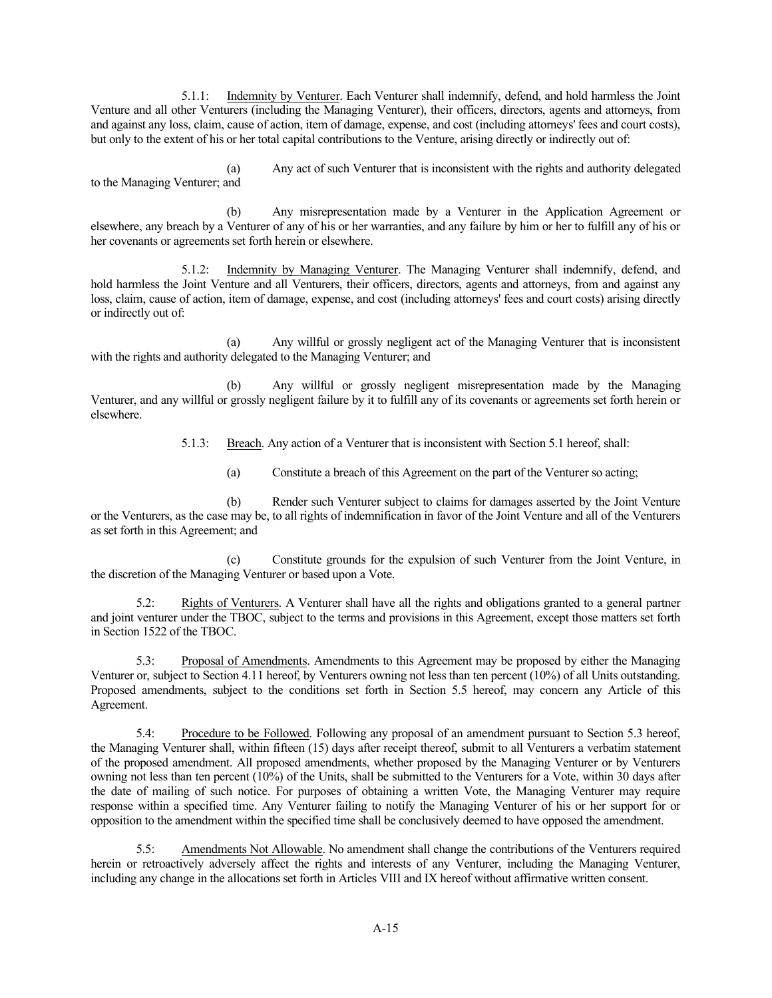5.1.1: Indemnity by Venturer. Each Venturer shall indemnify, defend, and hold harmless the Joint Venture and all other Venturers (including the Managing Venturer), their officers, directors, agents and attorneys, from and against any loss, claim, cause of action, item of damage, expense, and cost (including attorneys' fees and court costs), but only to the extent of his or her total capital contributions to the Venture, arising directly or indirectly out of:

 (a) Any act of such Venturer that is inconsistent with the rights and authority delegated to the Managing Venturer; and

 (b) Any misrepresentation made by a Venturer in the Application Agreement or elsewhere, any breach by a Venturer of any of his or her warranties, and any failure by him or her to fulfill any of his or her covenants or agreements set forth herein or elsewhere.

 5.1.2: Indemnity by Managing Venturer. The Managing Venturer shall indemnify, defend, and hold harmless the Joint Venture and all Venturers, their officers, directors, agents and attorneys, from and against any loss, claim, cause of action, item of damage, expense, and cost (including attorneys' fees and court costs) arising directly or indirectly out of:

 (a) Any willful or grossly negligent act of the Managing Venturer that is inconsistent with the rights and authority delegated to the Managing Venturer; and

 (b) Any willful or grossly negligent misrepresentation made by the Managing Venturer, and any willful or grossly negligent failure by it to fulfill any of its covenants or agreements set forth herein or elsewhere.

5.1.3: Breach. Any action of a Venturer that is inconsistent with Section 5.1 hereof, shall:

(a) Constitute a breach of this Agreement on the part of the Venturer so acting;

 (b) Render such Venturer subject to claims for damages asserted by the Joint Venture or the Venturers, as the case may be, to all rights of indemnification in favor of the Joint Venture and all of the Venturers as set forth in this Agreement; and

 (c) Constitute grounds for the expulsion of such Venturer from the Joint Venture, in the discretion of the Managing Venturer or based upon a Vote.

5.2: Rights of Venturers. A Venturer shall have all the rights and obligations granted to a general partner and joint venturer under the TBOC, subject to the terms and provisions in this Agreement, except those matters set forth in Section 1522 of the TBOC.

5.3: Proposal of Amendments. Amendments to this Agreement may be proposed by either the Managing Venturer or, subject to Section 4.11 hereof, by Venturers owning not less than ten percent (10%) of all Units outstanding. Proposed amendments, subject to the conditions set forth in Section 5.5 hereof, may concern any Article of this Agreement.

5.4: Procedure to be Followed. Following any proposal of an amendment pursuant to Section 5.3 hereof, the Managing Venturer shall, within fifteen (15) days after receipt thereof, submit to all Venturers a verbatim statement of the proposed amendment. All proposed amendments, whether proposed by the Managing Venturer or by Venturers owning not less than ten percent (10%) of the Units, shall be submitted to the Venturers for a Vote, within 30 days after the date of mailing of such notice. For purposes of obtaining a written Vote, the Managing Venturer may require response within a specified time. Any Venturer failing to notify the Managing Venturer of his or her support for or opposition to the amendment within the specified time shall be conclusively deemed to have opposed the amendment.

5.5: Amendments Not Allowable. No amendment shall change the contributions of the Venturers required herein or retroactively adversely affect the rights and interests of any Venturer, including the Managing Venturer, including any change in the allocations set forth in Articles VIII and IX hereof without affirmative written consent.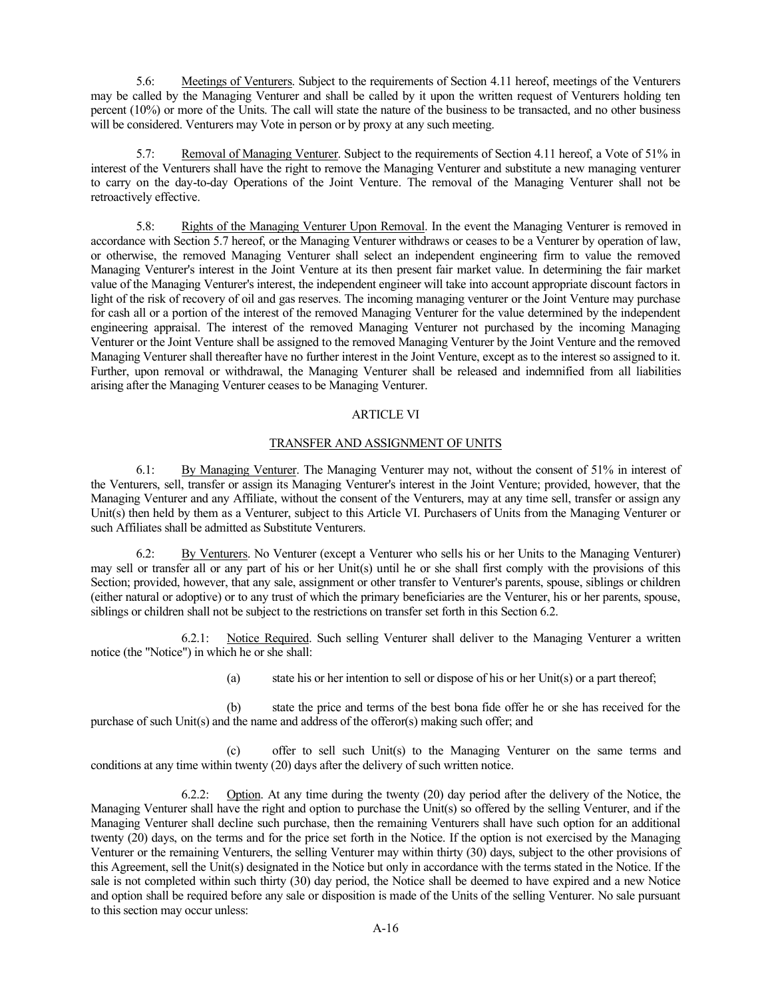5.6: Meetings of Venturers. Subject to the requirements of Section 4.11 hereof, meetings of the Venturers may be called by the Managing Venturer and shall be called by it upon the written request of Venturers holding ten percent (10%) or more of the Units. The call will state the nature of the business to be transacted, and no other business will be considered. Venturers may Vote in person or by proxy at any such meeting.

5.7: Removal of Managing Venturer. Subject to the requirements of Section 4.11 hereof, a Vote of 51% in interest of the Venturers shall have the right to remove the Managing Venturer and substitute a new managing venturer to carry on the day-to-day Operations of the Joint Venture. The removal of the Managing Venturer shall not be retroactively effective.

5.8: Rights of the Managing Venturer Upon Removal. In the event the Managing Venturer is removed in accordance with Section 5.7 hereof, or the Managing Venturer withdraws or ceases to be a Venturer by operation of law, or otherwise, the removed Managing Venturer shall select an independent engineering firm to value the removed Managing Venturer's interest in the Joint Venture at its then present fair market value. In determining the fair market value of the Managing Venturer's interest, the independent engineer will take into account appropriate discount factors in light of the risk of recovery of oil and gas reserves. The incoming managing venturer or the Joint Venture may purchase for cash all or a portion of the interest of the removed Managing Venturer for the value determined by the independent engineering appraisal. The interest of the removed Managing Venturer not purchased by the incoming Managing Venturer or the Joint Venture shall be assigned to the removed Managing Venturer by the Joint Venture and the removed Managing Venturer shall thereafter have no further interest in the Joint Venture, except as to the interest so assigned to it. Further, upon removal or withdrawal, the Managing Venturer shall be released and indemnified from all liabilities arising after the Managing Venturer ceases to be Managing Venturer.

## ARTICLE VI

## TRANSFER AND ASSIGNMENT OF UNITS

6.1: By Managing Venturer. The Managing Venturer may not, without the consent of 51% in interest of the Venturers, sell, transfer or assign its Managing Venturer's interest in the Joint Venture; provided, however, that the Managing Venturer and any Affiliate, without the consent of the Venturers, may at any time sell, transfer or assign any Unit(s) then held by them as a Venturer, subject to this Article VI. Purchasers of Units from the Managing Venturer or such Affiliates shall be admitted as Substitute Venturers.

6.2: By Venturers. No Venturer (except a Venturer who sells his or her Units to the Managing Venturer) may sell or transfer all or any part of his or her Unit(s) until he or she shall first comply with the provisions of this Section; provided, however, that any sale, assignment or other transfer to Venturer's parents, spouse, siblings or children (either natural or adoptive) or to any trust of which the primary beneficiaries are the Venturer, his or her parents, spouse, siblings or children shall not be subject to the restrictions on transfer set forth in this Section 6.2.

 6.2.1: Notice Required. Such selling Venturer shall deliver to the Managing Venturer a written notice (the "Notice") in which he or she shall:

(a) state his or her intention to sell or dispose of his or her Unit(s) or a part thereof;

 (b) state the price and terms of the best bona fide offer he or she has received for the purchase of such Unit(s) and the name and address of the offeror(s) making such offer; and

 (c) offer to sell such Unit(s) to the Managing Venturer on the same terms and conditions at any time within twenty (20) days after the delivery of such written notice.

 6.2.2: Option. At any time during the twenty (20) day period after the delivery of the Notice, the Managing Venturer shall have the right and option to purchase the Unit(s) so offered by the selling Venturer, and if the Managing Venturer shall decline such purchase, then the remaining Venturers shall have such option for an additional twenty (20) days, on the terms and for the price set forth in the Notice. If the option is not exercised by the Managing Venturer or the remaining Venturers, the selling Venturer may within thirty (30) days, subject to the other provisions of this Agreement, sell the Unit(s) designated in the Notice but only in accordance with the terms stated in the Notice. If the sale is not completed within such thirty (30) day period, the Notice shall be deemed to have expired and a new Notice and option shall be required before any sale or disposition is made of the Units of the selling Venturer. No sale pursuant to this section may occur unless: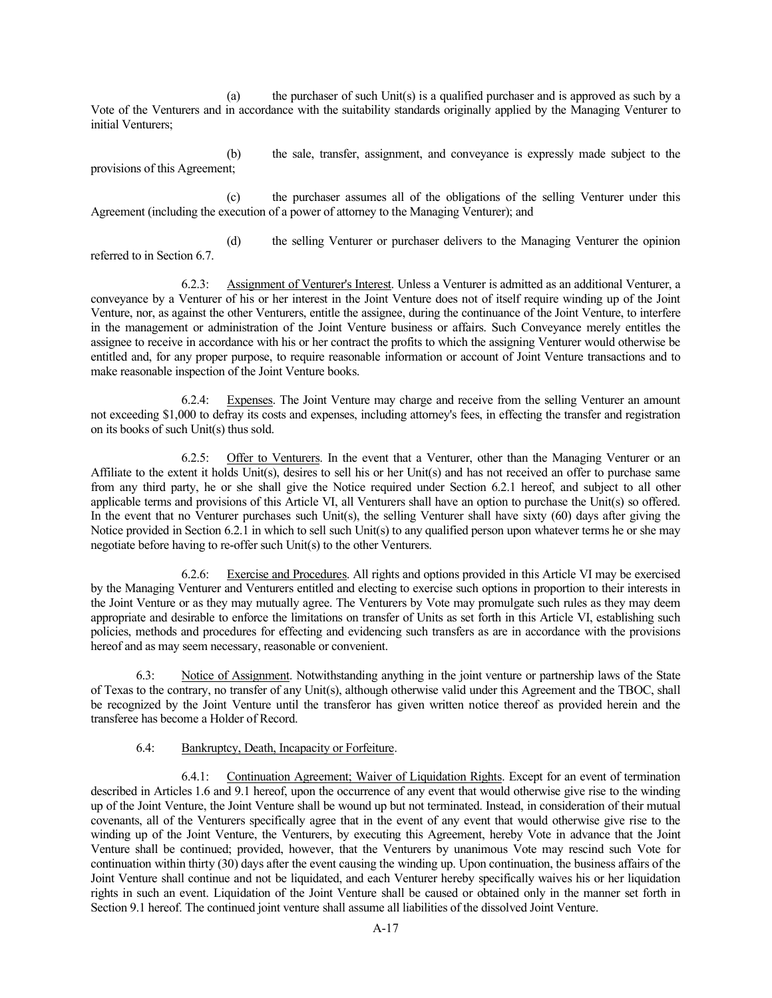(a) the purchaser of such Unit(s) is a qualified purchaser and is approved as such by a Vote of the Venturers and in accordance with the suitability standards originally applied by the Managing Venturer to initial Venturers;

 (b) the sale, transfer, assignment, and conveyance is expressly made subject to the provisions of this Agreement;

 (c) the purchaser assumes all of the obligations of the selling Venturer under this Agreement (including the execution of a power of attorney to the Managing Venturer); and

 (d) the selling Venturer or purchaser delivers to the Managing Venturer the opinion referred to in Section 6.7.

 6.2.3: Assignment of Venturer's Interest. Unless a Venturer is admitted as an additional Venturer, a conveyance by a Venturer of his or her interest in the Joint Venture does not of itself require winding up of the Joint Venture, nor, as against the other Venturers, entitle the assignee, during the continuance of the Joint Venture, to interfere in the management or administration of the Joint Venture business or affairs. Such Conveyance merely entitles the assignee to receive in accordance with his or her contract the profits to which the assigning Venturer would otherwise be entitled and, for any proper purpose, to require reasonable information or account of Joint Venture transactions and to make reasonable inspection of the Joint Venture books.

 6.2.4: Expenses. The Joint Venture may charge and receive from the selling Venturer an amount not exceeding \$1,000 to defray its costs and expenses, including attorney's fees, in effecting the transfer and registration on its books of such Unit(s) thus sold.

 6.2.5: Offer to Venturers. In the event that a Venturer, other than the Managing Venturer or an Affiliate to the extent it holds Unit(s), desires to sell his or her Unit(s) and has not received an offer to purchase same from any third party, he or she shall give the Notice required under Section 6.2.1 hereof, and subject to all other applicable terms and provisions of this Article VI, all Venturers shall have an option to purchase the Unit(s) so offered. In the event that no Venturer purchases such Unit(s), the selling Venturer shall have sixty  $(60)$  days after giving the Notice provided in Section 6.2.1 in which to sell such Unit(s) to any qualified person upon whatever terms he or she may negotiate before having to re-offer such Unit(s) to the other Venturers.

 6.2.6: Exercise and Procedures. All rights and options provided in this Article VI may be exercised by the Managing Venturer and Venturers entitled and electing to exercise such options in proportion to their interests in the Joint Venture or as they may mutually agree. The Venturers by Vote may promulgate such rules as they may deem appropriate and desirable to enforce the limitations on transfer of Units as set forth in this Article VI, establishing such policies, methods and procedures for effecting and evidencing such transfers as are in accordance with the provisions hereof and as may seem necessary, reasonable or convenient.

6.3: Notice of Assignment. Notwithstanding anything in the joint venture or partnership laws of the State of Texas to the contrary, no transfer of any Unit(s), although otherwise valid under this Agreement and the TBOC, shall be recognized by the Joint Venture until the transferor has given written notice thereof as provided herein and the transferee has become a Holder of Record.

# 6.4: Bankruptcy, Death, Incapacity or Forfeiture.

 6.4.1: Continuation Agreement; Waiver of Liquidation Rights. Except for an event of termination described in Articles 1.6 and 9.1 hereof, upon the occurrence of any event that would otherwise give rise to the winding up of the Joint Venture, the Joint Venture shall be wound up but not terminated. Instead, in consideration of their mutual covenants, all of the Venturers specifically agree that in the event of any event that would otherwise give rise to the winding up of the Joint Venture, the Venturers, by executing this Agreement, hereby Vote in advance that the Joint Venture shall be continued; provided, however, that the Venturers by unanimous Vote may rescind such Vote for continuation within thirty (30) days after the event causing the winding up. Upon continuation, the business affairs of the Joint Venture shall continue and not be liquidated, and each Venturer hereby specifically waives his or her liquidation rights in such an event. Liquidation of the Joint Venture shall be caused or obtained only in the manner set forth in Section 9.1 hereof. The continued joint venture shall assume all liabilities of the dissolved Joint Venture.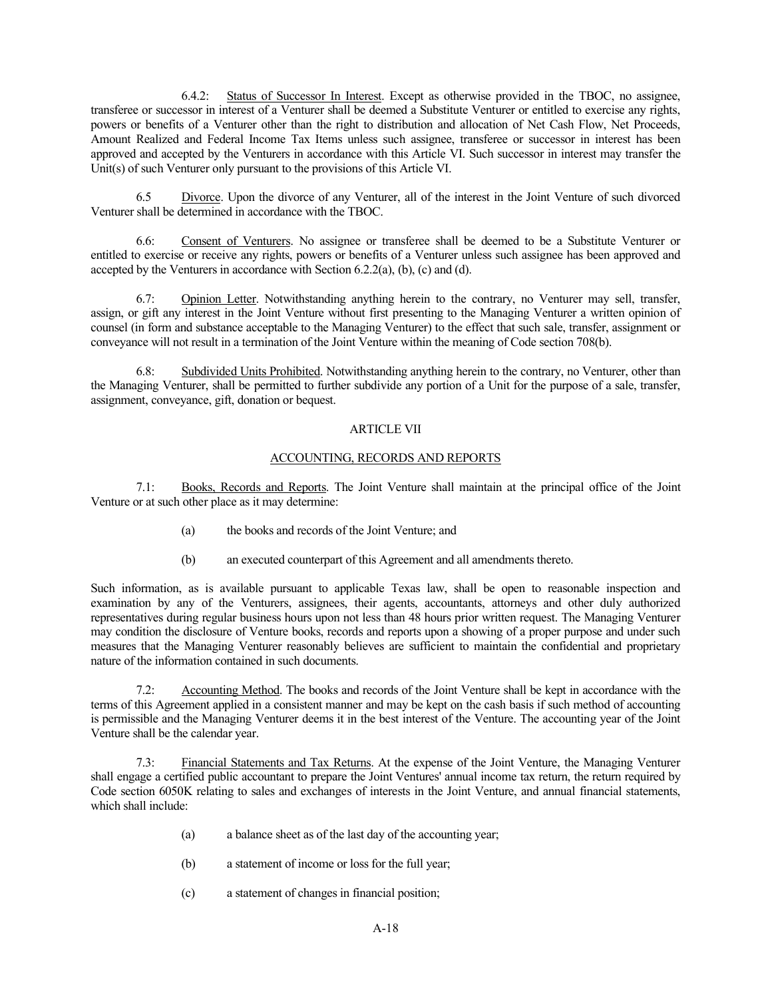6.4.2: Status of Successor In Interest. Except as otherwise provided in the TBOC, no assignee, transferee or successor in interest of a Venturer shall be deemed a Substitute Venturer or entitled to exercise any rights, powers or benefits of a Venturer other than the right to distribution and allocation of Net Cash Flow, Net Proceeds, Amount Realized and Federal Income Tax Items unless such assignee, transferee or successor in interest has been approved and accepted by the Venturers in accordance with this Article VI. Such successor in interest may transfer the Unit(s) of such Venturer only pursuant to the provisions of this Article VI.

6.5 Divorce. Upon the divorce of any Venturer, all of the interest in the Joint Venture of such divorced Venturer shall be determined in accordance with the TBOC.

6.6: Consent of Venturers. No assignee or transferee shall be deemed to be a Substitute Venturer or entitled to exercise or receive any rights, powers or benefits of a Venturer unless such assignee has been approved and accepted by the Venturers in accordance with Section 6.2.2(a), (b), (c) and (d).

6.7: Opinion Letter. Notwithstanding anything herein to the contrary, no Venturer may sell, transfer, assign, or gift any interest in the Joint Venture without first presenting to the Managing Venturer a written opinion of counsel (in form and substance acceptable to the Managing Venturer) to the effect that such sale, transfer, assignment or conveyance will not result in a termination of the Joint Venture within the meaning of Code section 708(b).

6.8: Subdivided Units Prohibited. Notwithstanding anything herein to the contrary, no Venturer, other than the Managing Venturer, shall be permitted to further subdivide any portion of a Unit for the purpose of a sale, transfer, assignment, conveyance, gift, donation or bequest.

# ARTICLE VII

# ACCOUNTING, RECORDS AND REPORTS

7.1: Books, Records and Reports. The Joint Venture shall maintain at the principal office of the Joint Venture or at such other place as it may determine:

- (a) the books and records of the Joint Venture; and
- (b) an executed counterpart of this Agreement and all amendments thereto.

Such information, as is available pursuant to applicable Texas law, shall be open to reasonable inspection and examination by any of the Venturers, assignees, their agents, accountants, attorneys and other duly authorized representatives during regular business hours upon not less than 48 hours prior written request. The Managing Venturer may condition the disclosure of Venture books, records and reports upon a showing of a proper purpose and under such measures that the Managing Venturer reasonably believes are sufficient to maintain the confidential and proprietary nature of the information contained in such documents.

7.2: Accounting Method. The books and records of the Joint Venture shall be kept in accordance with the terms of this Agreement applied in a consistent manner and may be kept on the cash basis if such method of accounting is permissible and the Managing Venturer deems it in the best interest of the Venture. The accounting year of the Joint Venture shall be the calendar year.

7.3: Financial Statements and Tax Returns. At the expense of the Joint Venture, the Managing Venturer shall engage a certified public accountant to prepare the Joint Ventures' annual income tax return, the return required by Code section 6050K relating to sales and exchanges of interests in the Joint Venture, and annual financial statements, which shall include:

- (a) a balance sheet as of the last day of the accounting year;
- (b) a statement of income or loss for the full year;
- (c) a statement of changes in financial position;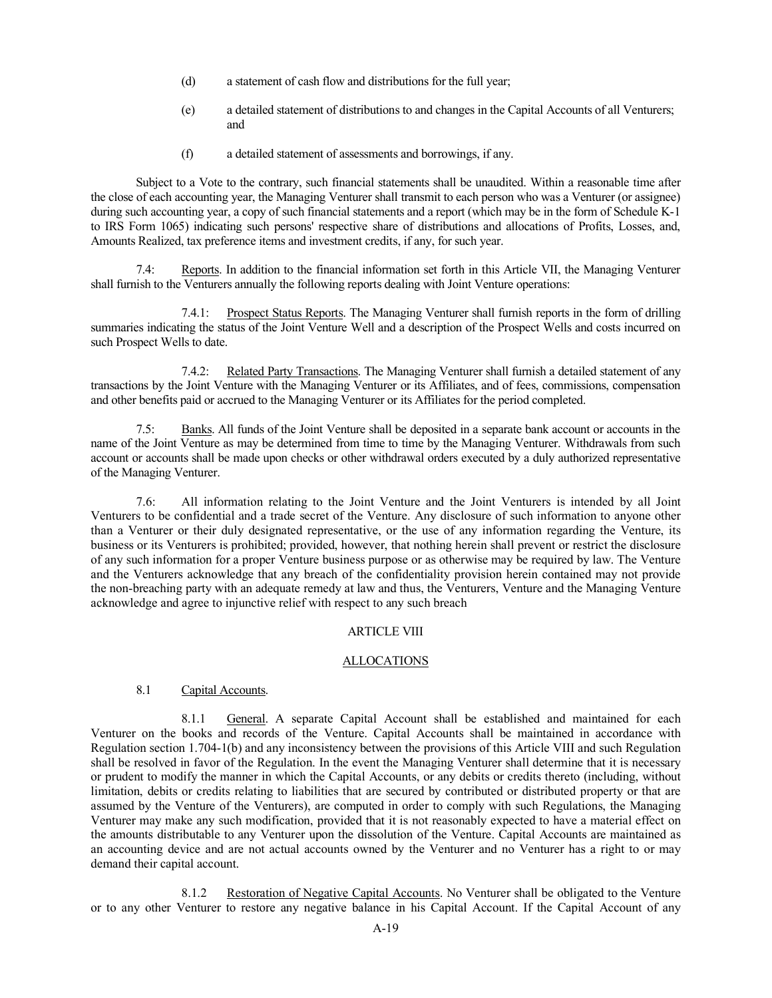- (d) a statement of cash flow and distributions for the full year;
- (e) a detailed statement of distributions to and changes in the Capital Accounts of all Venturers; **and and** 
	- (f) a detailed statement of assessments and borrowings, if any.

Subject to a Vote to the contrary, such financial statements shall be unaudited. Within a reasonable time after the close of each accounting year, the Managing Venturer shall transmit to each person who was a Venturer (or assignee) during such accounting year, a copy of such financial statements and a report (which may be in the form of Schedule K-1 to IRS Form 1065) indicating such persons' respective share of distributions and allocations of Profits, Losses, and, Amounts Realized, tax preference items and investment credits, if any, for such year.

7.4: Reports. In addition to the financial information set forth in this Article VII, the Managing Venturer shall furnish to the Venturers annually the following reports dealing with Joint Venture operations:

 7.4.1: Prospect Status Reports. The Managing Venturer shall furnish reports in the form of drilling summaries indicating the status of the Joint Venture Well and a description of the Prospect Wells and costs incurred on such Prospect Wells to date.

 7.4.2: Related Party Transactions. The Managing Venturer shall furnish a detailed statement of any transactions by the Joint Venture with the Managing Venturer or its Affiliates, and of fees, commissions, compensation and other benefits paid or accrued to the Managing Venturer or its Affiliates for the period completed.

7.5: Banks. All funds of the Joint Venture shall be deposited in a separate bank account or accounts in the name of the Joint Venture as may be determined from time to time by the Managing Venturer. Withdrawals from such account or accounts shall be made upon checks or other withdrawal orders executed by a duly authorized representative of the Managing Venturer.

 7.6: All information relating to the Joint Venture and the Joint Venturers is intended by all Joint Venturers to be confidential and a trade secret of the Venture. Any disclosure of such information to anyone other than a Venturer or their duly designated representative, or the use of any information regarding the Venture, its business or its Venturers is prohibited; provided, however, that nothing herein shall prevent or restrict the disclosure of any such information for a proper Venture business purpose or as otherwise may be required by law. The Venture and the Venturers acknowledge that any breach of the confidentiality provision herein contained may not provide the non-breaching party with an adequate remedy at law and thus, the Venturers, Venture and the Managing Venture acknowledge and agree to injunctive relief with respect to any such breach

## ARTICLE VIII

## ALLOCATIONS

#### 8.1 Capital Accounts.

 8.1.1 General. A separate Capital Account shall be established and maintained for each Venturer on the books and records of the Venture. Capital Accounts shall be maintained in accordance with Regulation section 1.704-1(b) and any inconsistency between the provisions of this Article VIII and such Regulation shall be resolved in favor of the Regulation. In the event the Managing Venturer shall determine that it is necessary or prudent to modify the manner in which the Capital Accounts, or any debits or credits thereto (including, without limitation, debits or credits relating to liabilities that are secured by contributed or distributed property or that are assumed by the Venture of the Venturers), are computed in order to comply with such Regulations, the Managing Venturer may make any such modification, provided that it is not reasonably expected to have a material effect on the amounts distributable to any Venturer upon the dissolution of the Venture. Capital Accounts are maintained as an accounting device and are not actual accounts owned by the Venturer and no Venturer has a right to or may demand their capital account.

 8.1.2 Restoration of Negative Capital Accounts. No Venturer shall be obligated to the Venture or to any other Venturer to restore any negative balance in his Capital Account. If the Capital Account of any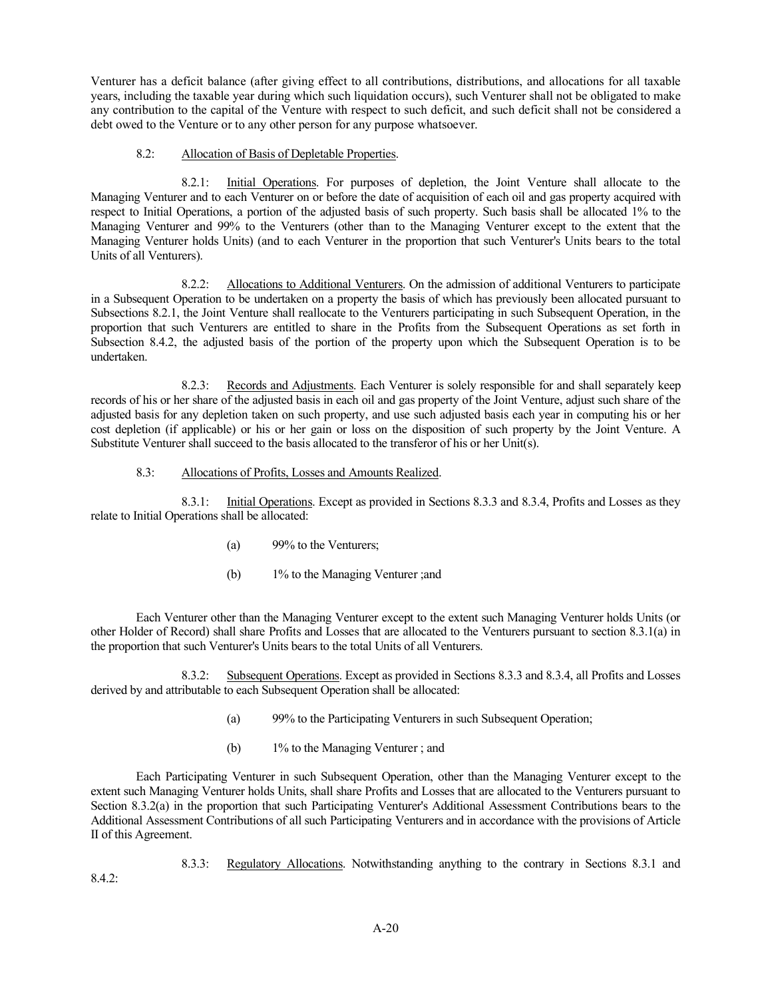Venturer has a deficit balance (after giving effect to all contributions, distributions, and allocations for all taxable years, including the taxable year during which such liquidation occurs), such Venturer shall not be obligated to make any contribution to the capital of the Venture with respect to such deficit, and such deficit shall not be considered a debt owed to the Venture or to any other person for any purpose whatsoever.

## 8.2: Allocation of Basis of Depletable Properties.

 8.2.1: Initial Operations. For purposes of depletion, the Joint Venture shall allocate to the Managing Venturer and to each Venturer on or before the date of acquisition of each oil and gas property acquired with respect to Initial Operations, a portion of the adjusted basis of such property. Such basis shall be allocated 1% to the Managing Venturer and 99% to the Venturers (other than to the Managing Venturer except to the extent that the Managing Venturer holds Units) (and to each Venturer in the proportion that such Venturer's Units bears to the total Units of all Venturers).

 8.2.2: Allocations to Additional Venturers. On the admission of additional Venturers to participate in a Subsequent Operation to be undertaken on a property the basis of which has previously been allocated pursuant to Subsections 8.2.1, the Joint Venture shall reallocate to the Venturers participating in such Subsequent Operation, in the proportion that such Venturers are entitled to share in the Profits from the Subsequent Operations as set forth in Subsection 8.4.2, the adjusted basis of the portion of the property upon which the Subsequent Operation is to be undertaken.

 8.2.3: Records and Adjustments. Each Venturer is solely responsible for and shall separately keep records of his or her share of the adjusted basis in each oil and gas property of the Joint Venture, adjust such share of the adjusted basis for any depletion taken on such property, and use such adjusted basis each year in computing his or her cost depletion (if applicable) or his or her gain or loss on the disposition of such property by the Joint Venture. A Substitute Venturer shall succeed to the basis allocated to the transferor of his or her Unit(s).

## 8.3: Allocations of Profits, Losses and Amounts Realized.

 8.3.1: Initial Operations. Except as provided in Sections 8.3.3 and 8.3.4, Profits and Losses as they relate to Initial Operations shall be allocated:

- (a) 99% to the Venturers;
- (b) 1% to the Managing Venturer ;and

Each Venturer other than the Managing Venturer except to the extent such Managing Venturer holds Units (or other Holder of Record) shall share Profits and Losses that are allocated to the Venturers pursuant to section 8.3.1(a) in the proportion that such Venturer's Units bears to the total Units of all Venturers.

 8.3.2: Subsequent Operations. Except as provided in Sections 8.3.3 and 8.3.4, all Profits and Losses derived by and attributable to each Subsequent Operation shall be allocated:

- (a) 99% to the Participating Venturers in such Subsequent Operation;
- (b) 1% to the Managing Venturer ; and

Each Participating Venturer in such Subsequent Operation, other than the Managing Venturer except to the extent such Managing Venturer holds Units, shall share Profits and Losses that are allocated to the Venturers pursuant to Section 8.3.2(a) in the proportion that such Participating Venturer's Additional Assessment Contributions bears to the Additional Assessment Contributions of all such Participating Venturers and in accordance with the provisions of Article II of this Agreement.

8.3.3: Regulatory Allocations. Notwithstanding anything to the contrary in Sections 8.3.1 and

8.4.2: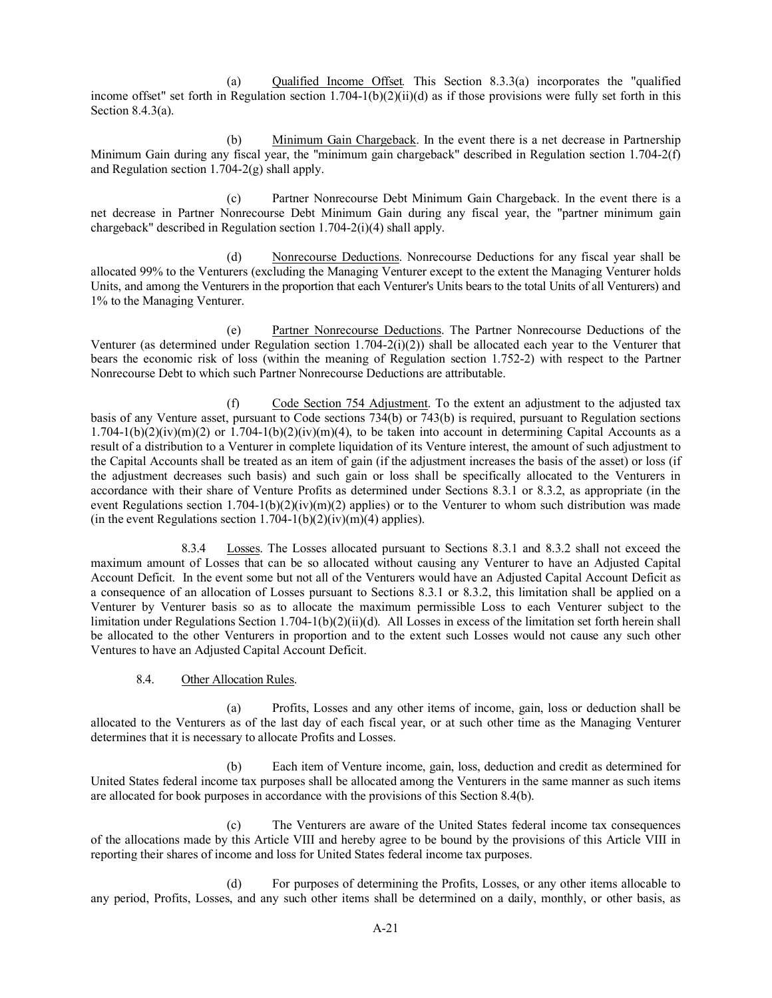(a) Qualified Income Offset*.* This Section 8.3.3(a) incorporates the "qualified income offset" set forth in Regulation section  $1.704-1(b)(2)(ii)(d)$  as if those provisions were fully set forth in this Section 8.4.3(a).

(b) Minimum Gain Chargeback. In the event there is a net decrease in Partnership Minimum Gain during any fiscal year, the "minimum gain chargeback" described in Regulation section 1.704-2(f) and Regulation section 1.704-2(g) shall apply.

(c) Partner Nonrecourse Debt Minimum Gain Chargeback. In the event there is a net decrease in Partner Nonrecourse Debt Minimum Gain during any fiscal year, the "partner minimum gain chargeback" described in Regulation section 1.704-2(i)(4) shall apply.

(d) Nonrecourse Deductions. Nonrecourse Deductions for any fiscal year shall be allocated 99% to the Venturers (excluding the Managing Venturer except to the extent the Managing Venturer holds Units, and among the Venturers in the proportion that each Venturer's Units bears to the total Units of all Venturers) and 1% to the Managing Venturer.

(e) Partner Nonrecourse Deductions. The Partner Nonrecourse Deductions of the Venturer (as determined under Regulation section  $1.704-2(i)(2)$ ) shall be allocated each year to the Venturer that bears the economic risk of loss (within the meaning of Regulation section 1.752-2) with respect to the Partner Nonrecourse Debt to which such Partner Nonrecourse Deductions are attributable.

(f) Code Section 754 Adjustment. To the extent an adjustment to the adjusted tax basis of any Venture asset, pursuant to Code sections 734(b) or 743(b) is required, pursuant to Regulation sections  $1.704-1(b)(2)(iv)(m)(2)$  or  $1.704-1(b)(2)(iv)(m)(4)$ , to be taken into account in determining Capital Accounts as a result of a distribution to a Venturer in complete liquidation of its Venture interest, the amount of such adjustment to the Capital Accounts shall be treated as an item of gain (if the adjustment increases the basis of the asset) or loss (if the adjustment decreases such basis) and such gain or loss shall be specifically allocated to the Venturers in accordance with their share of Venture Profits as determined under Sections 8.3.1 or 8.3.2, as appropriate (in the event Regulations section  $1.704 \text{--} 1(b)(2)(iv)(m)(2)$  applies) or to the Venturer to whom such distribution was made (in the event Regulations section  $1.704-1(b)(2)(iv)(m)(4)$  applies).

 8.3.4 Losses. The Losses allocated pursuant to Sections 8.3.1 and 8.3.2 shall not exceed the maximum amount of Losses that can be so allocated without causing any Venturer to have an Adjusted Capital Account Deficit. In the event some but not all of the Venturers would have an Adjusted Capital Account Deficit as a consequence of an allocation of Losses pursuant to Sections 8.3.1 or 8.3.2, this limitation shall be applied on a Venturer by Venturer basis so as to allocate the maximum permissible Loss to each Venturer subject to the limitation under Regulations Section 1.704-1(b)(2)(ii)(d). All Losses in excess of the limitation set forth herein shall be allocated to the other Venturers in proportion and to the extent such Losses would not cause any such other Ventures to have an Adjusted Capital Account Deficit.

# 8.4. Other Allocation Rules.

(a) Profits, Losses and any other items of income, gain, loss or deduction shall be allocated to the Venturers as of the last day of each fiscal year, or at such other time as the Managing Venturer determines that it is necessary to allocate Profits and Losses.

(b) Each item of Venture income, gain, loss, deduction and credit as determined for United States federal income tax purposes shall be allocated among the Venturers in the same manner as such items are allocated for book purposes in accordance with the provisions of this Section 8.4(b).

(c) The Venturers are aware of the United States federal income tax consequences of the allocations made by this Article VIII and hereby agree to be bound by the provisions of this Article VIII in reporting their shares of income and loss for United States federal income tax purposes.

(d) For purposes of determining the Profits, Losses, or any other items allocable to any period, Profits, Losses, and any such other items shall be determined on a daily, monthly, or other basis, as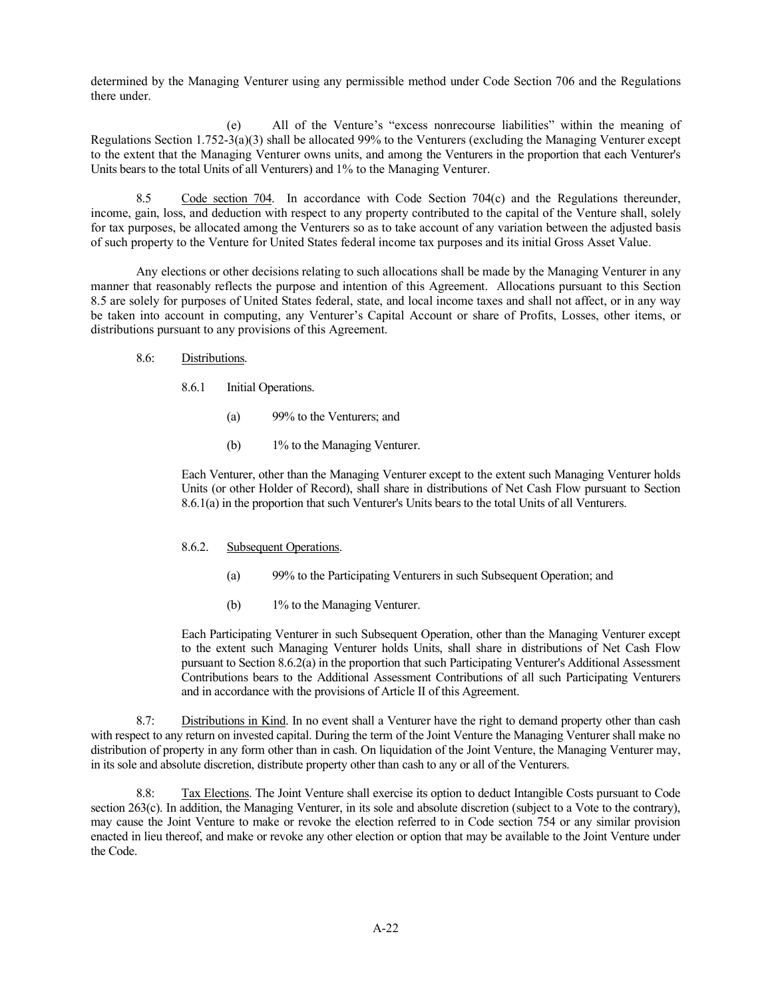determined by the Managing Venturer using any permissible method under Code Section 706 and the Regulations there under.

(e) All of the Venture's "excess nonrecourse liabilities" within the meaning of Regulations Section 1.752-3(a)(3) shall be allocated 99% to the Venturers (excluding the Managing Venturer except to the extent that the Managing Venturer owns units, and among the Venturers in the proportion that each Venturer's Units bears to the total Units of all Venturers) and 1% to the Managing Venturer.

8.5 Code section 704. In accordance with Code Section 704(c) and the Regulations thereunder, income, gain, loss, and deduction with respect to any property contributed to the capital of the Venture shall, solely for tax purposes, be allocated among the Venturers so as to take account of any variation between the adjusted basis of such property to the Venture for United States federal income tax purposes and its initial Gross Asset Value.

Any elections or other decisions relating to such allocations shall be made by the Managing Venturer in any manner that reasonably reflects the purpose and intention of this Agreement. Allocations pursuant to this Section 8.5 are solely for purposes of United States federal, state, and local income taxes and shall not affect, or in any way be taken into account in computing, any Venturer's Capital Account or share of Profits, Losses, other items, or distributions pursuant to any provisions of this Agreement.

- 8.6: Distributions.
	- 8.6.1 Initial Operations.
		- (a) 99% to the Venturers; and
		- (b) 1% to the Managing Venturer.

Each Venturer, other than the Managing Venturer except to the extent such Managing Venturer holds Units (or other Holder of Record), shall share in distributions of Net Cash Flow pursuant to Section 8.6.1(a) in the proportion that such Venturer's Units bears to the total Units of all Venturers.

# 8.6.2. Subsequent Operations.

- (a) 99% to the Participating Venturers in such Subsequent Operation; and
- (b) 1% to the Managing Venturer.

Each Participating Venturer in such Subsequent Operation, other than the Managing Venturer except to the extent such Managing Venturer holds Units, shall share in distributions of Net Cash Flow pursuant to Section 8.6.2(a) in the proportion that such Participating Venturer's Additional Assessment Contributions bears to the Additional Assessment Contributions of all such Participating Venturers and in accordance with the provisions of Article II of this Agreement.

8.7: Distributions in Kind. In no event shall a Venturer have the right to demand property other than cash with respect to any return on invested capital. During the term of the Joint Venture the Managing Venturer shall make no distribution of property in any form other than in cash. On liquidation of the Joint Venture, the Managing Venturer may, in its sole and absolute discretion, distribute property other than cash to any or all of the Venturers.

8.8: Tax Elections. The Joint Venture shall exercise its option to deduct Intangible Costs pursuant to Code section 263(c). In addition, the Managing Venturer, in its sole and absolute discretion (subject to a Vote to the contrary), may cause the Joint Venture to make or revoke the election referred to in Code section 754 or any similar provision enacted in lieu thereof, and make or revoke any other election or option that may be available to the Joint Venture under the Code.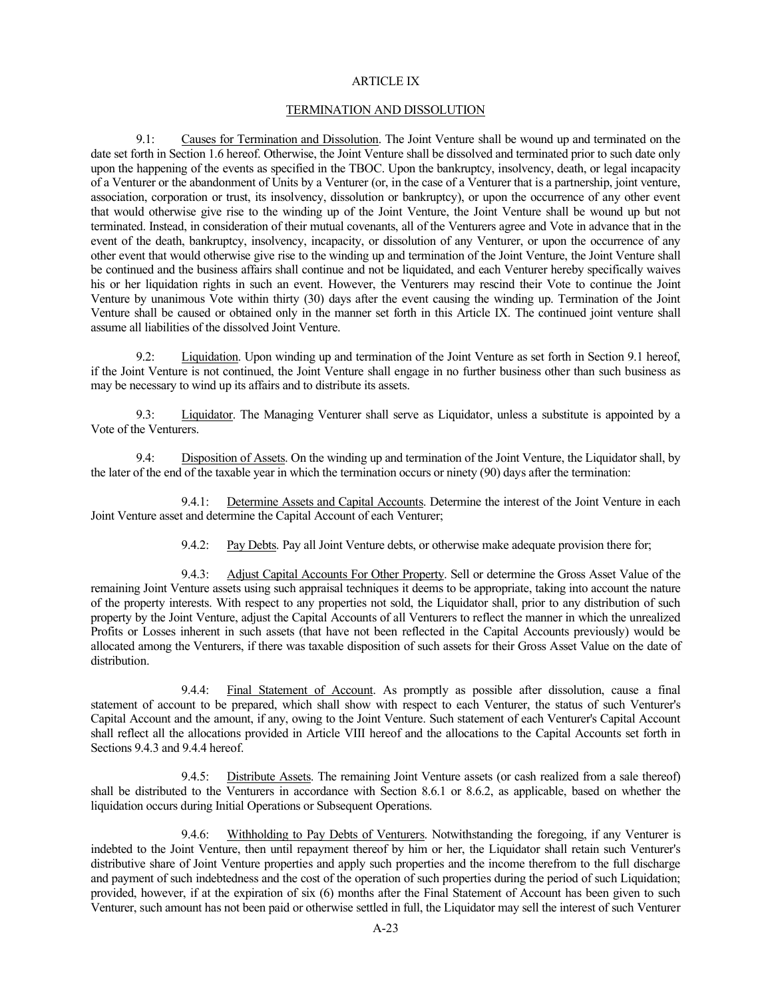#### ARTICLE IX

### TERMINATION AND DISSOLUTION

9.1: Causes for Termination and Dissolution. The Joint Venture shall be wound up and terminated on the date set forth in Section 1.6 hereof. Otherwise, the Joint Venture shall be dissolved and terminated prior to such date only upon the happening of the events as specified in the TBOC. Upon the bankruptcy, insolvency, death, or legal incapacity of a Venturer or the abandonment of Units by a Venturer (or, in the case of a Venturer that is a partnership, joint venture, association, corporation or trust, its insolvency, dissolution or bankruptcy), or upon the occurrence of any other event that would otherwise give rise to the winding up of the Joint Venture, the Joint Venture shall be wound up but not terminated. Instead, in consideration of their mutual covenants, all of the Venturers agree and Vote in advance that in the event of the death, bankruptcy, insolvency, incapacity, or dissolution of any Venturer, or upon the occurrence of any other event that would otherwise give rise to the winding up and termination of the Joint Venture, the Joint Venture shall be continued and the business affairs shall continue and not be liquidated, and each Venturer hereby specifically waives his or her liquidation rights in such an event. However, the Venturers may rescind their Vote to continue the Joint Venture by unanimous Vote within thirty (30) days after the event causing the winding up. Termination of the Joint Venture shall be caused or obtained only in the manner set forth in this Article IX. The continued joint venture shall assume all liabilities of the dissolved Joint Venture.

9.2: Liquidation. Upon winding up and termination of the Joint Venture as set forth in Section 9.1 hereof, if the Joint Venture is not continued, the Joint Venture shall engage in no further business other than such business as may be necessary to wind up its affairs and to distribute its assets.

9.3: Liquidator. The Managing Venturer shall serve as Liquidator, unless a substitute is appointed by a Vote of the Venturers.

9.4: Disposition of Assets. On the winding up and termination of the Joint Venture, the Liquidator shall, by the later of the end of the taxable year in which the termination occurs or ninety (90) days after the termination:

 9.4.1: Determine Assets and Capital Accounts. Determine the interest of the Joint Venture in each Joint Venture asset and determine the Capital Account of each Venturer;

9.4.2: Pay Debts. Pay all Joint Venture debts, or otherwise make adequate provision there for;

 9.4.3: Adjust Capital Accounts For Other Property. Sell or determine the Gross Asset Value of the remaining Joint Venture assets using such appraisal techniques it deems to be appropriate, taking into account the nature of the property interests. With respect to any properties not sold, the Liquidator shall, prior to any distribution of such property by the Joint Venture, adjust the Capital Accounts of all Venturers to reflect the manner in which the unrealized Profits or Losses inherent in such assets (that have not been reflected in the Capital Accounts previously) would be allocated among the Venturers, if there was taxable disposition of such assets for their Gross Asset Value on the date of distribution.

 9.4.4: Final Statement of Account. As promptly as possible after dissolution, cause a final statement of account to be prepared, which shall show with respect to each Venturer, the status of such Venturer's Capital Account and the amount, if any, owing to the Joint Venture. Such statement of each Venturer's Capital Account shall reflect all the allocations provided in Article VIII hereof and the allocations to the Capital Accounts set forth in Sections 9.4.3 and 9.4.4 hereof.

 9.4.5: Distribute Assets. The remaining Joint Venture assets (or cash realized from a sale thereof) shall be distributed to the Venturers in accordance with Section 8.6.1 or 8.6.2, as applicable, based on whether the liquidation occurs during Initial Operations or Subsequent Operations.

 9.4.6: Withholding to Pay Debts of Venturers. Notwithstanding the foregoing, if any Venturer is indebted to the Joint Venture, then until repayment thereof by him or her, the Liquidator shall retain such Venturer's distributive share of Joint Venture properties and apply such properties and the income therefrom to the full discharge and payment of such indebtedness and the cost of the operation of such properties during the period of such Liquidation; provided, however, if at the expiration of six (6) months after the Final Statement of Account has been given to such Venturer, such amount has not been paid or otherwise settled in full, the Liquidator may sell the interest of such Venturer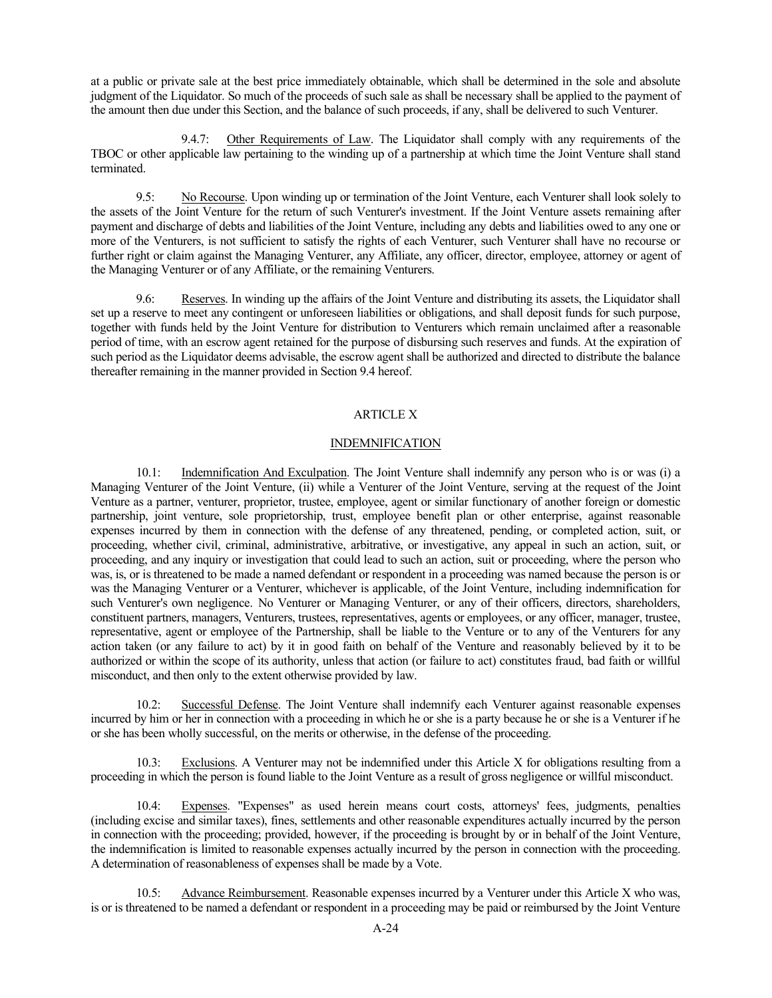at a public or private sale at the best price immediately obtainable, which shall be determined in the sole and absolute judgment of the Liquidator. So much of the proceeds of such sale as shall be necessary shall be applied to the payment of the amount then due under this Section, and the balance of such proceeds, if any, shall be delivered to such Venturer.

 9.4.7: Other Requirements of Law. The Liquidator shall comply with any requirements of the TBOC or other applicable law pertaining to the winding up of a partnership at which time the Joint Venture shall stand terminated.

9.5: No Recourse. Upon winding up or termination of the Joint Venture, each Venturer shall look solely to the assets of the Joint Venture for the return of such Venturer's investment. If the Joint Venture assets remaining after payment and discharge of debts and liabilities of the Joint Venture, including any debts and liabilities owed to any one or more of the Venturers, is not sufficient to satisfy the rights of each Venturer, such Venturer shall have no recourse or further right or claim against the Managing Venturer, any Affiliate, any officer, director, employee, attorney or agent of the Managing Venturer or of any Affiliate, or the remaining Venturers.

9.6: Reserves. In winding up the affairs of the Joint Venture and distributing its assets, the Liquidator shall set up a reserve to meet any contingent or unforeseen liabilities or obligations, and shall deposit funds for such purpose, together with funds held by the Joint Venture for distribution to Venturers which remain unclaimed after a reasonable period of time, with an escrow agent retained for the purpose of disbursing such reserves and funds. At the expiration of such period as the Liquidator deems advisable, the escrow agent shall be authorized and directed to distribute the balance thereafter remaining in the manner provided in Section 9.4 hereof.

## ARTICLE X

## **INDEMNIFICATION**

10.1: Indemnification And Exculpation. The Joint Venture shall indemnify any person who is or was (i) a Managing Venturer of the Joint Venture, (ii) while a Venturer of the Joint Venture, serving at the request of the Joint Venture as a partner, venturer, proprietor, trustee, employee, agent or similar functionary of another foreign or domestic partnership, joint venture, sole proprietorship, trust, employee benefit plan or other enterprise, against reasonable expenses incurred by them in connection with the defense of any threatened, pending, or completed action, suit, or proceeding, whether civil, criminal, administrative, arbitrative, or investigative, any appeal in such an action, suit, or proceeding, and any inquiry or investigation that could lead to such an action, suit or proceeding, where the person who was, is, or is threatened to be made a named defendant or respondent in a proceeding was named because the person is or was the Managing Venturer or a Venturer, whichever is applicable, of the Joint Venture, including indemnification for such Venturer's own negligence. No Venturer or Managing Venturer, or any of their officers, directors, shareholders, constituent partners, managers, Venturers, trustees, representatives, agents or employees, or any officer, manager, trustee, representative, agent or employee of the Partnership, shall be liable to the Venture or to any of the Venturers for any action taken (or any failure to act) by it in good faith on behalf of the Venture and reasonably believed by it to be authorized or within the scope of its authority, unless that action (or failure to act) constitutes fraud, bad faith or willful misconduct, and then only to the extent otherwise provided by law.

10.2: Successful Defense. The Joint Venture shall indemnify each Venturer against reasonable expenses incurred by him or her in connection with a proceeding in which he or she is a party because he or she is a Venturer if he or she has been wholly successful, on the merits or otherwise, in the defense of the proceeding.

 $Exclusions. A Venturer may not be indermitified under this Article X for obligations resulting from a$ proceeding in which the person is found liable to the Joint Venture as a result of gross negligence or willful misconduct.

10.4: Expenses. "Expenses" as used herein means court costs, attorneys' fees, judgments, penalties (including excise and similar taxes), fines, settlements and other reasonable expenditures actually incurred by the person in connection with the proceeding; provided, however, if the proceeding is brought by or in behalf of the Joint Venture, the indemnification is limited to reasonable expenses actually incurred by the person in connection with the proceeding. A determination of reasonableness of expenses shall be made by a Vote.

10.5: Advance Reimbursement. Reasonable expenses incurred by a Venturer under this Article X who was, is or is threatened to be named a defendant or respondent in a proceeding may be paid or reimbursed by the Joint Venture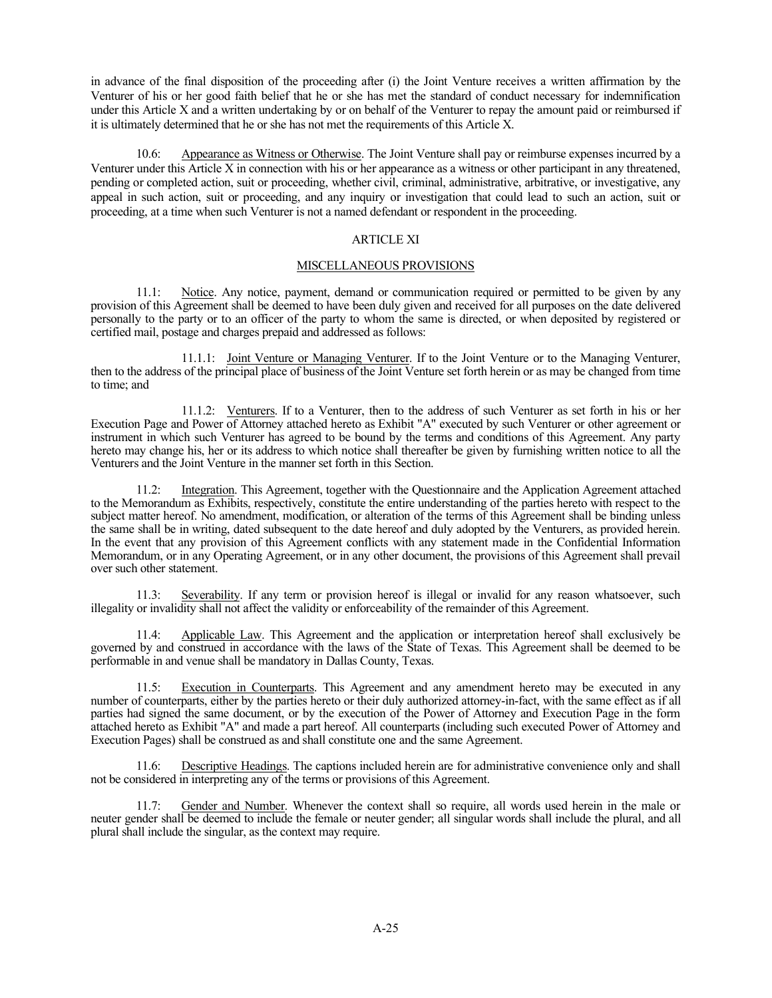in advance of the final disposition of the proceeding after (i) the Joint Venture receives a written affirmation by the Venturer of his or her good faith belief that he or she has met the standard of conduct necessary for indemnification under this Article X and a written undertaking by or on behalf of the Venturer to repay the amount paid or reimbursed if it is ultimately determined that he or she has not met the requirements of this Article X.

10.6: Appearance as Witness or Otherwise. The Joint Venture shall pay or reimburse expenses incurred by a Venturer under this Article X in connection with his or her appearance as a witness or other participant in any threatened, pending or completed action, suit or proceeding, whether civil, criminal, administrative, arbitrative, or investigative, any appeal in such action, suit or proceeding, and any inquiry or investigation that could lead to such an action, suit or proceeding, at a time when such Venturer is not a named defendant or respondent in the proceeding.

## ARTICLE XI

## MISCELLANEOUS PROVISIONS

11.1: Notice. Any notice, payment, demand or communication required or permitted to be given by any provision of this Agreement shall be deemed to have been duly given and received for all purposes on the date delivered personally to the party or to an officer of the party to whom the same is directed, or when deposited by registered or certified mail, postage and charges prepaid and addressed as follows:

 11.1.1: Joint Venture or Managing Venturer. If to the Joint Venture or to the Managing Venturer, then to the address of the principal place of business of the Joint Venture set forth herein or as may be changed from time to time; and

 11.1.2: Venturers. If to a Venturer, then to the address of such Venturer as set forth in his or her Execution Page and Power of Attorney attached hereto as Exhibit "A" executed by such Venturer or other agreement or instrument in which such Venturer has agreed to be bound by the terms and conditions of this Agreement. Any party hereto may change his, her or its address to which notice shall thereafter be given by furnishing written notice to all the Venturers and the Joint Venture in the manner set forth in this Section.

11.2: Integration. This Agreement, together with the Questionnaire and the Application Agreement attached to the Memorandum as Exhibits, respectively, constitute the entire understanding of the parties hereto with respect to the subject matter hereof. No amendment, modification, or alteration of the terms of this Agreement shall be binding unless the same shall be in writing, dated subsequent to the date hereof and duly adopted by the Venturers, as provided herein. In the event that any provision of this Agreement conflicts with any statement made in the Confidential Information Memorandum, or in any Operating Agreement, or in any other document, the provisions of this Agreement shall prevail over such other statement.

11.3: Severability. If any term or provision hereof is illegal or invalid for any reason whatsoever, such illegality or invalidity shall not affect the validity or enforceability of the remainder of this Agreement.

11.4: Applicable Law. This Agreement and the application or interpretation hereof shall exclusively be governed by and construed in accordance with the laws of the State of Texas. This Agreement shall be deemed to be performable in and venue shall be mandatory in Dallas County, Texas.

11.5: Execution in Counterparts. This Agreement and any amendment hereto may be executed in any number of counterparts, either by the parties hereto or their duly authorized attorney-in-fact, with the same effect as if all parties had signed the same document, or by the execution of the Power of Attorney and Execution Page in the form attached hereto as Exhibit "A" and made a part hereof. All counterparts (including such executed Power of Attorney and Execution Pages) shall be construed as and shall constitute one and the same Agreement.

11.6: Descriptive Headings. The captions included herein are for administrative convenience only and shall not be considered in interpreting any of the terms or provisions of this Agreement.

11.7: Gender and Number. Whenever the context shall so require, all words used herein in the male or neuter gender shall be deemed to include the female or neuter gender; all singular words shall include the plural, and all plural shall include the singular, as the context may require.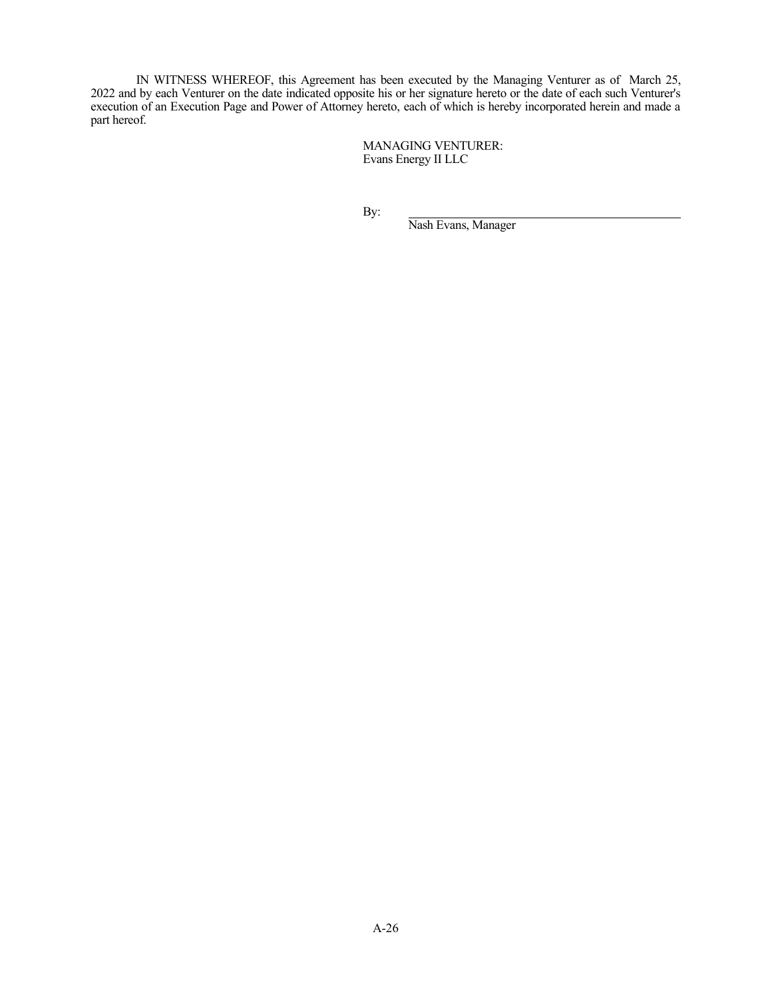IN WITNESS WHEREOF, this Agreement has been executed by the Managing Venturer as of March 25, 2022 and by each Venturer on the date indicated opposite his or her signature hereto or the date of each such Venturer's execution of an Execution Page and Power of Attorney hereto, each of which is hereby incorporated herein and made a part hereof.

> MANAGING VENTURER: Evans Energy II LLC

By:

Nash Evans, Manager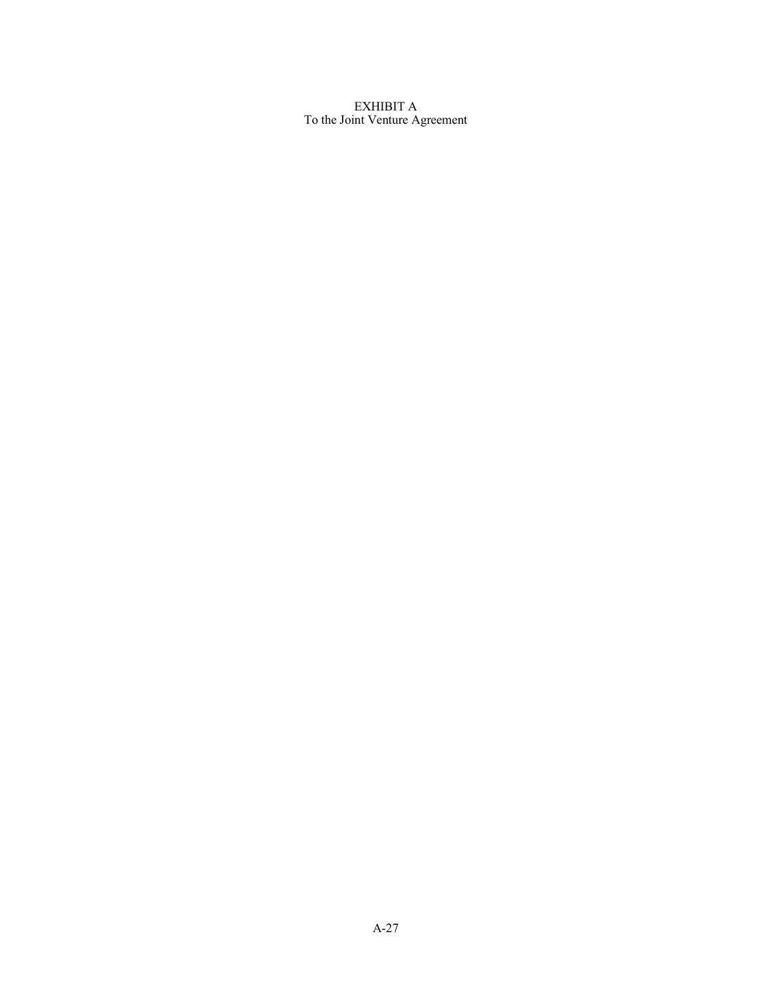EXHIBIT A To the Joint Venture Agreement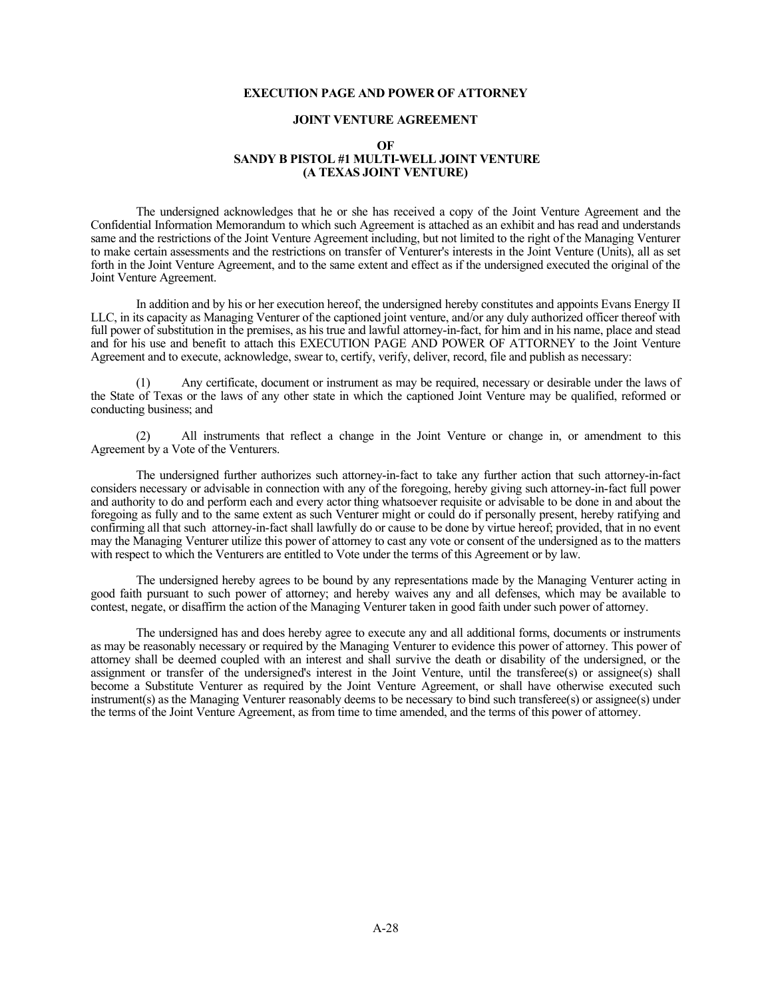#### **EXECUTION PAGE AND POWER OF ATTORNEY**

#### **JOINT VENTURE AGREEMENT**

#### **OF SANDY B PISTOL #1 MULTI-WELL JOINT VENTURE (A TEXAS JOINT VENTURE)**

The undersigned acknowledges that he or she has received a copy of the Joint Venture Agreement and the Confidential Information Memorandum to which such Agreement is attached as an exhibit and has read and understands same and the restrictions of the Joint Venture Agreement including, but not limited to the right of the Managing Venturer to make certain assessments and the restrictions on transfer of Venturer's interests in the Joint Venture (Units), all as set forth in the Joint Venture Agreement, and to the same extent and effect as if the undersigned executed the original of the Joint Venture Agreement.

In addition and by his or her execution hereof, the undersigned hereby constitutes and appoints Evans Energy II LLC, in its capacity as Managing Venturer of the captioned joint venture, and/or any duly authorized officer thereof with full power of substitution in the premises, as his true and lawful attorney-in-fact, for him and in his name, place and stead and for his use and benefit to attach this EXECUTION PAGE AND POWER OF ATTORNEY to the Joint Venture Agreement and to execute, acknowledge, swear to, certify, verify, deliver, record, file and publish as necessary:

(1) Any certificate, document or instrument as may be required, necessary or desirable under the laws of the State of Texas or the laws of any other state in which the captioned Joint Venture may be qualified, reformed or conducting business; and

(2) All instruments that reflect a change in the Joint Venture or change in, or amendment to this Agreement by a Vote of the Venturers.

The undersigned further authorizes such attorney-in-fact to take any further action that such attorney-in-fact considers necessary or advisable in connection with any of the foregoing, hereby giving such attorney-in-fact full power and authority to do and perform each and every actor thing whatsoever requisite or advisable to be done in and about the foregoing as fully and to the same extent as such Venturer might or could do if personally present, hereby ratifying and confirming all that such attorney-in-fact shall lawfully do or cause to be done by virtue hereof; provided, that in no event may the Managing Venturer utilize this power of attorney to cast any vote or consent of the undersigned as to the matters with respect to which the Venturers are entitled to Vote under the terms of this Agreement or by law.

The undersigned hereby agrees to be bound by any representations made by the Managing Venturer acting in good faith pursuant to such power of attorney; and hereby waives any and all defenses, which may be available to contest, negate, or disaffirm the action of the Managing Venturer taken in good faith under such power of attorney.

The undersigned has and does hereby agree to execute any and all additional forms, documents or instruments as may be reasonably necessary or required by the Managing Venturer to evidence this power of attorney. This power of attorney shall be deemed coupled with an interest and shall survive the death or disability of the undersigned, or the assignment or transfer of the undersigned's interest in the Joint Venture, until the transferee(s) or assignee(s) shall become a Substitute Venturer as required by the Joint Venture Agreement, or shall have otherwise executed such instrument(s) as the Managing Venturer reasonably deems to be necessary to bind such transferee(s) or assignee(s) under the terms of the Joint Venture Agreement, as from time to time amended, and the terms of this power of attorney.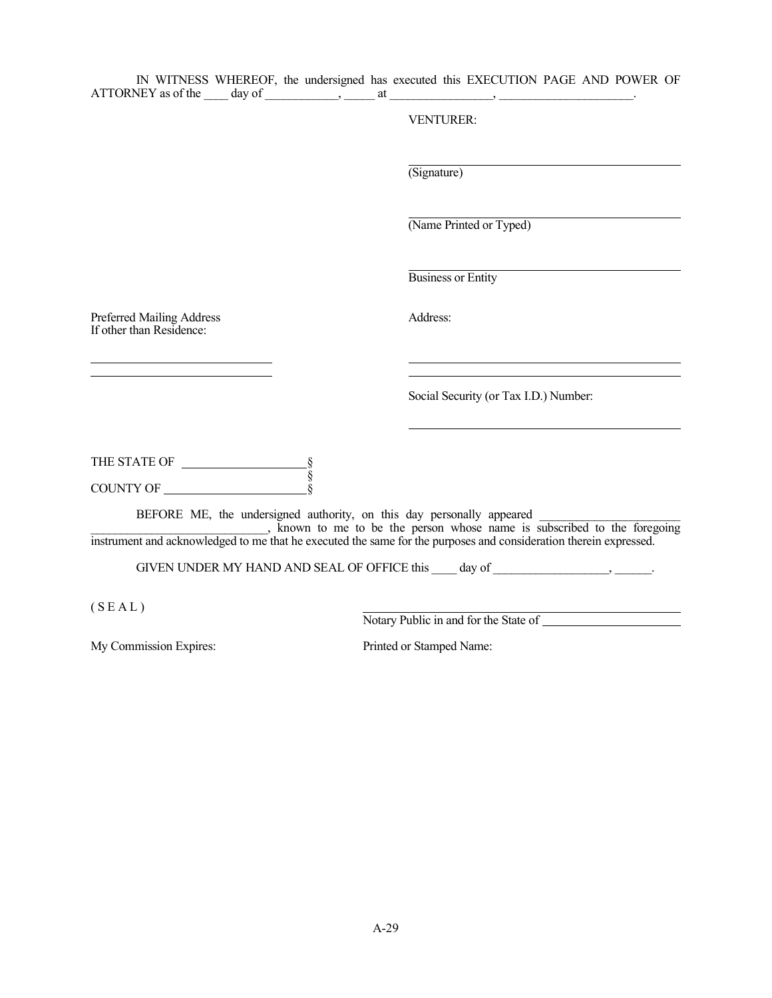|                                                             | IN WITNESS WHEREOF, the undersigned has executed this EXECUTION PAGE AND POWER OF                                                                                                                                                    |
|-------------------------------------------------------------|--------------------------------------------------------------------------------------------------------------------------------------------------------------------------------------------------------------------------------------|
|                                                             | <b>VENTURER:</b>                                                                                                                                                                                                                     |
|                                                             | $\overline{\text{(Signature)}}$                                                                                                                                                                                                      |
|                                                             | (Name Printed or Typed)                                                                                                                                                                                                              |
|                                                             | <b>Business or Entity</b>                                                                                                                                                                                                            |
| Preferred Mailing Address<br>If other than Residence:       | Address:                                                                                                                                                                                                                             |
|                                                             |                                                                                                                                                                                                                                      |
|                                                             | Social Security (or Tax I.D.) Number:                                                                                                                                                                                                |
| THE STATE OF $\frac{\frac{8}{9}}{\frac{8}{9}}$<br>COUNTY OF | BEFORE ME, the undersigned authority, on this day personally appeared<br>Finance is subscribed to the foregoing<br>instrument and acknowledged to me that he executed the same for the purposes and consideration therein expressed. |
| (SEAL)                                                      | Notary Public in and for the State of                                                                                                                                                                                                |
| My Commission Expires:                                      | Printed or Stamped Name:                                                                                                                                                                                                             |
|                                                             |                                                                                                                                                                                                                                      |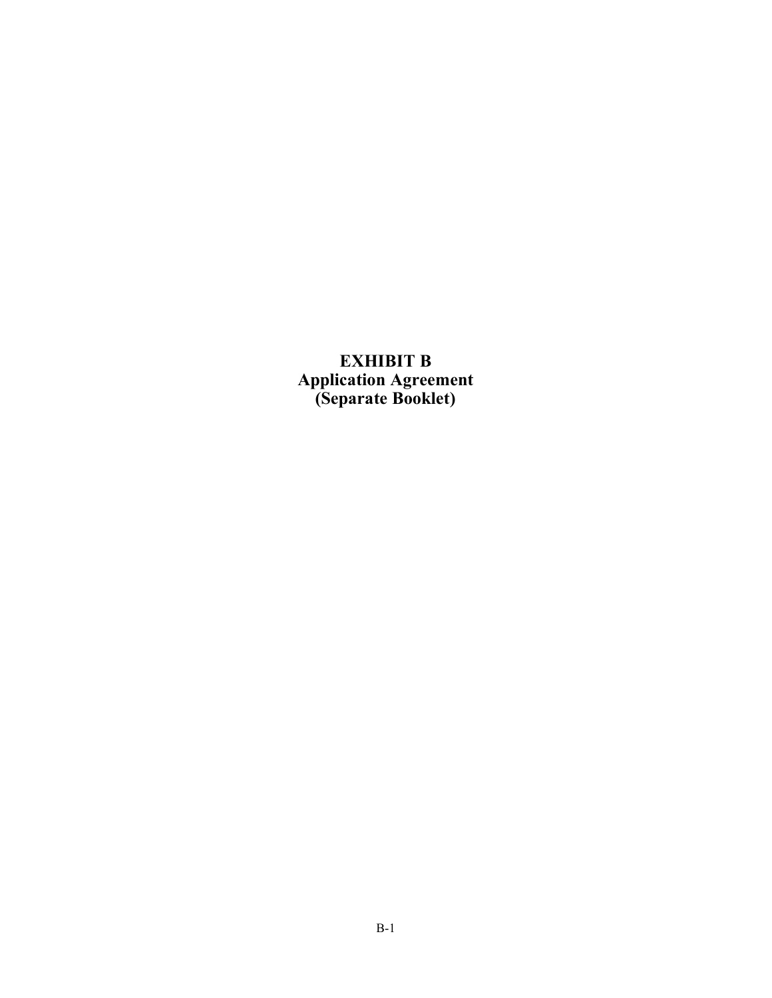**EXHIBIT B Application Agreement (Separate Booklet)**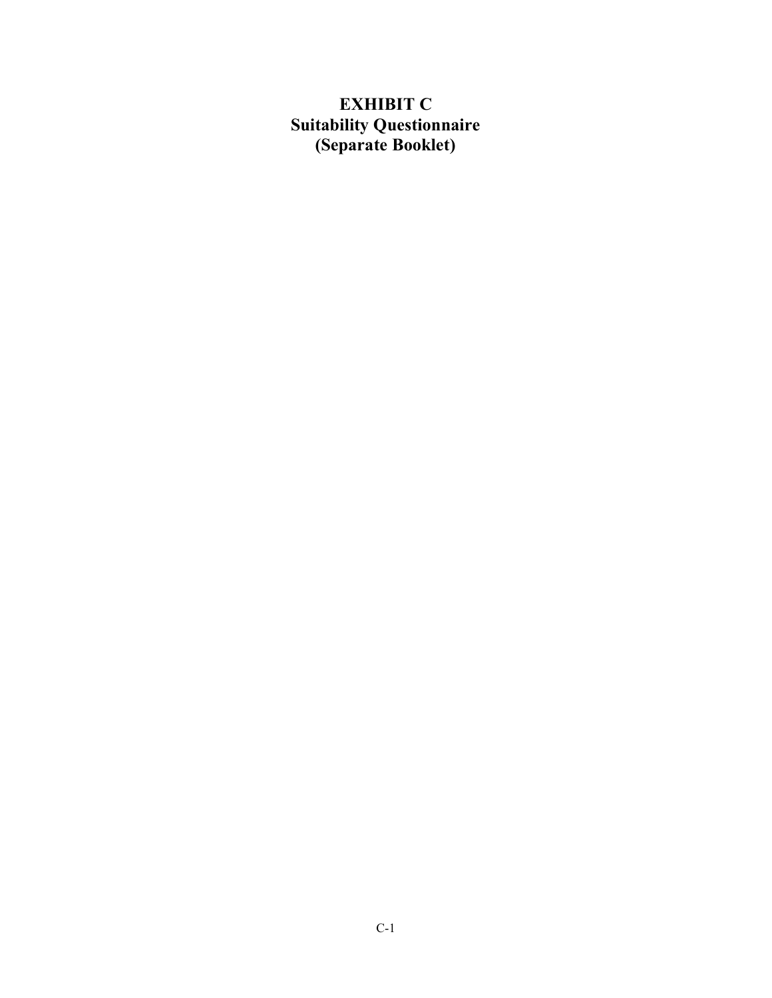# **EXHIBIT C Suitability Questionnaire (Separate Booklet)**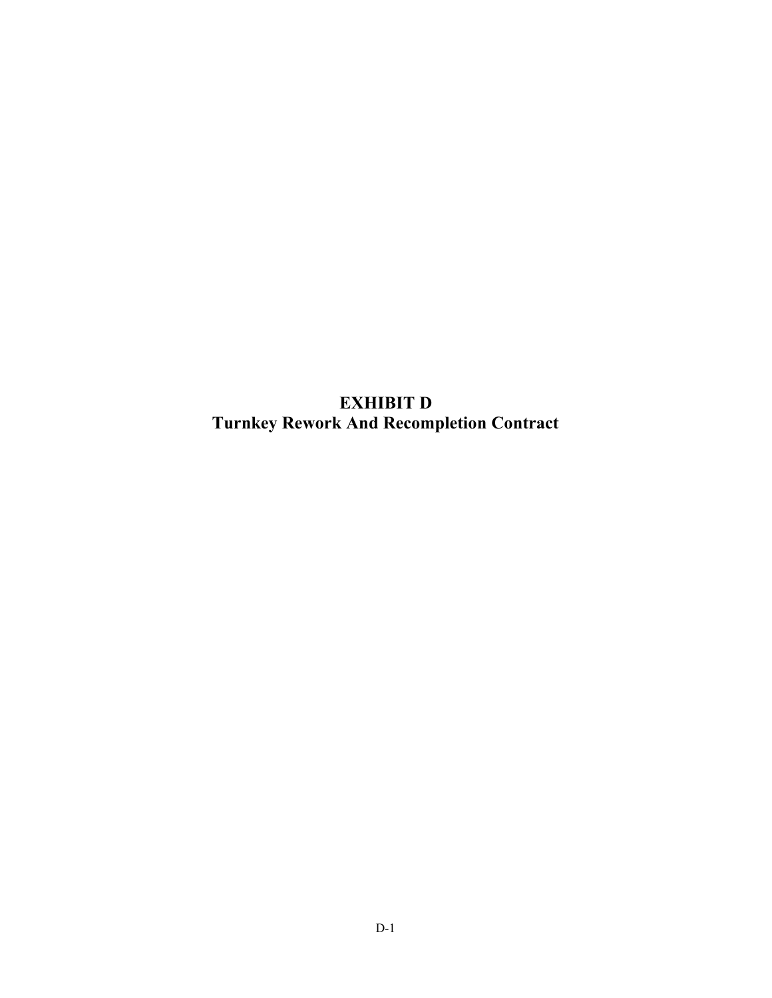**EXHIBIT D Turnkey Rework And Recompletion Contract**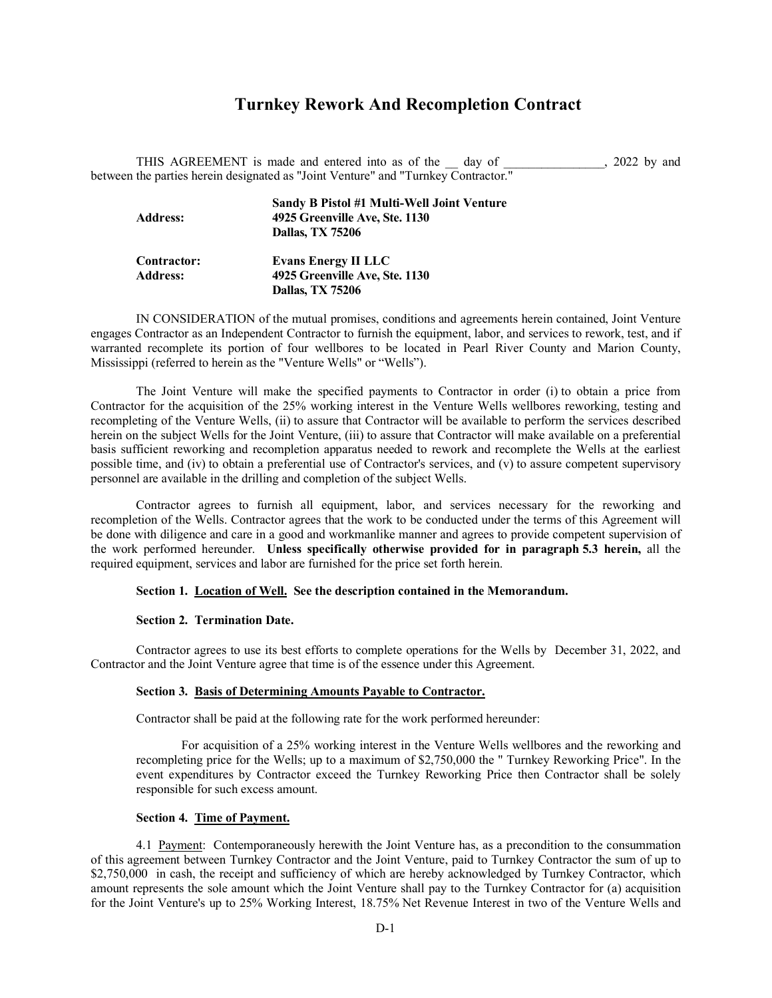# **Turnkey Rework And Recompletion Contract**

THIS AGREEMENT is made and entered into as of the day of , 2022 by and between the parties herein designated as "Joint Venture" and "Turnkey Contractor."

| <b>Address:</b> | Sandy B Pistol #1 Multi-Well Joint Venture<br>4925 Greenville Ave, Ste. 1130<br><b>Dallas, TX 75206</b> |
|-----------------|---------------------------------------------------------------------------------------------------------|
| Contractor:     | <b>Evans Energy II LLC</b>                                                                              |
| <b>Address:</b> | 4925 Greenville Ave, Ste. 1130                                                                          |
|                 | <b>Dallas, TX 75206</b>                                                                                 |

IN CONSIDERATION of the mutual promises, conditions and agreements herein contained, Joint Venture engages Contractor as an Independent Contractor to furnish the equipment, labor, and services to rework, test, and if warranted recomplete its portion of four wellbores to be located in Pearl River County and Marion County, Mississippi (referred to herein as the "Venture Wells" or "Wells").

The Joint Venture will make the specified payments to Contractor in order (і) to obtain a price from Contractor for the acquisition of the 25% working interest in the Venture Wells wellbores reworking, testing and recompleting of the Venture Wells, (ii) to assure that Contractor will be available to perform the services described herein on the subject Wells for the Joint Venture, (iii) to assure that Contractor will make available on a preferential basis sufficient reworking and recompletion apparatus needed to rework and recomplete the Wells at the earliest possible time, and (iv) to obtain a preferential use of Contractor's services, and (v) to assure competent supervisory personnel are available in the drilling and completion of the subject Wells.

Contractor agrees to furnish all equipment, labor, and services necessary for the reworking and recompletion of the Wells. Contractor agrees that the work to be conducted under the terms of this Agreement will be done with diligence and care in a good and workmanlike manner and agrees to provide competent supervision of the work performed hereunder. **Unless specifically otherwise provided for in paragraph 5.3 herein,** all the required equipment, services and labor are furnished for the price set forth herein.

## **Section 1. Location of Well. See the description contained in the Memorandum.**

## **Section 2. Termination Date.**

Contractor agrees to use its best efforts to complete operations for the Wells by December 31, 2022, and Contractor and the Joint Venture agree that time is of the essence under this Agreement.

#### **Section 3. Basis of Determining Amounts Payable to Contractor.**

Contractor shall be paid at the following rate for the work performed hereunder:

For acquisition of a 25% working interest in the Venture Wells wellbores and the reworking and recompleting price for the Wells; up to a maximum of \$2,750,000 the " Turnkey Reworking Price". In the event expenditures by Contractor exceed the Turnkey Reworking Price then Contractor shall be solely responsible for such excess amount.

## **Section 4. Time of Payment.**

4.1 Payment: Contemporaneously herewith the Joint Venture has, as a precondition to the consummation of this agreement between Turnkey Contractor and the Joint Venture, paid to Turnkey Contractor the sum of up to \$2,750,000 in cash, the receipt and sufficiency of which are hereby acknowledged by Turnkey Contractor, which amount represents the sole amount which the Joint Venture shall pay to the Turnkey Contractor for (a) acquisition for the Joint Venture's up to 25% Working Interest, 18.75% Net Revenue Interest in two of the Venture Wells and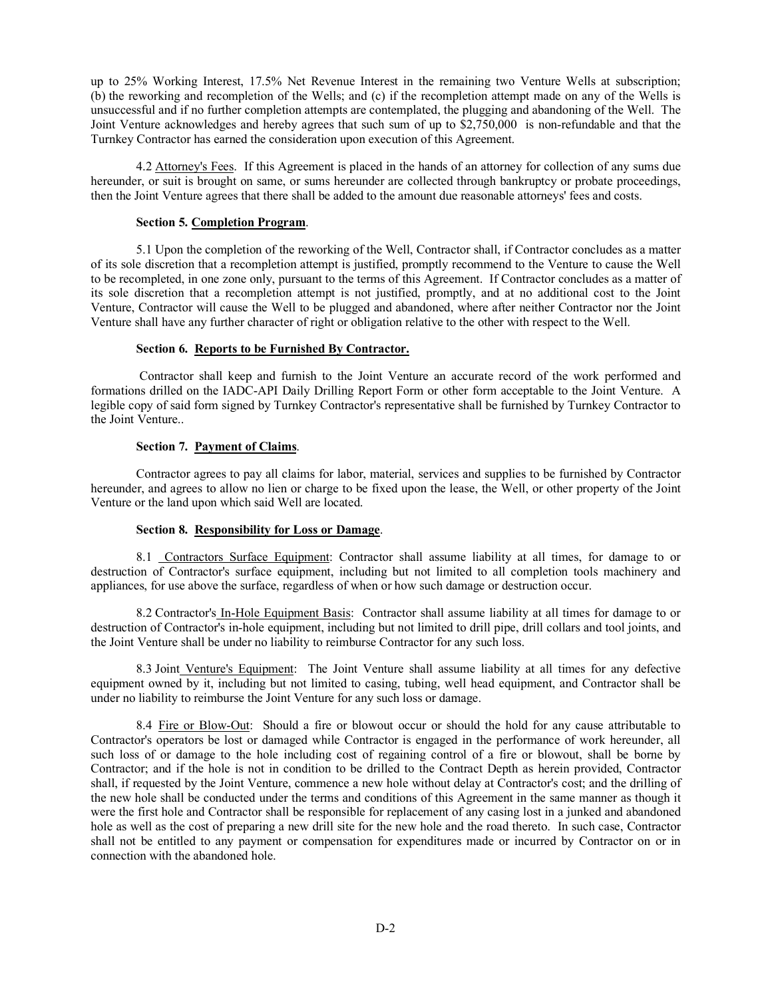up to 25% Working Interest, 17.5% Net Revenue Interest in the remaining two Venture Wells at subscription; (b) the reworking and recompletion of the Wells; and (c) if the recompletion attempt made on any of the Wells is unsuccessful and if no further completion attempts are contemplated, the plugging and abandoning of the Well. The Joint Venture acknowledges and hereby agrees that such sum of up to \$2,750,000 is non-refundable and that the Turnkey Contractor has earned the consideration upon execution of this Agreement.

4.2 Attorney's Fees. If this Agreement is placed in the hands of an attorney for collection of any sums due hereunder, or suit is brought on same, or sums hereunder are collected through bankruptcy or probate proceedings, then the Joint Venture agrees that there shall be added to the amount due reasonable attorneys' fees and costs.

## **Section 5. Completion Program**.

5.1 Upon the completion of the reworking of the Well, Contractor shall, if Contractor concludes as a matter of its sole discretion that a recompletion attempt is justified, promptly recommend to the Venture to cause the Well to be recompleted, in one zone only, pursuant to the terms of this Agreement. If Contractor concludes as a matter of its sole discretion that a recompletion attempt is not justified, promptly, and at no additional cost to the Joint Venture, Contractor will cause the Well to be plugged and abandoned, where after neither Contractor nor the Joint Venture shall have any further character of right or obligation relative to the other with respect to the Well.

## **Section 6. Reports to be Furnished By Contractor.**

Contractor shall keep and furnish to the Joint Venture an accurate record of the work performed and formations drilled on the IADC-API Daily Drilling Report Form or other form acceptable to the Joint Venture. A legible copy of said form signed by Turnkey Contractor's representative shall be furnished by Turnkey Contractor to the Joint Venture..

## **Section 7. Payment of Claims**.

Contractor agrees to pay all claims for labor, material, services and supplies to be furnished by Contractor hereunder, and agrees to allow no lien or charge to be fixed upon the lease, the Well, or other property of the Joint Venture or the land upon which said Well are located.

# **Section 8. Responsibility for Loss or Damage**.

8.1 Contractors Surface Equipment: Contractor shall assume liability at all times, for damage to or destruction of Contractor's surface equipment, including but not limited to all completion tools machinery and appliances, for use above the surface, regardless of when or how such damage or destruction occur.

8.2 Contractor's In-Hole Equipment Basis: Contractor shall assume liability at all times for damage to or destruction of Contractor's in-hole equipment, including but not limited to drill pipe, drill collars and tool joints, and the Joint Venture shall be under no liability to reimburse Contractor for any such loss.

8.3 Joint Venture's Equipment: The Joint Venture shall assume liability at all times for any defective equipment owned by it, including but not limited to casing, tubing, well head equipment, and Contractor shall be under no liability to reimburse the Joint Venture for any such loss or damage.

8.4 Fire or Blow-Out: Should a fire or blowout occur or should the hold for any cause attributable to Contractor's operators be lost or damaged while Contractor is engaged in the performance of work hereunder, all such loss of or damage to the hole including cost of regaining control of a fire or blowout, shall be borne by Contractor; and if the hole is not in condition to be drilled to the Contract Depth as herein provided, Contractor shall, if requested by the Joint Venture, commence a new hole without delay at Contractor's cost; and the drilling of the new hole shall be conducted under the terms and conditions of this Agreement in the same manner as though it were the first hole and Contractor shall be responsible for replacement of any casing lost in a junked and abandoned hole as well as the cost of preparing a new drill site for the new hole and the road thereto. In such case, Contractor shall not be entitled to any payment or compensation for expenditures made or incurred by Contractor on or in connection with the abandoned hole.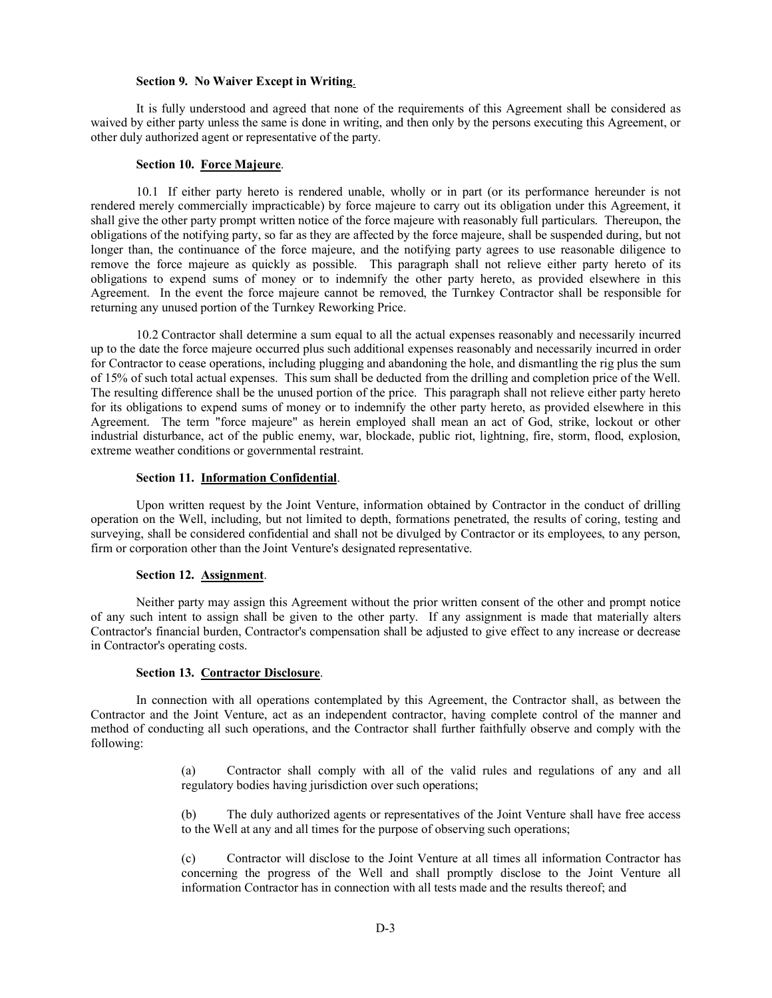## **Section 9. No Waiver Except in Writing**.

It is fully understood and agreed that none of the requirements of this Agreement shall be considered as waived by either party unless the same is done in writing, and then only by the persons executing this Agreement, or other duly authorized agent or representative of the party.

## **Section 10. Force Majeure**.

10.1 If either party hereto is rendered unable, wholly or in part (or its performance hereunder is not rendered merely commercially impracticable) by force majeure to carry out its obligation under this Agreement, it shall give the other party prompt written notice of the force majeure with reasonably full particulars. Thereupon, the obligations of the notifying party, so far as they are affected by the force majeure, shall be suspended during, but not longer than, the continuance of the force majeure, and the notifying party agrees to use reasonable diligence to remove the force majeure as quickly as possible. This paragraph shall not relieve either party hereto of its obligations to expend sums of money or to indemnify the other party hereto, as provided elsewhere in this Agreement. In the event the force majeure cannot be removed, the Turnkey Contractor shall be responsible for returning any unused portion of the Turnkey Reworking Price.

10.2 Contractor shall determine a sum equal to all the actual expenses reasonably and necessarily incurred up to the date the force majeure occurred plus such additional expenses reasonably and necessarily incurred in order for Contractor to cease operations, including plugging and abandoning the hole, and dismantling the rig plus the sum of 15% of such total actual expenses. This sum shall be deducted from the drilling and completion price of the Well. The resulting difference shall be the unused portion of the price. This paragraph shall not relieve either party hereto for its obligations to expend sums of money or to indemnify the other party hereto, as provided elsewhere in this Agreement. The term "force majeure" as herein employed shall mean an act of God, strike, lockout or other industrial disturbance, act of the public enemy, war, blockade, public riot, lightning, fire, storm, flood, explosion, extreme weather conditions or governmental restraint.

## **Section 11. Information Confidential**.

Upon written request by the Joint Venture, information obtained by Contractor in the conduct of drilling operation on the Well, including, but not limited to depth, formations penetrated, the results of coring, testing and surveying, shall be considered confidential and shall not be divulged by Contractor or its employees, to any person, firm or corporation other than the Joint Venture's designated representative.

#### **Section 12. Assignment**.

Neither party may assign this Agreement without the prior written consent of the other and prompt notice of any such intent to assign shall be given to the other party. If any assignment is made that materially alters Contractor's financial burden, Contractor's compensation shall be adjusted to give effect to any increase or decrease in Contractor's operating costs.

#### **Section 13. Contractor Disclosure**.

In connection with all operations contemplated by this Agreement, the Contractor shall, as between the Contractor and the Joint Venture, act as an independent contractor, having complete control of the manner and method of conducting all such operations, and the Contractor shall further faithfully observe and comply with the following:

> (a) Contractor shall comply with all of the valid rules and regulations of any and all regulatory bodies having jurisdiction over such operations;

> (b) The duly authorized agents or representatives of the Joint Venture shall have free access to the Well at any and all times for the purpose of observing such operations;

> (c) Contractor will disclose to the Joint Venture at all times all information Contractor has concerning the progress of the Well and shall promptly disclose to the Joint Venture all information Contractor has in connection with all tests made and the results thereof; and